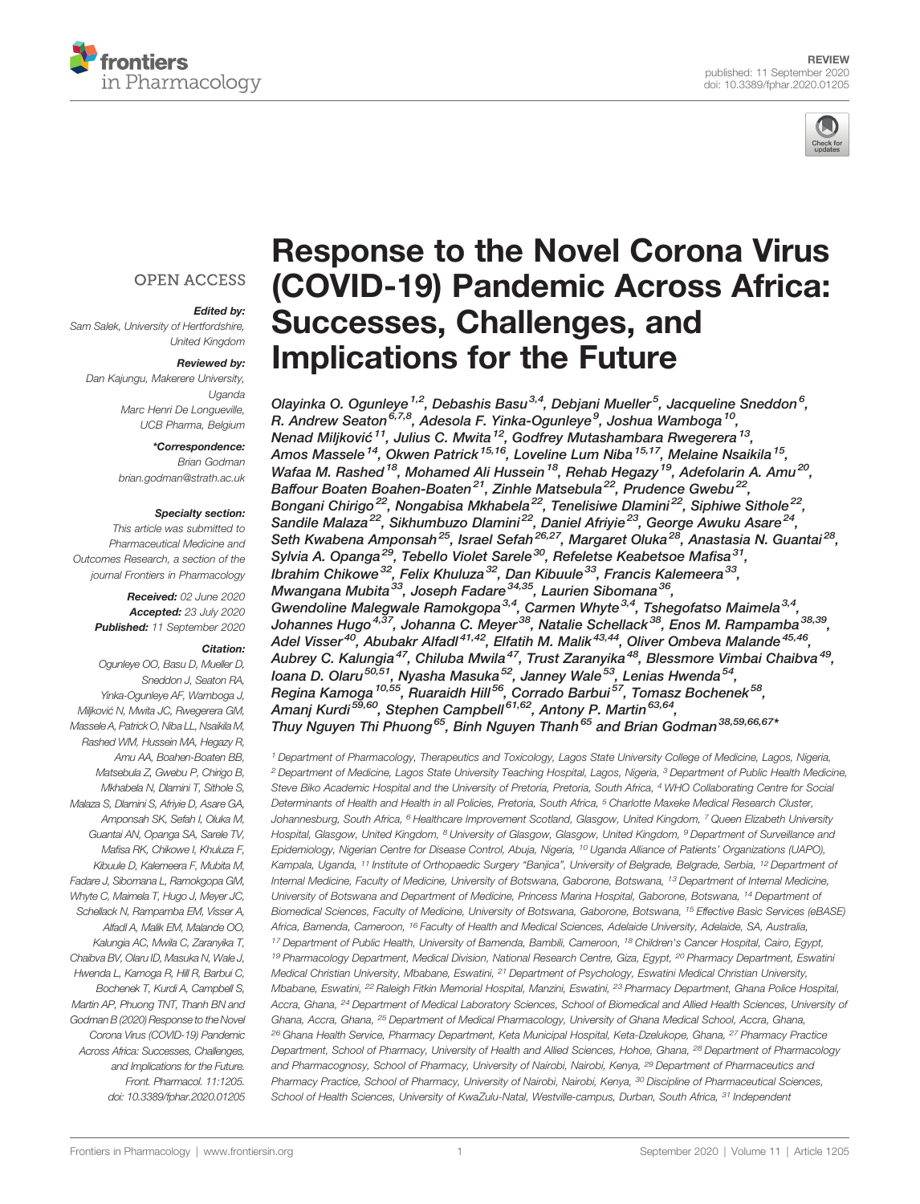



### **OPEN ACCESS**

### Edited by:

Sam Salek, University of Hertfordshire, United Kingdom

#### Reviewed by:

Dan Kajungu, Makerere University, Uganda Marc Henri De Longueville, UCB Pharma, Belgium

### \*Correspondence:

Brian Godman [brian.godman@strath.ac.uk](mailto:brian.godman@strath.ac.uk)

#### Specialty section:

This article was submitted to Pharmaceutical Medicine and Outcomes Research, a section of the journal Frontiers in Pharmacology

> Received: 02 June 2020 Accepted: 23 July 2020 Published: 11 September 2020

### Citation:

Ogunleye OO, Basu D, Mueller D, Sneddon J, Seaton RA, Yinka-Ogunleye AF, Wamboga J, Miljković N, Mwita JC, Rwegerera GM, Massele A, Patrick O, Niba LL, Nsaikila M, Rashed WM, Hussein MA, Hegazy R, Amu AA, Boahen-Boaten BB, Matsebula Z, Gwebu P, Chirigo B, Mkhabela N, Dlamini T, Sithole S Malaza S, Dlamini S, Afriyie D, Asare GA, Amponsah SK, Sefah I, Oluka M, Guantai AN, Opanga SA, Sarele TV, Mafisa RK, Chikowe I, Khuluza F, Kibuule D, Kalemeera F, Mubita M, Fadare J, Sibomana L, Ramokgopa GM, Whyte C, Maimela T, Hugo J, Meyer JC, Schellack N, Rampamba EM, Visser A, Alfadl A, Malik EM, Malande OO, Kalungia AC, Mwila C, Zaranyika T, Chaibva BV, Olaru ID, Masuka N, Wale J, Hwenda L, Kamoga R, Hill R, Barbui C, Bochenek T, Kurdi A, Campbell S, Martin AP, Phuong TNT, Thanh BN and Godman B (2020) Response to the Novel Corona Virus (COVID-19) Pandemic Across Africa: Successes, Challenges, and Implications for the Future. Front. Pharmacol. 11:1205. [doi: 10.3389/fphar.2020.01205](https://doi.org/10.3389/fphar.2020.01205)

# [Response to the Novel Corona Virus](https://www.frontiersin.org/articles/10.3389/fphar.2020.01205/full) [\(COVID-19\) Pandemic Across Africa:](https://www.frontiersin.org/articles/10.3389/fphar.2020.01205/full) [Successes, Challenges, and](https://www.frontiersin.org/articles/10.3389/fphar.2020.01205/full) [Implications for the Future](https://www.frontiersin.org/articles/10.3389/fphar.2020.01205/full)

[Olayinka O. Ogunleye](https://loop.frontiersin.org/people/559547)  $^{1,2}$ , [Debashis Basu](https://loop.frontiersin.org/people/910203) $^{3,4}$ , [Debjani Mueller](https://loop.frontiersin.org/people/910520) $^5$ , Jacqueline Sneddon $^6$ , R. Andrew Seaton<sup>6,7,8</sup>, [Adesola F. Yinka-Ogunleye](https://loop.frontiersin.org/people/1022711)<sup>9</sup>, Joshua Wamboga<sup>10</sup>, Nenad Miljković <sup>11</sup>, [Julius C. Mwita](https://loop.frontiersin.org/people/803520) <sup>12</sup>, Godfrey Mutashambara Rwegerera <sup>13</sup>, [Amos Massele](https://loop.frontiersin.org/people/691542)<sup>14</sup>, [Okwen Patrick](https://loop.frontiersin.org/people/803442)<sup>15,16</sup>, [Loveline Lum Niba](https://loop.frontiersin.org/people/994835)<sup>15,17</sup>, [Melaine Nsaikila](https://loop.frontiersin.org/people/996721)<sup>15</sup>, [Wafaa M. Rashed](https://loop.frontiersin.org/people/750357)<sup>18</sup>, [Mohamed Ali Hussein](https://loop.frontiersin.org/people/994831)<sup>18</sup>, Rehab Hegazy<sup>19</sup>, Adefolarin A. Amu<sup>20</sup>, [Baffour Boaten Boahen-Boaten](https://loop.frontiersin.org/people/994905)<sup>21</sup>, [Zinhle Matsebula](https://loop.frontiersin.org/people/369080)<sup>22</sup>, Prudence Gwebu<sup>22</sup>, [Bongani Chirigo](https://loop.frontiersin.org/people/1034899)<sup>22</sup>, Nongabisa Mkhabela<sup>22</sup>, Tenelisiwe Dlamini<sup>22</sup>, Siphiwe Sithole<sup>22</sup>, Sandile Malaza<sup>22</sup>, Sikhumbuzo Dlamini<sup>22</sup>, [Daniel Afriyie](https://loop.frontiersin.org/people/594773)<sup>23</sup>, [George Awuku Asare](https://loop.frontiersin.org/people/155794)<sup>24</sup>, Seth Kwabena Amponsah<sup>25</sup>, [Israel Sefah](https://loop.frontiersin.org/people/980091)<sup>26,27</sup>, [Margaret Oluka](https://loop.frontiersin.org/people/643185)<sup>28</sup>, Anastasia N. Guantai<sup>28</sup>, [Sylvia A. Opanga](https://loop.frontiersin.org/people/1032079)<sup>29</sup>, [Tebello Violet Sarele](https://loop.frontiersin.org/people/1054525)<sup>30</sup>, [Refeletse Keabetsoe Ma](https://loop.frontiersin.org/people/1032295)fisa<sup>31</sup>, Ibrahim Chikowe<sup>32</sup>, [Felix Khuluza](https://loop.frontiersin.org/people/1054714)<sup>32</sup>, [Dan Kibuule](https://loop.frontiersin.org/people/600828)<sup>33</sup>, [Francis Kalemeera](https://loop.frontiersin.org/people/524881)<sup>33</sup>, Mwangana Mubita<sup>33</sup>, Joseph Fadare<sup>34,35</sup>, [Laurien Sibomana](https://loop.frontiersin.org/people/1015885)<sup>36</sup>, Gwendoline Malegwale Ramokgopa<sup>3,4</sup>, Carmen Whyte<sup>3,4</sup>, Tshegofatso Maimela<sup>3,4</sup>, Johannes Hugo<sup>4,37</sup>, [Johanna C. Meyer](https://loop.frontiersin.org/people/483591)<sup>38</sup>, [Natalie Schellack](https://loop.frontiersin.org/people/559273)<sup>38</sup>, Enos M. Rampamba<sup>38,39</sup>, Adel Visser<sup>40</sup>, [Abubakr Alfadl](https://loop.frontiersin.org/people/878434)<sup>41,42</sup>, [Elfatih M. Malik](https://loop.frontiersin.org/people/1059118)<sup>43,44</sup>, [Oliver Ombeva Malande](https://loop.frontiersin.org/people/1022665)<sup>45,46</sup>, Aubrey C. Kalungia<sup>47</sup>, [Chiluba Mwila](https://loop.frontiersin.org/people/1043736)<sup>47</sup>, [Trust Zaranyika](https://loop.frontiersin.org/people/908697)<sup>48</sup>, [Blessmore Vimbai Chaibva](https://loop.frontiersin.org/people/1032119)<sup>49</sup>, [Ioana D. Olaru](https://loop.frontiersin.org/people/994828)<sup>50,51</sup>, Nyasha Masuka<sup>52</sup>, Janney Wale<sup>53</sup>, Lenias Hwenda<sup>54</sup>, Regina Kamoga <sup>10,55</sup>, Ruaraidh Hill<sup>56</sup>, Corrado Barbui<sup>57</sup>, [Tomasz Bochenek](https://loop.frontiersin.org/people/278995)<sup>58</sup>, [Amanj Kurdi](https://loop.frontiersin.org/people/524280)<sup>59,60</sup>, Stephen Campbell<sup>61,62</sup>, [Antony P. Martin](https://loop.frontiersin.org/people/687630)<sup>63,64</sup>, Thuy Nguyen Thi Phuong<sup>65</sup>, Binh Nguyen Thanh<sup>65</sup> and [Brian Godman](https://loop.frontiersin.org/people/14310)<sup>38,59,66,67\*</sup>

<sup>1</sup> Department of Pharmacology, Therapeutics and Toxicology, Lagos State University College of Medicine, Lagos, Nigeria, <sup>2</sup> Department of Medicine, Lagos State University Teaching Hospital, Lagos, Nigeria, <sup>3</sup> Department of Public Health Medicine, Steve Biko Academic Hospital and the University of Pretoria, Pretoria, South Africa, <sup>4</sup> WHO Collaborating Centre for Social Determinants of Health and Health in all Policies, Pretoria, South Africa, <sup>5</sup> Charlotte Maxeke Medical Research Cluster, Johannesburg, South Africa, <sup>6</sup> Healthcare Improvement Scotland, Glasgow, United Kingdom, <sup>7</sup> Queen Elizabeth University Hospital, Glasgow, United Kingdom, <sup>8</sup> University of Glasgow, Glasgow, United Kingdom, <sup>9</sup> Department of Surveillance and Epidemiology, Nigerian Centre for Disease Control, Abuja, Nigeria, <sup>10</sup> Uganda Alliance of Patients' Organizations (UAPO), Kampala, Uganda, <sup>11</sup> Institute of Orthopaedic Surgery "Banjica", University of Belgrade, Belgrade, Serbia, <sup>12</sup> Department of Internal Medicine, Faculty of Medicine, University of Botswana, Gaborone, Botswana, <sup>13</sup> Department of Internal Medicine, University of Botswana and Department of Medicine, Princess Marina Hospital, Gaborone, Botswana, <sup>14</sup> Department of Biomedical Sciences, Faculty of Medicine, University of Botswana, Gaborone, Botswana, <sup>15</sup> Effective Basic Services (eBASE) Africa, Bamenda, Cameroon, <sup>16</sup> Faculty of Health and Medical Sciences, Adelaide University, Adelaide, SA, Australia, <sup>17</sup> Department of Public Health, University of Bamenda, Bambili, Cameroon, <sup>18</sup> Children's Cancer Hospital, Cairo, Egypt, <sup>19</sup> Pharmacology Department, Medical Division, National Research Centre, Giza, Egypt, <sup>20</sup> Pharmacy Department, Eswatini Medical Christian University, Mbabane, Eswatini, <sup>21</sup> Department of Psychology, Eswatini Medical Christian University, Mbabane, Eswatini, <sup>22</sup> Raleigh Fitkin Memorial Hospital, Manzini, Eswatini, <sup>23</sup> Pharmacy Department, Ghana Police Hospital, Accra, Ghana, <sup>24</sup> Department of Medical Laboratory Sciences, School of Biomedical and Allied Health Sciences, University of Ghana, Accra, Ghana, <sup>25</sup> Department of Medical Pharmacology, University of Ghana Medical School, Accra, Ghana, <sup>26</sup> Ghana Health Service, Pharmacy Department, Keta Municipal Hospital, Keta-Dzelukope, Ghana, <sup>27</sup> Pharmacy Practice Department, School of Pharmacy, University of Health and Allied Sciences, Hohoe, Ghana, <sup>28</sup> Department of Pharmacology and Pharmacognosy, School of Pharmacy, University of Nairobi, Nairobi, Kenya, <sup>29</sup> Department of Pharmaceutics and Pharmacy Practice, School of Pharmacy, University of Nairobi, Nairobi, Kenya, <sup>30</sup> Discipline of Pharmaceutical Sciences, School of Health Sciences, University of KwaZulu-Natal, Westville-campus, Durban, South Africa, 31 Independent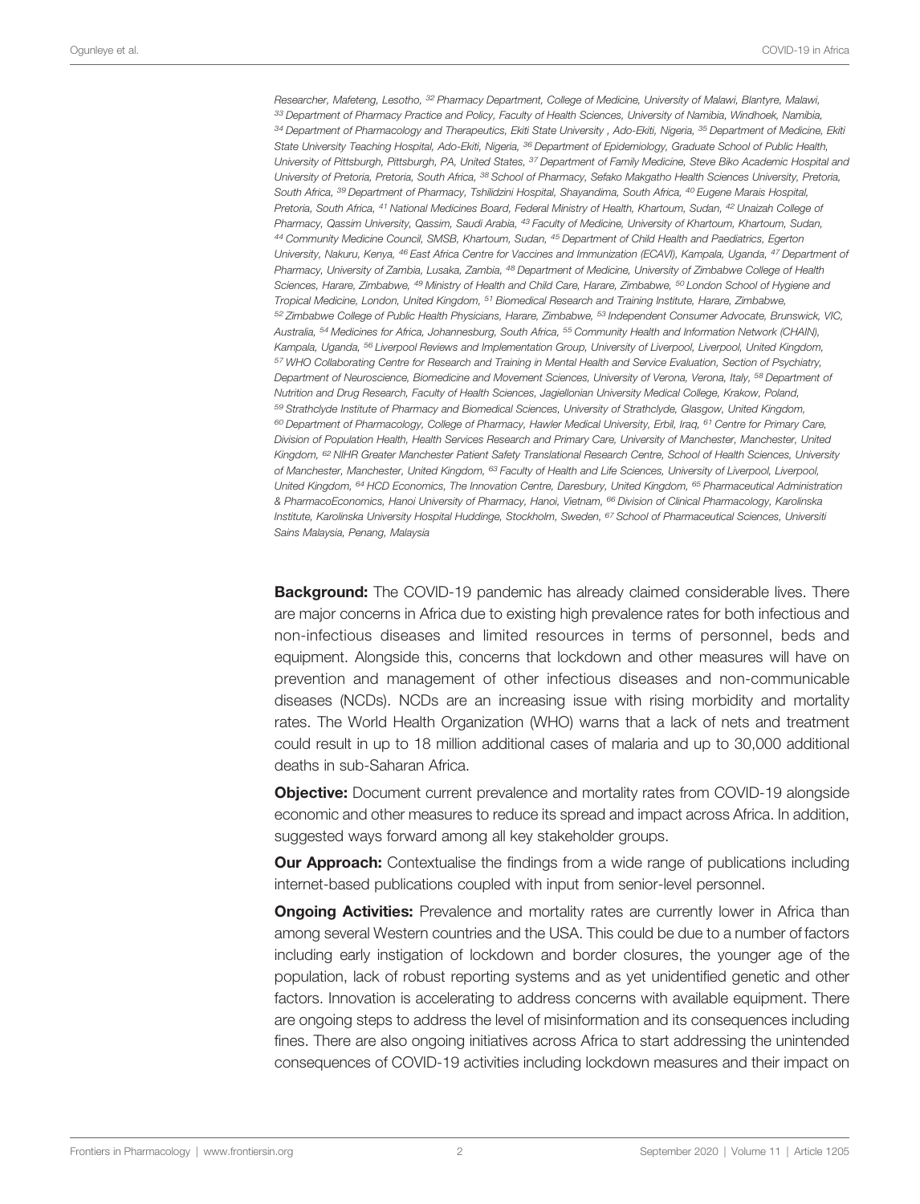Researcher, Mafeteng, Lesotho, <sup>32</sup> Pharmacy Department, College of Medicine, University of Malawi, Blantyre, Malawi, 33 Department of Pharmacy Practice and Policy, Faculty of Health Sciences, University of Namibia, Windhoek, Namibia, <sup>34</sup> Department of Pharmacology and Therapeutics, Ekiti State University , Ado-Ekiti, Nigeria, <sup>35</sup> Department of Medicine, Ekiti State University Teaching Hospital, Ado-Ekiti, Nigeria, <sup>36</sup> Department of Epidemiology, Graduate School of Public Health, University of Pittsburgh, Pittsburgh, PA, United States, <sup>37</sup> Department of Family Medicine, Steve Biko Academic Hospital and University of Pretoria, Pretoria, South Africa, <sup>38</sup> School of Pharmacy, Sefako Makgatho Health Sciences University, Pretoria, South Africa, <sup>39</sup> Department of Pharmacy, Tshilidzini Hospital, Shayandima, South Africa, <sup>40</sup> Eugene Marais Hospital, Pretoria, South Africa, <sup>41</sup> National Medicines Board, Federal Ministry of Health, Khartoum, Sudan, <sup>42</sup> Unaizah College of Pharmacy, Qassim University, Qassim, Saudi Arabia, <sup>43</sup> Faculty of Medicine, University of Khartoum, Khartoum, Sudan, <sup>44</sup> Community Medicine Council, SMSB, Khartoum, Sudan, <sup>45</sup> Department of Child Health and Paediatrics, Egerton University, Nakuru, Kenya, <sup>46</sup> East Africa Centre for Vaccines and Immunization (ECAVI), Kampala, Uganda, <sup>47</sup> Department of Pharmacy, University of Zambia, Lusaka, Zambia, <sup>48</sup> Department of Medicine, University of Zimbabwe College of Health Sciences, Harare, Zimbabwe, <sup>49</sup> Ministry of Health and Child Care, Harare, Zimbabwe, <sup>50</sup> London School of Hygiene and Tropical Medicine, London, United Kingdom, <sup>51</sup> Biomedical Research and Training Institute, Harare, Zimbabwe, <sup>52</sup> Zimbabwe College of Public Health Physicians, Harare, Zimbabwe, <sup>53</sup> Independent Consumer Advocate, Brunswick, VIC, Australia, <sup>54</sup> Medicines for Africa, Johannesburg, South Africa, <sup>55</sup> Community Health and Information Network (CHAIN), Kampala, Uganda, <sup>56</sup> Liverpool Reviews and Implementation Group, University of Liverpool, Liverpool, United Kingdom, <sup>57</sup> WHO Collaborating Centre for Research and Training in Mental Health and Service Evaluation, Section of Psychiatry, Department of Neuroscience, Biomedicine and Movement Sciences, University of Verona, Verona, Italy, <sup>58</sup> Department of Nutrition and Drug Research, Faculty of Health Sciences, Jagiellonian University Medical College, Krakow, Poland, <sup>59</sup> Strathclyde Institute of Pharmacy and Biomedical Sciences, University of Strathclyde, Glasgow, United Kingdom, 60 Department of Pharmacology, College of Pharmacy, Hawler Medical University, Erbil, Iraq, 61 Centre for Primary Care, Division of Population Health, Health Services Research and Primary Care, University of Manchester, Manchester, United Kingdom, <sup>62</sup> NIHR Greater Manchester Patient Safety Translational Research Centre, School of Health Sciences, University of Manchester, Manchester, United Kingdom, <sup>63</sup> Faculty of Health and Life Sciences, University of Liverpool, Liverpool, United Kingdom, <sup>64</sup> HCD Economics, The Innovation Centre, Daresbury, United Kingdom, <sup>65</sup> Pharmaceutical Administration & PharmacoEconomics, Hanoi University of Pharmacy, Hanoi, Vietnam, <sup>66</sup> Division of Clinical Pharmacology, Karolinska Institute, Karolinska University Hospital Huddinge, Stockholm, Sweden, <sup>67</sup> School of Pharmaceutical Sciences, Universiti Sains Malaysia, Penang, Malaysia

**Background:** The COVID-19 pandemic has already claimed considerable lives. There are major concerns in Africa due to existing high prevalence rates for both infectious and non-infectious diseases and limited resources in terms of personnel, beds and equipment. Alongside this, concerns that lockdown and other measures will have on prevention and management of other infectious diseases and non-communicable diseases (NCDs). NCDs are an increasing issue with rising morbidity and mortality rates. The World Health Organization (WHO) warns that a lack of nets and treatment could result in up to 18 million additional cases of malaria and up to 30,000 additional deaths in sub-Saharan Africa.

Objective: Document current prevalence and mortality rates from COVID-19 alongside economic and other measures to reduce its spread and impact across Africa. In addition, suggested ways forward among all key stakeholder groups.

**Our Approach:** Contextualise the findings from a wide range of publications including internet-based publications coupled with input from senior-level personnel.

**Ongoing Activities:** Prevalence and mortality rates are currently lower in Africa than among several Western countries and the USA. This could be due to a number of factors including early instigation of lockdown and border closures, the younger age of the population, lack of robust reporting systems and as yet unidentified genetic and other factors. Innovation is accelerating to address concerns with available equipment. There are ongoing steps to address the level of misinformation and its consequences including fines. There are also ongoing initiatives across Africa to start addressing the unintended consequences of COVID-19 activities including lockdown measures and their impact on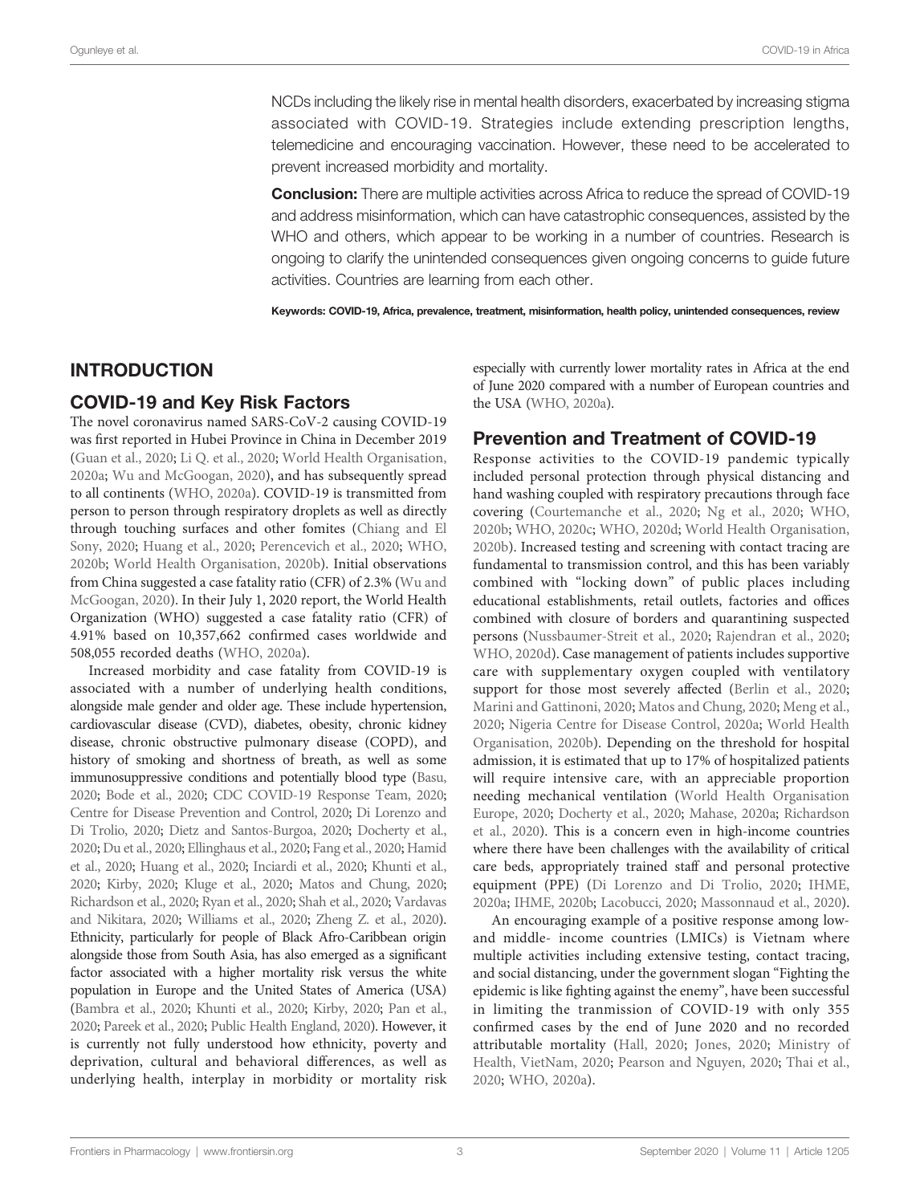NCDs including the likely rise in mental health disorders, exacerbated by increasing stigma associated with COVID-19. Strategies include extending prescription lengths, telemedicine and encouraging vaccination. However, these need to be accelerated to prevent increased morbidity and mortality.

**Conclusion:** There are multiple activities across Africa to reduce the spread of COVID-19 and address misinformation, which can have catastrophic consequences, assisted by the WHO and others, which appear to be working in a number of countries. Research is ongoing to clarify the unintended consequences given ongoing concerns to guide future activities. Countries are learning from each other.

Keywords: COVID-19, Africa, prevalence, treatment, misinformation, health policy, unintended consequences, review

# INTRODUCTION

### COVID-19 and Key Risk Factors

The novel coronavirus named SARS-CoV-2 causing COVID-19 was first reported in Hubei Province in China in December 2019 ([Guan et al., 2020](#page-26-0); [Li Q. et al., 2020](#page-28-0); [World Health Organisation,](#page-34-0) [2020a;](#page-34-0) [Wu and McGoogan, 2020\)](#page-34-0), and has subsequently spread to all continents [\(WHO, 2020a\)](#page-33-0). COVID-19 is transmitted from person to person through respiratory droplets as well as directly through touching surfaces and other fomites [\(Chiang and El](#page-24-0) [Sony, 2020](#page-24-0); [Huang et al., 2020](#page-27-0); [Perencevich et al., 2020;](#page-30-0) [WHO,](#page-33-0) [2020b](#page-33-0); [World Health Organisation, 2020b](#page-34-0)). Initial observations from China suggested a case fatality ratio (CFR) of 2.3% ([Wu and](#page-34-0) [McGoogan, 2020](#page-34-0)). In their July 1, 2020 report, the World Health Organization (WHO) suggested a case fatality ratio (CFR) of 4.91% based on 10,357,662 confirmed cases worldwide and 508,055 recorded deaths [\(WHO, 2020a](#page-33-0)).

Increased morbidity and case fatality from COVID-19 is associated with a number of underlying health conditions, alongside male gender and older age. These include hypertension, cardiovascular disease (CVD), diabetes, obesity, chronic kidney disease, chronic obstructive pulmonary disease (COPD), and history of smoking and shortness of breath, as well as some immunosuppressive conditions and potentially blood type ([Basu,](#page-23-0) [2020;](#page-23-0) [Bode et al., 2020](#page-24-0); [CDC COVID-19 Response Team, 2020](#page-24-0); [Centre for Disease Prevention and Control, 2020;](#page-24-0) [Di Lorenzo and](#page-25-0) [Di Trolio, 2020;](#page-25-0) [Dietz and Santos-Burgoa, 2020;](#page-25-0) [Docherty et al.,](#page-25-0) [2020;](#page-25-0) [Du et al., 2020;](#page-25-0) [Ellinghaus et al., 2020;](#page-25-0) [Fang et al., 2020;](#page-25-0) [Hamid](#page-26-0) [et al., 2020](#page-26-0); [Huang et al., 2020;](#page-27-0) [Inciardi et al., 2020](#page-27-0); [Khunti et al.,](#page-27-0) [2020;](#page-27-0) [Kirby, 2020](#page-28-0); [Kluge et al., 2020](#page-28-0); [Matos and Chung, 2020](#page-29-0); [Richardson et al., 2020;](#page-31-0) [Ryan et al., 2020](#page-31-0); [Shah et al., 2020](#page-32-0); [Vardavas](#page-33-0) [and Nikitara, 2020;](#page-33-0) [Williams et al., 2020;](#page-34-0) [Zheng Z. et al., 2020\)](#page-34-0). Ethnicity, particularly for people of Black Afro-Caribbean origin alongside those from South Asia, has also emerged as a significant factor associated with a higher mortality risk versus the white population in Europe and the United States of America (USA) [\(Bambra et al., 2020;](#page-23-0) [Khunti et al., 2020](#page-27-0); [Kirby, 2020;](#page-28-0) [Pan et al.,](#page-30-0) [2020;](#page-30-0) [Pareek et al., 2020](#page-30-0); [Public Health England, 2020\)](#page-30-0). However, it is currently not fully understood how ethnicity, poverty and deprivation, cultural and behavioral differences, as well as underlying health, interplay in morbidity or mortality risk especially with currently lower mortality rates in Africa at the end of June 2020 compared with a number of European countries and the USA ([WHO, 2020a](#page-33-0)).

# Prevention and Treatment of COVID-19

Response activities to the COVID-19 pandemic typically included personal protection through physical distancing and hand washing coupled with respiratory precautions through face covering [\(Courtemanche et al., 2020](#page-24-0); [Ng et al., 2020;](#page-29-0) [WHO,](#page-29-0) [2020b](#page-29-0); [WHO, 2020c;](#page-30-0) [WHO, 2020d;](#page-33-0) [World Health Organisation,](#page-34-0) [2020b](#page-34-0)). Increased testing and screening with contact tracing are fundamental to transmission control, and this has been variably combined with "locking down" of public places including educational establishments, retail outlets, factories and offices combined with closure of borders and quarantining suspected persons ([Nussbaumer-Streit et al., 2020](#page-30-0); [Rajendran et al., 2020;](#page-30-0) [WHO, 2020d\)](#page-33-0). Case management of patients includes supportive care with supplementary oxygen coupled with ventilatory support for those most severely affected [\(Berlin et al., 2020;](#page-23-0) [Marini and Gattinoni, 2020](#page-28-0); [Matos and Chung, 2020;](#page-29-0) [Meng et al.,](#page-29-0) [2020](#page-29-0); [Nigeria Centre for Disease Control, 2020a](#page-29-0); [World Health](#page-34-0) [Organisation, 2020b\)](#page-34-0). Depending on the threshold for hospital admission, it is estimated that up to 17% of hospitalized patients will require intensive care, with an appreciable proportion needing mechanical ventilation [\(World Health Organisation](#page-34-0) [Europe, 2020](#page-34-0); [Docherty et al., 2020;](#page-25-0) [Mahase, 2020a](#page-28-0); [Richardson](#page-31-0) [et al., 2020](#page-31-0)). This is a concern even in high-income countries where there have been challenges with the availability of critical care beds, appropriately trained staff and personal protective equipment (PPE) [\(Di Lorenzo and Di Trolio, 2020;](#page-25-0) [IHME,](#page-27-0) [2020a](#page-27-0); [IHME, 2020b](#page-27-0); [Lacobucci, 2020;](#page-28-0) [Massonnaud et al., 2020\)](#page-28-0).

An encouraging example of a positive response among lowand middle- income countries (LMICs) is Vietnam where multiple activities including extensive testing, contact tracing, and social distancing, under the government slogan "Fighting the epidemic is like fighting against the enemy", have been successful in limiting the tranmission of COVID-19 with only 355 confirmed cases by the end of June 2020 and no recorded attributable mortality [\(Hall, 2020;](#page-26-0) [Jones, 2020;](#page-27-0) [Ministry of](#page-29-0) [Health, VietNam, 2020;](#page-29-0) [Pearson and Nguyen, 2020;](#page-30-0) [Thai et al.,](#page-32-0) [2020](#page-32-0); [WHO, 2020a](#page-33-0)).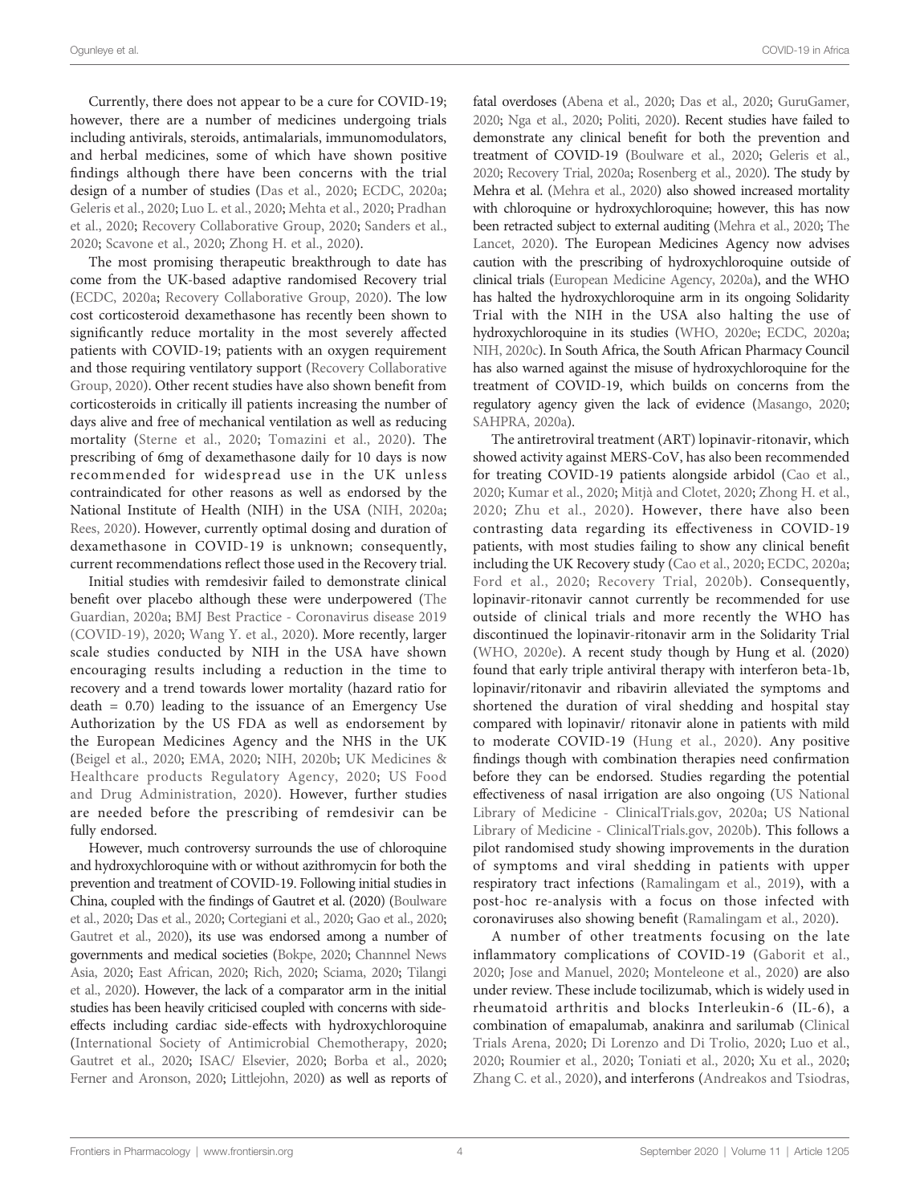Ogunleye et al. COVID-19 in Africa

Currently, there does not appear to be a cure for COVID-19; however, there are a number of medicines undergoing trials including antivirals, steroids, antimalarials, immunomodulators, and herbal medicines, some of which have shown positive findings although there have been concerns with the trial design of a number of studies ([Das et al., 2020](#page-25-0); [ECDC, 2020a](#page-25-0); [Geleris et al., 2020](#page-26-0); [Luo L. et al., 2020;](#page-28-0) [Mehta et al., 2020;](#page-29-0) [Pradhan](#page-30-0) [et al., 2020;](#page-30-0) [Recovery Collaborative Group, 2020](#page-31-0); [Sanders et al.,](#page-31-0) [2020;](#page-31-0) [Scavone et al., 2020;](#page-31-0) [Zhong H. et al., 2020\)](#page-34-0).

The most promising therapeutic breakthrough to date has come from the UK-based adaptive randomised Recovery trial ([ECDC, 2020a](#page-25-0); [Recovery Collaborative Group, 2020](#page-31-0)). The low cost corticosteroid dexamethasone has recently been shown to significantly reduce mortality in the most severely affected patients with COVID-19; patients with an oxygen requirement and those requiring ventilatory support [\(Recovery Collaborative](#page-31-0) [Group, 2020\)](#page-31-0). Other recent studies have also shown benefit from corticosteroids in critically ill patients increasing the number of days alive and free of mechanical ventilation as well as reducing mortality ([Sterne et al., 2020;](#page-32-0) [Tomazini et al., 2020](#page-32-0)). The prescribing of 6mg of dexamethasone daily for 10 days is now recommended for widespread use in the UK unless contraindicated for other reasons as well as endorsed by the National Institute of Health (NIH) in the USA [\(NIH, 2020a](#page-30-0); [Rees, 2020](#page-31-0)). However, currently optimal dosing and duration of dexamethasone in COVID-19 is unknown; consequently, current recommendations reflect those used in the Recovery trial.

Initial studies with remdesivir failed to demonstrate clinical benefit over placebo although these were underpowered [\(The](#page-32-0) [Guardian, 2020a;](#page-32-0) [BMJ Best Practice - Coronavirus disease 2019](#page-23-0) [\(COVID-19\), 2020;](#page-23-0) [Wang Y. et al., 2020\)](#page-33-0). More recently, larger scale studies conducted by NIH in the USA have shown encouraging results including a reduction in the time to recovery and a trend towards lower mortality (hazard ratio for  $death = 0.70)$  leading to the issuance of an Emergency Use Authorization by the US FDA as well as endorsement by the European Medicines Agency and the NHS in the UK ([Beigel et al., 2020](#page-23-0); [EMA, 2020;](#page-25-0) [NIH, 2020b](#page-30-0); [UK Medicines &](#page-32-0) [Healthcare products Regulatory Agency, 2020;](#page-32-0) [US Food](#page-33-0) [and Drug Administration, 2020\)](#page-33-0). However, further studies are needed before the prescribing of remdesivir can be fully endorsed.

However, much controversy surrounds the use of chloroquine and hydroxychloroquine with or without azithromycin for both the prevention and treatment of COVID-19. Following initial studies in China, coupled with the findings of Gautret et al. (2020) [\(Boulware](#page-24-0) [et al., 2020;](#page-24-0) [Das et al., 2020](#page-25-0); [Cortegiani et al., 2020;](#page-24-0) [Gao et al., 2020](#page-25-0); [Gautret et al., 2020](#page-25-0)), its use was endorsed among a number of governments and medical societies ([Bokpe, 2020;](#page-24-0) [Channnel News](#page-24-0) [Asia, 2020](#page-24-0); [East African, 2020;](#page-25-0) [Rich, 2020;](#page-31-0) [Sciama, 2020;](#page-31-0) [Tilangi](#page-32-0) [et al., 2020](#page-32-0)). However, the lack of a comparator arm in the initial studies has been heavily criticised coupled with concerns with sideeffects including cardiac side-effects with hydroxychloroquine ([International Society of Antimicrobial Chemotherapy, 2020](#page-27-0); [Gautret et al., 2020](#page-25-0); [ISAC/ Elsevier, 2020](#page-27-0); [Borba et al., 2020](#page-24-0); [Ferner and Aronson, 2020](#page-25-0); [Littlejohn, 2020](#page-28-0)) as well as reports of

fatal overdoses [\(Abena et al., 2020;](#page-22-0) [Das et al., 2020](#page-25-0); [GuruGamer,](#page-26-0) [2020;](#page-26-0) [Nga et al., 2020;](#page-29-0) [Politi, 2020\)](#page-30-0). Recent studies have failed to demonstrate any clinical benefit for both the prevention and treatment of COVID-19 [\(Boulware et al., 2020](#page-24-0); [Geleris et al.,](#page-26-0) [2020;](#page-26-0) [Recovery Trial, 2020a;](#page-31-0) [Rosenberg et al., 2020](#page-31-0)). The study by Mehra et al. ([Mehra et al., 2020](#page-29-0)) also showed increased mortality with chloroquine or hydroxychloroquine; however, this has now been retracted subject to external auditing [\(Mehra et al., 2020;](#page-29-0) [The](#page-32-0) [Lancet, 2020\)](#page-32-0). The European Medicines Agency now advises caution with the prescribing of hydroxychloroquine outside of clinical trials ([European Medicine Agency, 2020a](#page-25-0)), and the WHO has halted the hydroxychloroquine arm in its ongoing Solidarity Trial with the NIH in the USA also halting the use of hydroxychloroquine in its studies [\(WHO, 2020e](#page-33-0); [ECDC, 2020a;](#page-25-0) [NIH, 2020c](#page-30-0)). In South Africa, the South African Pharmacy Council has also warned against the misuse of hydroxychloroquine for the treatment of COVID-19, which builds on concerns from the regulatory agency given the lack of evidence [\(Masango, 2020;](#page-28-0) [SAHPRA, 2020a\)](#page-31-0).

The antiretroviral treatment (ART) lopinavir-ritonavir, which showed activity against MERS-CoV, has also been recommended for treating COVID-19 patients alongside arbidol [\(Cao et al.,](#page-24-0) [2020](#page-24-0); [Kumar et al., 2020;](#page-28-0) [Mitjà and Clotet, 2020;](#page-29-0) [Zhong H. et al.,](#page-34-0) [2020;](#page-34-0) [Zhu et al., 2020](#page-34-0)). However, there have also been contrasting data regarding its effectiveness in COVID-19 patients, with most studies failing to show any clinical benefit including the UK Recovery study ([Cao et al., 2020;](#page-24-0) [ECDC, 2020a;](#page-25-0) [Ford et al., 2020;](#page-25-0) [Recovery Trial, 2020b](#page-31-0)). Consequently, lopinavir-ritonavir cannot currently be recommended for use outside of clinical trials and more recently the WHO has discontinued the lopinavir-ritonavir arm in the Solidarity Trial [\(WHO, 2020e](#page-33-0)). A recent study though by Hung et al. (2020) found that early triple antiviral therapy with interferon beta-1b, lopinavir/ritonavir and ribavirin alleviated the symptoms and shortened the duration of viral shedding and hospital stay compared with lopinavir/ ritonavir alone in patients with mild to moderate COVID-19 ([Hung et al., 2020\)](#page-27-0). Any positive findings though with combination therapies need confirmation before they can be endorsed. Studies regarding the potential effectiveness of nasal irrigation are also ongoing ([US National](#page-33-0) [Library of Medicine - ClinicalTrials.gov, 2020a](#page-33-0); [US National](#page-33-0) [Library of Medicine - ClinicalTrials.gov, 2020b](#page-33-0)). This follows a pilot randomised study showing improvements in the duration of symptoms and viral shedding in patients with upper respiratory tract infections [\(Ramalingam et al., 2019\)](#page-30-0), with a post-hoc re-analysis with a focus on those infected with coronaviruses also showing benefit [\(Ramalingam et al., 2020\)](#page-31-0).

A number of other treatments focusing on the late inflammatory complications of COVID-19 ([Gaborit et al.,](#page-25-0) [2020](#page-25-0); [Jose and Manuel, 2020;](#page-27-0) [Monteleone et al., 2020\)](#page-29-0) are also under review. These include tocilizumab, which is widely used in rheumatoid arthritis and blocks Interleukin-6 (IL-6), a combination of emapalumab, anakinra and sarilumab ([Clinical](#page-24-0) [Trials Arena, 2020;](#page-24-0) [Di Lorenzo and Di Trolio, 2020](#page-25-0); [Luo et al.,](#page-28-0) [2020](#page-28-0); [Roumier et al., 2020](#page-31-0); [Toniati et al., 2020](#page-32-0); [Xu et al., 2020;](#page-34-0) [Zhang C. et al., 2020\)](#page-34-0), and interferons [\(Andreakos and Tsiodras,](#page-23-0)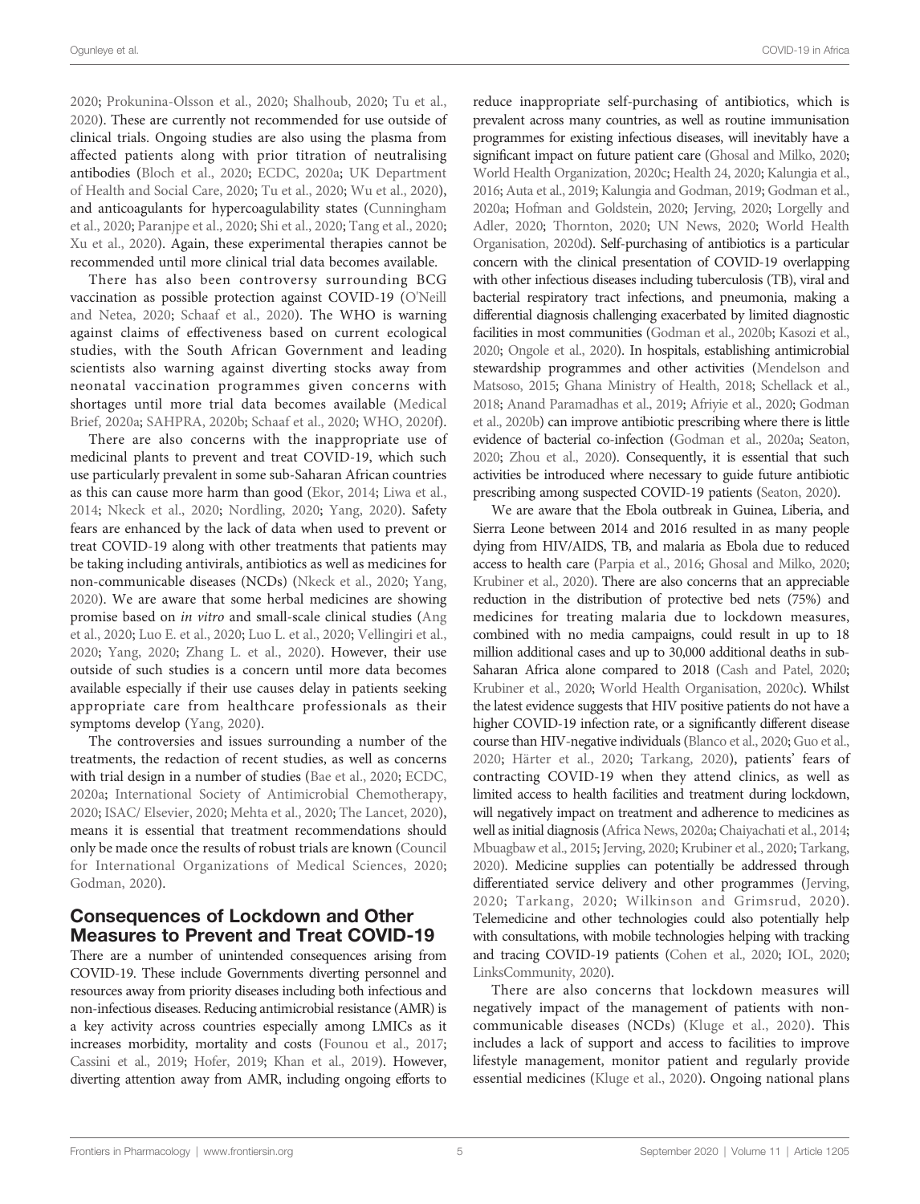Ogunleye et al. COVID-19 in Africa

[2020;](#page-23-0) [Prokunina-Olsson et al., 2020](#page-30-0); [Shalhoub, 2020;](#page-32-0) [Tu et al.,](#page-32-0) [2020\)](#page-32-0). These are currently not recommended for use outside of clinical trials. Ongoing studies are also using the plasma from affected patients along with prior titration of neutralising antibodies ([Bloch et al., 2020;](#page-23-0) [ECDC, 2020a;](#page-25-0) [UK Department](#page-32-0) [of Health and Social Care, 2020;](#page-32-0) [Tu et al., 2020;](#page-32-0) [Wu et al., 2020\)](#page-34-0), and anticoagulants for hypercoagulability states ([Cunningham](#page-24-0) [et al., 2020](#page-24-0); [Paranjpe et al., 2020](#page-30-0); [Shi et al., 2020;](#page-32-0) [Tang et al., 2020](#page-32-0); [Xu et al., 2020\)](#page-34-0). Again, these experimental therapies cannot be recommended until more clinical trial data becomes available.

There has also been controversy surrounding BCG vaccination as possible protection against COVID-19 [\(O'Neill](#page-30-0) [and Netea, 2020;](#page-30-0) [Schaaf et al., 2020\)](#page-31-0). The WHO is warning against claims of effectiveness based on current ecological studies, with the South African Government and leading scientists also warning against diverting stocks away from neonatal vaccination programmes given concerns with shortages until more trial data becomes available ([Medical](#page-29-0) [Brief, 2020a](#page-29-0); [SAHPRA, 2020b](#page-31-0); [Schaaf et al., 2020](#page-31-0); [WHO, 2020f\)](#page-33-0).

There are also concerns with the inappropriate use of medicinal plants to prevent and treat COVID-19, which such use particularly prevalent in some sub-Saharan African countries as this can cause more harm than good [\(Ekor, 2014](#page-25-0); [Liwa et al.,](#page-28-0) [2014;](#page-28-0) [Nkeck et al., 2020;](#page-30-0) [Nordling, 2020](#page-30-0); [Yang, 2020](#page-34-0)). Safety fears are enhanced by the lack of data when used to prevent or treat COVID-19 along with other treatments that patients may be taking including antivirals, antibiotics as well as medicines for non-communicable diseases (NCDs) ([Nkeck et al., 2020](#page-30-0); [Yang,](#page-34-0) [2020\)](#page-34-0). We are aware that some herbal medicines are showing promise based on in vitro and small-scale clinical studies [\(Ang](#page-23-0) [et al., 2020](#page-23-0); [Luo E. et al., 2020](#page-28-0); [Luo L. et al., 2020](#page-28-0); [Vellingiri et al.,](#page-33-0) [2020;](#page-33-0) [Yang, 2020](#page-34-0); [Zhang L. et al., 2020\)](#page-34-0). However, their use outside of such studies is a concern until more data becomes available especially if their use causes delay in patients seeking appropriate care from healthcare professionals as their symptoms develop ([Yang, 2020\)](#page-34-0).

The controversies and issues surrounding a number of the treatments, the redaction of recent studies, as well as concerns with trial design in a number of studies ([Bae et al., 2020;](#page-23-0) [ECDC,](#page-25-0) [2020a;](#page-25-0) [International Society of Antimicrobial Chemotherapy,](#page-27-0) [2020;](#page-27-0) [ISAC/ Elsevier, 2020;](#page-27-0) [Mehta et al., 2020](#page-29-0); [The Lancet, 2020\)](#page-32-0), means it is essential that treatment recommendations should only be made once the results of robust trials are known [\(Council](#page-24-0) [for International Organizations of Medical Sciences, 2020](#page-24-0); [Godman, 2020\)](#page-26-0).

### Consequences of Lockdown and Other Measures to Prevent and Treat COVID-19

There are a number of unintended consequences arising from COVID-19. These include Governments diverting personnel and resources away from priority diseases including both infectious and non-infectious diseases. Reducing antimicrobial resistance (AMR) is a key activity across countries especially among LMICs as it increases morbidity, mortality and costs [\(Founou et al., 2017](#page-25-0); [Cassini et al., 2019](#page-24-0); [Hofer, 2019;](#page-27-0) [Khan et al., 2019\)](#page-27-0). However, diverting attention away from AMR, including ongoing efforts to

reduce inappropriate self-purchasing of antibiotics, which is prevalent across many countries, as well as routine immunisation programmes for existing infectious diseases, will inevitably have a significant impact on future patient care [\(Ghosal and Milko, 2020;](#page-26-0) [World Health Organization, 2020c;](#page-34-0) [Health 24, 2020;](#page-26-0) [Kalungia et al.,](#page-27-0) [2016;](#page-27-0) [Auta et al., 2019](#page-23-0); [Kalungia and Godman, 2019](#page-27-0); [Godman et al.,](#page-26-0) [2020a;](#page-26-0) [Hofman and Goldstein, 2020](#page-27-0); [Jerving, 2020](#page-27-0); [Lorgelly and](#page-28-0) [Adler, 2020](#page-28-0); [Thornton, 2020;](#page-32-0) [UN News, 2020](#page-32-0); [World Health](#page-34-0) [Organisation, 2020d\)](#page-34-0). Self-purchasing of antibiotics is a particular concern with the clinical presentation of COVID-19 overlapping with other infectious diseases including tuberculosis (TB), viral and bacterial respiratory tract infections, and pneumonia, making a differential diagnosis challenging exacerbated by limited diagnostic facilities in most communities [\(Godman et al., 2020b;](#page-26-0) [Kasozi et al.,](#page-27-0) [2020;](#page-27-0) [Ongole et al., 2020](#page-30-0)). In hospitals, establishing antimicrobial stewardship programmes and other activities ([Mendelson and](#page-29-0) [Matsoso, 2015;](#page-29-0) [Ghana Ministry of Health, 2018;](#page-26-0) [Schellack et al.,](#page-31-0) [2018;](#page-31-0) [Anand Paramadhas et al., 2019](#page-23-0); [Afriyie et al., 2020;](#page-23-0) [Godman](#page-26-0) [et al., 2020b](#page-26-0)) can improve antibiotic prescribing where there is little evidence of bacterial co-infection [\(Godman et al., 2020a](#page-26-0); [Seaton,](#page-31-0) [2020;](#page-31-0) [Zhou et al., 2020\)](#page-34-0). Consequently, it is essential that such activities be introduced where necessary to guide future antibiotic prescribing among suspected COVID-19 patients ([Seaton, 2020\)](#page-31-0).

We are aware that the Ebola outbreak in Guinea, Liberia, and Sierra Leone between 2014 and 2016 resulted in as many people dying from HIV/AIDS, TB, and malaria as Ebola due to reduced access to health care [\(Parpia et al., 2016;](#page-30-0) [Ghosal and Milko, 2020;](#page-26-0) [Krubiner et al., 2020\)](#page-28-0). There are also concerns that an appreciable reduction in the distribution of protective bed nets (75%) and medicines for treating malaria due to lockdown measures, combined with no media campaigns, could result in up to 18 million additional cases and up to 30,000 additional deaths in sub-Saharan Africa alone compared to 2018 [\(Cash and Patel, 2020;](#page-24-0) [Krubiner et al., 2020](#page-28-0); [World Health Organisation, 2020c](#page-34-0)). Whilst the latest evidence suggests that HIV positive patients do not have a higher COVID-19 infection rate, or a significantly different disease course than HIV-negative individuals ([Blanco et al., 2020;](#page-23-0) [Guo et al.,](#page-26-0) [2020](#page-26-0); [Härter et al., 2020;](#page-26-0) [Tarkang, 2020\)](#page-32-0), patients' fears of contracting COVID-19 when they attend clinics, as well as limited access to health facilities and treatment during lockdown, will negatively impact on treatment and adherence to medicines as well as initial diagnosis [\(Africa News, 2020a;](#page-22-0) [Chaiyachati et al., 2014;](#page-24-0) [Mbuagbaw et al., 2015](#page-29-0); [Jerving, 2020;](#page-27-0) [Krubiner et al., 2020;](#page-28-0) [Tarkang,](#page-32-0) [2020\)](#page-32-0). Medicine supplies can potentially be addressed through differentiated service delivery and other programmes ([Jerving,](#page-27-0) [2020](#page-27-0); [Tarkang, 2020](#page-32-0); [Wilkinson and Grimsrud, 2020](#page-34-0)). Telemedicine and other technologies could also potentially help with consultations, with mobile technologies helping with tracking and tracing COVID-19 patients ([Cohen et al., 2020;](#page-24-0) [IOL, 2020;](#page-27-0) [LinksCommunity, 2020](#page-28-0)).

There are also concerns that lockdown measures will negatively impact of the management of patients with noncommunicable diseases (NCDs) ([Kluge et al., 2020\)](#page-28-0). This includes a lack of support and access to facilities to improve lifestyle management, monitor patient and regularly provide essential medicines [\(Kluge et al., 2020\)](#page-28-0). Ongoing national plans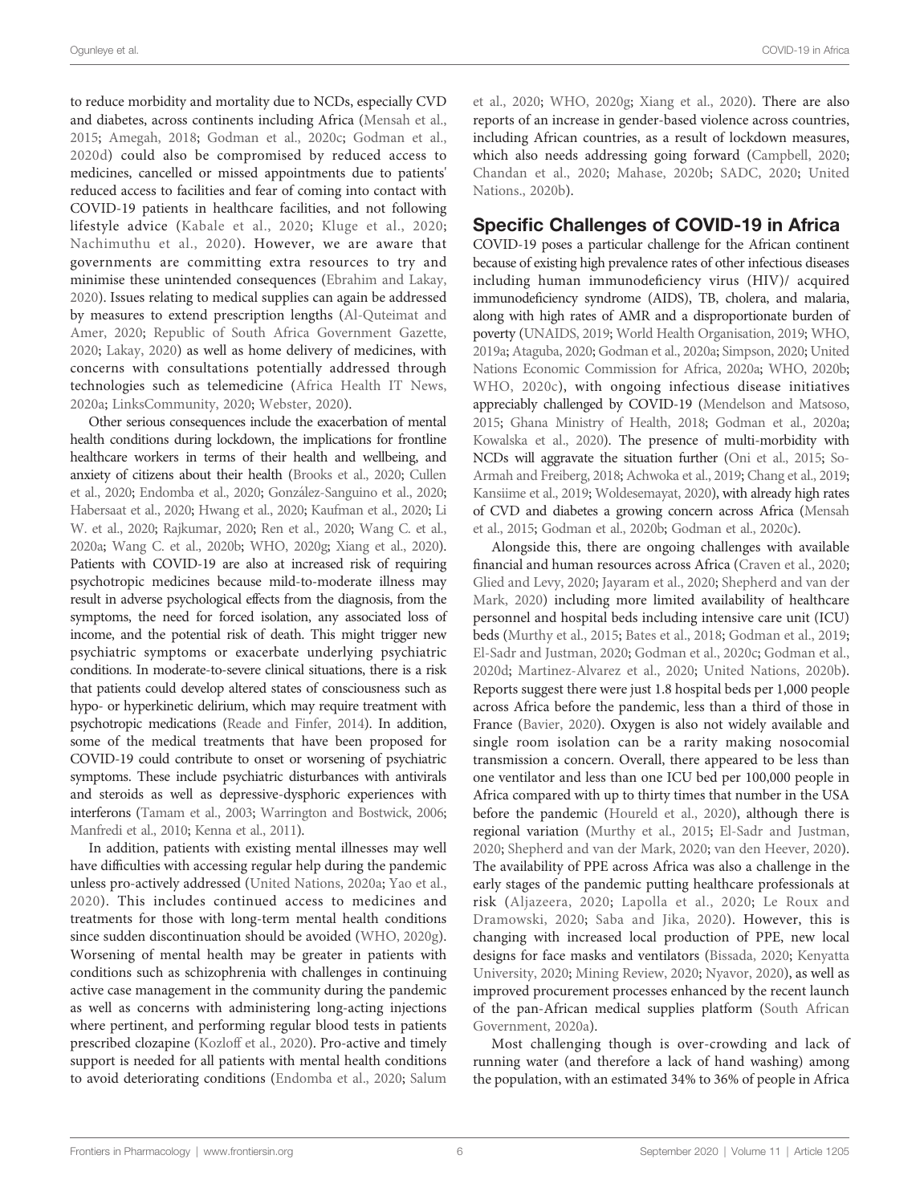to reduce morbidity and mortality due to NCDs, especially CVD and diabetes, across continents including Africa ([Mensah et al.,](#page-29-0) [2015;](#page-29-0) [Amegah, 2018](#page-23-0); [Godman et al., 2020c;](#page-26-0) [Godman et al.,](#page-26-0) [2020d\)](#page-26-0) could also be compromised by reduced access to medicines, cancelled or missed appointments due to patients' reduced access to facilities and fear of coming into contact with COVID-19 patients in healthcare facilities, and not following lifestyle advice ([Kabale et al., 2020;](#page-27-0) [Kluge et al., 2020](#page-28-0); [Nachimuthu et al., 2020](#page-29-0)). However, we are aware that governments are committing extra resources to try and minimise these unintended consequences [\(Ebrahim and Lakay,](#page-25-0) [2020\)](#page-25-0). Issues relating to medical supplies can again be addressed by measures to extend prescription lengths ([Al-Quteimat and](#page-23-0) [Amer, 2020](#page-23-0); [Republic of South Africa Government Gazette,](#page-31-0) [2020;](#page-31-0) [Lakay, 2020\)](#page-28-0) as well as home delivery of medicines, with concerns with consultations potentially addressed through technologies such as telemedicine ([Africa Health IT News,](#page-22-0) [2020a;](#page-22-0) [LinksCommunity, 2020;](#page-28-0) [Webster, 2020\)](#page-33-0).

Other serious consequences include the exacerbation of mental health conditions during lockdown, the implications for frontline healthcare workers in terms of their health and wellbeing, and anxiety of citizens about their health ([Brooks et al., 2020;](#page-24-0) [Cullen](#page-24-0) [et al., 2020](#page-24-0); [Endomba et al., 2020;](#page-25-0) Gonzá [lez-Sanguino et al., 2020](#page-26-0); [Habersaat et al., 2020;](#page-26-0) [Hwang et al., 2020;](#page-27-0) [Kaufman et al., 2020](#page-27-0); [Li](#page-28-0) [W. et al., 2020](#page-28-0); [Rajkumar, 2020;](#page-30-0) [Ren et al., 2020](#page-31-0); [Wang C. et al.,](#page-33-0) [2020a;](#page-33-0) [Wang C. et al., 2020b;](#page-33-0) [WHO, 2020g;](#page-33-0) [Xiang et al., 2020\)](#page-34-0). Patients with COVID-19 are also at increased risk of requiring psychotropic medicines because mild-to-moderate illness may result in adverse psychological effects from the diagnosis, from the symptoms, the need for forced isolation, any associated loss of income, and the potential risk of death. This might trigger new psychiatric symptoms or exacerbate underlying psychiatric conditions. In moderate-to-severe clinical situations, there is a risk that patients could develop altered states of consciousness such as hypo- or hyperkinetic delirium, which may require treatment with psychotropic medications [\(Reade and Finfer, 2014\)](#page-31-0). In addition, some of the medical treatments that have been proposed for COVID-19 could contribute to onset or worsening of psychiatric symptoms. These include psychiatric disturbances with antivirals and steroids as well as depressive-dysphoric experiences with interferons [\(Tamam et al., 2003](#page-32-0); [Warrington and Bostwick, 2006](#page-33-0); [Manfredi et al., 2010](#page-28-0); [Kenna et al., 2011](#page-27-0)).

In addition, patients with existing mental illnesses may well have difficulties with accessing regular help during the pandemic unless pro-actively addressed ([United Nations, 2020a](#page-33-0); [Yao et al.,](#page-34-0) [2020\)](#page-34-0). This includes continued access to medicines and treatments for those with long-term mental health conditions since sudden discontinuation should be avoided [\(WHO, 2020g\)](#page-33-0). Worsening of mental health may be greater in patients with conditions such as schizophrenia with challenges in continuing active case management in the community during the pandemic as well as concerns with administering long-acting injections where pertinent, and performing regular blood tests in patients prescribed clozapine ([Kozloff et al., 2020](#page-28-0)). Pro-active and timely support is needed for all patients with mental health conditions to avoid deteriorating conditions [\(Endomba et al., 2020](#page-25-0); [Salum](#page-31-0)

[et al., 2020;](#page-31-0) [WHO, 2020g](#page-33-0); [Xiang et al., 2020](#page-34-0)). There are also reports of an increase in gender-based violence across countries, including African countries, as a result of lockdown measures, which also needs addressing going forward ([Campbell, 2020;](#page-24-0) [Chandan et al., 2020](#page-24-0); [Mahase, 2020b](#page-28-0); [SADC, 2020](#page-31-0); [United](#page-33-0) [Nations., 2020b](#page-33-0)).

### Specific Challenges of COVID-19 in Africa

COVID-19 poses a particular challenge for the African continent because of existing high prevalence rates of other infectious diseases including human immunodeficiency virus (HIV)/ acquired immunodeficiency syndrome (AIDS), TB, cholera, and malaria, along with high rates of AMR and a disproportionate burden of poverty [\(UNAIDS, 2019;](#page-32-0) [World Health Organisation, 2019;](#page-34-0) [WHO,](#page-33-0) [2019a;](#page-33-0) [Ataguba, 2020](#page-23-0); [Godman et al., 2020a;](#page-26-0) [Simpson, 2020;](#page-32-0) [United](#page-33-0) [Nations Economic Commission for Africa, 2020a;](#page-33-0) [WHO, 2020b;](#page-29-0) [WHO, 2020c](#page-30-0)), with ongoing infectious disease initiatives appreciably challenged by COVID-19 [\(Mendelson and Matsoso,](#page-29-0) [2015;](#page-29-0) [Ghana Ministry of Health, 2018](#page-26-0); [Godman et al., 2020a;](#page-26-0) [Kowalska et al., 2020\)](#page-28-0). The presence of multi-morbidity with NCDs will aggravate the situation further ([Oni et al., 2015;](#page-30-0) [So-](#page-32-0)[Armah and Freiberg, 2018](#page-32-0); [Achwoka et al., 2019;](#page-22-0) [Chang et al., 2019;](#page-24-0) [Kansiime et al., 2019;](#page-27-0) [Woldesemayat, 2020](#page-34-0)), with already high rates of CVD and diabetes a growing concern across Africa ([Mensah](#page-29-0) [et al., 2015;](#page-29-0) [Godman et al., 2020b;](#page-26-0) [Godman et al., 2020c](#page-26-0)).

Alongside this, there are ongoing challenges with available financial and human resources across Africa [\(Craven et al., 2020;](#page-24-0) [Glied and Levy, 2020](#page-26-0); [Jayaram et al., 2020](#page-27-0); [Shepherd and van der](#page-32-0) [Mark, 2020](#page-32-0)) including more limited availability of healthcare personnel and hospital beds including intensive care unit (ICU) beds ([Murthy et al., 2015](#page-29-0); [Bates et al., 2018](#page-23-0); [Godman et al., 2019;](#page-26-0) [El-Sadr and Justman, 2020;](#page-25-0) [Godman et al., 2020c](#page-26-0); [Godman et al.,](#page-26-0) [2020d](#page-26-0); [Martinez-Alvarez et al., 2020](#page-28-0); [United Nations, 2020b\)](#page-33-0). Reports suggest there were just 1.8 hospital beds per 1,000 people across Africa before the pandemic, less than a third of those in France [\(Bavier, 2020](#page-23-0)). Oxygen is also not widely available and single room isolation can be a rarity making nosocomial transmission a concern. Overall, there appeared to be less than one ventilator and less than one ICU bed per 100,000 people in Africa compared with up to thirty times that number in the USA before the pandemic [\(Houreld et al., 2020\)](#page-27-0), although there is regional variation [\(Murthy et al., 2015;](#page-29-0) [El-Sadr and Justman,](#page-25-0) [2020](#page-25-0); [Shepherd and van der Mark, 2020;](#page-32-0) [van den Heever, 2020\)](#page-33-0). The availability of PPE across Africa was also a challenge in the early stages of the pandemic putting healthcare professionals at risk ([Aljazeera, 2020;](#page-23-0) [Lapolla et al., 2020](#page-28-0); [Le Roux and](#page-28-0) [Dramowski, 2020](#page-28-0); [Saba and Jika, 2020](#page-31-0)). However, this is changing with increased local production of PPE, new local designs for face masks and ventilators [\(Bissada, 2020;](#page-23-0) [Kenyatta](#page-27-0) [University, 2020](#page-27-0); [Mining Review, 2020](#page-29-0); [Nyavor, 2020](#page-30-0)), as well as improved procurement processes enhanced by the recent launch of the pan-African medical supplies platform ([South African](#page-32-0) [Government, 2020a\)](#page-32-0).

Most challenging though is over-crowding and lack of running water (and therefore a lack of hand washing) among the population, with an estimated 34% to 36% of people in Africa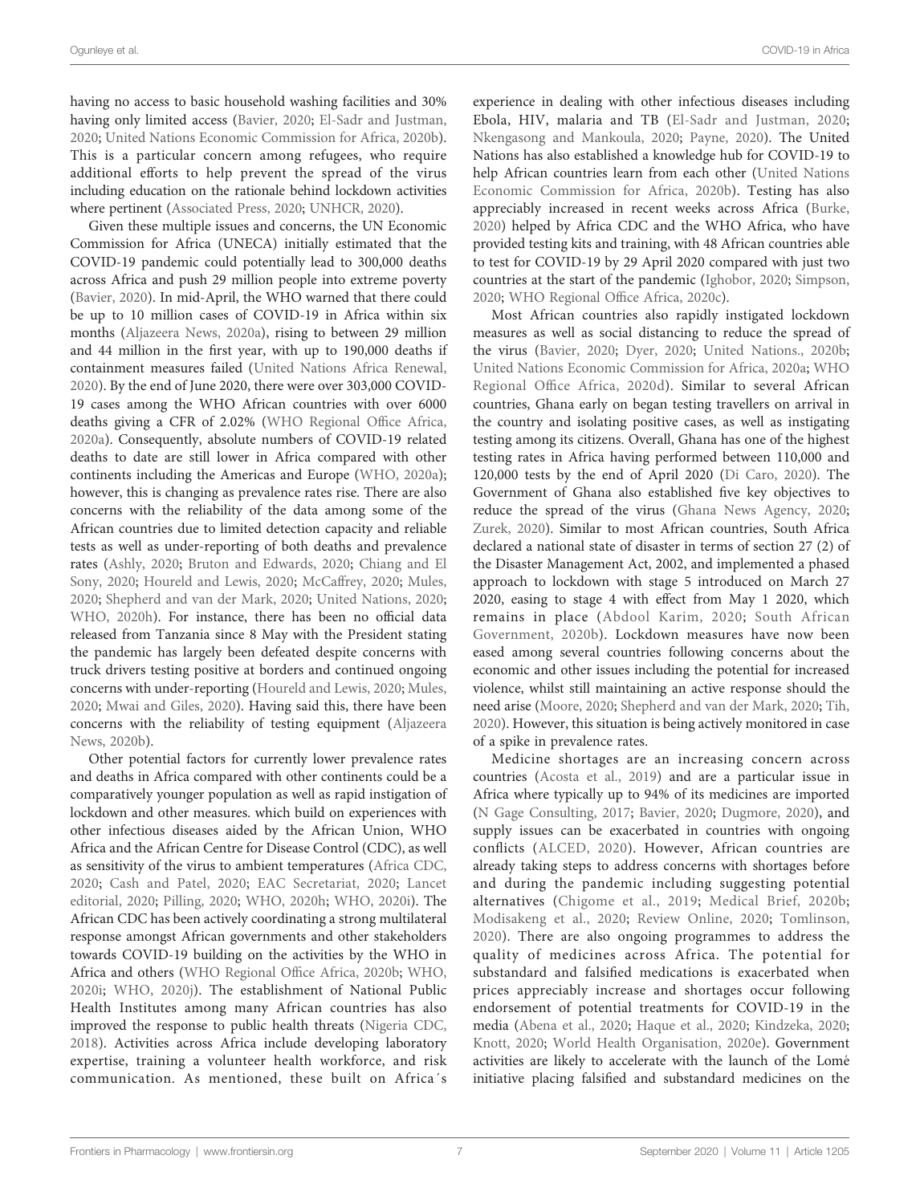having no access to basic household washing facilities and 30% having only limited access ([Bavier, 2020](#page-23-0); [El-Sadr and Justman,](#page-25-0) [2020;](#page-25-0) [United Nations Economic Commission for Africa, 2020b\)](#page-33-0). This is a particular concern among refugees, who require additional efforts to help prevent the spread of the virus including education on the rationale behind lockdown activities where pertinent ([Associated Press, 2020](#page-23-0); [UNHCR, 2020\)](#page-33-0).

Given these multiple issues and concerns, the UN Economic Commission for Africa (UNECA) initially estimated that the COVID-19 pandemic could potentially lead to 300,000 deaths across Africa and push 29 million people into extreme poverty ([Bavier, 2020](#page-23-0)). In mid-April, the WHO warned that there could be up to 10 million cases of COVID-19 in Africa within six months [\(Aljazeera News, 2020a\)](#page-23-0), rising to between 29 million and 44 million in the first year, with up to 190,000 deaths if containment measures failed [\(United Nations Africa Renewal,](#page-33-0) [2020\)](#page-33-0). By the end of June 2020, there were over 303,000 COVID-19 cases among the WHO African countries with over 6000 deaths giving a CFR of 2.02% ([WHO Regional Of](#page-33-0)fice Africa, [2020a\)](#page-33-0). Consequently, absolute numbers of COVID-19 related deaths to date are still lower in Africa compared with other continents including the Americas and Europe ([WHO, 2020a\)](#page-33-0); however, this is changing as prevalence rates rise. There are also concerns with the reliability of the data among some of the African countries due to limited detection capacity and reliable tests as well as under-reporting of both deaths and prevalence rates [\(Ashly, 2020;](#page-23-0) [Bruton and Edwards, 2020;](#page-24-0) [Chiang and El](#page-24-0) [Sony, 2020;](#page-24-0) [Houreld and Lewis, 2020](#page-27-0); [McCaffrey, 2020;](#page-29-0) [Mules,](#page-29-0) [2020;](#page-29-0) [Shepherd and van der Mark, 2020;](#page-32-0) [United Nations, 2020](#page-33-0); [WHO, 2020h\)](#page-34-0). For instance, there has been no official data released from Tanzania since 8 May with the President stating the pandemic has largely been defeated despite concerns with truck drivers testing positive at borders and continued ongoing concerns with under-reporting [\(Houreld and Lewis, 2020;](#page-27-0) [Mules,](#page-29-0) [2020;](#page-29-0) [Mwai and Giles, 2020\)](#page-29-0). Having said this, there have been concerns with the reliability of testing equipment [\(Aljazeera](#page-23-0) [News, 2020b](#page-23-0)).

Other potential factors for currently lower prevalence rates and deaths in Africa compared with other continents could be a comparatively younger population as well as rapid instigation of lockdown and other measures. which build on experiences with other infectious diseases aided by the African Union, WHO Africa and the African Centre for Disease Control (CDC), as well as sensitivity of the virus to ambient temperatures ([Africa CDC,](#page-22-0) [2020](#page-22-0); [Cash and Patel, 2020;](#page-24-0) [EAC Secretariat, 2020](#page-25-0); [Lancet](#page-28-0) [editorial, 2020](#page-28-0); [Pilling, 2020;](#page-30-0) [WHO, 2020h](#page-34-0); [WHO, 2020i\)](#page-34-0). The African CDC has been actively coordinating a strong multilateral response amongst African governments and other stakeholders towards COVID-19 building on the activities by the WHO in Africa and others [\(WHO Regional Of](#page-33-0)fice Africa, 2020b; [WHO,](#page-34-0) [2020i;](#page-34-0) [WHO, 2020j](#page-34-0)). The establishment of National Public Health Institutes among many African countries has also improved the response to public health threats [\(Nigeria CDC,](#page-29-0) [2018\)](#page-29-0). Activities across Africa include developing laboratory expertise, training a volunteer health workforce, and risk communication. As mentioned, these built on Africa´s

experience in dealing with other infectious diseases including Ebola, HIV, malaria and TB ([El-Sadr and Justman, 2020;](#page-25-0) [Nkengasong and Mankoula, 2020;](#page-30-0) [Payne, 2020](#page-30-0)). The United Nations has also established a knowledge hub for COVID-19 to help African countries learn from each other [\(United Nations](#page-33-0) [Economic Commission for Africa, 2020b](#page-33-0)). Testing has also appreciably increased in recent weeks across Africa ([Burke,](#page-24-0) [2020](#page-24-0)) helped by Africa CDC and the WHO Africa, who have provided testing kits and training, with 48 African countries able to test for COVID-19 by 29 April 2020 compared with just two countries at the start of the pandemic ([Ighobor, 2020](#page-27-0); [Simpson,](#page-32-0) [2020](#page-32-0); [WHO Regional Of](#page-33-0)fice Africa, 2020c).

Most African countries also rapidly instigated lockdown measures as well as social distancing to reduce the spread of the virus [\(Bavier, 2020](#page-23-0); [Dyer, 2020](#page-25-0); [United Nations., 2020b;](#page-33-0) [United Nations Economic Commission for Africa, 2020a;](#page-33-0) [WHO](#page-33-0) Regional Offi[ce Africa, 2020d](#page-33-0)). Similar to several African countries, Ghana early on began testing travellers on arrival in the country and isolating positive cases, as well as instigating testing among its citizens. Overall, Ghana has one of the highest testing rates in Africa having performed between 110,000 and 120,000 tests by the end of April 2020 [\(Di Caro, 2020\)](#page-25-0). The Government of Ghana also established five key objectives to reduce the spread of the virus ([Ghana News Agency, 2020;](#page-26-0) [Zurek, 2020\)](#page-34-0). Similar to most African countries, South Africa declared a national state of disaster in terms of section 27 (2) of the Disaster Management Act, 2002, and implemented a phased approach to lockdown with stage 5 introduced on March 27 2020, easing to stage 4 with effect from May 1 2020, which remains in place ([Abdool Karim, 2020;](#page-22-0) [South African](#page-32-0) [Government, 2020b\)](#page-32-0). Lockdown measures have now been eased among several countries following concerns about the economic and other issues including the potential for increased violence, whilst still maintaining an active response should the need arise [\(Moore, 2020](#page-29-0); [Shepherd and van der Mark, 2020](#page-32-0); [Tih,](#page-32-0) [2020](#page-32-0)). However, this situation is being actively monitored in case of a spike in prevalence rates.

Medicine shortages are an increasing concern across countries [\(Acosta et al., 2019](#page-22-0)) and are a particular issue in Africa where typically up to 94% of its medicines are imported [\(N Gage Consulting, 2017](#page-29-0); [Bavier, 2020](#page-23-0); [Dugmore, 2020\)](#page-25-0), and supply issues can be exacerbated in countries with ongoing conflicts [\(ALCED, 2020](#page-23-0)). However, African countries are already taking steps to address concerns with shortages before and during the pandemic including suggesting potential alternatives [\(Chigome et al., 2019;](#page-24-0) [Medical Brief, 2020b;](#page-29-0) [Modisakeng et al., 2020](#page-29-0); [Review Online, 2020;](#page-31-0) [Tomlinson,](#page-32-0) [2020\)](#page-32-0). There are also ongoing programmes to address the quality of medicines across Africa. The potential for substandard and falsified medications is exacerbated when prices appreciably increase and shortages occur following endorsement of potential treatments for COVID-19 in the media [\(Abena et al., 2020;](#page-22-0) [Haque et al., 2020](#page-26-0); [Kindzeka, 2020;](#page-28-0) [Knott, 2020](#page-28-0); [World Health Organisation, 2020e\)](#page-34-0). Government activities are likely to accelerate with the launch of the Lomé initiative placing falsified and substandard medicines on the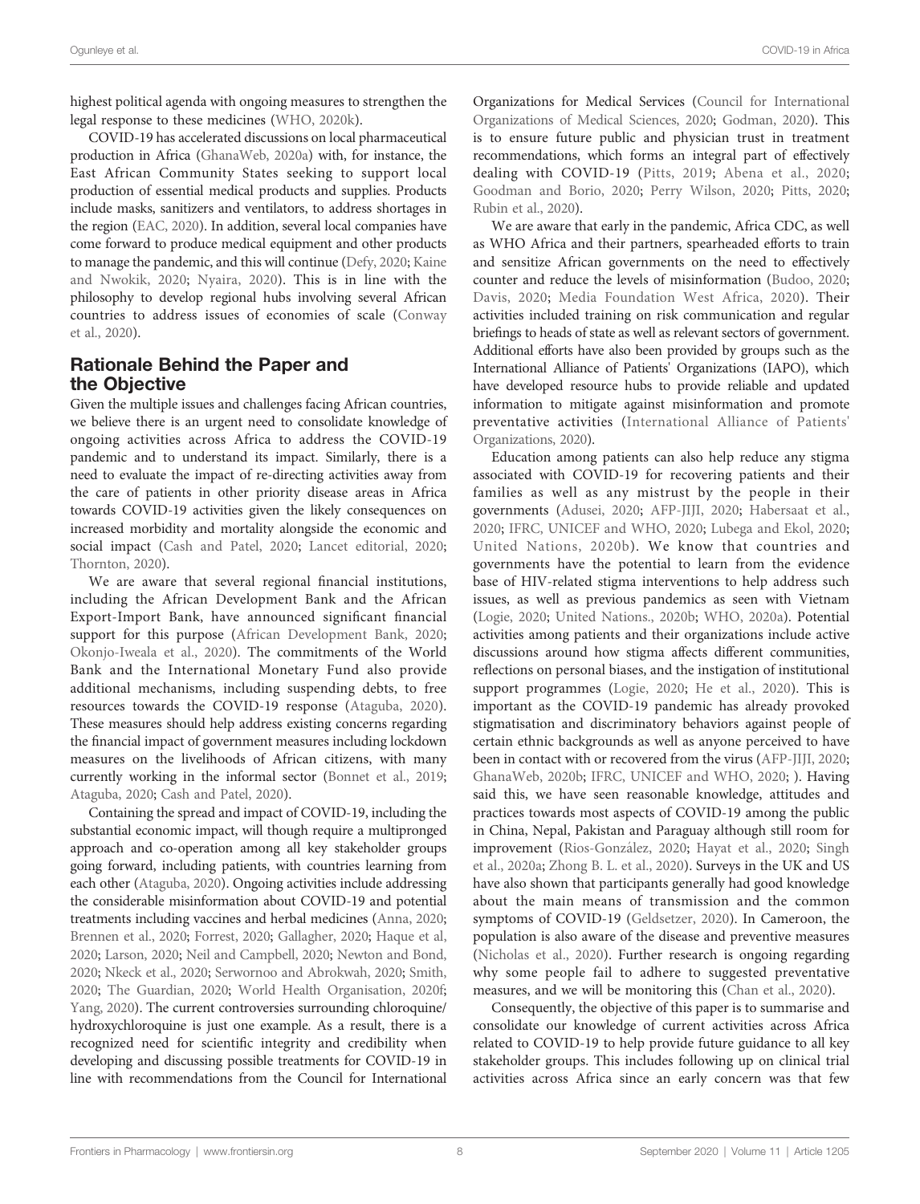highest political agenda with ongoing measures to strengthen the legal response to these medicines [\(WHO, 2020k](#page-34-0)).

COVID-19 has accelerated discussions on local pharmaceutical production in Africa [\(GhanaWeb, 2020a\)](#page-26-0) with, for instance, the East African Community States seeking to support local production of essential medical products and supplies. Products include masks, sanitizers and ventilators, to address shortages in the region ([EAC, 2020\)](#page-25-0). In addition, several local companies have come forward to produce medical equipment and other products to manage the pandemic, and this will continue [\(Defy, 2020;](#page-25-0) [Kaine](#page-27-0) [and Nwokik, 2020;](#page-27-0) [Nyaira, 2020\)](#page-30-0). This is in line with the philosophy to develop regional hubs involving several African countries to address issues of economies of scale ([Conway](#page-24-0) [et al., 2020\)](#page-24-0).

### Rationale Behind the Paper and the Objective

Given the multiple issues and challenges facing African countries, we believe there is an urgent need to consolidate knowledge of ongoing activities across Africa to address the COVID-19 pandemic and to understand its impact. Similarly, there is a need to evaluate the impact of re-directing activities away from the care of patients in other priority disease areas in Africa towards COVID-19 activities given the likely consequences on increased morbidity and mortality alongside the economic and social impact ([Cash and Patel, 2020](#page-24-0); [Lancet editorial, 2020](#page-28-0); [Thornton, 2020](#page-32-0)).

We are aware that several regional financial institutions, including the African Development Bank and the African Export-Import Bank, have announced significant financial support for this purpose ([African Development Bank, 2020](#page-22-0); [Okonjo-Iweala et al., 2020](#page-30-0)). The commitments of the World Bank and the International Monetary Fund also provide additional mechanisms, including suspending debts, to free resources towards the COVID-19 response ([Ataguba, 2020\)](#page-23-0). These measures should help address existing concerns regarding the financial impact of government measures including lockdown measures on the livelihoods of African citizens, with many currently working in the informal sector [\(Bonnet et al., 2019](#page-24-0); [Ataguba, 2020](#page-23-0); [Cash and Patel, 2020](#page-24-0)).

Containing the spread and impact of COVID-19, including the substantial economic impact, will though require a multipronged approach and co-operation among all key stakeholder groups going forward, including patients, with countries learning from each other ([Ataguba, 2020](#page-23-0)). Ongoing activities include addressing the considerable misinformation about COVID-19 and potential treatments including vaccines and herbal medicines [\(Anna, 2020](#page-23-0); [Brennen et al., 2020;](#page-24-0) [Forrest, 2020;](#page-25-0) [Gallagher, 2020](#page-25-0); [Haque et al,](#page-26-0) [2020](#page-26-0); [Larson, 2020;](#page-28-0) [Neil and Campbell, 2020](#page-29-0); [Newton and Bond,](#page-29-0) [2020](#page-29-0); [Nkeck et al., 2020](#page-30-0); [Serwornoo and Abrokwah, 2020](#page-31-0); [Smith,](#page-32-0) [2020](#page-32-0); [The Guardian, 2020;](#page-32-0) [World Health Organisation, 2020f](#page-34-0); [Yang, 2020\)](#page-34-0). The current controversies surrounding chloroquine/ hydroxychloroquine is just one example. As a result, there is a recognized need for scientific integrity and credibility when developing and discussing possible treatments for COVID-19 in line with recommendations from the Council for International

Organizations for Medical Services [\(Council for International](#page-24-0) [Organizations of Medical Sciences, 2020;](#page-24-0) [Godman, 2020](#page-26-0)). This is to ensure future public and physician trust in treatment recommendations, which forms an integral part of effectively dealing with COVID-19 [\(Pitts, 2019](#page-30-0); [Abena et al., 2020;](#page-22-0) [Goodman and Borio, 2020](#page-26-0); [Perry Wilson, 2020;](#page-30-0) [Pitts, 2020;](#page-30-0) [Rubin et al., 2020](#page-31-0)).

We are aware that early in the pandemic, Africa CDC, as well as WHO Africa and their partners, spearheaded efforts to train and sensitize African governments on the need to effectively counter and reduce the levels of misinformation [\(Budoo, 2020;](#page-24-0) [Davis, 2020;](#page-25-0) [Media Foundation West Africa, 2020\)](#page-29-0). Their activities included training on risk communication and regular briefings to heads of state as well as relevant sectors of government. Additional efforts have also been provided by groups such as the International Alliance of Patients' Organizations (IAPO), which have developed resource hubs to provide reliable and updated information to mitigate against misinformation and promote preventative activities ([International Alliance of Patients'](#page-27-0) [Organizations, 2020](#page-27-0)).

Education among patients can also help reduce any stigma associated with COVID-19 for recovering patients and their families as well as any mistrust by the people in their governments [\(Adusei, 2020](#page-22-0); [AFP-JIJI, 2020](#page-22-0); [Habersaat et al.,](#page-26-0) [2020](#page-26-0); [IFRC, UNICEF and WHO, 2020](#page-27-0); [Lubega and Ekol, 2020;](#page-28-0) [United Nations, 2020b\)](#page-33-0). We know that countries and governments have the potential to learn from the evidence base of HIV-related stigma interventions to help address such issues, as well as previous pandemics as seen with Vietnam [\(Logie, 2020;](#page-28-0) [United Nations., 2020b;](#page-33-0) [WHO, 2020a](#page-33-0)). Potential activities among patients and their organizations include active discussions around how stigma affects different communities, reflections on personal biases, and the instigation of institutional support programmes [\(Logie, 2020](#page-28-0); [He et al., 2020\)](#page-26-0). This is important as the COVID-19 pandemic has already provoked stigmatisation and discriminatory behaviors against people of certain ethnic backgrounds as well as anyone perceived to have been in contact with or recovered from the virus ([AFP-JIJI, 2020;](#page-22-0) [GhanaWeb, 2020b](#page-26-0); [IFRC, UNICEF and WHO, 2020;](#page-27-0) ). Having said this, we have seen reasonable knowledge, attitudes and practices towards most aspects of COVID-19 among the public in China, Nepal, Pakistan and Paraguay although still room for improvement [\(Rios-Gonza](#page-31-0)́lez, 2020; [Hayat et al., 2020](#page-26-0); [Singh](#page-32-0) [et al., 2020a;](#page-32-0) [Zhong B. L. et al., 2020\)](#page-34-0). Surveys in the UK and US have also shown that participants generally had good knowledge about the main means of transmission and the common symptoms of COVID-19 ([Geldsetzer, 2020](#page-25-0)). In Cameroon, the population is also aware of the disease and preventive measures [\(Nicholas et al., 2020\)](#page-29-0). Further research is ongoing regarding why some people fail to adhere to suggested preventative measures, and we will be monitoring this ([Chan et al., 2020](#page-24-0)).

Consequently, the objective of this paper is to summarise and consolidate our knowledge of current activities across Africa related to COVID-19 to help provide future guidance to all key stakeholder groups. This includes following up on clinical trial activities across Africa since an early concern was that few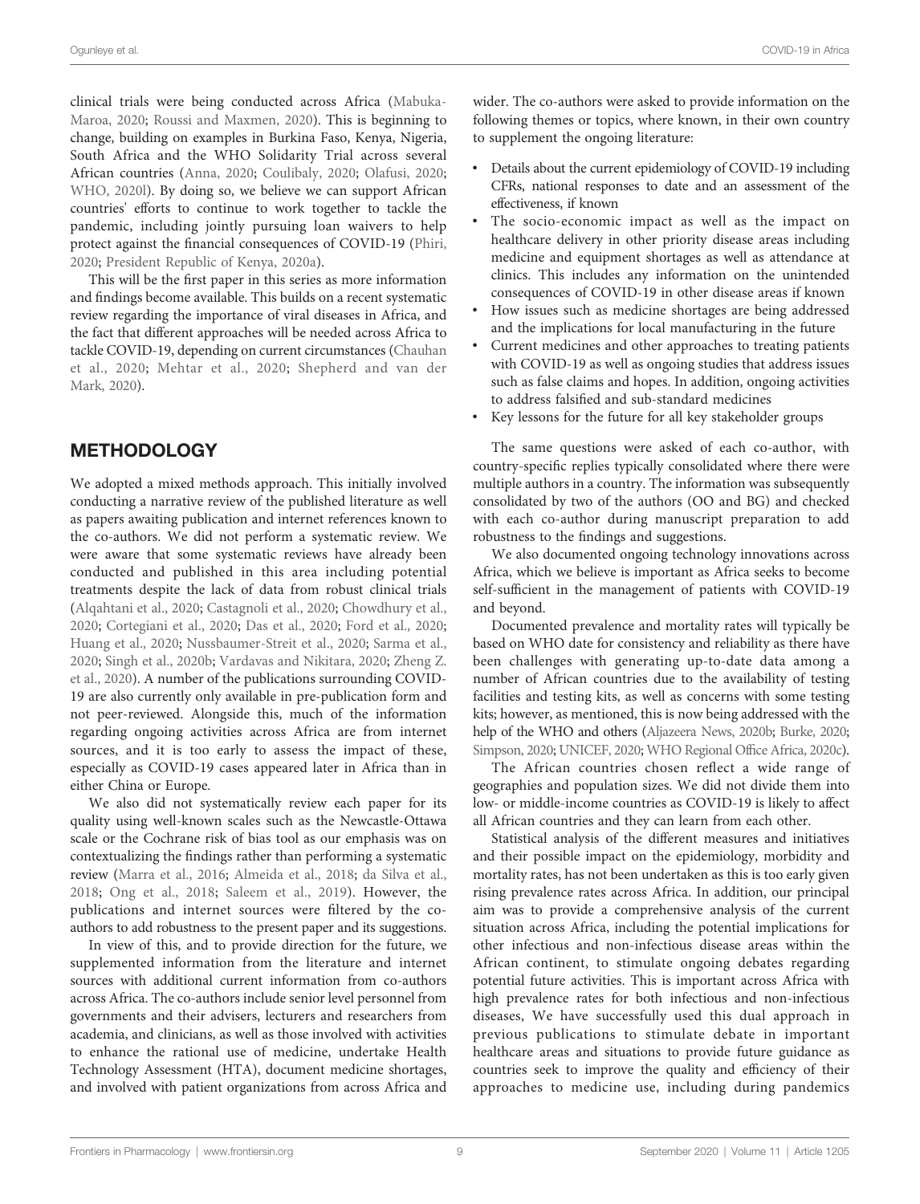clinical trials were being conducted across Africa [\(Mabuka-](#page-28-0)[Maroa, 2020;](#page-28-0) [Roussi and Maxmen, 2020](#page-31-0)). This is beginning to change, building on examples in Burkina Faso, Kenya, Nigeria, South Africa and the WHO Solidarity Trial across several African countries [\(Anna, 2020](#page-23-0); [Coulibaly, 2020](#page-24-0); [Olafusi, 2020](#page-30-0); [WHO, 2020l\)](#page-34-0). By doing so, we believe we can support African countries' efforts to continue to work together to tackle the pandemic, including jointly pursuing loan waivers to help protect against the financial consequences of COVID-19 [\(Phiri,](#page-30-0) [2020;](#page-30-0) [President Republic of Kenya, 2020a\)](#page-30-0).

This will be the first paper in this series as more information and findings become available. This builds on a recent systematic review regarding the importance of viral diseases in Africa, and the fact that different approaches will be needed across Africa to tackle COVID-19, depending on current circumstances ([Chauhan](#page-24-0) [et al., 2020](#page-24-0); [Mehtar et al., 2020](#page-29-0); [Shepherd and van der](#page-32-0) [Mark, 2020](#page-32-0)).

# **METHODOLOGY**

We adopted a mixed methods approach. This initially involved conducting a narrative review of the published literature as well as papers awaiting publication and internet references known to the co-authors. We did not perform a systematic review. We were aware that some systematic reviews have already been conducted and published in this area including potential treatments despite the lack of data from robust clinical trials ([Alqahtani et al., 2020](#page-23-0); [Castagnoli et al., 2020;](#page-24-0) [Chowdhury et al.,](#page-24-0) [2020;](#page-24-0) [Cortegiani et al., 2020;](#page-24-0) [Das et al., 2020;](#page-25-0) [Ford et al., 2020](#page-25-0); [Huang et al., 2020;](#page-27-0) [Nussbaumer-Streit et al., 2020;](#page-30-0) [Sarma et al.,](#page-31-0) [2020;](#page-31-0) [Singh et al., 2020b](#page-32-0); [Vardavas and Nikitara, 2020](#page-33-0); [Zheng Z.](#page-34-0) [et al., 2020\)](#page-34-0). A number of the publications surrounding COVID-19 are also currently only available in pre-publication form and not peer-reviewed. Alongside this, much of the information regarding ongoing activities across Africa are from internet sources, and it is too early to assess the impact of these, especially as COVID-19 cases appeared later in Africa than in either China or Europe.

We also did not systematically review each paper for its quality using well-known scales such as the Newcastle-Ottawa scale or the Cochrane risk of bias tool as our emphasis was on contextualizing the findings rather than performing a systematic review ([Marra et al., 2016;](#page-28-0) [Almeida et al., 2018](#page-23-0); [da Silva et al.,](#page-24-0) [2018;](#page-24-0) [Ong et al., 2018](#page-30-0); [Saleem et al., 2019\)](#page-31-0). However, the publications and internet sources were filtered by the coauthors to add robustness to the present paper and its suggestions.

In view of this, and to provide direction for the future, we supplemented information from the literature and internet sources with additional current information from co-authors across Africa. The co-authors include senior level personnel from governments and their advisers, lecturers and researchers from academia, and clinicians, as well as those involved with activities to enhance the rational use of medicine, undertake Health Technology Assessment (HTA), document medicine shortages, and involved with patient organizations from across Africa and

wider. The co-authors were asked to provide information on the following themes or topics, where known, in their own country to supplement the ongoing literature:

- Details about the current epidemiology of COVID-19 including CFRs, national responses to date and an assessment of the effectiveness, if known
- The socio-economic impact as well as the impact on healthcare delivery in other priority disease areas including medicine and equipment shortages as well as attendance at clinics. This includes any information on the unintended consequences of COVID-19 in other disease areas if known
- How issues such as medicine shortages are being addressed and the implications for local manufacturing in the future
- Current medicines and other approaches to treating patients with COVID-19 as well as ongoing studies that address issues such as false claims and hopes. In addition, ongoing activities to address falsified and sub-standard medicines
- Key lessons for the future for all key stakeholder groups

The same questions were asked of each co-author, with country-specific replies typically consolidated where there were multiple authors in a country. The information was subsequently consolidated by two of the authors (OO and BG) and checked with each co-author during manuscript preparation to add robustness to the findings and suggestions.

We also documented ongoing technology innovations across Africa, which we believe is important as Africa seeks to become self-sufficient in the management of patients with COVID-19 and beyond.

Documented prevalence and mortality rates will typically be based on WHO date for consistency and reliability as there have been challenges with generating up-to-date data among a number of African countries due to the availability of testing facilities and testing kits, as well as concerns with some testing kits; however, as mentioned, this is now being addressed with the help of the WHO and others [\(Aljazeera News, 2020b;](#page-23-0) [Burke, 2020;](#page-24-0) [Simpson, 2020](#page-32-0); [UNICEF, 2020;](#page-33-0) [WHO Regional Of](#page-33-0)fice Africa, 2020c).

The African countries chosen reflect a wide range of geographies and population sizes. We did not divide them into low- or middle-income countries as COVID-19 is likely to affect all African countries and they can learn from each other.

Statistical analysis of the different measures and initiatives and their possible impact on the epidemiology, morbidity and mortality rates, has not been undertaken as this is too early given rising prevalence rates across Africa. In addition, our principal aim was to provide a comprehensive analysis of the current situation across Africa, including the potential implications for other infectious and non-infectious disease areas within the African continent, to stimulate ongoing debates regarding potential future activities. This is important across Africa with high prevalence rates for both infectious and non-infectious diseases, We have successfully used this dual approach in previous publications to stimulate debate in important healthcare areas and situations to provide future guidance as countries seek to improve the quality and efficiency of their approaches to medicine use, including during pandemics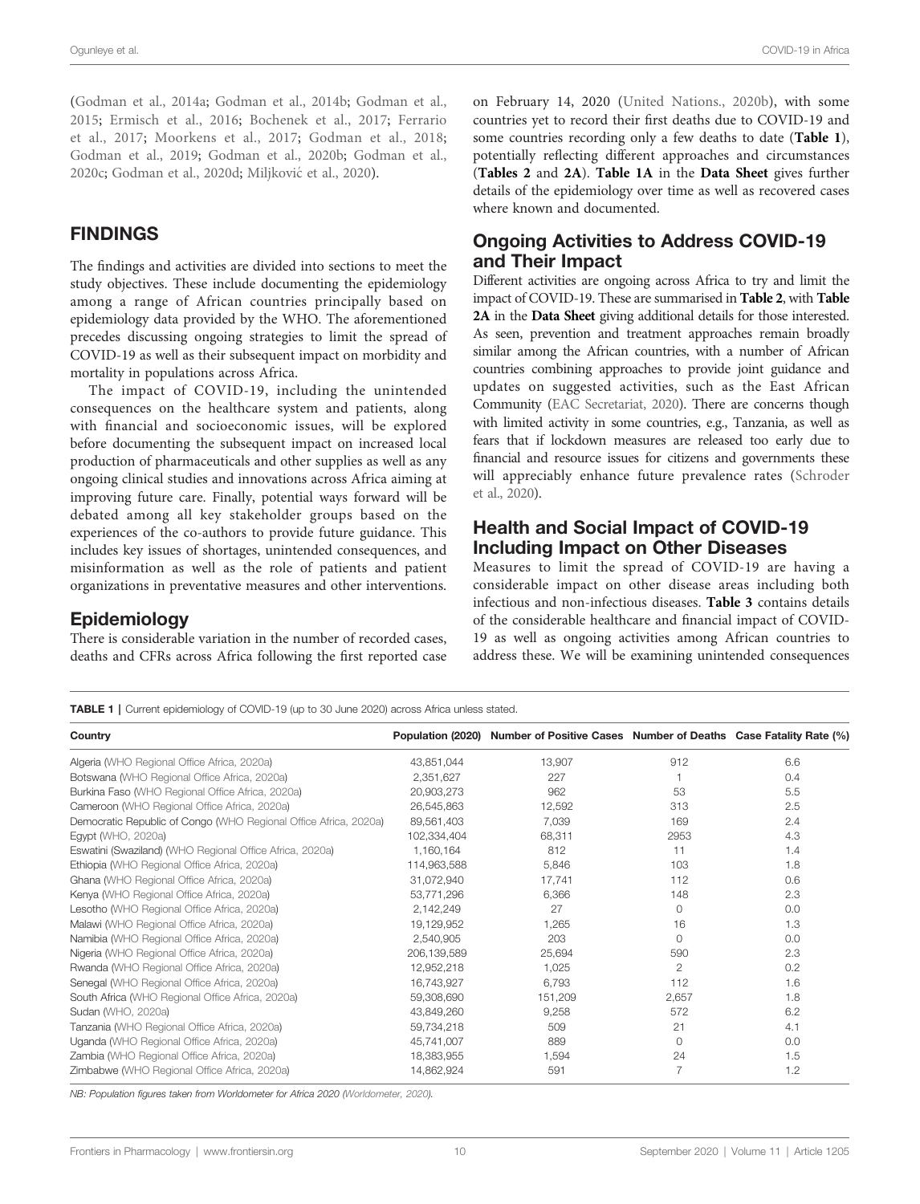<span id="page-9-0"></span>([Godman et al., 2014a](#page-26-0); [Godman et al., 2014b;](#page-26-0) [Godman et al.,](#page-26-0) [2015;](#page-26-0) [Ermisch et al., 2016](#page-25-0); [Bochenek et al., 2017;](#page-23-0) [Ferrario](#page-25-0) [et al., 2017;](#page-25-0) [Moorkens et al., 2017;](#page-29-0) [Godman et al., 2018](#page-26-0); [Godman et al., 2019](#page-26-0); [Godman et al., 2020b](#page-26-0); [Godman et al.,](#page-26-0) [2020c;](#page-26-0) [Godman et al., 2020d](#page-26-0); Miljković [et al., 2020](#page-29-0)).

### FINDINGS

The findings and activities are divided into sections to meet the study objectives. These include documenting the epidemiology among a range of African countries principally based on epidemiology data provided by the WHO. The aforementioned precedes discussing ongoing strategies to limit the spread of COVID-19 as well as their subsequent impact on morbidity and mortality in populations across Africa.

The impact of COVID-19, including the unintended consequences on the healthcare system and patients, along with financial and socioeconomic issues, will be explored before documenting the subsequent impact on increased local production of pharmaceuticals and other supplies as well as any ongoing clinical studies and innovations across Africa aiming at improving future care. Finally, potential ways forward will be debated among all key stakeholder groups based on the experiences of the co-authors to provide future guidance. This includes key issues of shortages, unintended consequences, and misinformation as well as the role of patients and patient organizations in preventative measures and other interventions.

### **Epidemiology**

There is considerable variation in the number of recorded cases, deaths and CFRs across Africa following the first reported case on February 14, 2020 [\(United Nations., 2020b\)](#page-33-0), with some countries yet to record their first deaths due to COVID-19 and some countries recording only a few deaths to date (Table 1), potentially reflecting different approaches and circumstances ([Tables 2](#page-10-0) and [2A](#page-10-0)). Table 1A in the [Data Sheet](#page-22-0) gives further details of the epidemiology over time as well as recovered cases where known and documented.

### Ongoing Activities to Address COVID-19 and Their Impact

Different activities are ongoing across Africa to try and limit the impact of COVID-19. These are summarised in [Table 2](#page-10-0), with [Table](#page-10-0) [2A](#page-10-0) in the [Data Sheet](#page-22-0) giving additional details for those interested. As seen, prevention and treatment approaches remain broadly similar among the African countries, with a number of African countries combining approaches to provide joint guidance and updates on suggested activities, such as the East African Community [\(EAC Secretariat, 2020](#page-25-0)). There are concerns though with limited activity in some countries, e.g., Tanzania, as well as fears that if lockdown measures are released too early due to financial and resource issues for citizens and governments these will appreciably enhance future prevalence rates ([Schroder](#page-31-0) [et al., 2020\)](#page-31-0).

### Health and Social Impact of COVID-19 Including Impact on Other Diseases

Measures to limit the spread of COVID-19 are having a considerable impact on other disease areas including both infectious and non-infectious diseases. [Table 3](#page-12-0) contains details of the considerable healthcare and financial impact of COVID-19 as well as ongoing activities among African countries to address these. We will be examining unintended consequences

TABLE 1 | Current epidemiology of COVID-19 (up to 30 June 2020) across Africa unless stated.

| Country                                                          |             | Population (2020) Number of Positive Cases Number of Deaths Case Fatality Rate (%) |                |     |
|------------------------------------------------------------------|-------------|------------------------------------------------------------------------------------|----------------|-----|
| Algeria (WHO Regional Office Africa, 2020a)                      | 43,851,044  | 13,907                                                                             | 912            | 6.6 |
| Botswana (WHO Regional Office Africa, 2020a)                     | 2,351,627   | 227                                                                                |                | 0.4 |
| Burkina Faso (WHO Regional Office Africa, 2020a)                 | 20,903,273  | 962                                                                                | 53             | 5.5 |
| Cameroon (WHO Regional Office Africa, 2020a)                     | 26,545,863  | 12,592                                                                             | 313            | 2.5 |
| Democratic Republic of Congo (WHO Regional Office Africa, 2020a) | 89.561.403  | 7,039                                                                              | 169            | 2.4 |
| Egypt (WHO, 2020a)                                               | 102,334,404 | 68,311                                                                             | 2953           | 4.3 |
| Eswatini (Swaziland) (WHO Regional Office Africa, 2020a)         | 1,160,164   | 812                                                                                | 11             | 1.4 |
| Ethiopia (WHO Regional Office Africa, 2020a)                     | 114.963.588 | 5,846                                                                              | 103            | 1.8 |
| Ghana (WHO Regional Office Africa, 2020a)                        | 31,072,940  | 17,741                                                                             | 112            | 0.6 |
| Kenya (WHO Regional Office Africa, 2020a)                        | 53.771.296  | 6,366                                                                              | 148            | 2.3 |
| Lesotho (WHO Regional Office Africa, 2020a)                      | 2,142,249   | 27                                                                                 | $\Omega$       | 0.0 |
| Malawi (WHO Regional Office Africa, 2020a)                       | 19,129,952  | 1,265                                                                              | 16             | 1.3 |
| Namibia (WHO Regional Office Africa, 2020a)                      | 2,540,905   | 203                                                                                | $\Omega$       | 0.0 |
| Nigeria (WHO Regional Office Africa, 2020a)                      | 206.139.589 | 25,694                                                                             | 590            | 2.3 |
| Rwanda (WHO Regional Office Africa, 2020a)                       | 12,952,218  | 1,025                                                                              | $\overline{2}$ | 0.2 |
| Senegal (WHO Regional Office Africa, 2020a)                      | 16.743.927  | 6,793                                                                              | 112            | 1.6 |
| South Africa (WHO Regional Office Africa, 2020a)                 | 59.308.690  | 151,209                                                                            | 2,657          | 1.8 |
| Sudan (WHO, 2020a)                                               | 43.849.260  | 9.258                                                                              | 572            | 6.2 |
| Tanzania (WHO Regional Office Africa, 2020a)                     | 59,734,218  | 509                                                                                | 21             | 4.1 |
| Uganda (WHO Regional Office Africa, 2020a)                       | 45.741.007  | 889                                                                                | $\Omega$       | 0.0 |
| Zambia (WHO Regional Office Africa, 2020a)                       | 18,383,955  | 1,594                                                                              | 24             | 1.5 |
| Zimbabwe (WHO Regional Office Africa, 2020a)                     | 14.862.924  | 591                                                                                | 7              | 1.2 |

NB: Population figures taken from Worldometer for Africa 2020 [\(Worldometer, 2020](#page-34-0)).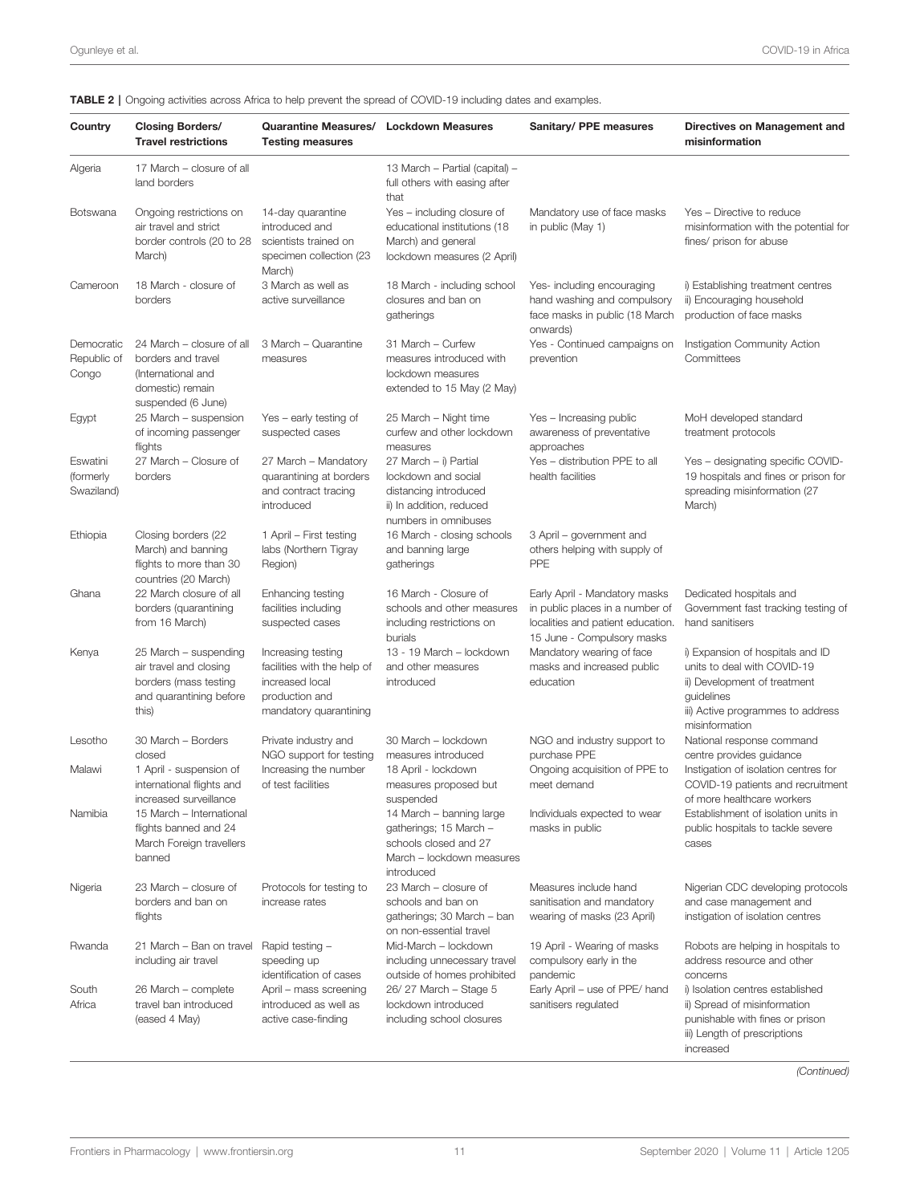| Country                             | <b>Closing Borders/</b><br><b>Travel restrictions</b>                                                           | <b>Quarantine Measures/</b><br><b>Testing measures</b>                                                           | <b>Lockdown Measures</b>                                                                                                  | Sanitary/ PPE measures                                                                                                              | Directives on Management and<br>misinformation                                                                                                                       |
|-------------------------------------|-----------------------------------------------------------------------------------------------------------------|------------------------------------------------------------------------------------------------------------------|---------------------------------------------------------------------------------------------------------------------------|-------------------------------------------------------------------------------------------------------------------------------------|----------------------------------------------------------------------------------------------------------------------------------------------------------------------|
| Algeria                             | 17 March – closure of all<br>land borders                                                                       |                                                                                                                  | 13 March - Partial (capital) -<br>full others with easing after<br>that                                                   |                                                                                                                                     |                                                                                                                                                                      |
| <b>Botswana</b>                     | Ongoing restrictions on<br>air travel and strict<br>border controls (20 to 28<br>March)                         | 14-day quarantine<br>introduced and<br>scientists trained on<br>specimen collection (23<br>March)                | Yes - including closure of<br>educational institutions (18<br>March) and general<br>lockdown measures (2 April)           | Mandatory use of face masks<br>in public (May 1)                                                                                    | Yes - Directive to reduce<br>misinformation with the potential for<br>fines/ prison for abuse                                                                        |
| Cameroon                            | 18 March - closure of<br>borders                                                                                | 3 March as well as<br>active surveillance                                                                        | 18 March - including school<br>closures and ban on<br>gatherings                                                          | Yes- including encouraging<br>hand washing and compulsory<br>face masks in public (18 March<br>onwards)                             | i) Establishing treatment centres<br>ii) Encouraging household<br>production of face masks                                                                           |
| Democratic<br>Republic of<br>Congo  | 24 March – closure of all<br>borders and travel<br>(International and<br>domestic) remain<br>suspended (6 June) | 3 March - Quarantine<br>measures                                                                                 | 31 March - Curfew<br>measures introduced with<br>lockdown measures<br>extended to 15 May (2 May)                          | Yes - Continued campaigns on<br>prevention                                                                                          | Instigation Community Action<br>Committees                                                                                                                           |
| Egypt                               | 25 March - suspension<br>of incoming passenger<br>flights                                                       | Yes – early testing of<br>suspected cases                                                                        | 25 March - Night time<br>curfew and other lockdown<br>measures                                                            | Yes - Increasing public<br>awareness of preventative<br>approaches                                                                  | MoH developed standard<br>treatment protocols                                                                                                                        |
| Eswatini<br>(formerly<br>Swaziland) | 27 March - Closure of<br>borders                                                                                | 27 March - Mandatory<br>quarantining at borders<br>and contract tracing<br>introduced                            | 27 March - i) Partial<br>lockdown and social<br>distancing introduced<br>ii) In addition, reduced<br>numbers in omnibuses | Yes - distribution PPE to all<br>health facilities                                                                                  | Yes - designating specific COVID-<br>19 hospitals and fines or prison for<br>spreading misinformation (27<br>March)                                                  |
| Ethiopia                            | Closing borders (22<br>March) and banning<br>flights to more than 30<br>countries (20 March)                    | 1 April – First testing<br>labs (Northern Tigray<br>Region)                                                      | 16 March - closing schools<br>and banning large<br>gatherings                                                             | 3 April – government and<br>others helping with supply of<br><b>PPE</b>                                                             |                                                                                                                                                                      |
| Ghana                               | 22 March closure of all<br>borders (quarantining<br>from 16 March)                                              | Enhancing testing<br>facilities including<br>suspected cases                                                     | 16 March - Closure of<br>schools and other measures<br>including restrictions on<br>burials                               | Early April - Mandatory masks<br>in public places in a number of<br>localities and patient education.<br>15 June - Compulsory masks | Dedicated hospitals and<br>Government fast tracking testing of<br>hand sanitisers                                                                                    |
| Kenya                               | 25 March - suspending<br>air travel and closing<br>borders (mass testing<br>and quarantining before<br>this)    | Increasing testing<br>facilities with the help of<br>increased local<br>production and<br>mandatory quarantining | 13 - 19 March - lockdown<br>and other measures<br>introduced                                                              | Mandatory wearing of face<br>masks and increased public<br>education                                                                | i) Expansion of hospitals and ID<br>units to deal with COVID-19<br>ii) Development of treatment<br>guidelines<br>iii) Active programmes to address<br>misinformation |
| Lesotho                             | 30 March - Borders<br>closed                                                                                    | Private industry and<br>NGO support for testing                                                                  | 30 March - lockdown<br>measures introduced                                                                                | NGO and industry support to<br>purchase PPE                                                                                         | National response command<br>centre provides guidance                                                                                                                |
| Malawi                              | 1 April - suspension of<br>international flights and<br>increased surveillance                                  | Increasing the number<br>of test facilities                                                                      | 18 April - lockdown<br>measures proposed but<br>suspended                                                                 | Ongoing acquisition of PPE to<br>meet demand                                                                                        | Instigation of isolation centres for<br>COVID-19 patients and recruitment<br>of more healthcare workers                                                              |
| Namibia                             | 15 March - International<br>flights banned and 24<br>March Foreign travellers<br>banned                         |                                                                                                                  | 14 March – banning large<br>gatherings; 15 March -<br>schools closed and 27<br>March - lockdown measures<br>introduced    | Individuals expected to wear<br>masks in public                                                                                     | Establishment of isolation units in<br>public hospitals to tackle severe<br>cases                                                                                    |
| Nigeria                             | 23 March – closure of<br>borders and ban on<br>flights                                                          | Protocols for testing to<br>increase rates                                                                       | 23 March - closure of<br>schools and ban on<br>gatherings; 30 March - ban<br>on non-essential travel                      | Measures include hand<br>sanitisation and mandatory<br>wearing of masks (23 April)                                                  | Nigerian CDC developing protocols<br>and case management and<br>instigation of isolation centres                                                                     |
| Rwanda                              | 21 March - Ban on travel<br>including air travel                                                                | Rapid testing -<br>speeding up                                                                                   | Mid-March - lockdown<br>including unnecessary travel                                                                      | 19 April - Wearing of masks<br>compulsory early in the                                                                              | Robots are helping in hospitals to<br>address resource and other                                                                                                     |
| South<br>Africa                     | 26 March - complete<br>travel ban introduced<br>(eased 4 May)                                                   | identification of cases<br>April - mass screening<br>introduced as well as<br>active case-finding                | outside of homes prohibited<br>26/27 March - Stage 5<br>lockdown introduced<br>including school closures                  | pandemic<br>Early April - use of PPE/ hand<br>sanitisers regulated                                                                  | concerns<br>i) Isolation centres established<br>ii) Spread of misinformation<br>punishable with fines or prison<br>iii) Length of prescriptions                      |

### <span id="page-10-0"></span>TABLE 2 | Ongoing activities across Africa to help prevent the spread of COVID-19 including dates and examples.

(Continued)

increased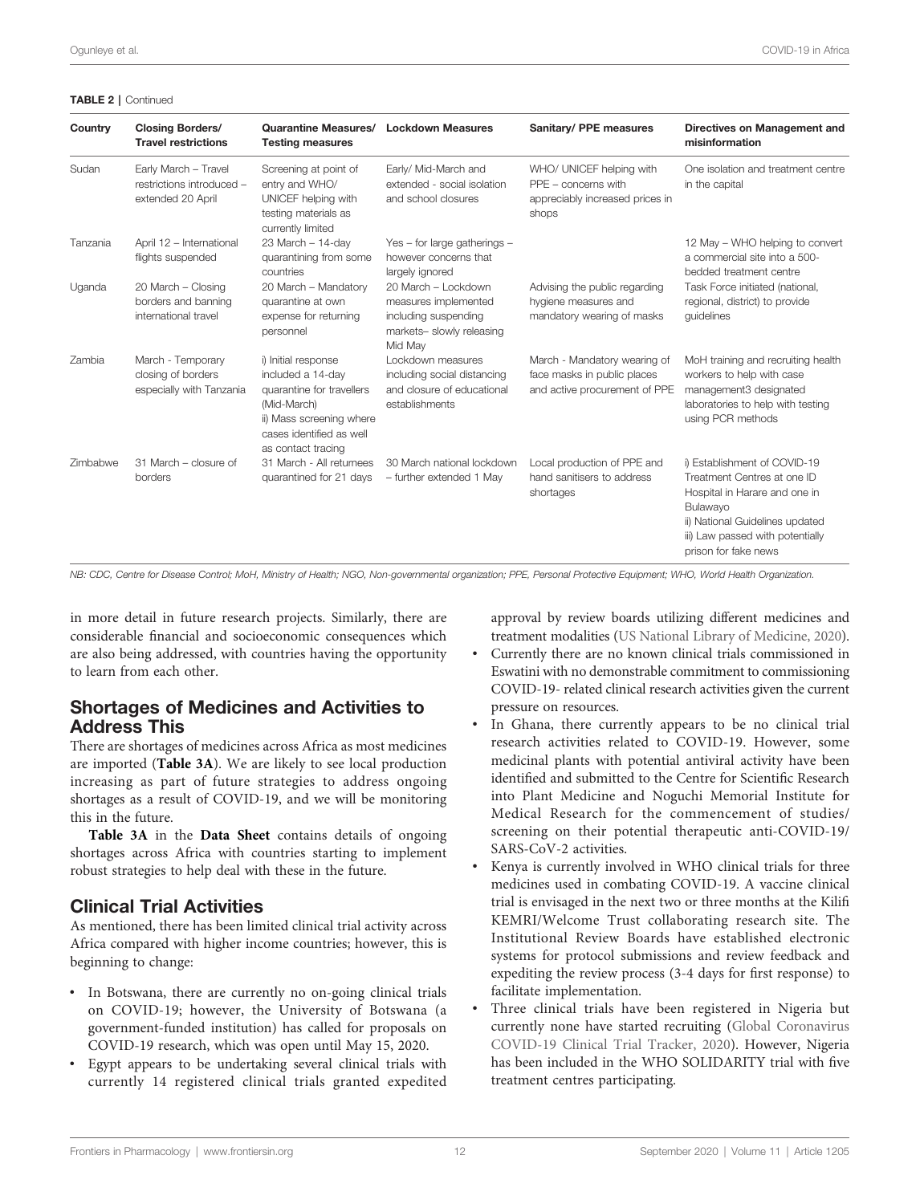| Country  | <b>Closing Borders/</b><br><b>Travel restrictions</b>                  | <b>Quarantine Measures/</b><br><b>Testing measures</b>                                                                                                             | <b>Lockdown Measures</b>                                                                                    | Sanitary/ PPE measures                                                                        | Directives on Management and<br>misinformation                                                                                                                                                          |
|----------|------------------------------------------------------------------------|--------------------------------------------------------------------------------------------------------------------------------------------------------------------|-------------------------------------------------------------------------------------------------------------|-----------------------------------------------------------------------------------------------|---------------------------------------------------------------------------------------------------------------------------------------------------------------------------------------------------------|
| Sudan    | Early March - Travel<br>restrictions introduced -<br>extended 20 April | Screening at point of<br>entry and WHO/<br>UNICEF helping with<br>testing materials as<br>currently limited                                                        | Early/ Mid-March and<br>extended - social isolation<br>and school closures                                  | WHO/ UNICEF helping with<br>$PPE$ – concerns with<br>appreciably increased prices in<br>shops | One isolation and treatment centre<br>in the capital                                                                                                                                                    |
| Tanzania | April 12 - International<br>flights suspended                          | 23 March - 14-day<br>quarantining from some<br>countries                                                                                                           | Yes - for large gatherings -<br>however concerns that<br>largely ignored                                    |                                                                                               | 12 May - WHO helping to convert<br>a commercial site into a 500-<br>bedded treatment centre                                                                                                             |
| Uganda   | 20 March - Closing<br>borders and banning<br>international travel      | 20 March - Mandatory<br>quarantine at own<br>expense for returning<br>personnel                                                                                    | 20 March - Lockdown<br>measures implemented<br>including suspending<br>markets- slowly releasing<br>Mid Mav | Advising the public regarding<br>hygiene measures and<br>mandatory wearing of masks           | Task Force initiated (national,<br>regional, district) to provide<br>quidelines                                                                                                                         |
| Zambia   | March - Temporary<br>closing of borders<br>especially with Tanzania    | i) Initial response<br>included a 14-day<br>quarantine for travellers<br>(Mid-March)<br>ii) Mass screening where<br>cases identified as well<br>as contact tracing | Lockdown measures<br>including social distancing<br>and closure of educational<br>establishments            | March - Mandatory wearing of<br>face masks in public places<br>and active procurement of PPE  | MoH training and recruiting health<br>workers to help with case<br>management3 designated<br>laboratories to help with testing<br>using PCR methods                                                     |
| Zimbabwe | 31 March - closure of<br>borders                                       | 31 March - All returnees<br>quarantined for 21 days                                                                                                                | 30 March national lockdown<br>- further extended 1 May                                                      | Local production of PPE and<br>hand sanitisers to address<br>shortages                        | i) Establishment of COVID-19<br>Treatment Centres at one ID<br>Hospital in Harare and one in<br>Bulawayo<br>ii) National Guidelines updated<br>iii) Law passed with potentially<br>prison for fake news |

NB: CDC, Centre for Disease Control; MoH, Ministry of Health; NGO, Non-governmental organization; PPE, Personal Protective Equipment; WHO, World Health Organization.

in more detail in future research projects. Similarly, there are considerable financial and socioeconomic consequences which are also being addressed, with countries having the opportunity to learn from each other.

### Shortages of Medicines and Activities to Address This

There are shortages of medicines across Africa as most medicines are imported ([Table 3A](#page-12-0)). We are likely to see local production increasing as part of future strategies to address ongoing shortages as a result of COVID-19, and we will be monitoring this in the future.

[Table 3A](#page-12-0) in the [Data Sheet](#page-22-0) contains details of ongoing shortages across Africa with countries starting to implement robust strategies to help deal with these in the future.

### Clinical Trial Activities

As mentioned, there has been limited clinical trial activity across Africa compared with higher income countries; however, this is beginning to change:

- In Botswana, there are currently no on-going clinical trials on COVID-19; however, the University of Botswana (a government-funded institution) has called for proposals on COVID-19 research, which was open until May 15, 2020.
- Egypt appears to be undertaking several clinical trials with currently 14 registered clinical trials granted expedited

approval by review boards utilizing different medicines and treatment modalities [\(US National Library of Medicine, 2020\)](#page-33-0).

- Currently there are no known clinical trials commissioned in Eswatini with no demonstrable commitment to commissioning COVID-19- related clinical research activities given the current pressure on resources.
- In Ghana, there currently appears to be no clinical trial research activities related to COVID-19. However, some medicinal plants with potential antiviral activity have been identified and submitted to the Centre for Scientific Research into Plant Medicine and Noguchi Memorial Institute for Medical Research for the commencement of studies/ screening on their potential therapeutic anti-COVID-19/ SARS-CoV-2 activities.
- Kenya is currently involved in WHO clinical trials for three medicines used in combating COVID-19. A vaccine clinical trial is envisaged in the next two or three months at the Kilifi KEMRI/Welcome Trust collaborating research site. The Institutional Review Boards have established electronic systems for protocol submissions and review feedback and expediting the review process (3-4 days for first response) to facilitate implementation.
- Three clinical trials have been registered in Nigeria but currently none have started recruiting ([Global Coronavirus](#page-26-0) [COVID-19 Clinical Trial Tracker, 2020\)](#page-26-0). However, Nigeria has been included in the WHO SOLIDARITY trial with five treatment centres participating.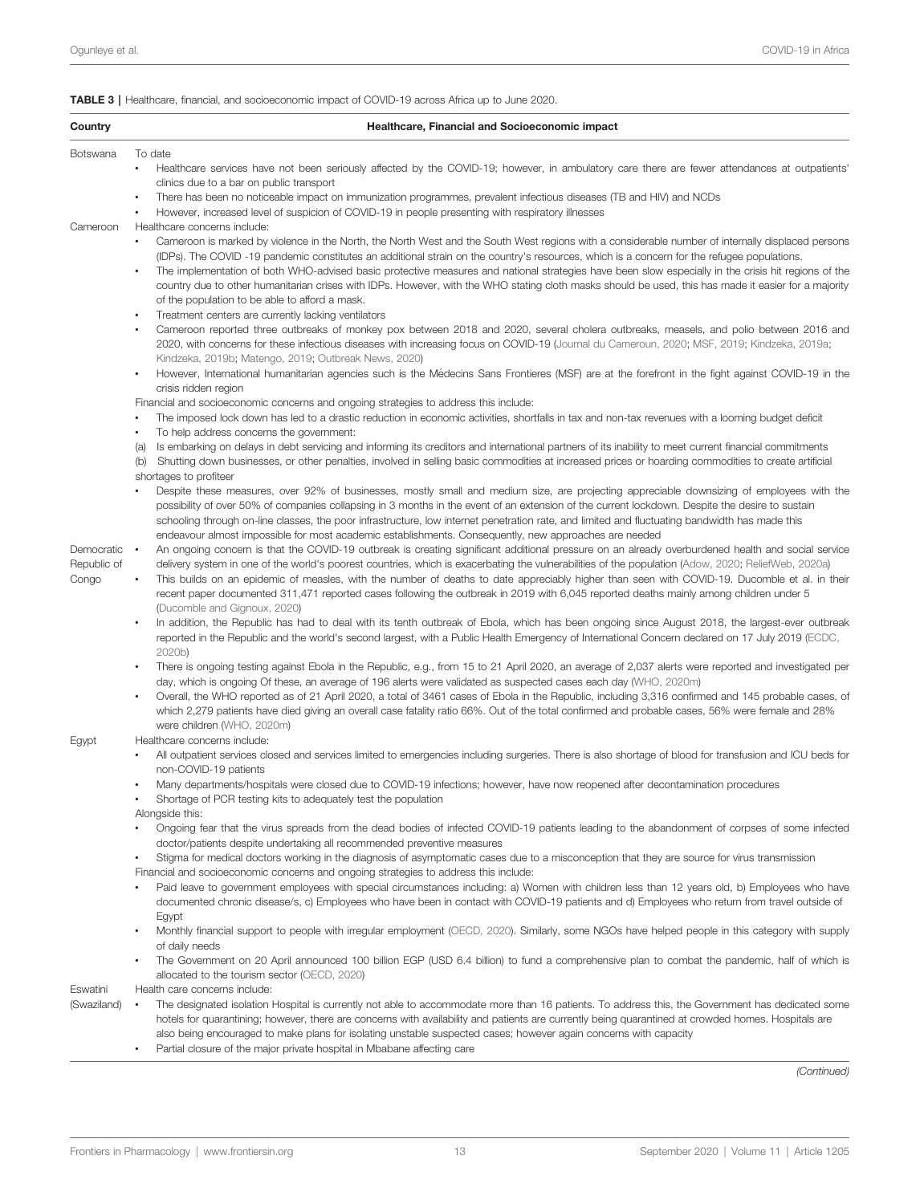<span id="page-12-0"></span>

| Country                            | Healthcare, Financial and Socioeconomic impact                                                                                                                                                                                                                                                                                                                                                                                                                                                                                                                                                                                                                                                                                                                                                                                                                                                                                                                                                                                                                     |
|------------------------------------|--------------------------------------------------------------------------------------------------------------------------------------------------------------------------------------------------------------------------------------------------------------------------------------------------------------------------------------------------------------------------------------------------------------------------------------------------------------------------------------------------------------------------------------------------------------------------------------------------------------------------------------------------------------------------------------------------------------------------------------------------------------------------------------------------------------------------------------------------------------------------------------------------------------------------------------------------------------------------------------------------------------------------------------------------------------------|
| Botswana                           | To date                                                                                                                                                                                                                                                                                                                                                                                                                                                                                                                                                                                                                                                                                                                                                                                                                                                                                                                                                                                                                                                            |
|                                    | Healthcare services have not been seriously affected by the COVID-19; however, in ambulatory care there are fewer attendances at outpatients'<br>$\bullet$<br>clinics due to a bar on public transport                                                                                                                                                                                                                                                                                                                                                                                                                                                                                                                                                                                                                                                                                                                                                                                                                                                             |
|                                    | There has been no noticeable impact on immunization programmes, prevalent infectious diseases (TB and HIV) and NCDs<br>$\bullet$<br>However, increased level of suspicion of COVID-19 in people presenting with respiratory illnesses<br>$\bullet$                                                                                                                                                                                                                                                                                                                                                                                                                                                                                                                                                                                                                                                                                                                                                                                                                 |
| Cameroon                           | Healthcare concerns include:<br>Cameroon is marked by violence in the North, the North West and the South West regions with a considerable number of internally displaced persons<br>(IDPs). The COVID -19 pandemic constitutes an additional strain on the country's resources, which is a concern for the refugee populations.<br>The implementation of both WHO-advised basic protective measures and national strategies have been slow especially in the crisis hit regions of the<br>٠<br>country due to other humanitarian crises with IDPs. However, with the WHO stating cloth masks should be used, this has made it easier for a majority<br>of the population to be able to afford a mask.<br>Treatment centers are currently lacking ventilators<br>$\bullet$<br>Cameroon reported three outbreaks of monkey pox between 2018 and 2020, several cholera outbreaks, measels, and polio between 2016 and<br>2020, with concerns for these infectious diseases with increasing focus on COVID-19 (Journal du Cameroun, 2020; MSF, 2019; Kindzeka, 2019a; |
|                                    | Kindzeka, 2019b; Matengo, 2019; Outbreak News, 2020)<br>However, International humanitarian agencies such is the Médecins Sans Frontieres (MSF) are at the forefront in the fight against COVID-19 in the<br>$\bullet$                                                                                                                                                                                                                                                                                                                                                                                                                                                                                                                                                                                                                                                                                                                                                                                                                                             |
|                                    | crisis ridden region                                                                                                                                                                                                                                                                                                                                                                                                                                                                                                                                                                                                                                                                                                                                                                                                                                                                                                                                                                                                                                               |
|                                    | Financial and socioeconomic concerns and ongoing strategies to address this include:<br>The imposed lock down has led to a drastic reduction in economic activities, shortfalls in tax and non-tax revenues with a looming budget deficit<br>$\bullet$                                                                                                                                                                                                                                                                                                                                                                                                                                                                                                                                                                                                                                                                                                                                                                                                             |
|                                    | To help address concerns the government:<br>٠                                                                                                                                                                                                                                                                                                                                                                                                                                                                                                                                                                                                                                                                                                                                                                                                                                                                                                                                                                                                                      |
|                                    | Is embarking on delays in debt servicing and informing its creditors and international partners of its inability to meet current financial commitments<br>(a)<br>Shutting down businesses, or other penalties, involved in selling basic commodities at increased prices or hoarding commodities to create artificial<br>(b)<br>shortages to profiteer                                                                                                                                                                                                                                                                                                                                                                                                                                                                                                                                                                                                                                                                                                             |
|                                    | Despite these measures, over 92% of businesses, mostly small and medium size, are projecting appreciable downsizing of employees with the<br>$\bullet$<br>possibility of over 50% of companies collapsing in 3 months in the event of an extension of the current lockdown. Despite the desire to sustain<br>schooling through on-line classes, the poor infrastructure, low internet penetration rate, and limited and fluctuating bandwidth has made this<br>endeavour almost impossible for most academic establishments. Consequently, new approaches are needed                                                                                                                                                                                                                                                                                                                                                                                                                                                                                               |
| Democratic<br>Republic of<br>Congo | An ongoing concern is that the COVID-19 outbreak is creating significant additional pressure on an already overburdened health and social service<br>$\bullet$<br>delivery system in one of the world's poorest countries, which is exacerbating the vulnerabilities of the population (Adow, 2020; ReliefWeb, 2020a)<br>This builds on an epidemic of measles, with the number of deaths to date appreciably higher than seen with COVID-19. Ducomble et al. in their<br>$\bullet$<br>recent paper documented 311,471 reported cases following the outbreak in 2019 with 6,045 reported deaths mainly among children under 5<br>(Ducomble and Gignoux, 2020)                                                                                                                                                                                                                                                                                                                                                                                                      |
|                                    | In addition, the Republic has had to deal with its tenth outbreak of Ebola, which has been ongoing since August 2018, the largest-ever outbreak<br>$\bullet$<br>reported in the Republic and the world's second largest, with a Public Health Emergency of International Concern declared on 17 July 2019 (ECDC,<br>2020b)                                                                                                                                                                                                                                                                                                                                                                                                                                                                                                                                                                                                                                                                                                                                         |
|                                    | There is ongoing testing against Ebola in the Republic, e.g., from 15 to 21 April 2020, an average of 2,037 alerts were reported and investigated per<br>$\bullet$<br>day, which is ongoing Of these, an average of 196 alerts were validated as suspected cases each day (WHO, 2020m)<br>Overall, the WHO reported as of 21 April 2020, a total of 3461 cases of Ebola in the Republic, including 3,316 confirmed and 145 probable cases, of<br>$\bullet$<br>which 2,279 patients have died giving an overall case fatality ratio 66%. Out of the total confirmed and probable cases, 56% were female and 28%<br>were children (WHO, 2020m)                                                                                                                                                                                                                                                                                                                                                                                                                       |
| Egypt                              | Healthcare concerns include:<br>All outpatient services closed and services limited to emergencies including surgeries. There is also shortage of blood for transfusion and ICU beds for                                                                                                                                                                                                                                                                                                                                                                                                                                                                                                                                                                                                                                                                                                                                                                                                                                                                           |
|                                    | non-COVID-19 patients<br>Many departments/hospitals were closed due to COVID-19 infections; however, have now reopened after decontamination procedures<br>Shortage of PCR testing kits to adequately test the population                                                                                                                                                                                                                                                                                                                                                                                                                                                                                                                                                                                                                                                                                                                                                                                                                                          |
|                                    | Alongside this:<br>Ongoing fear that the virus spreads from the dead bodies of infected COVID-19 patients leading to the abandonment of corpses of some infected<br>doctor/patients despite undertaking all recommended preventive measures                                                                                                                                                                                                                                                                                                                                                                                                                                                                                                                                                                                                                                                                                                                                                                                                                        |
|                                    | Stigma for medical doctors working in the diagnosis of asymptomatic cases due to a misconception that they are source for virus transmission<br>$\bullet$<br>Financial and socioeconomic concerns and ongoing strategies to address this include:                                                                                                                                                                                                                                                                                                                                                                                                                                                                                                                                                                                                                                                                                                                                                                                                                  |
|                                    | Paid leave to government employees with special circumstances including: a) Women with children less than 12 years old, b) Employees who have<br>documented chronic disease/s, c) Employees who have been in contact with COVID-19 patients and d) Employees who return from travel outside of<br>Egypt                                                                                                                                                                                                                                                                                                                                                                                                                                                                                                                                                                                                                                                                                                                                                            |
|                                    | Monthly financial support to people with irregular employment (OECD, 2020). Similarly, some NGOs have helped people in this category with supply<br>$\bullet$<br>of daily needs<br>The Government on 20 April announced 100 billion EGP (USD 6.4 billion) to fund a comprehensive plan to combat the pandemic, half of which is<br>$\bullet$                                                                                                                                                                                                                                                                                                                                                                                                                                                                                                                                                                                                                                                                                                                       |
| Eswatini                           | allocated to the tourism sector (OECD, 2020)<br>Health care concerns include:                                                                                                                                                                                                                                                                                                                                                                                                                                                                                                                                                                                                                                                                                                                                                                                                                                                                                                                                                                                      |
| (Swaziland)                        | The designated isolation Hospital is currently not able to accommodate more than 16 patients. To address this, the Government has dedicated some<br>$\bullet$<br>hotels for quarantining; however, there are concerns with availability and patients are currently being quarantined at crowded homes. Hospitals are<br>also being encouraged to make plans for isolating unstable suspected cases; however again concerns with capacity                                                                                                                                                                                                                                                                                                                                                                                                                                                                                                                                                                                                                           |

• Partial closure of the major private hospital in Mbabane affecting care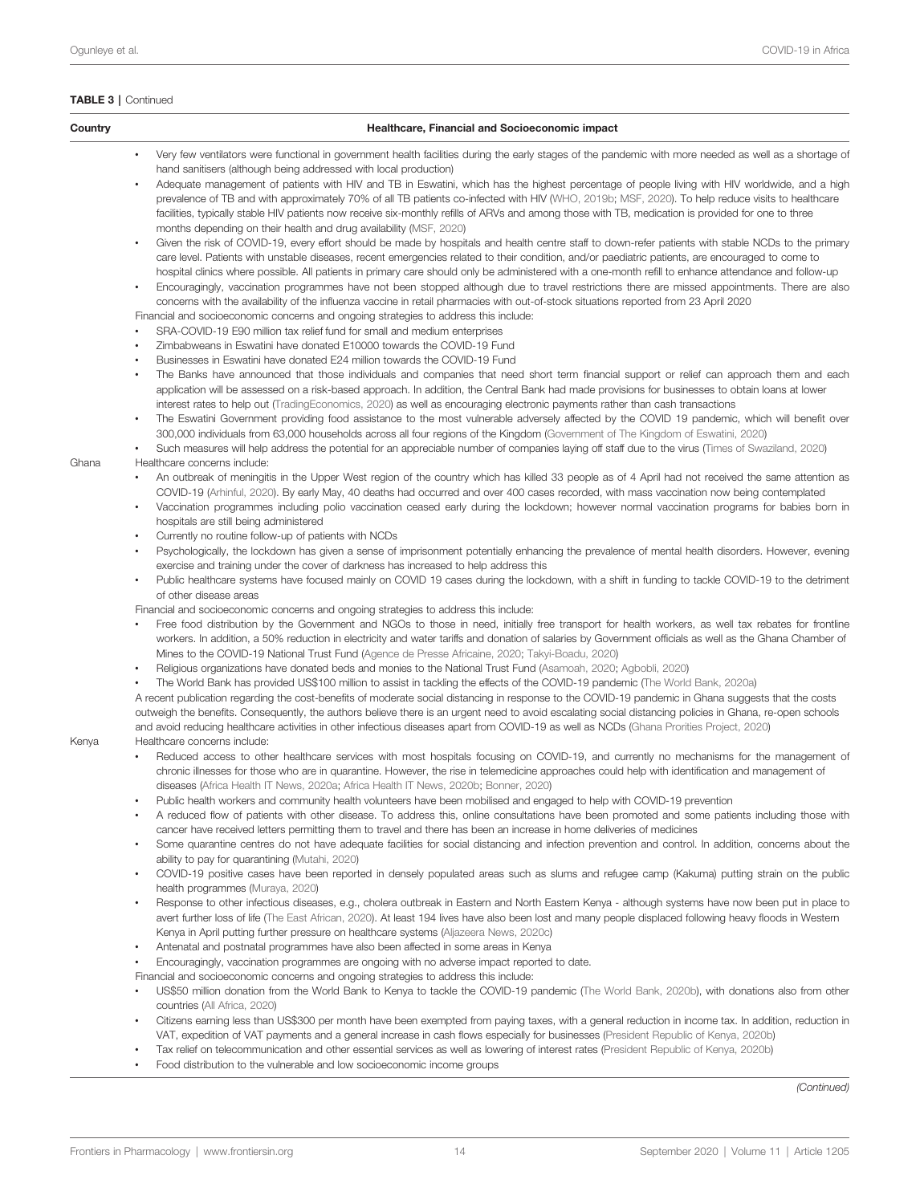| Country | Healthcare, Financial and Socioeconomic impact                                                                                                                                                                                                                                                                                                                                                                                                                                                                                                                                                                                                                                                                                                                   |
|---------|------------------------------------------------------------------------------------------------------------------------------------------------------------------------------------------------------------------------------------------------------------------------------------------------------------------------------------------------------------------------------------------------------------------------------------------------------------------------------------------------------------------------------------------------------------------------------------------------------------------------------------------------------------------------------------------------------------------------------------------------------------------|
|         | Very few ventilators were functional in government health facilities during the early stages of the pandemic with more needed as well as a shortage of<br>hand sanitisers (although being addressed with local production)                                                                                                                                                                                                                                                                                                                                                                                                                                                                                                                                       |
|         | Adequate management of patients with HIV and TB in Eswatini, which has the highest percentage of people living with HIV worldwide, and a high<br>prevalence of TB and with approximately 70% of all TB patients co-infected with HIV (WHO, 2019b; MSF, 2020). To help reduce visits to healthcare<br>facilities, typically stable HIV patients now receive six-monthly refills of ARVs and among those with TB, medication is provided for one to three<br>months depending on their health and drug availability (MSF, 2020)                                                                                                                                                                                                                                    |
|         | Given the risk of COVID-19, every effort should be made by hospitals and health centre staff to down-refer patients with stable NCDs to the primary<br>care level. Patients with unstable diseases, recent emergencies related to their condition, and/or paediatric patients, are encouraged to come to<br>hospital clinics where possible. All patients in primary care should only be administered with a one-month refill to enhance attendance and follow-up<br>Encouragingly, vaccination programmes have not been stopped although due to travel restrictions there are missed appointments. There are also<br>٠<br>concerns with the availability of the influenza vaccine in retail pharmacies with out-of-stock situations reported from 23 April 2020 |
|         | Financial and socioeconomic concerns and ongoing strategies to address this include:<br>SRA-COVID-19 E90 million tax relief fund for small and medium enterprises<br>Zimbabweans in Eswatini have donated E10000 towards the COVID-19 Fund<br>٠                                                                                                                                                                                                                                                                                                                                                                                                                                                                                                                  |
|         | Businesses in Eswatini have donated E24 million towards the COVID-19 Fund<br>The Banks have announced that those individuals and companies that need short term financial support or relief can approach them and each<br>٠<br>application will be assessed on a risk-based approach. In addition, the Central Bank had made provisions for businesses to obtain loans at lower                                                                                                                                                                                                                                                                                                                                                                                  |
|         | interest rates to help out (TradingEconomics, 2020) as well as encouraging electronic payments rather than cash transactions<br>The Eswatini Government providing food assistance to the most vulnerable adversely affected by the COVID 19 pandemic, which will benefit over<br>300,000 individuals from 63,000 households across all four regions of the Kingdom (Government of The Kingdom of Eswatini, 2020)<br>Such measures will help address the potential for an appreciable number of companies laying off staff due to the virus (Times of Swaziland, 2020)<br>$\bullet$                                                                                                                                                                               |
| Ghana   | Healthcare concerns include:                                                                                                                                                                                                                                                                                                                                                                                                                                                                                                                                                                                                                                                                                                                                     |
|         | An outbreak of meningitis in the Upper West region of the country which has killed 33 people as of 4 April had not received the same attention as<br>$\bullet$<br>COVID-19 (Arhinful, 2020). By early May, 40 deaths had occurred and over 400 cases recorded, with mass vaccination now being contemplated<br>Vaccination programmes including polio vaccination ceased early during the lockdown; however normal vaccination programs for babies born in<br>$\bullet$<br>hospitals are still being administered                                                                                                                                                                                                                                                |
|         | Currently no routine follow-up of patients with NCDs<br>Psychologically, the lockdown has given a sense of imprisonment potentially enhancing the prevalence of mental health disorders. However, evening<br>$\bullet$                                                                                                                                                                                                                                                                                                                                                                                                                                                                                                                                           |
|         | exercise and training under the cover of darkness has increased to help address this<br>Public healthcare systems have focused mainly on COVID 19 cases during the lockdown, with a shift in funding to tackle COVID-19 to the detriment<br>of other disease areas                                                                                                                                                                                                                                                                                                                                                                                                                                                                                               |
|         | Financial and socioeconomic concerns and ongoing strategies to address this include:                                                                                                                                                                                                                                                                                                                                                                                                                                                                                                                                                                                                                                                                             |
|         | Free food distribution by the Government and NGOs to those in need, initially free transport for health workers, as well tax rebates for frontline<br>workers. In addition, a 50% reduction in electricity and water tariffs and donation of salaries by Government officials as well as the Ghana Chamber of<br>Mines to the COVID-19 National Trust Fund (Agence de Presse Africaine, 2020; Takyi-Boadu, 2020)                                                                                                                                                                                                                                                                                                                                                 |
|         | Religious organizations have donated beds and monies to the National Trust Fund (Asamoah, 2020; Agbobli, 2020)                                                                                                                                                                                                                                                                                                                                                                                                                                                                                                                                                                                                                                                   |
|         | The World Bank has provided US\$100 million to assist in tackling the effects of the COVID-19 pandemic (The World Bank, 2020a)<br>A recent publication regarding the cost-benefits of moderate social distancing in response to the COVID-19 pandemic in Ghana suggests that the costs<br>outweigh the benefits. Consequently, the authors believe there is an urgent need to avoid escalating social distancing policies in Ghana, re-open schools<br>and avoid reducing healthcare activities in other infectious diseases apart from COVID-19 as well as NCDs (Ghana Prorities Project, 2020)                                                                                                                                                                 |
| Kenya   | Healthcare concerns include:<br>Reduced access to other healthcare services with most hospitals focusing on COVID-19, and currently no mechanisms for the management of<br>chronic illnesses for those who are in quarantine. However, the rise in telemedicine approaches could help with identification and management of<br>diseases (Africa Health IT News, 2020a; Africa Health IT News, 2020b; Bonner, 2020)                                                                                                                                                                                                                                                                                                                                               |
|         | Public health workers and community health volunteers have been mobilised and engaged to help with COVID-19 prevention<br>A reduced flow of patients with other disease. To address this, online consultations have been promoted and some patients including those with<br>cancer have received letters permitting them to travel and there has been an increase in home deliveries of medicines                                                                                                                                                                                                                                                                                                                                                                |
|         | Some quarantine centres do not have adequate facilities for social distancing and infection prevention and control. In addition, concerns about the<br>ability to pay for quarantining (Mutahi, 2020)                                                                                                                                                                                                                                                                                                                                                                                                                                                                                                                                                            |
|         | COVID-19 positive cases have been reported in densely populated areas such as slums and refugee camp (Kakuma) putting strain on the public<br>$\bullet$<br>health programmes (Muraya, 2020)                                                                                                                                                                                                                                                                                                                                                                                                                                                                                                                                                                      |
|         | Response to other infectious diseases, e.g., cholera outbreak in Eastern and North Eastern Kenya - although systems have now been put in place to<br>٠<br>avert further loss of life (The East African, 2020). At least 194 lives have also been lost and many people displaced following heavy floods in Western<br>Kenya in April putting further pressure on healthcare systems (Aljazeera News, 2020c)                                                                                                                                                                                                                                                                                                                                                       |
|         | Antenatal and postnatal programmes have also been affected in some areas in Kenya                                                                                                                                                                                                                                                                                                                                                                                                                                                                                                                                                                                                                                                                                |
|         | Encouragingly, vaccination programmes are ongoing with no adverse impact reported to date.                                                                                                                                                                                                                                                                                                                                                                                                                                                                                                                                                                                                                                                                       |
|         | Financial and socioeconomic concerns and ongoing strategies to address this include:<br>US\$50 million donation from the World Bank to Kenya to tackle the COVID-19 pandemic (The World Bank, 2020b), with donations also from other<br>countries (All Africa, 2020)                                                                                                                                                                                                                                                                                                                                                                                                                                                                                             |
|         | Citizens earning less than US\$300 per month have been exempted from paying taxes, with a general reduction in income tax. In addition, reduction in<br>$\bullet$<br>VAT, expedition of VAT payments and a general increase in cash flows especially for businesses (President Republic of Kenya, 2020b)<br>Tax relief on telecommunication and other essential services as well as lowering of interest rates (President Republic of Kenya, 2020b)<br>$\bullet$<br>Food distribution to the vulnerable and low socioeconomic income groups<br>$\bullet$                                                                                                                                                                                                         |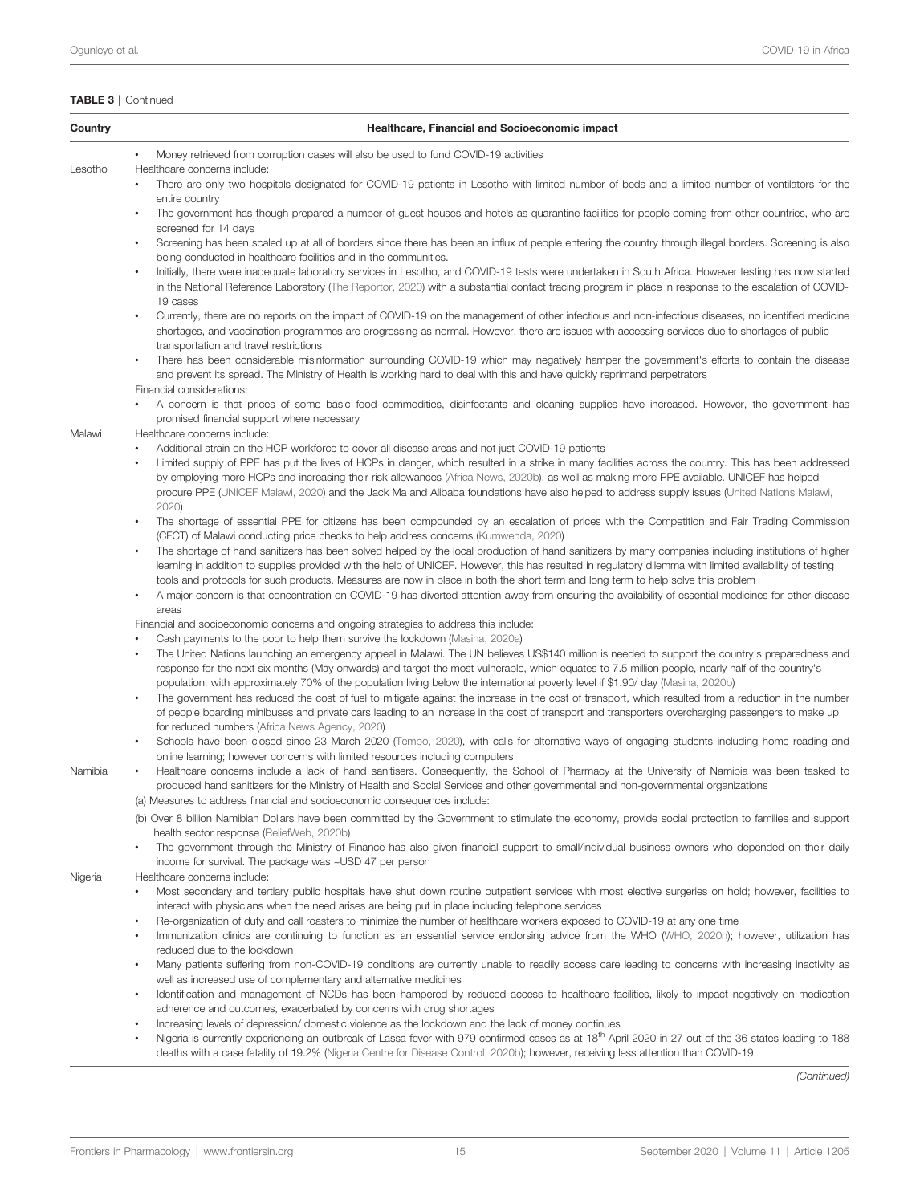| Country | Healthcare, Financial and Socioeconomic impact                                                                                                                                                                                                                                                                                                                                                                                                                                                                                                       |
|---------|------------------------------------------------------------------------------------------------------------------------------------------------------------------------------------------------------------------------------------------------------------------------------------------------------------------------------------------------------------------------------------------------------------------------------------------------------------------------------------------------------------------------------------------------------|
|         | Money retrieved from corruption cases will also be used to fund COVID-19 activities<br>$\bullet$                                                                                                                                                                                                                                                                                                                                                                                                                                                     |
| Lesotho | Healthcare concerns include:<br>There are only two hospitals designated for COVID-19 patients in Lesotho with limited number of beds and a limited number of ventilators for the                                                                                                                                                                                                                                                                                                                                                                     |
|         | entire country<br>The government has though prepared a number of guest houses and hotels as quarantine facilities for people coming from other countries, who are<br>$\bullet$<br>screened for 14 days                                                                                                                                                                                                                                                                                                                                               |
|         | Screening has been scaled up at all of borders since there has been an influx of people entering the country through illegal borders. Screening is also<br>being conducted in healthcare facilities and in the communities.                                                                                                                                                                                                                                                                                                                          |
|         | Initially, there were inadequate laboratory services in Lesotho, and COVID-19 tests were undertaken in South Africa. However testing has now started<br>in the National Reference Laboratory (The Reportor, 2020) with a substantial contact tracing program in place in response to the escalation of COVID-<br>19 cases                                                                                                                                                                                                                            |
|         | Currently, there are no reports on the impact of COVID-19 on the management of other infectious and non-infectious diseases, no identified medicine<br>$\bullet$<br>shortages, and vaccination programmes are progressing as normal. However, there are issues with accessing services due to shortages of public                                                                                                                                                                                                                                    |
|         | transportation and travel restrictions<br>There has been considerable misinformation surrounding COVID-19 which may negatively hamper the government's efforts to contain the disease<br>٠<br>and prevent its spread. The Ministry of Health is working hard to deal with this and have quickly reprimand perpetrators                                                                                                                                                                                                                               |
|         | Financial considerations:<br>A concern is that prices of some basic food commodities, disinfectants and cleaning supplies have increased. However, the government has<br>promised financial support where necessary                                                                                                                                                                                                                                                                                                                                  |
| Malawi  | Healthcare concerns include:                                                                                                                                                                                                                                                                                                                                                                                                                                                                                                                         |
|         | Additional strain on the HCP workforce to cover all disease areas and not just COVID-19 patients<br>Limited supply of PPE has put the lives of HCPs in danger, which resulted in a strike in many facilities across the country. This has been addressed<br>by employing more HCPs and increasing their risk allowances (Africa News, 2020b), as well as making more PPE available. UNICEF has helped<br>procure PPE (UNICEF Malawi, 2020) and the Jack Ma and Alibaba foundations have also helped to address supply issues (United Nations Malawi, |
|         | 2020)<br>The shortage of essential PPE for citizens has been compounded by an escalation of prices with the Competition and Fair Trading Commission<br>$\bullet$<br>(CFCT) of Malawi conducting price checks to help address concerns (Kumwenda, 2020)                                                                                                                                                                                                                                                                                               |
|         | The shortage of hand sanitizers has been solved helped by the local production of hand sanitizers by many companies including institutions of higher<br>learning in addition to supplies provided with the help of UNICEF. However, this has resulted in regulatory dilemma with limited availability of testing<br>tools and protocols for such products. Measures are now in place in both the short term and long term to help solve this problem                                                                                                 |
|         | A major concern is that concentration on COVID-19 has diverted attention away from ensuring the availability of essential medicines for other disease<br>٠<br>areas                                                                                                                                                                                                                                                                                                                                                                                  |
|         | Financial and socioeconomic concerns and ongoing strategies to address this include:                                                                                                                                                                                                                                                                                                                                                                                                                                                                 |
|         | Cash payments to the poor to help them survive the lockdown (Masina, 2020a)<br>The United Nations launching an emergency appeal in Malawi. The UN believes US\$140 million is needed to support the country's preparedness and                                                                                                                                                                                                                                                                                                                       |
|         | response for the next six months (May onwards) and target the most vulnerable, which equates to 7.5 million people, nearly half of the country's<br>population, with approximately 70% of the population living below the international poverty level if \$1.90/day (Masina, 2020b)                                                                                                                                                                                                                                                                  |
|         | The government has reduced the cost of fuel to mitigate against the increase in the cost of transport, which resulted from a reduction in the number<br>$\bullet$<br>of people boarding minibuses and private cars leading to an increase in the cost of transport and transporters overcharging passengers to make up<br>for reduced numbers (Africa News Agency, 2020)                                                                                                                                                                             |
|         | Schools have been closed since 23 March 2020 (Tembo, 2020), with calls for alternative ways of engaging students including home reading and<br>online learning; however concerns with limited resources including computers                                                                                                                                                                                                                                                                                                                          |
| Namibia | Healthcare concerns include a lack of hand sanitisers. Consequently, the School of Pharmacy at the University of Namibia was been tasked to<br>٠<br>produced hand sanitizers for the Ministry of Health and Social Services and other governmental and non-governmental organizations                                                                                                                                                                                                                                                                |
|         | (a) Measures to address financial and socioeconomic consequences include:<br>(b) Over 8 billion Namibian Dollars have been committed by the Government to stimulate the economy, provide social protection to families and support                                                                                                                                                                                                                                                                                                                   |
|         | health sector response (ReliefWeb, 2020b)                                                                                                                                                                                                                                                                                                                                                                                                                                                                                                            |
|         | The government through the Ministry of Finance has also given financial support to small/individual business owners who depended on their daily<br>$\bullet$<br>income for survival. The package was ~USD 47 per person                                                                                                                                                                                                                                                                                                                              |
| Nigeria | Healthcare concerns include:<br>Most secondary and tertiary public hospitals have shut down routine outpatient services with most elective surgeries on hold; however, facilities to                                                                                                                                                                                                                                                                                                                                                                 |
|         | interact with physicians when the need arises are being put in place including telephone services                                                                                                                                                                                                                                                                                                                                                                                                                                                    |
|         | Re-organization of duty and call roasters to minimize the number of healthcare workers exposed to COVID-19 at any one time<br>Immunization clinics are continuing to function as an essential service endorsing advice from the WHO (WHO, 2020n); however, utilization has<br>$\bullet$<br>reduced due to the lockdown                                                                                                                                                                                                                               |
|         | Many patients suffering from non-COVID-19 conditions are currently unable to readily access care leading to concerns with increasing inactivity as<br>$\bullet$<br>well as increased use of complementary and alternative medicines                                                                                                                                                                                                                                                                                                                  |
|         | Identification and management of NCDs has been hampered by reduced access to healthcare facilities, likely to impact negatively on medication<br>adherence and outcomes, exacerbated by concerns with drug shortages                                                                                                                                                                                                                                                                                                                                 |
|         | Increasing levels of depression/domestic violence as the lockdown and the lack of money continues                                                                                                                                                                                                                                                                                                                                                                                                                                                    |
|         | Nigeria is currently experiencing an outbreak of Lassa fever with 979 confirmed cases as at 18 <sup>th</sup> April 2020 in 27 out of the 36 states leading to 188<br>deaths with a case fatality of 19.2% (Nigeria Centre for Disease Control, 2020b); however, receiving less attention than COVID-19                                                                                                                                                                                                                                               |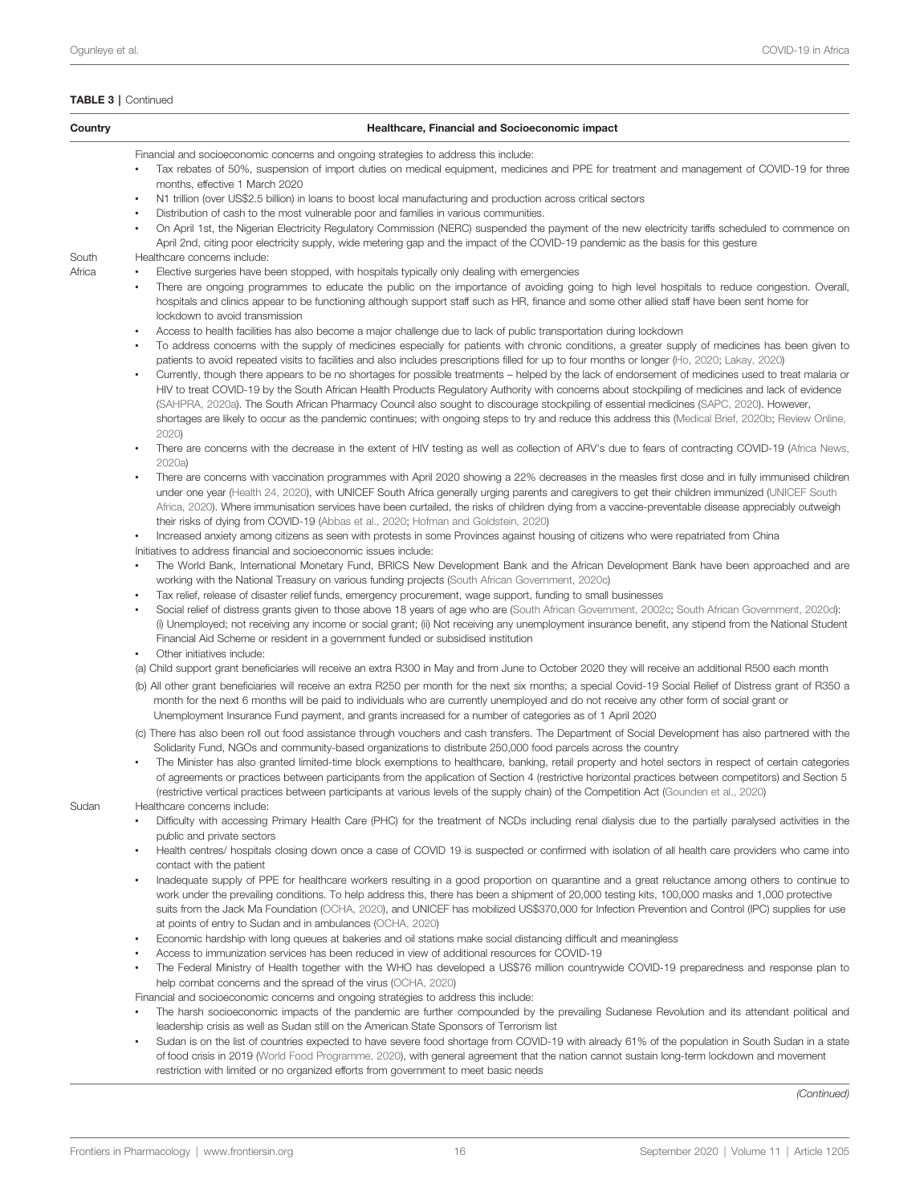| Country         | Healthcare, Financial and Socioeconomic impact                                                                                                                                                                                                                                                                                                                                                                                                                                                                                                                                                                                                                                                                                                                                                                                                                                                                                                                                                                                                                                                                                                                                                                                                                                                                                                                                                                                                                                                                                                                                                                                                                                                                                                                                                                                                                                                                                                                                                                                                                                                                                                                                                                                                                                                                                                                |
|-----------------|---------------------------------------------------------------------------------------------------------------------------------------------------------------------------------------------------------------------------------------------------------------------------------------------------------------------------------------------------------------------------------------------------------------------------------------------------------------------------------------------------------------------------------------------------------------------------------------------------------------------------------------------------------------------------------------------------------------------------------------------------------------------------------------------------------------------------------------------------------------------------------------------------------------------------------------------------------------------------------------------------------------------------------------------------------------------------------------------------------------------------------------------------------------------------------------------------------------------------------------------------------------------------------------------------------------------------------------------------------------------------------------------------------------------------------------------------------------------------------------------------------------------------------------------------------------------------------------------------------------------------------------------------------------------------------------------------------------------------------------------------------------------------------------------------------------------------------------------------------------------------------------------------------------------------------------------------------------------------------------------------------------------------------------------------------------------------------------------------------------------------------------------------------------------------------------------------------------------------------------------------------------------------------------------------------------------------------------------------------------|
|                 | Financial and socioeconomic concerns and ongoing strategies to address this include:<br>Tax rebates of 50%, suspension of import duties on medical equipment, medicines and PPE for treatment and management of COVID-19 for three<br>months, effective 1 March 2020<br>N1 trillion (over US\$2.5 billion) in loans to boost local manufacturing and production across critical sectors<br>Distribution of cash to the most vulnerable poor and families in various communities.<br>$\bullet$<br>On April 1st, the Nigerian Electricity Regulatory Commission (NERC) suspended the payment of the new electricity tariffs scheduled to commence on<br>$\bullet$                                                                                                                                                                                                                                                                                                                                                                                                                                                                                                                                                                                                                                                                                                                                                                                                                                                                                                                                                                                                                                                                                                                                                                                                                                                                                                                                                                                                                                                                                                                                                                                                                                                                                               |
| South<br>Africa | April 2nd, citing poor electricity supply, wide metering gap and the impact of the COVID-19 pandemic as the basis for this gesture<br>Healthcare concerns include:<br>Elective surgeries have been stopped, with hospitals typically only dealing with emergencies<br>$\bullet$<br>There are ongoing programmes to educate the public on the importance of avoiding going to high level hospitals to reduce congestion. Overall,<br>$\bullet$<br>hospitals and clinics appear to be functioning although support staff such as HR, finance and some other allied staff have been sent home for<br>lockdown to avoid transmission<br>Access to health facilities has also become a major challenge due to lack of public transportation during lockdown<br>$\bullet$<br>To address concerns with the supply of medicines especially for patients with chronic conditions, a greater supply of medicines has been given to<br>$\bullet$<br>patients to avoid repeated visits to facilities and also includes prescriptions filled for up to four months or longer (Ho, 2020; Lakay, 2020)<br>Currently, though there appears to be no shortages for possible treatments – helped by the lack of endorsement of medicines used to treat malaria or<br>HIV to treat COVID-19 by the South African Health Products Regulatory Authority with concerns about stockpiling of medicines and lack of evidence<br>(SAHPRA, 2020a). The South African Pharmacy Council also sought to discourage stockpiling of essential medicines (SAPC, 2020). However,<br>shortages are likely to occur as the pandemic continues; with ongoing steps to try and reduce this address this (Medical Brief, 2020b; Review Online,<br>2020<br>There are concerns with the decrease in the extent of HIV testing as well as collection of ARV's due to fears of contracting COVID-19 (Africa News,<br>$\bullet$<br>2020a)<br>There are concerns with vaccination programmes with April 2020 showing a 22% decreases in the measles first dose and in fully immunised children<br>under one year (Health 24, 2020), with UNICEF South Africa generally urging parents and caregivers to get their children immunized (UNICEF South<br>Africa, 2020). Where immunisation services have been curtailed, the risks of children dying from a vaccine-preventable disease appreciably outweigh |
|                 | their risks of dying from COVID-19 (Abbas et al., 2020; Hofman and Goldstein, 2020)<br>Increased anxiety among citizens as seen with protests in some Provinces against housing of citizens who were repatriated from China<br>$\bullet$<br>Initiatives to address financial and socioeconomic issues include:<br>The World Bank, International Monetary Fund, BRICS New Development Bank and the African Development Bank have been approached and are<br>working with the National Treasury on various funding projects (South African Government, 2020c)<br>Tax relief, release of disaster relief funds, emergency procurement, wage support, funding to small businesses<br>Social relief of distress grants given to those above 18 years of age who are (South African Government, 2002c; South African Government, 2020d):<br>$\bullet$<br>(i) Unemployed; not receiving any income or social grant; (ii) Not receiving any unemployment insurance benefit, any stipend from the National Student<br>Financial Aid Scheme or resident in a government funded or subsidised institution<br>Other initiatives include:<br>$\bullet$<br>(a) Child support grant beneficiaries will receive an extra R300 in May and from June to October 2020 they will receive an additional R500 each month<br>(b) All other grant beneficiaries will receive an extra R250 per month for the next six months; a special Covid-19 Social Relief of Distress grant of R350 a<br>month for the next 6 months will be paid to individuals who are currently unemployed and do not receive any other form of social grant or<br>Unemployment Insurance Fund payment, and grants increased for a number of categories as of 1 April 2020                                                                                                                                                                                                                                                                                                                                                                                                                                                                                                                                                                                                                                    |
|                 | (c) There has also been roll out food assistance through vouchers and cash transfers. The Department of Social Development has also partnered with the<br>Solidarity Fund, NGOs and community-based organizations to distribute 250,000 food parcels across the country<br>The Minister has also granted limited-time block exemptions to healthcare, banking, retail property and hotel sectors in respect of certain categories<br>of agreements or practices between participants from the application of Section 4 (restrictive horizontal practices between competitors) and Section 5<br>(restrictive vertical practices between participants at various levels of the supply chain) of the Competition Act (Gounden et al., 2020)                                                                                                                                                                                                                                                                                                                                                                                                                                                                                                                                                                                                                                                                                                                                                                                                                                                                                                                                                                                                                                                                                                                                                                                                                                                                                                                                                                                                                                                                                                                                                                                                                      |
| Sudan           | Healthcare concerns include:<br>Difficulty with accessing Primary Health Care (PHC) for the treatment of NCDs including renal dialysis due to the partially paralysed activities in the<br>public and private sectors<br>Health centres/ hospitals closing down once a case of COVID 19 is suspected or confirmed with isolation of all health care providers who came into<br>$\bullet$<br>contact with the patient<br>Inadequate supply of PPE for healthcare workers resulting in a good proportion on quarantine and a great reluctance among others to continue to<br>$\bullet$<br>work under the prevailing conditions. To help address this, there has been a shipment of 20,000 testing kits, 100,000 masks and 1,000 protective<br>suits from the Jack Ma Foundation (OCHA, 2020), and UNICEF has mobilized US\$370,000 for Infection Prevention and Control (IPC) supplies for use<br>at points of entry to Sudan and in ambulances (OCHA, 2020)<br>Economic hardship with long queues at bakeries and oil stations make social distancing difficult and meaningless<br>Access to immunization services has been reduced in view of additional resources for COVID-19<br>$\bullet$<br>The Federal Ministry of Health together with the WHO has developed a US\$76 million countrywide COVID-19 preparedness and response plan to<br>help combat concerns and the spread of the virus (OCHA, 2020)<br>Financial and socioeconomic concerns and ongoing strategies to address this include:<br>The harsh socioeconomic impacts of the pandemic are further compounded by the prevailing Sudanese Revolution and its attendant political and<br>leadership crisis as well as Sudan still on the American State Sponsors of Terrorism list<br>Sudan is on the list of countries expected to have severe food shortage from COVID-19 with already 61% of the population in South Sudan in a state<br>of food crisis in 2019 (World Food Programme, 2020), with general agreement that the nation cannot sustain long-term lockdown and movement                                                                                                                                                                                                                                                                                                          |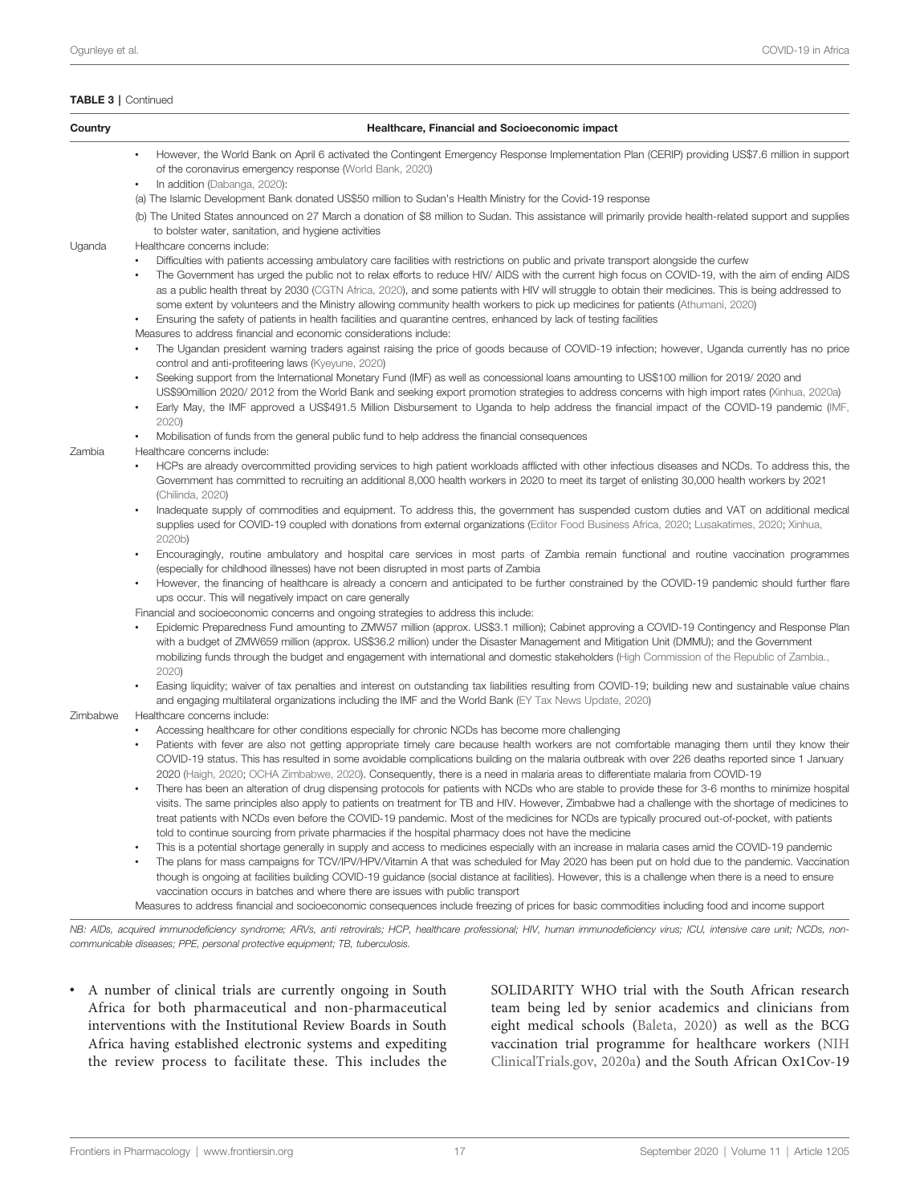| Country  | Healthcare, Financial and Socioeconomic impact                                                                                                                                                                                                                                                                                                                                                                                                                                                                                                                                          |
|----------|-----------------------------------------------------------------------------------------------------------------------------------------------------------------------------------------------------------------------------------------------------------------------------------------------------------------------------------------------------------------------------------------------------------------------------------------------------------------------------------------------------------------------------------------------------------------------------------------|
|          | However, the World Bank on April 6 activated the Contingent Emergency Response Implementation Plan (CERIP) providing US\$7.6 million in support<br>of the coronavirus emergency response (World Bank, 2020)<br>In addition (Dabanga, 2020):                                                                                                                                                                                                                                                                                                                                             |
|          | (a) The Islamic Development Bank donated US\$50 million to Sudan's Health Ministry for the Covid-19 response                                                                                                                                                                                                                                                                                                                                                                                                                                                                            |
|          | (b) The United States announced on 27 March a donation of \$8 million to Sudan. This assistance will primarily provide health-related support and supplies<br>to bolster water, sanitation, and hygiene activities                                                                                                                                                                                                                                                                                                                                                                      |
| Uganda   | Healthcare concerns include:                                                                                                                                                                                                                                                                                                                                                                                                                                                                                                                                                            |
|          | Difficulties with patients accessing ambulatory care facilities with restrictions on public and private transport alongside the curfew<br>The Government has urged the public not to relax efforts to reduce HIV/ AIDS with the current high focus on COVID-19, with the aim of ending AIDS<br>as a public health threat by 2030 (CGTN Africa, 2020), and some patients with HIV will struggle to obtain their medicines. This is being addressed to<br>some extent by volunteers and the Ministry allowing community health workers to pick up medicines for patients (Athumani, 2020) |
|          | Ensuring the safety of patients in health facilities and quarantine centres, enhanced by lack of testing facilities<br>$\bullet$                                                                                                                                                                                                                                                                                                                                                                                                                                                        |
|          | Measures to address financial and economic considerations include:<br>The Ugandan president warning traders against raising the price of goods because of COVID-19 infection; however, Uganda currently has no price<br>control and anti-profiteering laws (Kyeyune, 2020)                                                                                                                                                                                                                                                                                                              |
|          | Seeking support from the International Monetary Fund (IMF) as well as concessional loans amounting to US\$100 million for 2019/2020 and<br>$\bullet$<br>US\$90million 2020/2012 from the World Bank and seeking export promotion strategies to address concerns with high import rates (Xinhua, 2020a)<br>Early May, the IMF approved a US\$491.5 Million Disbursement to Uganda to help address the financial impact of the COVID-19 pandemic (IMF,                                                                                                                                    |
|          | 2020<br>٠                                                                                                                                                                                                                                                                                                                                                                                                                                                                                                                                                                               |
|          | Mobilisation of funds from the general public fund to help address the financial consequences<br>Healthcare concerns include:                                                                                                                                                                                                                                                                                                                                                                                                                                                           |
| Zambia   | HCPs are already overcommitted providing services to high patient workloads afflicted with other infectious diseases and NCDs. To address this, the<br>Government has committed to recruiting an additional 8,000 health workers in 2020 to meet its target of enlisting 30,000 health workers by 2021<br>(Chilinda, 2020)                                                                                                                                                                                                                                                              |
|          | Inadequate supply of commodities and equipment. To address this, the government has suspended custom duties and VAT on additional medical<br>$\bullet$<br>supplies used for COVID-19 coupled with donations from external organizations (Editor Food Business Africa, 2020; Lusakatimes, 2020; Xinhua,<br>2020b)                                                                                                                                                                                                                                                                        |
|          | Encouragingly, routine ambulatory and hospital care services in most parts of Zambia remain functional and routine vaccination programmes<br>$\bullet$<br>(especially for childhood illnesses) have not been disrupted in most parts of Zambia                                                                                                                                                                                                                                                                                                                                          |
|          | However, the financing of healthcare is already a concern and anticipated to be further constrained by the COVID-19 pandemic should further flare<br>ups occur. This will negatively impact on care generally                                                                                                                                                                                                                                                                                                                                                                           |
|          | Financial and socioeconomic concerns and ongoing strategies to address this include:                                                                                                                                                                                                                                                                                                                                                                                                                                                                                                    |
|          | Epidemic Preparedness Fund amounting to ZMW57 million (approx. US\$3.1 million); Cabinet approving a COVID-19 Contingency and Response Plan<br>with a budget of ZMW659 million (approx. US\$36.2 million) under the Disaster Management and Mitigation Unit (DMMU); and the Government                                                                                                                                                                                                                                                                                                  |
|          | mobilizing funds through the budget and engagement with international and domestic stakeholders (High Commission of the Republic of Zambia.,<br>2020                                                                                                                                                                                                                                                                                                                                                                                                                                    |
|          | Easing liquidity; waiver of tax penalties and interest on outstanding tax liabilities resulting from COVID-19; building new and sustainable value chains<br>and engaging multilateral organizations including the IMF and the World Bank (EY Tax News Update, 2020)                                                                                                                                                                                                                                                                                                                     |
| Zimbabwe | Healthcare concerns include:                                                                                                                                                                                                                                                                                                                                                                                                                                                                                                                                                            |
|          | Accessing healthcare for other conditions especially for chronic NCDs has become more challenging                                                                                                                                                                                                                                                                                                                                                                                                                                                                                       |
|          | Patients with fever are also not getting appropriate timely care because health workers are not comfortable managing them until they know their<br>COVID-19 status. This has resulted in some avoidable complications building on the malaria outbreak with over 226 deaths reported since 1 January<br>2020 (Haigh, 2020; OCHA Zimbabwe, 2020). Consequently, there is a need in malaria areas to differentiate malaria from COVID-19                                                                                                                                                  |
|          | There has been an alteration of drug dispensing protocols for patients with NCDs who are stable to provide these for 3-6 months to minimize hospital<br>visits. The same principles also apply to patients on treatment for TB and HIV. However, Zimbabwe had a challenge with the shortage of medicines to<br>treat patients with NCDs even before the COVID-19 pandemic. Most of the medicines for NCDs are typically procured out-of-pocket, with patients                                                                                                                           |
|          | told to continue sourcing from private pharmacies if the hospital pharmacy does not have the medicine                                                                                                                                                                                                                                                                                                                                                                                                                                                                                   |
|          | This is a potential shortage generally in supply and access to medicines especially with an increase in malaria cases amid the COVID-19 pandemic<br>The plans for mass campaigns for TCV/IPV/HPV/Vitamin A that was scheduled for May 2020 has been put on hold due to the pandemic. Vaccination<br>though is ongoing at facilities building COVID-19 guidance (social distance at facilities). However, this is a challenge when there is a need to ensure                                                                                                                             |

Measures to address financial and socioeconomic consequences include freezing of prices for basic commodities including food and income support

NB: AIDs, acquired immunodeficiency syndrome; ARVs, anti retrovirals; HCP, healthcare professional; HIV, human immunodeficiency virus; ICU, intensive care unit; NCDs, noncommunicable diseases; PPE, personal protective equipment; TB, tuberculosis.

• A number of clinical trials are currently ongoing in South Africa for both pharmaceutical and non-pharmaceutical interventions with the Institutional Review Boards in South Africa having established electronic systems and expediting the review process to facilitate these. This includes the

vaccination occurs in batches and where there are issues with public transport

SOLIDARITY WHO trial with the South African research team being led by senior academics and clinicians from eight medical schools ([Baleta, 2020](#page-23-0)) as well as the BCG vaccination trial programme for healthcare workers ([NIH](#page-29-0) [ClinicalTrials.gov, 2020a\)](#page-29-0) and the South African Ox1Cov-19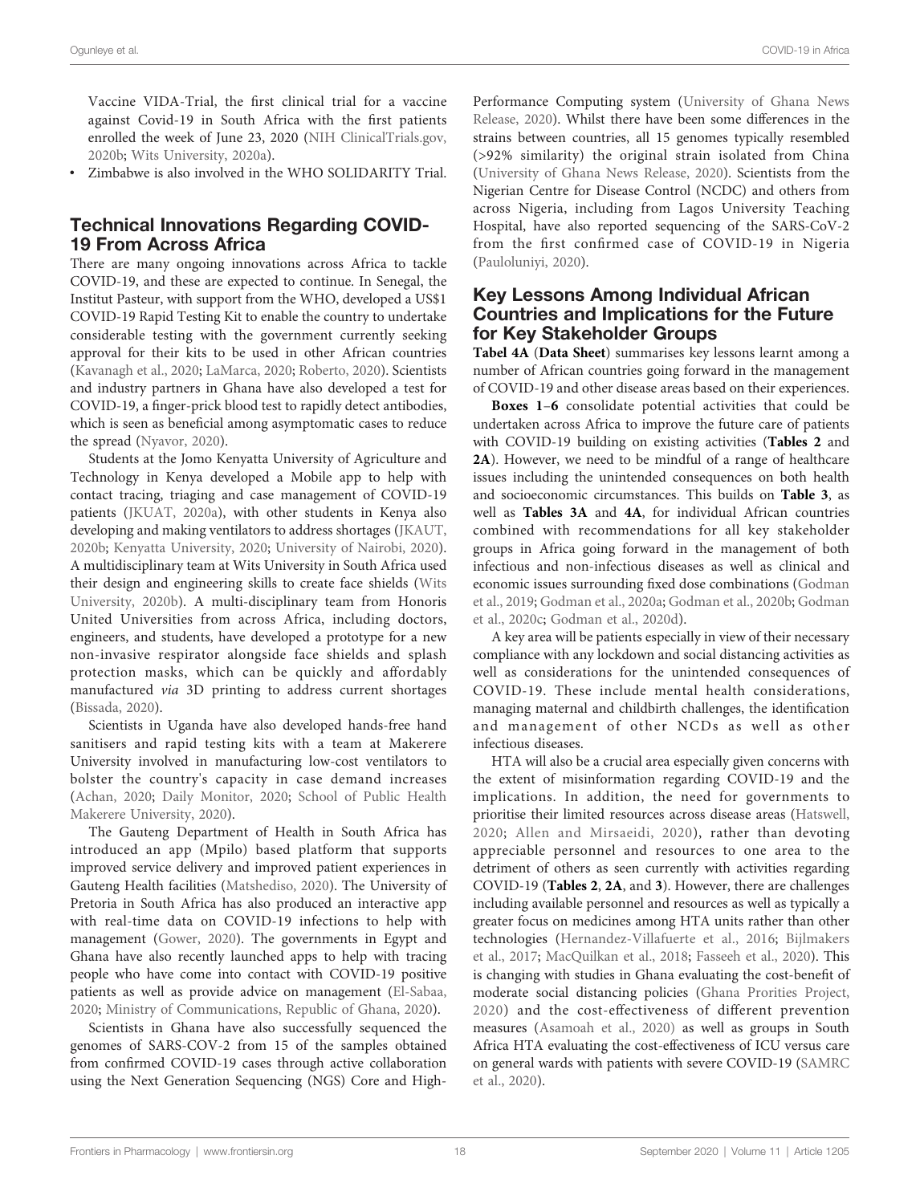Vaccine VIDA-Trial, the first clinical trial for a vaccine against Covid-19 in South Africa with the first patients enrolled the week of June 23, 2020 ([NIH ClinicalTrials.gov,](#page-29-0) [2020b;](#page-29-0) [Wits University, 2020a\)](#page-34-0).

• Zimbabwe is also involved in the WHO SOLIDARITY Trial.

### Technical Innovations Regarding COVID-19 From Across Africa

There are many ongoing innovations across Africa to tackle COVID-19, and these are expected to continue. In Senegal, the Institut Pasteur, with support from the WHO, developed a US\$1 COVID-19 Rapid Testing Kit to enable the country to undertake considerable testing with the government currently seeking approval for their kits to be used in other African countries ([Kavanagh et al., 2020;](#page-27-0) [LaMarca, 2020](#page-28-0); [Roberto, 2020](#page-31-0)). Scientists and industry partners in Ghana have also developed a test for COVID-19, a finger-prick blood test to rapidly detect antibodies, which is seen as beneficial among asymptomatic cases to reduce the spread [\(Nyavor, 2020](#page-30-0)).

Students at the Jomo Kenyatta University of Agriculture and Technology in Kenya developed a Mobile app to help with contact tracing, triaging and case management of COVID-19 patients [\(JKUAT, 2020a\)](#page-27-0), with other students in Kenya also developing and making ventilators to address shortages [\(JKAUT,](#page-27-0) [2020b](#page-27-0); [Kenyatta University, 2020](#page-27-0); [University of Nairobi, 2020\)](#page-33-0). A multidisciplinary team at Wits University in South Africa used their design and engineering skills to create face shields [\(Wits](#page-34-0) [University, 2020b](#page-34-0)). A multi-disciplinary team from Honoris United Universities from across Africa, including doctors, engineers, and students, have developed a prototype for a new non-invasive respirator alongside face shields and splash protection masks, which can be quickly and affordably manufactured via 3D printing to address current shortages ([Bissada, 2020\)](#page-23-0).

Scientists in Uganda have also developed hands-free hand sanitisers and rapid testing kits with a team at Makerere University involved in manufacturing low-cost ventilators to bolster the country's capacity in case demand increases ([Achan, 2020](#page-22-0); [Daily Monitor, 2020;](#page-25-0) [School of Public Health](#page-31-0) [Makerere University, 2020\)](#page-31-0).

The Gauteng Department of Health in South Africa has introduced an app (Mpilo) based platform that supports improved service delivery and improved patient experiences in Gauteng Health facilities [\(Matshediso, 2020](#page-29-0)). The University of Pretoria in South Africa has also produced an interactive app with real-time data on COVID-19 infections to help with management [\(Gower, 2020\)](#page-26-0). The governments in Egypt and Ghana have also recently launched apps to help with tracing people who have come into contact with COVID-19 positive patients as well as provide advice on management [\(El-Sabaa,](#page-25-0) [2020;](#page-25-0) [Ministry of Communications, Republic of Ghana, 2020\)](#page-29-0).

Scientists in Ghana have also successfully sequenced the genomes of SARS-COV-2 from 15 of the samples obtained from confirmed COVID-19 cases through active collaboration using the Next Generation Sequencing (NGS) Core and High-

Performance Computing system [\(University of Ghana News](#page-33-0) [Release, 2020\)](#page-33-0). Whilst there have been some differences in the strains between countries, all 15 genomes typically resembled (>92% similarity) the original strain isolated from China [\(University of Ghana News Release, 2020](#page-33-0)). Scientists from the Nigerian Centre for Disease Control (NCDC) and others from across Nigeria, including from Lagos University Teaching Hospital, have also reported sequencing of the SARS-CoV-2 from the first confirmed case of COVID-19 in Nigeria [\(Pauloluniyi, 2020\)](#page-30-0).

### Key Lessons Among Individual African Countries and Implications for the Future for Key Stakeholder Groups

[Tabel 4A](#page-22-0) ([Data Sheet](#page-22-0)) summarises key lessons learnt among a number of African countries going forward in the management of COVID-19 and other disease areas based on their experiences.

[Boxes 1](#page-18-0)–[6](#page-20-0) consolidate potential activities that could be undertaken across Africa to improve the future care of patients with COVID-19 building on existing activities ([Tables 2](#page-10-0) and [2A](#page-10-0)). However, we need to be mindful of a range of healthcare issues including the unintended consequences on both health and socioeconomic circumstances. This builds on [Table 3](#page-12-0), as well as [Tables 3A](#page-12-0) and 4A, for individual African countries combined with recommendations for all key stakeholder groups in Africa going forward in the management of both infectious and non-infectious diseases as well as clinical and economic issues surrounding fixed dose combinations [\(Godman](#page-26-0) [et al., 2019;](#page-26-0) [Godman et al., 2020a;](#page-26-0) [Godman et al., 2020b](#page-26-0); [Godman](#page-26-0) [et al., 2020c](#page-26-0); [Godman et al., 2020d](#page-26-0)).

A key area will be patients especially in view of their necessary compliance with any lockdown and social distancing activities as well as considerations for the unintended consequences of COVID-19. These include mental health considerations, managing maternal and childbirth challenges, the identification and management of other NCDs as well as other infectious diseases.

HTA will also be a crucial area especially given concerns with the extent of misinformation regarding COVID-19 and the implications. In addition, the need for governments to prioritise their limited resources across disease areas ([Hatswell,](#page-26-0) [2020;](#page-26-0) [Allen and Mirsaeidi, 2020](#page-23-0)), rather than devoting appreciable personnel and resources to one area to the detriment of others as seen currently with activities regarding COVID-19 ([Tables 2](#page-10-0), [2A](#page-10-0), and [3](#page-12-0)). However, there are challenges including available personnel and resources as well as typically a greater focus on medicines among HTA units rather than other technologies ([Hernandez-Villafuerte et al., 2016;](#page-26-0) [Bijlmakers](#page-23-0) [et al., 2017](#page-23-0); [MacQuilkan et al., 2018](#page-28-0); [Fasseeh et al., 2020\)](#page-25-0). This is changing with studies in Ghana evaluating the cost-benefit of moderate social distancing policies ([Ghana Prorities Project,](#page-26-0) [2020\)](#page-26-0) and the cost-effectiveness of different prevention measures ([Asamoah et al., 2020\)](#page-23-0) as well as groups in South Africa HTA evaluating the cost-effectiveness of ICU versus care on general wards with patients with severe COVID-19 [\(SAMRC](#page-31-0) [et al., 2020\)](#page-31-0).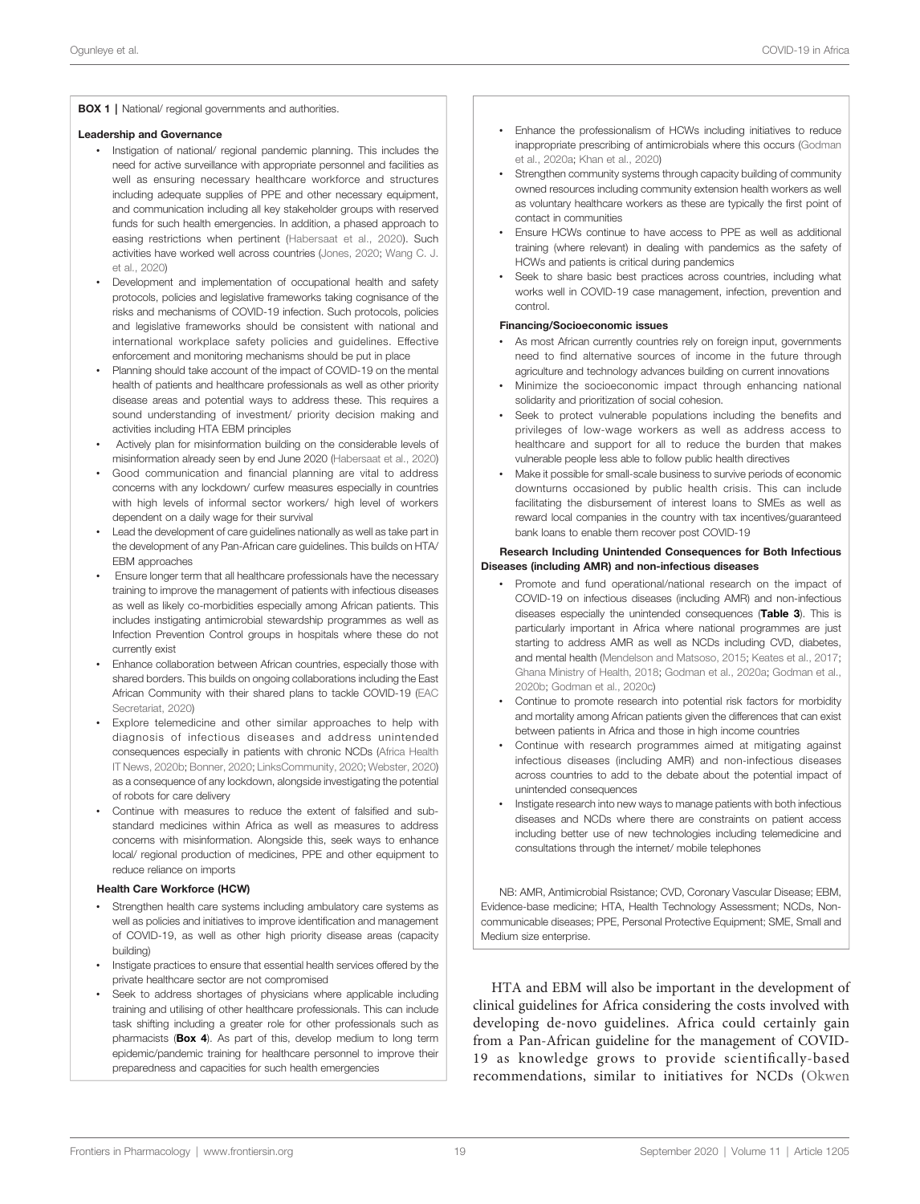### <span id="page-18-0"></span>**BOX 1** | National/ regional governments and authorities.

#### Leadership and Governance

- Instigation of national/ regional pandemic planning. This includes the need for active surveillance with appropriate personnel and facilities as well as ensuring necessary healthcare workforce and structures including adequate supplies of PPE and other necessary equipment, and communication including all key stakeholder groups with reserved funds for such health emergencies. In addition, a phased approach to easing restrictions when pertinent ([Habersaat et al., 2020\)](#page-26-0). Such activities have worked well across countries ([Jones, 2020;](#page-27-0) [Wang C. J.](#page-33-0) [et al., 2020\)](#page-33-0)
- Development and implementation of occupational health and safety protocols, policies and legislative frameworks taking cognisance of the risks and mechanisms of COVID-19 infection. Such protocols, policies and legislative frameworks should be consistent with national and international workplace safety policies and guidelines. Effective enforcement and monitoring mechanisms should be put in place
- Planning should take account of the impact of COVID-19 on the mental health of patients and healthcare professionals as well as other priority disease areas and potential ways to address these. This requires a sound understanding of investment/ priority decision making and activities including HTA EBM principles
- Actively plan for misinformation building on the considerable levels of misinformation already seen by end June 2020 ([Habersaat et al., 2020](#page-26-0))
- Good communication and financial planning are vital to address concerns with any lockdown/ curfew measures especially in countries with high levels of informal sector workers/ high level of workers dependent on a daily wage for their survival
- Lead the development of care guidelines nationally as well as take part in the development of any Pan-African care guidelines. This builds on HTA/ EBM approaches
- Ensure longer term that all healthcare professionals have the necessary training to improve the management of patients with infectious diseases as well as likely co-morbidities especially among African patients. This includes instigating antimicrobial stewardship programmes as well as Infection Prevention Control groups in hospitals where these do not currently exist
- Enhance collaboration between African countries, especially those with shared borders. This builds on ongoing collaborations including the East African Community with their shared plans to tackle COVID-19 ([EAC](#page-25-0) [Secretariat, 2020](#page-25-0))
- Explore telemedicine and other similar approaches to help with diagnosis of infectious diseases and address unintended consequences especially in patients with chronic NCDs ([Africa Health](#page-22-0) [IT News, 2020b](#page-22-0); [Bonner, 2020](#page-24-0); [LinksCommunity, 2020](#page-28-0); [Webster, 2020](#page-33-0)) as a consequence of any lockdown, alongside investigating the potential of robots for care delivery
- Continue with measures to reduce the extent of falsified and substandard medicines within Africa as well as measures to address concerns with misinformation. Alongside this, seek ways to enhance local/ regional production of medicines, PPE and other equipment to reduce reliance on imports

#### Health Care Workforce (HCW)

- Strengthen health care systems including ambulatory care systems as well as policies and initiatives to improve identification and management of COVID-19, as well as other high priority disease areas (capacity building)
- Instigate practices to ensure that essential health services offered by the private healthcare sector are not compromised
- Seek to address shortages of physicians where applicable including training and utilising of other healthcare professionals. This can include task shifting including a greater role for other professionals such as pharmacists ([Box 4](#page-19-0)). As part of this, develop medium to long term epidemic/pandemic training for healthcare personnel to improve their preparedness and capacities for such health emergencies
- Enhance the professionalism of HCWs including initiatives to reduce inappropriate prescribing of antimicrobials where this occurs ([Godman](#page-26-0) [et al., 2020a](#page-26-0); [Khan et al., 2020\)](#page-27-0)
- Strengthen community systems through capacity building of community owned resources including community extension health workers as well as voluntary healthcare workers as these are typically the first point of contact in communities
- Ensure HCWs continue to have access to PPE as well as additional training (where relevant) in dealing with pandemics as the safety of HCWs and patients is critical during pandemics
- Seek to share basic best practices across countries, including what works well in COVID-19 case management, infection, prevention and control.

#### Financing/Socioeconomic issues

- As most African currently countries rely on foreign input, governments need to find alternative sources of income in the future through agriculture and technology advances building on current innovations
- Minimize the socioeconomic impact through enhancing national solidarity and prioritization of social cohesion.
- Seek to protect vulnerable populations including the benefits and privileges of low-wage workers as well as address access to healthcare and support for all to reduce the burden that makes vulnerable people less able to follow public health directives
- Make it possible for small-scale business to survive periods of economic downturns occasioned by public health crisis. This can include facilitating the disbursement of interest loans to SMEs as well as reward local companies in the country with tax incentives/guaranteed bank loans to enable them recover post COVID-19

#### Research Including Unintended Consequences for Both Infectious Diseases (including AMR) and non-infectious diseases

- Promote and fund operational/national research on the impact of COVID-19 on infectious diseases (including AMR) and non-infectious diseases especially the unintended consequences ([Table 3](#page-12-0)). This is particularly important in Africa where national programmes are just starting to address AMR as well as NCDs including CVD, diabetes, and mental health [\(Mendelson and Matsoso, 2015;](#page-29-0) [Keates et al., 2017;](#page-27-0) [Ghana Ministry of Health, 2018;](#page-26-0) [Godman et al., 2020a](#page-26-0); [Godman et al.,](#page-26-0) [2020b](#page-26-0); [Godman et al., 2020c\)](#page-26-0)
- Continue to promote research into potential risk factors for morbidity and mortality among African patients given the differences that can exist between patients in Africa and those in high income countries
- Continue with research programmes aimed at mitigating against infectious diseases (including AMR) and non-infectious diseases across countries to add to the debate about the potential impact of unintended consequences
- Instigate research into new ways to manage patients with both infectious diseases and NCDs where there are constraints on patient access including better use of new technologies including telemedicine and consultations through the internet/ mobile telephones

NB: AMR, Antimicrobial Rsistance; CVD, Coronary Vascular Disease; EBM, Evidence-base medicine; HTA, Health Technology Assessment; NCDs, Noncommunicable diseases; PPE, Personal Protective Equipment; SME, Small and Medium size enterprise.

HTA and EBM will also be important in the development of clinical guidelines for Africa considering the costs involved with developing de-novo guidelines. Africa could certainly gain from a Pan-African guideline for the management of COVID-19 as knowledge grows to provide scientifically-based recommendations, similar to initiatives for NCDs ([Okwen](#page-30-0)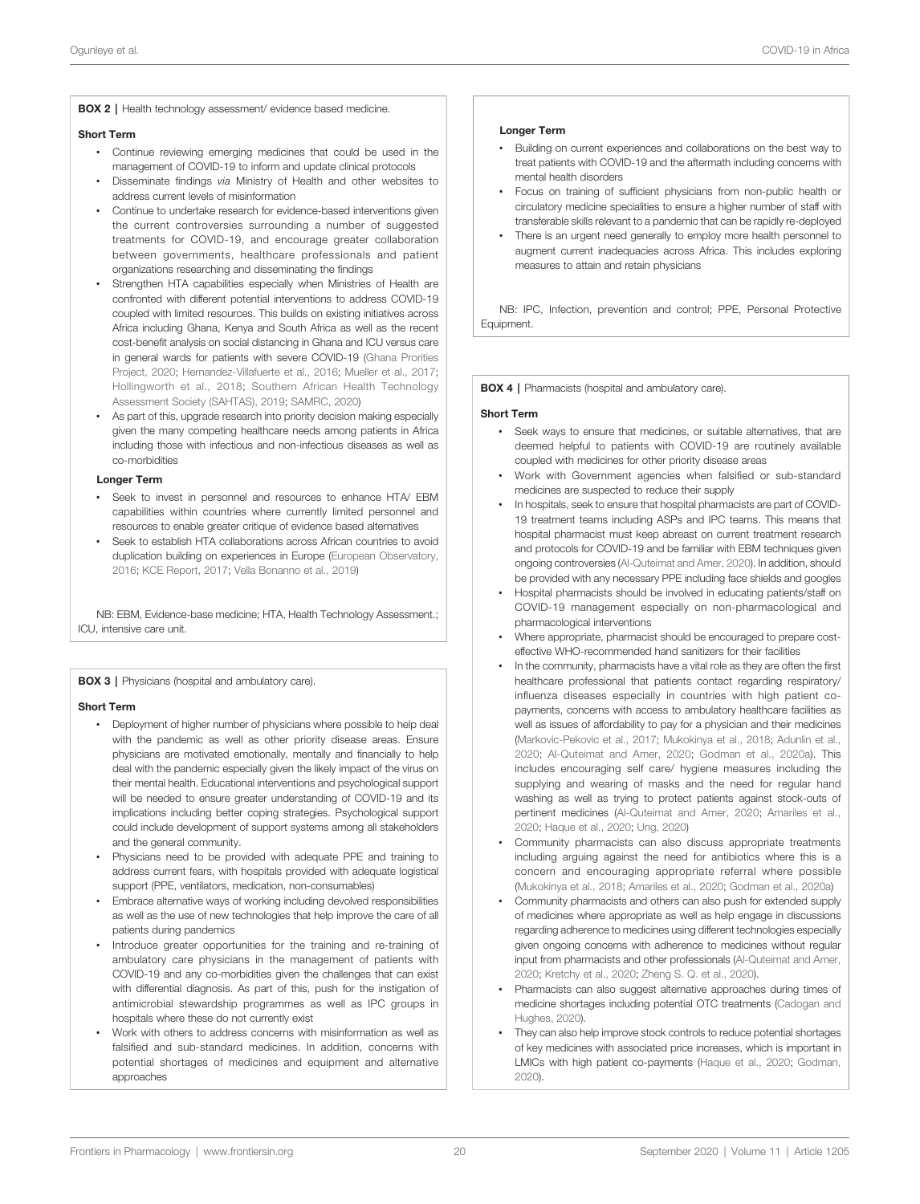<span id="page-19-0"></span>BOX 2 | Health technology assessment/ evidence based medicine.

#### Short Term

- Continue reviewing emerging medicines that could be used in the management of COVID-19 to inform and update clinical protocols
- Disseminate findings via Ministry of Health and other websites to address current levels of misinformation
- Continue to undertake research for evidence-based interventions given the current controversies surrounding a number of suggested treatments for COVID-19, and encourage greater collaboration between governments, healthcare professionals and patient organizations researching and disseminating the findings
- Strengthen HTA capabilities especially when Ministries of Health are confronted with different potential interventions to address COVID-19 coupled with limited resources. This builds on existing initiatives across Africa including Ghana, Kenya and South Africa as well as the recent cost-benefit analysis on social distancing in Ghana and ICU versus care in general wards for patients with severe COVID-19 [\(Ghana Prorities](#page-26-0) [Project, 2020;](#page-26-0) [Hernandez-Villafuerte et al., 2016;](#page-26-0) [Mueller et al., 2017;](#page-29-0) [Hollingworth et al., 2018](#page-27-0); [Southern African Health Technology](#page-32-0) [Assessment Society \(SAHTAS\), 2019](#page-32-0); [SAMRC, 2020\)](#page-31-0)
- As part of this, upgrade research into priority decision making especially given the many competing healthcare needs among patients in Africa including those with infectious and non-infectious diseases as well as co-morbidities

#### Longer Term

- Seek to invest in personnel and resources to enhance HTA/ EBM capabilities within countries where currently limited personnel and resources to enable greater critique of evidence based alternatives
- Seek to establish HTA collaborations across African countries to avoid duplication building on experiences in Europe [\(European Observatory,](#page-25-0) [2016](#page-25-0); [KCE Report, 2017;](#page-27-0) [Vella Bonanno et al., 2019\)](#page-33-0)

NB: EBM, Evidence-base medicine; HTA, Health Technology Assessment.; ICU, intensive care unit.

**BOX 3** | Physicians (hospital and ambulatory care).

#### Short Term

- Deployment of higher number of physicians where possible to help deal with the pandemic as well as other priority disease areas. Ensure physicians are motivated emotionally, mentally and financially to help deal with the pandemic especially given the likely impact of the virus on their mental health. Educational interventions and psychological support will be needed to ensure greater understanding of COVID-19 and its implications including better coping strategies. Psychological support could include development of support systems among all stakeholders and the general community.
- Physicians need to be provided with adequate PPE and training to address current fears, with hospitals provided with adequate logistical support (PPE, ventilators, medication, non-consumables)
- Embrace alternative ways of working including devolved responsibilities as well as the use of new technologies that help improve the care of all patients during pandemics
- Introduce greater opportunities for the training and re-training of ambulatory care physicians in the management of patients with COVID-19 and any co-morbidities given the challenges that can exist with differential diagnosis. As part of this, push for the instigation of antimicrobial stewardship programmes as well as IPC groups in hospitals where these do not currently exist
- Work with others to address concerns with misinformation as well as falsified and sub-standard medicines. In addition, concerns with potential shortages of medicines and equipment and alternative approaches

#### Longer Term

- Building on current experiences and collaborations on the best way to treat patients with COVID-19 and the aftermath including concerns with mental health disorders
- Focus on training of sufficient physicians from non-public health or circulatory medicine specialities to ensure a higher number of staff with transferable skills relevant to a pandemic that can be rapidly re-deployed
- There is an urgent need generally to employ more health personnel to augment current inadequacies across Africa. This includes exploring measures to attain and retain physicians

NB: IPC, Infection, prevention and control; PPE, Personal Protective Equipment.

**BOX 4** | Pharmacists (hospital and ambulatory care).

#### Short Term

- Seek ways to ensure that medicines, or suitable alternatives, that are deemed helpful to patients with COVID-19 are routinely available coupled with medicines for other priority disease areas
- Work with Government agencies when falsified or sub-standard medicines are suspected to reduce their supply
- In hospitals, seek to ensure that hospital pharmacists are part of COVID-19 treatment teams including ASPs and IPC teams. This means that hospital pharmacist must keep abreast on current treatment research and protocols for COVID-19 and be familiar with EBM techniques given ongoing controversies ([Al-Quteimat and Amer, 2020\)](#page-23-0). In addition, should be provided with any necessary PPE including face shields and googles
- Hospital pharmacists should be involved in educating patients/staff on COVID-19 management especially on non-pharmacological and pharmacological interventions
- Where appropriate, pharmacist should be encouraged to prepare costeffective WHO-recommended hand sanitizers for their facilities
- In the community, pharmacists have a vital role as they are often the first healthcare professional that patients contact regarding respiratory/ influenza diseases especially in countries with high patient copayments, concerns with access to ambulatory healthcare facilities as well as issues of affordability to pay for a physician and their medicines ([Markovic-Pekovic et al., 2017;](#page-28-0) [Mukokinya et al., 2018;](#page-29-0) [Adunlin et al.,](#page-22-0) [2020](#page-22-0); [Al-Quteimat and Amer, 2020](#page-23-0); [Godman et al., 2020a\)](#page-26-0). This includes encouraging self care/ hygiene measures including the supplying and wearing of masks and the need for regular hand washing as well as trying to protect patients against stock-outs of pertinent medicines [\(Al-Quteimat and Amer, 2020](#page-23-0); [Amariles et al.,](#page-23-0) [2020;](#page-23-0) [Haque et al., 2020](#page-26-0); [Ung, 2020](#page-33-0))
- Community pharmacists can also discuss appropriate treatments including arguing against the need for antibiotics where this is a concern and encouraging appropriate referral where possible ([Mukokinya et al., 2018](#page-29-0); [Amariles et al., 2020](#page-23-0); [Godman et al., 2020a\)](#page-26-0)
- Community pharmacists and others can also push for extended supply of medicines where appropriate as well as help engage in discussions regarding adherence to medicines using different technologies especially given ongoing concerns with adherence to medicines without regular input from pharmacists and other professionals [\(Al-Quteimat and Amer,](#page-23-0) [2020;](#page-23-0) [Kretchy et al., 2020;](#page-28-0) [Zheng S. Q. et al., 2020\)](#page-34-0).
- Pharmacists can also suggest alternative approaches during times of medicine shortages including potential OTC treatments [\(Cadogan and](#page-24-0) [Hughes, 2020\)](#page-24-0).
- They can also help improve stock controls to reduce potential shortages of key medicines with associated price increases, which is important in LMICs with high patient co-payments [\(Haque et al., 2020;](#page-26-0) [Godman,](#page-26-0) [2020\)](#page-26-0).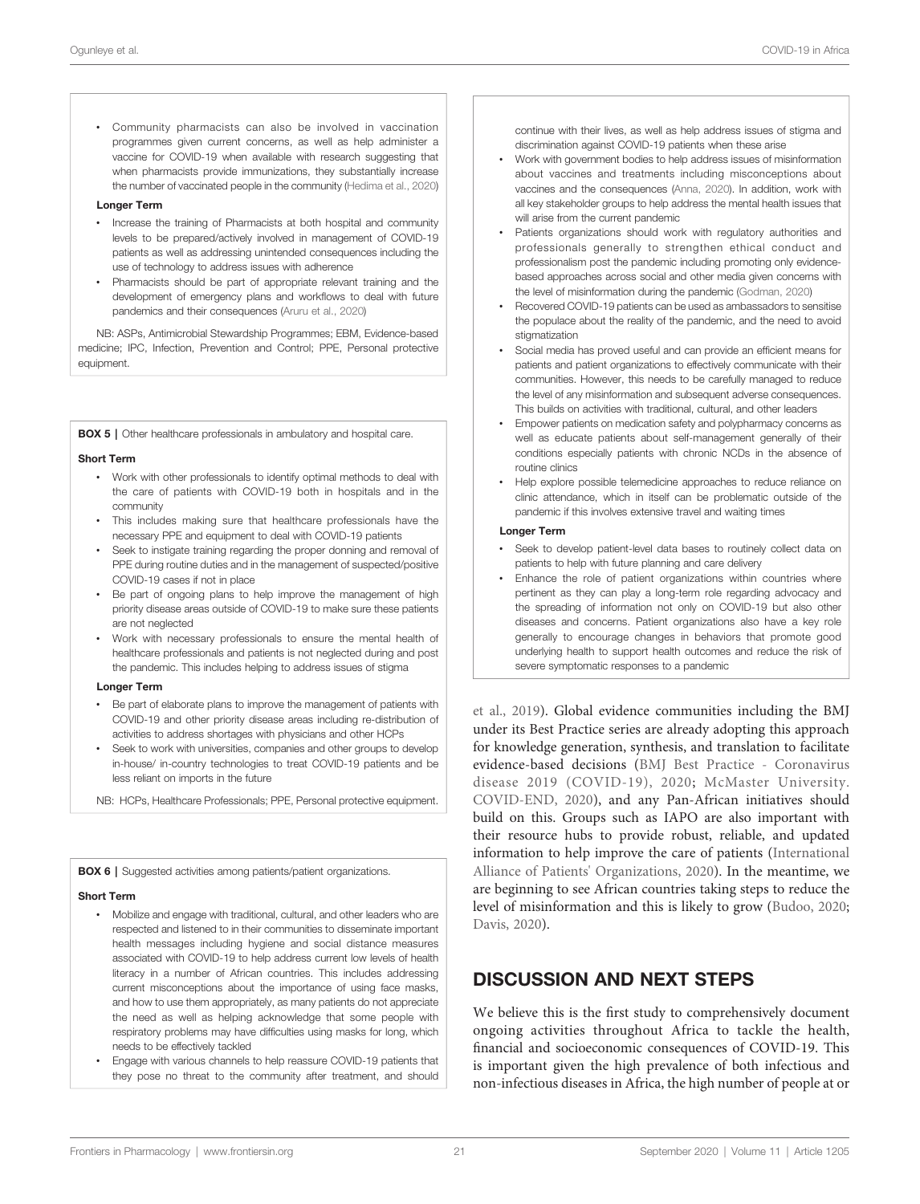<span id="page-20-0"></span>• Community pharmacists can also be involved in vaccination programmes given current concerns, as well as help administer a vaccine for COVID-19 when available with research suggesting that when pharmacists provide immunizations, they substantially increase the number of vaccinated people in the community ([Hedima et al., 2020](#page-26-0))

### Longer Term

- Increase the training of Pharmacists at both hospital and community levels to be prepared/actively involved in management of COVID-19 patients as well as addressing unintended consequences including the use of technology to address issues with adherence
- Pharmacists should be part of appropriate relevant training and the development of emergency plans and workflows to deal with future pandemics and their consequences [\(Aruru et al., 2020\)](#page-23-0)

NB: ASPs, Antimicrobial Stewardship Programmes; EBM, Evidence-based medicine; IPC, Infection, Prevention and Control; PPE, Personal protective equipment.

**BOX 5** | Other healthcare professionals in ambulatory and hospital care.

#### Short Term

- Work with other professionals to identify optimal methods to deal with the care of patients with COVID-19 both in hospitals and in the community
- This includes making sure that healthcare professionals have the necessary PPE and equipment to deal with COVID-19 patients
- Seek to instigate training regarding the proper donning and removal of PPE during routine duties and in the management of suspected/positive COVID-19 cases if not in place
- Be part of ongoing plans to help improve the management of high priority disease areas outside of COVID-19 to make sure these patients are not neglected
- Work with necessary professionals to ensure the mental health of healthcare professionals and patients is not neglected during and post the pandemic. This includes helping to address issues of stigma

#### Longer Term

- Be part of elaborate plans to improve the management of patients with COVID-19 and other priority disease areas including re-distribution of activities to address shortages with physicians and other HCPs
- Seek to work with universities, companies and other groups to develop in-house/ in-country technologies to treat COVID-19 patients and be less reliant on imports in the future

NB: HCPs, Healthcare Professionals; PPE, Personal protective equipment.

BOX 6 | Suggested activities among patients/patient organizations.

#### Short Term

- Mobilize and engage with traditional, cultural, and other leaders who are respected and listened to in their communities to disseminate important health messages including hygiene and social distance measures associated with COVID-19 to help address current low levels of health literacy in a number of African countries. This includes addressing current misconceptions about the importance of using face masks, and how to use them appropriately, as many patients do not appreciate the need as well as helping acknowledge that some people with respiratory problems may have difficulties using masks for long, which needs to be effectively tackled
- Engage with various channels to help reassure COVID-19 patients that they pose no threat to the community after treatment, and should

continue with their lives, as well as help address issues of stigma and discrimination against COVID-19 patients when these arise

- Work with government bodies to help address issues of misinformation about vaccines and treatments including misconceptions about vaccines and the consequences ([Anna, 2020](#page-23-0)). In addition, work with all key stakeholder groups to help address the mental health issues that will arise from the current pandemic
- Patients organizations should work with regulatory authorities and professionals generally to strengthen ethical conduct and professionalism post the pandemic including promoting only evidencebased approaches across social and other media given concerns with the level of misinformation during the pandemic ([Godman, 2020](#page-26-0))
- Recovered COVID-19 patients can be used as ambassadors to sensitise the populace about the reality of the pandemic, and the need to avoid stigmatization
- Social media has proved useful and can provide an efficient means for patients and patient organizations to effectively communicate with their communities. However, this needs to be carefully managed to reduce the level of any misinformation and subsequent adverse consequences. This builds on activities with traditional, cultural, and other leaders
- Empower patients on medication safety and polypharmacy concerns as well as educate patients about self-management generally of their conditions especially patients with chronic NCDs in the absence of routine clinics
- Help explore possible telemedicine approaches to reduce reliance on clinic attendance, which in itself can be problematic outside of the pandemic if this involves extensive travel and waiting times

#### Longer Term

- Seek to develop patient-level data bases to routinely collect data on patients to help with future planning and care delivery
- Enhance the role of patient organizations within countries where pertinent as they can play a long-term role regarding advocacy and the spreading of information not only on COVID-19 but also other diseases and concerns. Patient organizations also have a key role generally to encourage changes in behaviors that promote good underlying health to support health outcomes and reduce the risk of severe symptomatic responses to a pandemic

[et al., 2019\)](#page-30-0). Global evidence communities including the BMJ under its Best Practice series are already adopting this approach for knowledge generation, synthesis, and translation to facilitate evidence-based decisions ([BMJ Best Practice - Coronavirus](#page-23-0) [disease 2019 \(COVID-19\), 2020](#page-23-0); [McMaster University.](#page-29-0) [COVID-END, 2020\)](#page-29-0), and any Pan-African initiatives should build on this. Groups such as IAPO are also important with their resource hubs to provide robust, reliable, and updated information to help improve the care of patients [\(International](#page-27-0) [Alliance of Patients' Organizations, 2020](#page-27-0)). In the meantime, we are beginning to see African countries taking steps to reduce the level of misinformation and this is likely to grow ([Budoo, 2020;](#page-24-0) [Davis, 2020\)](#page-25-0).

### DISCUSSION AND NEXT STEPS

We believe this is the first study to comprehensively document ongoing activities throughout Africa to tackle the health, financial and socioeconomic consequences of COVID-19. This is important given the high prevalence of both infectious and non-infectious diseases in Africa, the high number of people at or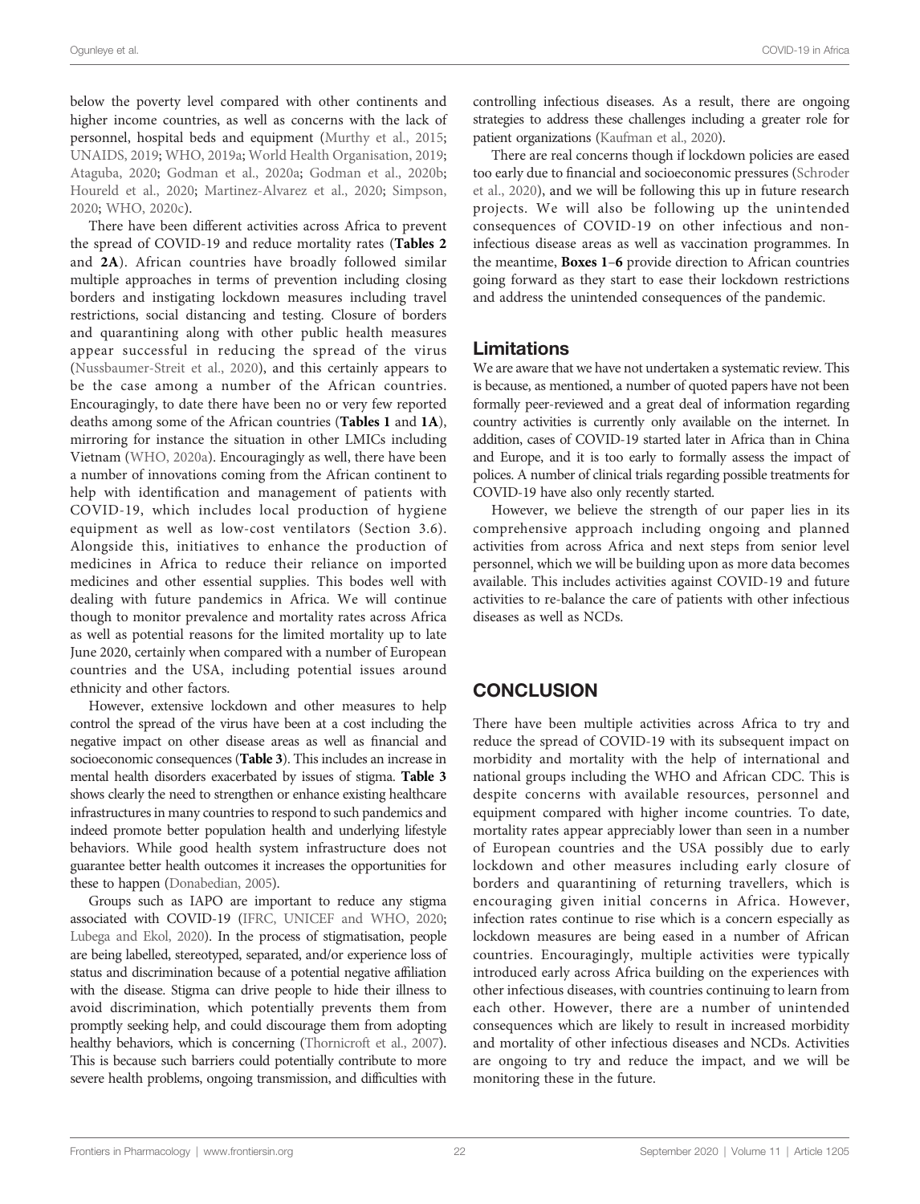below the poverty level compared with other continents and higher income countries, as well as concerns with the lack of personnel, hospital beds and equipment [\(Murthy et al., 2015](#page-29-0); [UNAIDS, 2019;](#page-32-0) [WHO, 2019a;](#page-33-0) [World Health Organisation, 2019](#page-34-0); [Ataguba, 2020;](#page-23-0) [Godman et al., 2020a](#page-26-0); [Godman et al., 2020b](#page-26-0); [Houreld et al., 2020;](#page-27-0) [Martinez-Alvarez et al., 2020;](#page-28-0) [Simpson,](#page-32-0) [2020;](#page-32-0) [WHO, 2020c](#page-33-0)).

There have been different activities across Africa to prevent the spread of COVID-19 and reduce mortality rates ([Tables 2](#page-10-0) and [2A](#page-10-0)). African countries have broadly followed similar multiple approaches in terms of prevention including closing borders and instigating lockdown measures including travel restrictions, social distancing and testing. Closure of borders and quarantining along with other public health measures appear successful in reducing the spread of the virus ([Nussbaumer-Streit et al., 2020](#page-30-0)), and this certainly appears to be the case among a number of the African countries. Encouragingly, to date there have been no or very few reported deaths among some of the African countries ([Tables 1](#page-9-0) and [1A](#page-9-0)), mirroring for instance the situation in other LMICs including Vietnam [\(WHO, 2020a](#page-33-0)). Encouragingly as well, there have been a number of innovations coming from the African continent to help with identification and management of patients with COVID-19, which includes local production of hygiene equipment as well as low-cost ventilators (Section 3.6). Alongside this, initiatives to enhance the production of medicines in Africa to reduce their reliance on imported medicines and other essential supplies. This bodes well with dealing with future pandemics in Africa. We will continue though to monitor prevalence and mortality rates across Africa as well as potential reasons for the limited mortality up to late June 2020, certainly when compared with a number of European countries and the USA, including potential issues around ethnicity and other factors.

However, extensive lockdown and other measures to help control the spread of the virus have been at a cost including the negative impact on other disease areas as well as financial and socioeconomic consequences ([Table 3](#page-12-0)). This includes an increase in mental health disorders exacerbated by issues of stigma. [Table 3](#page-12-0) shows clearly the need to strengthen or enhance existing healthcare infrastructures in many countries to respond to such pandemics and indeed promote better population health and underlying lifestyle behaviors. While good health system infrastructure does not guarantee better health outcomes it increases the opportunities for these to happen [\(Donabedian, 2005](#page-25-0)).

Groups such as IAPO are important to reduce any stigma associated with COVID-19 [\(IFRC, UNICEF and WHO, 2020](#page-27-0); [Lubega and Ekol, 2020](#page-28-0)). In the process of stigmatisation, people are being labelled, stereotyped, separated, and/or experience loss of status and discrimination because of a potential negative affiliation with the disease. Stigma can drive people to hide their illness to avoid discrimination, which potentially prevents them from promptly seeking help, and could discourage them from adopting healthy behaviors, which is concerning [\(Thornicroft et al., 2007\)](#page-32-0). This is because such barriers could potentially contribute to more severe health problems, ongoing transmission, and difficulties with

controlling infectious diseases. As a result, there are ongoing strategies to address these challenges including a greater role for patient organizations [\(Kaufman et al., 2020\)](#page-27-0).

There are real concerns though if lockdown policies are eased too early due to financial and socioeconomic pressures ([Schroder](#page-31-0) [et al., 2020\)](#page-31-0), and we will be following this up in future research projects. We will also be following up the unintended consequences of COVID-19 on other infectious and noninfectious disease areas as well as vaccination programmes. In the meantime, [Boxes 1](#page-18-0)–[6](#page-20-0) provide direction to African countries going forward as they start to ease their lockdown restrictions and address the unintended consequences of the pandemic.

### Limitations

We are aware that we have not undertaken a systematic review. This is because, as mentioned, a number of quoted papers have not been formally peer-reviewed and a great deal of information regarding country activities is currently only available on the internet. In addition, cases of COVID-19 started later in Africa than in China and Europe, and it is too early to formally assess the impact of polices. A number of clinical trials regarding possible treatments for COVID-19 have also only recently started.

However, we believe the strength of our paper lies in its comprehensive approach including ongoing and planned activities from across Africa and next steps from senior level personnel, which we will be building upon as more data becomes available. This includes activities against COVID-19 and future activities to re-balance the care of patients with other infectious diseases as well as NCDs.

# **CONCLUSION**

There have been multiple activities across Africa to try and reduce the spread of COVID-19 with its subsequent impact on morbidity and mortality with the help of international and national groups including the WHO and African CDC. This is despite concerns with available resources, personnel and equipment compared with higher income countries. To date, mortality rates appear appreciably lower than seen in a number of European countries and the USA possibly due to early lockdown and other measures including early closure of borders and quarantining of returning travellers, which is encouraging given initial concerns in Africa. However, infection rates continue to rise which is a concern especially as lockdown measures are being eased in a number of African countries. Encouragingly, multiple activities were typically introduced early across Africa building on the experiences with other infectious diseases, with countries continuing to learn from each other. However, there are a number of unintended consequences which are likely to result in increased morbidity and mortality of other infectious diseases and NCDs. Activities are ongoing to try and reduce the impact, and we will be monitoring these in the future.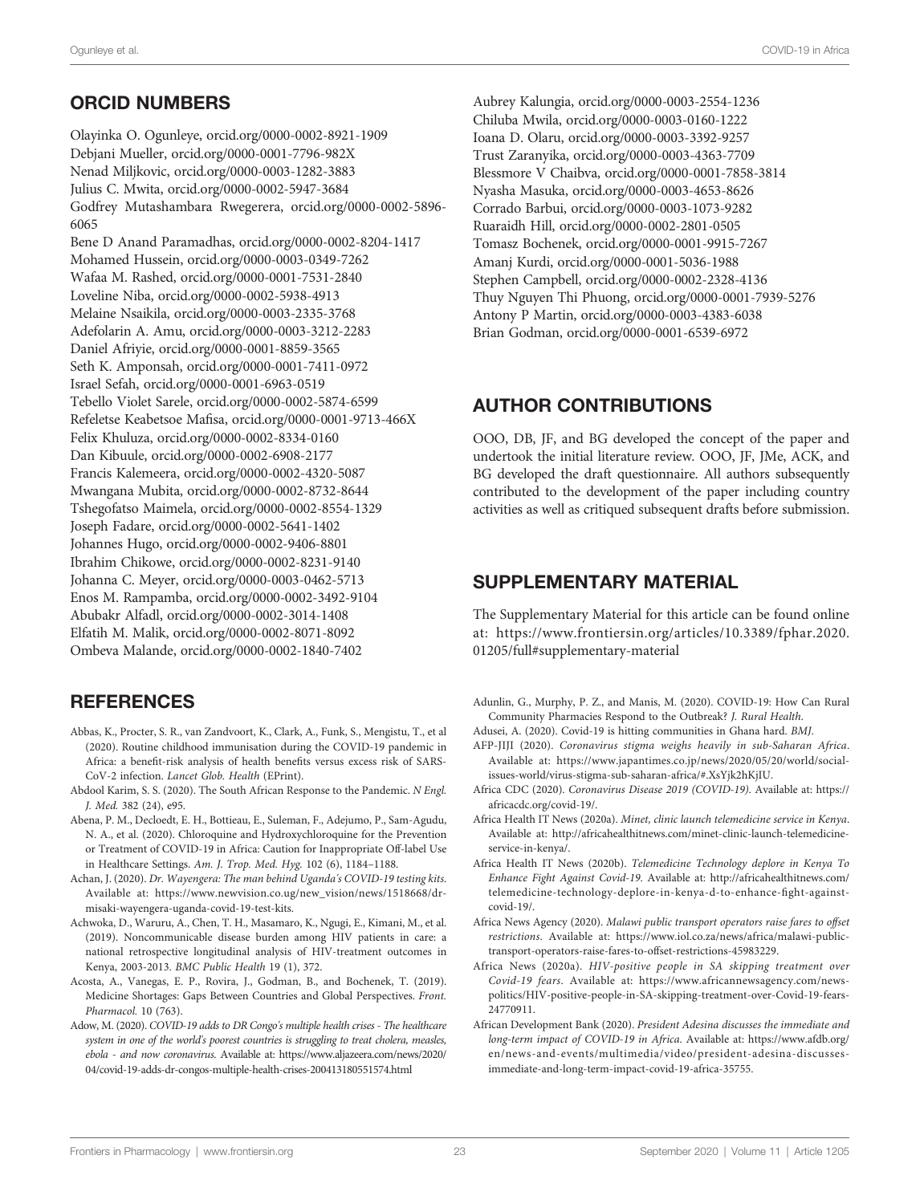# <span id="page-22-0"></span>ORCID NUMBERS

Olayinka O. Ogunleye, [orcid.org/0000-0002-8921-1909](https://orcid.org/0000-0002-8921-1909) Debjani Mueller, [orcid.org/0000-0001-7796-982X](https://orcid.org/0000 0001 7796 982X) Nenad Miljkovic, [orcid.org/0000-0003-1282-3883](https://orcid.org/0000-0003-1282-3883) Julius C. Mwita, [orcid.org/0000-0002-5947-3684](https://orcid.org/0000-0002-5947-3684) Godfrey Mutashambara Rwegerera, [orcid.org/0000-0002-5896-](https://orcid.org/0000-0002-5896-6065) [6065](https://orcid.org/0000-0002-5896-6065)

Bene D Anand Paramadhas, [orcid.org/0000-0002-8204-1417](https://orcid.org/0000-0002-8204-1417) Mohamed Hussein, [orcid.org/0000-0003-0349-7262](https://orcid.org/0000-0003-0349-7262) Wafaa M. Rashed, [orcid.org/0000-0001-7531-2840](https://orcid.org/0000-0001-7531-2840) Loveline Niba, [orcid.org/0000-0002-5938-4913](https://orcid.org/0000-0002-5938-4913) Melaine Nsaikila, [orcid.org/0000-0003-2335-3768](https://orcid.org/0000-0003-2335-3768) Adefolarin A. Amu, [orcid.org/0000-0003-3212-2283](https://orcid.org/0000-0003-3212-2283) Daniel Afriyie, [orcid.org/0000-0001-8859-3565](http://orcid.org/0000-0001-8859-3565) Seth K. Amponsah, [orcid.org/0000-0001-7411-0972](http://orcid.org/0000-0001-7411-0972) Israel Sefah, [orcid.org/0000-0001-6963-0519](http://orcid.org/0000-0001-6963-0519) Tebello Violet Sarele, [orcid.org/0000-0002-5874-6599](https://orcid.org/0000-0002-5874-6599) Refeletse Keabetsoe Mafisa, [orcid.org/0000-0001-9713-466X](https://orcid.org/0000-0001-9713-466X) Felix Khuluza, [orcid.org/0000-0002-8334-0160](http://orcid.org/0000-0002-8334-0160) Dan Kibuule, [orcid.org/0000-0002-6908-2177](http://orcid.org/0000-0002-6908-2177) Francis Kalemeera, [orcid.org/0000-0002-4320-5087](http://orcid.org/0000-0002-4320-5087) Mwangana Mubita, [orcid.org/0000-0002-8732-8644](https://orcid.org/0000-0002-8732-8644) Tshegofatso Maimela, [orcid.org/0000-0002-8554-1329](http://orcid.org/0000-0002-8554-1329) Joseph Fadare, [orcid.org/0000-0002-5641-1402](http://orcid.org/0000-0002-5641-1402) Johannes Hugo, [orcid.org/0000-0002-9406-8801](https://orcid.org/0000-0002-9406-8801) Ibrahim Chikowe, [orcid.org/0000-0002-8231-9140](https://orcid.org/0000-0002-8231-9140) Johanna C. Meyer, [orcid.org/0000-0003-0462-5713](http://orcid.org/0000-0003-0462-5713) Enos M. Rampamba, [orcid.org/0000-0002-3492-9104](http://orcid.org/0000-0002-3492-9104) Abubakr Alfadl, [orcid.org/0000-0002-3014-1408](http://orcid.org/0000-0002-3014-1408) Elfatih M. Malik, [orcid.org/0000-0002-8071-8092](https://orcid.org/0000-0002-8071-8092) Ombeva Malande, [orcid.org/0000-0002-1840-7402](https://orcid.org/0000-0002-1840-7402)

# **REFERENCES**

- Abbas, K., Procter, S. R., van Zandvoort, K., Clark, A., Funk, S., Mengistu, T., et al (2020). Routine childhood immunisation during the COVID-19 pandemic in Africa: a benefit-risk analysis of health benefits versus excess risk of SARS-CoV-2 infection. Lancet Glob. Health (EPrint).
- Abdool Karim, S. S. (2020). The South African Response to the Pandemic. N Engl. J. Med. 382 (24), e95.
- Abena, P. M., Decloedt, E. H., Bottieau, E., Suleman, F., Adejumo, P., Sam-Agudu, N. A., et al. (2020). Chloroquine and Hydroxychloroquine for the Prevention or Treatment of COVID-19 in Africa: Caution for Inappropriate Off-label Use in Healthcare Settings. Am. J. Trop. Med. Hyg. 102 (6), 1184–1188.
- Achan, J. (2020). Dr. Wayengera: The man behind Uganda's COVID-19 testing kits. Available at: [https://www.newvision.co.ug/new\\_vision/news/1518668/dr](https://www.newvision.co.ug/new_vision/news/1518668/dr-misaki-wayengera-uganda-covid-19-test-kits)[misaki-wayengera-uganda-covid-19-test-kits.](https://www.newvision.co.ug/new_vision/news/1518668/dr-misaki-wayengera-uganda-covid-19-test-kits)
- Achwoka, D., Waruru, A., Chen, T. H., Masamaro, K., Ngugi, E., Kimani, M., et al. (2019). Noncommunicable disease burden among HIV patients in care: a national retrospective longitudinal analysis of HIV-treatment outcomes in Kenya, 2003-2013. BMC Public Health 19 (1), 372.
- Acosta, A., Vanegas, E. P., Rovira, J., Godman, B., and Bochenek, T. (2019). Medicine Shortages: Gaps Between Countries and Global Perspectives. Front. Pharmacol. 10 (763).
- Adow, M. (2020). COVID-19 adds to DR Congo's multiple health crises The healthcare system in one of the world's poorest countries is struggling to treat cholera, measles, ebola - and now coronavirus. Available at: [https://www.aljazeera.com/news/2020/](https://www.aljazeera.com/news/2020/04/covid-19-adds-dr-congos-multiple-health-crises-200413180551574.html) [04/covid-19-adds-dr-congos-multiple-health-crises-200413180551574.html](https://www.aljazeera.com/news/2020/04/covid-19-adds-dr-congos-multiple-health-crises-200413180551574.html)

Aubrey Kalungia, [orcid.org/0000-0003-2554-1236](http://orcid.org/0000-0003-2554-1236) Chiluba Mwila, [orcid.org/0000-0003-0160-1222](https://orcid.org/0000-0003-0160-1222) Ioana D. Olaru, [orcid.org/0000-0003-3392-9257](http://orcid.org/0000-0003-3392-9257) Trust Zaranyika, [orcid.org/0000-0003-4363-7709](http://orcid.org/0000-0003-4363-7709) Blessmore V Chaibva, [orcid.org/0000-0001-7858-3814](https://orcid.org/0000-0001-7858-3814) Nyasha Masuka, [orcid.org/0000-0003-4653-8626](http://orcid.org/0000-0003-4653-8626) Corrado Barbui, [orcid.org/0000-0003-1073-9282](https://orcid.org/0000-0003-1073-9282) Ruaraidh Hill, [orcid.org/0000-0002-2801-0505](http://orcid.org/0000-0002-2801-0505) Tomasz Bochenek, [orcid.org/0000-0001-9915-7267](http://orcid.org/0000-0001-9915-7267) Amanj Kurdi, [orcid.org/0000-0001-5036-1988](http://orcid.org/0000-0001-5036-1988) Stephen Campbell, [orcid.org/0000-0002-2328-4136](http://orcid.org/0000-0002-2328-4136) Thuy Nguyen Thi Phuong, [orcid.org/0000-0001-7939-5276](http://orcid.org/0000-0001-7939-5276) Antony P Martin, [orcid.org/0000-0003-4383-6038](http://orcid.org/0000-0003-4383-6038) Brian Godman, [orcid.org/0000-0001-6539-6972](http://orcid.org/0000-0001-6539-6972)

# AUTHOR CONTRIBUTIONS

OOO, DB, JF, and BG developed the concept of the paper and undertook the initial literature review. OOO, JF, JMe, ACK, and BG developed the draft questionnaire. All authors subsequently contributed to the development of the paper including country activities as well as critiqued subsequent drafts before submission.

# SUPPLEMENTARY MATERIAL

The Supplementary Material for this article can be found online at: [https://www.frontiersin.org/articles/10.3389/fphar.2020.](https://www.frontiersin.org/articles/10.3389/fphar.2020.01205/full#supplementary-material) [01205/full#supplementary-material](https://www.frontiersin.org/articles/10.3389/fphar.2020.01205/full#supplementary-material)

- Adunlin, G., Murphy, P. Z., and Manis, M. (2020). COVID-19: How Can Rural Community Pharmacies Respond to the Outbreak? J. Rural Health.
- Adusei, A. (2020). Covid-19 is hitting communities in Ghana hard. BMJ.
- AFP-JIJI (2020). Coronavirus stigma weighs heavily in sub-Saharan Africa. Available at: [https://www.japantimes.co.jp/news/2020/05/20/world/social](https://www.japantimes.co.jp/news/2020/05/20/world/social-issues-world/virus-stigma-sub-saharan-africa/#.XsYjk2hKjIU)[issues-world/virus-stigma-sub-saharan-africa/#.XsYjk2hKjIU.](https://www.japantimes.co.jp/news/2020/05/20/world/social-issues-world/virus-stigma-sub-saharan-africa/#.XsYjk2hKjIU)
- Africa CDC (2020). Coronavirus Disease 2019 (COVID-19). Available at: [https://](https://africacdc.org/covid-19/) [africacdc.org/covid-19/](https://africacdc.org/covid-19/).
- Africa Health IT News (2020a). Minet, clinic launch telemedicine service in Kenya. Available at: [http://africahealthitnews.com/minet-clinic-launch-telemedicine](http://africahealthitnews.com/minet-clinic-launch-telemedicine-service-in-kenya/)[service-in-kenya/.](http://africahealthitnews.com/minet-clinic-launch-telemedicine-service-in-kenya/)
- Africa Health IT News (2020b). Telemedicine Technology deplore in Kenya To Enhance Fight Against Covid-19. Available at: [http://africahealthitnews.com/](http://africahealthitnews.com/telemedicine-technology-deplore-in-kenya-d-to-enhance-fight-against-covid-19/) [telemedicine-technology-deplore-in-kenya-d-to-enhance-](http://africahealthitnews.com/telemedicine-technology-deplore-in-kenya-d-to-enhance-fight-against-covid-19/)fight-against[covid-19/.](http://africahealthitnews.com/telemedicine-technology-deplore-in-kenya-d-to-enhance-fight-against-covid-19/)
- Africa News Agency (2020). Malawi public transport operators raise fares to offset restrictions. Available at: [https://www.iol.co.za/news/africa/malawi-public](https://www.iol.co.za/news/africa/malawi-public-transport-operators-raise-fares-to-offset-restrictions-45983229)[transport-operators-raise-fares-to-offset-restrictions-45983229.](https://www.iol.co.za/news/africa/malawi-public-transport-operators-raise-fares-to-offset-restrictions-45983229)
- Africa News (2020a). HIV-positive people in SA skipping treatment over Covid-19 fears. Available at: [https://www.africannewsagency.com/news](https://www.africannewsagency.com/news-politics/HIV-positive-people-in-SA-skipping-treatment-over-Covid-19-fears-24770911)[politics/HIV-positive-people-in-SA-skipping-treatment-over-Covid-19-fears-](https://www.africannewsagency.com/news-politics/HIV-positive-people-in-SA-skipping-treatment-over-Covid-19-fears-24770911)[24770911](https://www.africannewsagency.com/news-politics/HIV-positive-people-in-SA-skipping-treatment-over-Covid-19-fears-24770911).
- African Development Bank (2020). President Adesina discusses the immediate and long-term impact of COVID-19 in Africa. Available at: [https://www.afdb.org/](https://www.afdb.org/en/news-and-events/multimedia/video/president-adesina-discusses-immediate-and-long-term-impact-covid-19-africa-35755) [en/news-and-events/multimedia/video/president-adesina-discusses](https://www.afdb.org/en/news-and-events/multimedia/video/president-adesina-discusses-immediate-and-long-term-impact-covid-19-africa-35755)[immediate-and-long-term-impact-covid-19-africa-35755](https://www.afdb.org/en/news-and-events/multimedia/video/president-adesina-discusses-immediate-and-long-term-impact-covid-19-africa-35755).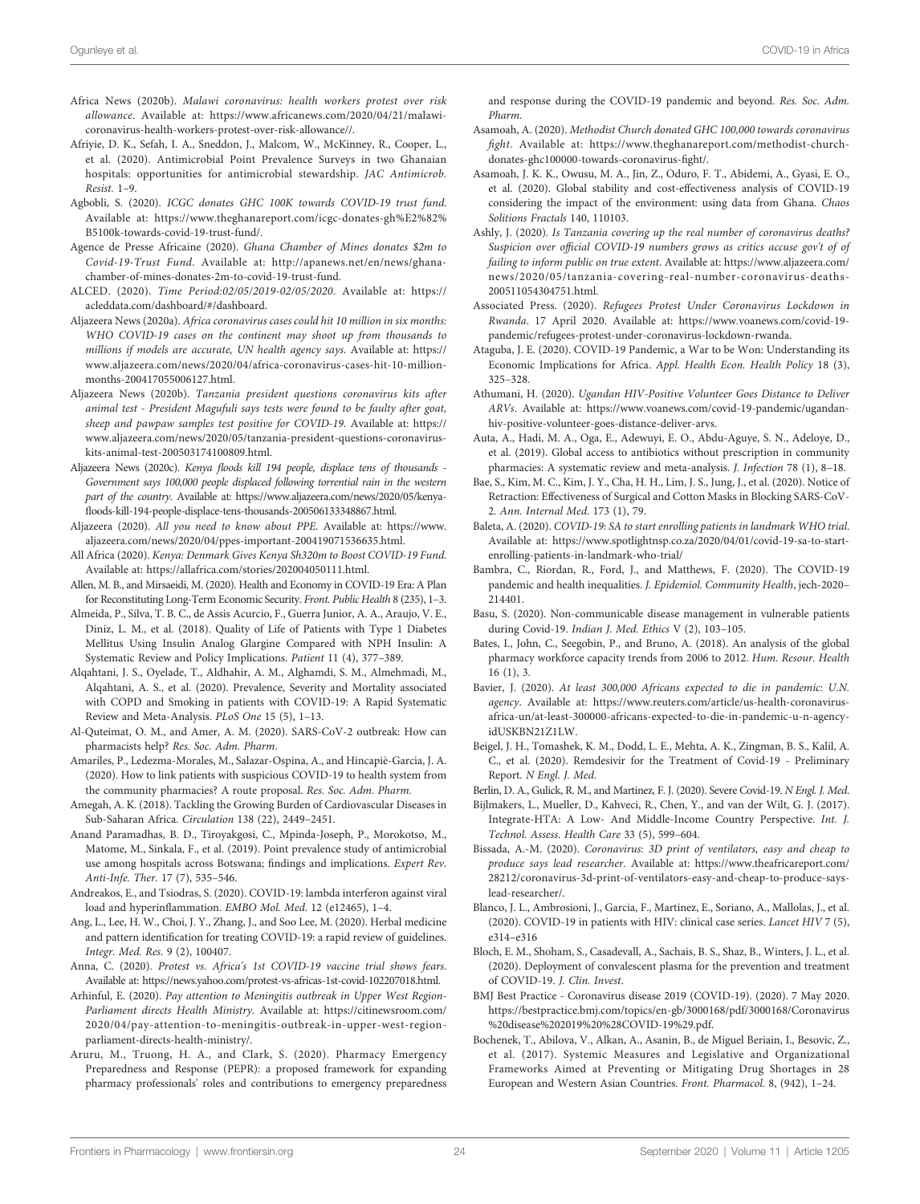- <span id="page-23-0"></span>Africa News (2020b). Malawi coronavirus: health workers protest over risk allowance. Available at: [https://www.africanews.com/2020/04/21/malawi](https://www.africanews.com/2020/04/21/malawi-coronavirus-health-workers-protest-over-risk-allowance//)[coronavirus-health-workers-protest-over-risk-allowance//](https://www.africanews.com/2020/04/21/malawi-coronavirus-health-workers-protest-over-risk-allowance//).
- Afriyie, D. K., Sefah, I. A., Sneddon, J., Malcom, W., McKinney, R., Cooper, L., et al. (2020). Antimicrobial Point Prevalence Surveys in two Ghanaian hospitals: opportunities for antimicrobial stewardship. JAC Antimicrob. Resist. 1–9.
- Agbobli, S. (2020). ICGC donates GHC 100K towards COVID-19 trust fund. Available at: [https://www.theghanareport.com/icgc-donates-gh%E2%82%](https://www.theghanareport.com/icgc-donates-gh%E2%82%B5100k-towards-covid-19-trust-fund/) [B5100k-towards-covid-19-trust-fund/.](https://www.theghanareport.com/icgc-donates-gh%E2%82%B5100k-towards-covid-19-trust-fund/)
- Agence de Presse Africaine (2020). Ghana Chamber of Mines donates \$2m to Covid-19-Trust Fund. Available at: [http://apanews.net/en/news/ghana](http://apanews.net/en/news/ghana-chamber-of-mines-donates-2m-to-covid-19-trust-fund)[chamber-of-mines-donates-2m-to-covid-19-trust-fund](http://apanews.net/en/news/ghana-chamber-of-mines-donates-2m-to-covid-19-trust-fund).
- ALCED. (2020). Time Period:02/05/2019-02/05/2020. Available at: [https://](https://acleddata.com/dashboard/#/dashboard) [acleddata.com/dashboard/#/dashboard](https://acleddata.com/dashboard/#/dashboard).
- Aljazeera News (2020a). Africa coronavirus cases could hit 10 million in six months: WHO COVID-19 cases on the continent may shoot up from thousands to millions if models are accurate, UN health agency says. Available at: [https://](https://www.aljazeera.com/news/2020/04/africa-coronavirus-cases-hit-10-million-months-200417055006127.html) [www.aljazeera.com/news/2020/04/africa-coronavirus-cases-hit-10-million](https://www.aljazeera.com/news/2020/04/africa-coronavirus-cases-hit-10-million-months-200417055006127.html)[months-200417055006127.html.](https://www.aljazeera.com/news/2020/04/africa-coronavirus-cases-hit-10-million-months-200417055006127.html)
- Aljazeera News (2020b). Tanzania president questions coronavirus kits after animal test - President Magufuli says tests were found to be faulty after goat, sheep and pawpaw samples test positive for COVID-19. Available at: [https://](https://www.aljazeera.com/news/2020/05/tanzania-president-questions-coronavirus-kits-animal-test-200503174100809.html) [www.aljazeera.com/news/2020/05/tanzania-president-questions-coronavirus](https://www.aljazeera.com/news/2020/05/tanzania-president-questions-coronavirus-kits-animal-test-200503174100809.html)[kits-animal-test-200503174100809.html.](https://www.aljazeera.com/news/2020/05/tanzania-president-questions-coronavirus-kits-animal-test-200503174100809.html)
- Aljazeera News (2020c). Kenya floods kill 194 people, displace tens of thousands Government says 100,000 people displaced following torrential rain in the western part of the country. Available at: [https://www.aljazeera.com/news/2020/05/kenya](https://www.aljazeera.com/news/2020/05/kenya-floods-kill-194-people-displace-tens-thousands-200506133348867.html)fl[oods-kill-194-people-displace-tens-thousands-200506133348867.html](https://www.aljazeera.com/news/2020/05/kenya-floods-kill-194-people-displace-tens-thousands-200506133348867.html).
- Aljazeera (2020). All you need to know about PPE. Available at: [https://www.](https://www.aljazeera.com/news/2020/04/ppes-important-200419071536635.html) [aljazeera.com/news/2020/04/ppes-important-200419071536635.html.](https://www.aljazeera.com/news/2020/04/ppes-important-200419071536635.html)
- All Africa (2020). Kenya: Denmark Gives Kenya Sh320m to Boost COVID-19 Fund. Available at: [https://allafrica.com/stories/202004050111.html.](https://allafrica.com/stories/202004050111.html)
- Allen, M. B., and Mirsaeidi, M. (2020). Health and Economy in COVID-19 Era: A Plan for Reconstituting Long-Term Economic Security. Front. Public Health 8 (235), 1–3.
- Almeida, P., Silva, T. B. C., de Assis Acurcio, F., Guerra Junior, A. A., Araujo, V. E., Diniz, L. M., et al. (2018). Quality of Life of Patients with Type 1 Diabetes Mellitus Using Insulin Analog Glargine Compared with NPH Insulin: A Systematic Review and Policy Implications. Patient 11 (4), 377–389.
- Alqahtani, J. S., Oyelade, T., Aldhahir, A. M., Alghamdi, S. M., Almehmadi, M., Alqahtani, A. S., et al. (2020). Prevalence, Severity and Mortality associated with COPD and Smoking in patients with COVID-19: A Rapid Systematic Review and Meta-Analysis. PLoS One 15 (5), 1–13.
- Al-Quteimat, O. M., and Amer, A. M. (2020). SARS-CoV-2 outbreak: How can pharmacists help? Res. Soc. Adm. Pharm.
- Amariles, P., Ledezma-Morales, M., Salazar-Ospina, A., and Hincapié-García, J. A. (2020). How to link patients with suspicious COVID-19 to health system from the community pharmacies? A route proposal. Res. Soc. Adm. Pharm.
- Amegah, A. K. (2018). Tackling the Growing Burden of Cardiovascular Diseases in Sub-Saharan Africa. Circulation 138 (22), 2449–2451.
- Anand Paramadhas, B. D., Tiroyakgosi, C., Mpinda-Joseph, P., Morokotso, M., Matome, M., Sinkala, F., et al. (2019). Point prevalence study of antimicrobial use among hospitals across Botswana; findings and implications. Expert Rev. Anti-Infe. Ther. 17 (7), 535–546.
- Andreakos, E., and Tsiodras, S. (2020). COVID-19: lambda interferon against viral load and hyperinflammation. EMBO Mol. Med. 12 (e12465), 1–4.
- Ang, L., Lee, H. W., Choi, J. Y., Zhang, J., and Soo Lee, M. (2020). Herbal medicine and pattern identification for treating COVID-19: a rapid review of guidelines. Integr. Med. Res. 9 (2), 100407.
- Anna, C. (2020). Protest vs. Africa's 1st COVID-19 vaccine trial shows fears. Available at: [https://news.yahoo.com/protest-vs-africas-1st-covid-102207018.html.](https://news.yahoo.com/protest-vs-africas-1st-covid-102207018.html)
- Arhinful, E. (2020). Pay attention to Meningitis outbreak in Upper West Region-Parliament directs Health Ministry. Available at: [https://citinewsroom.com/](https://citinewsroom.com/2020/04/pay-attention-to-meningitis-outbreak-in-upper-west-region-parliament-directs-health-ministry/) [2020/04/pay-attention-to-meningitis-outbreak-in-upper-west-region](https://citinewsroom.com/2020/04/pay-attention-to-meningitis-outbreak-in-upper-west-region-parliament-directs-health-ministry/)[parliament-directs-health-ministry/.](https://citinewsroom.com/2020/04/pay-attention-to-meningitis-outbreak-in-upper-west-region-parliament-directs-health-ministry/)
- Aruru, M., Truong, H. A., and Clark, S. (2020). Pharmacy Emergency Preparedness and Response (PEPR): a proposed framework for expanding pharmacy professionals' roles and contributions to emergency preparedness

and response during the COVID-19 pandemic and beyond. Res. Soc. Adm. Pharm.

- Asamoah, A. (2020). Methodist Church donated GHC 100,000 towards coronavirus fight. Available at: [https://www.theghanareport.com/methodist-church](https://www.theghanareport.com/methodist-church-donates-ghc100000-towards-coronavirus-fight/)[donates-ghc100000-towards-coronavirus-](https://www.theghanareport.com/methodist-church-donates-ghc100000-towards-coronavirus-fight/)fight/.
- Asamoah, J. K. K., Owusu, M. A., Jin, Z., Oduro, F. T., Abidemi, A., Gyasi, E. O., et al. (2020). Global stability and cost-effectiveness analysis of COVID-19 considering the impact of the environment: using data from Ghana. Chaos Solitions Fractals 140, 110103.
- Ashly, J. (2020). Is Tanzania covering up the real number of coronavirus deaths? Suspicion over official COVID-19 numbers grows as critics accuse gov't of of failing to inform public on true extent. Available at: [https://www.aljazeera.com/](https://www.aljazeera.com/news/2020/05/tanzania-covering-real-number-coronavirus-deaths-200511054304751.html) [news/2020/05/tanzania-covering-real-number-coronavirus-deaths-](https://www.aljazeera.com/news/2020/05/tanzania-covering-real-number-coronavirus-deaths-200511054304751.html)[200511054304751.html.](https://www.aljazeera.com/news/2020/05/tanzania-covering-real-number-coronavirus-deaths-200511054304751.html)
- Associated Press. (2020). Refugees Protest Under Coronavirus Lockdown in Rwanda. 17 April 2020. Available at: [https://www.voanews.com/covid-19](https://www.voanews.com/covid-19-pandemic/refugees-protest-under-coronavirus-lockdown-rwanda) [pandemic/refugees-protest-under-coronavirus-lockdown-rwanda.](https://www.voanews.com/covid-19-pandemic/refugees-protest-under-coronavirus-lockdown-rwanda)
- Ataguba, J. E. (2020). COVID-19 Pandemic, a War to be Won: Understanding its Economic Implications for Africa. Appl. Health Econ. Health Policy 18 (3), 325–328.
- Athumani, H. (2020). Ugandan HIV-Positive Volunteer Goes Distance to Deliver ARVs. Available at: [https://www.voanews.com/covid-19-pandemic/ugandan](https://www.voanews.com/covid-19-pandemic/ugandan-hiv-positive-volunteer-goes-distance-deliver-arvs)[hiv-positive-volunteer-goes-distance-deliver-arvs.](https://www.voanews.com/covid-19-pandemic/ugandan-hiv-positive-volunteer-goes-distance-deliver-arvs)
- Auta, A., Hadi, M. A., Oga, E., Adewuyi, E. O., Abdu-Aguye, S. N., Adeloye, D., et al. (2019). Global access to antibiotics without prescription in community pharmacies: A systematic review and meta-analysis. J. Infection 78 (1), 8–18.
- Bae, S., Kim, M. C., Kim, J. Y., Cha, H. H., Lim, J. S., Jung, J., et al. (2020). Notice of Retraction: Effectiveness of Surgical and Cotton Masks in Blocking SARS-CoV-2. Ann. Internal Med. 173 (1), 79.
- Baleta, A. (2020). COVID-19: SA to start enrolling patients in landmark WHO trial. Available at: [https://www.spotlightnsp.co.za/2020/04/01/covid-19-sa-to-start](https://www.spotlightnsp.co.za/2020/04/01/covid-19-sa-to-start-enrolling-patients-in-landmark-who-trial/)[enrolling-patients-in-landmark-who-trial/](https://www.spotlightnsp.co.za/2020/04/01/covid-19-sa-to-start-enrolling-patients-in-landmark-who-trial/)
- Bambra, C., Riordan, R., Ford, J., and Matthews, F. (2020). The COVID-19 pandemic and health inequalities. J. Epidemiol. Community Health, jech-2020– 214401.
- Basu, S. (2020). Non-communicable disease management in vulnerable patients during Covid-19. Indian J. Med. Ethics V (2), 103–105.
- Bates, I., John, C., Seegobin, P., and Bruno, A. (2018). An analysis of the global pharmacy workforce capacity trends from 2006 to 2012. Hum. Resour. Health 16 (1), 3.
- Bavier, J. (2020). At least 300,000 Africans expected to die in pandemic: U.N. agency. Available at: [https://www.reuters.com/article/us-health-coronavirus](https://www.reuters.com/article/us-health-coronavirus-africa-un/at-least-300000-africans-expected-to-die-in-pandemic-u-n-agency-idUSKBN21Z1LW)[africa-un/at-least-300000-africans-expected-to-die-in-pandemic-u-n-agency](https://www.reuters.com/article/us-health-coronavirus-africa-un/at-least-300000-africans-expected-to-die-in-pandemic-u-n-agency-idUSKBN21Z1LW)[idUSKBN21Z1LW](https://www.reuters.com/article/us-health-coronavirus-africa-un/at-least-300000-africans-expected-to-die-in-pandemic-u-n-agency-idUSKBN21Z1LW).
- Beigel, J. H., Tomashek, K. M., Dodd, L. E., Mehta, A. K., Zingman, B. S., Kalil, A. C., et al. (2020). Remdesivir for the Treatment of Covid-19 - Preliminary Report. N Engl. J. Med.

Berlin, D. A., Gulick, R. M., and Martinez, F. J. (2020). Severe Covid-19. N Engl. J. Med.

- Bijlmakers, L., Mueller, D., Kahveci, R., Chen, Y., and van der Wilt, G. J. (2017). Integrate-HTA: A Low- And Middle-Income Country Perspective. Int. J. Technol. Assess. Health Care 33 (5), 599–604.
- Bissada, A.-M. (2020). Coronavirus: 3D print of ventilators, easy and cheap to produce says lead researcher. Available at: [https://www.theafricareport.com/](https://www.theafricareport.com/28212/coronavirus-3d-print-of-ventilators-easy-and-cheap-to-produce-says-lead-researcher/) [28212/coronavirus-3d-print-of-ventilators-easy-and-cheap-to-produce-says](https://www.theafricareport.com/28212/coronavirus-3d-print-of-ventilators-easy-and-cheap-to-produce-says-lead-researcher/)[lead-researcher/](https://www.theafricareport.com/28212/coronavirus-3d-print-of-ventilators-easy-and-cheap-to-produce-says-lead-researcher/).
- Blanco, J. L., Ambrosioni, J., Garcia, F., Martinez, E., Soriano, A., Mallolas, J., et al. (2020). COVID-19 in patients with HIV: clinical case series. Lancet HIV 7 (5), e314–e316
- Bloch, E. M., Shoham, S., Casadevall, A., Sachais, B. S., Shaz, B., Winters, J. L., et al. (2020). Deployment of convalescent plasma for the prevention and treatment of COVID-19. J. Clin. Invest.
- BMJ Best Practice Coronavirus disease 2019 (COVID-19). (2020). 7 May 2020. [https://bestpractice.bmj.com/topics/en-gb/3000168/pdf/3000168/Coronavirus](https://bestpractice.bmj.com/topics/en-gb/3000168/pdf/3000168/Coronavirus%20disease%202019%20%28COVID-19%29.pdf) [%20disease%202019%20%28COVID-19%29.pdf.](https://bestpractice.bmj.com/topics/en-gb/3000168/pdf/3000168/Coronavirus%20disease%202019%20%28COVID-19%29.pdf)
- Bochenek, T., Abilova, V., Alkan, A., Asanin, B., de Miguel Beriain, I., Besovic, Z., et al. (2017). Systemic Measures and Legislative and Organizational Frameworks Aimed at Preventing or Mitigating Drug Shortages in 28 European and Western Asian Countries. Front. Pharmacol. 8, (942), 1–24.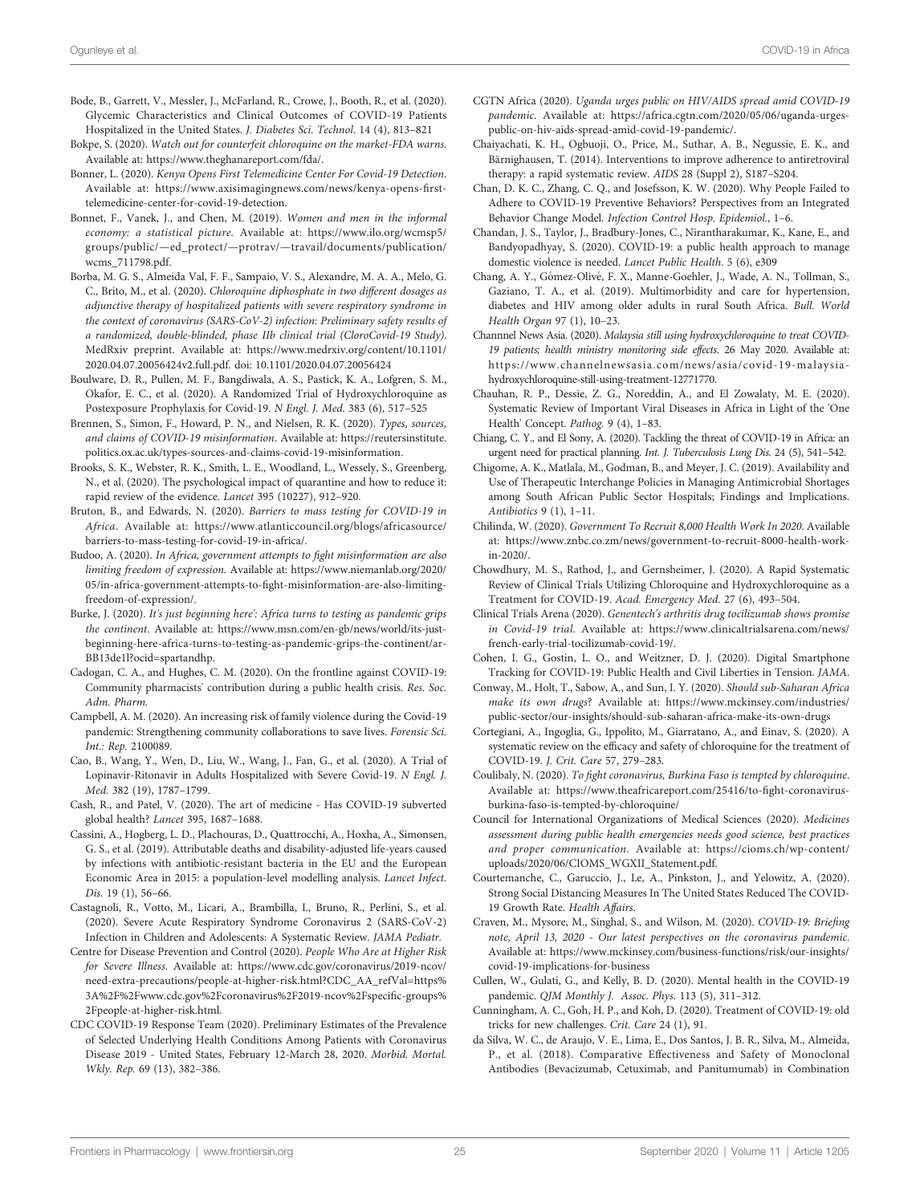- <span id="page-24-0"></span>Bode, B., Garrett, V., Messler, J., McFarland, R., Crowe, J., Booth, R., et al. (2020). Glycemic Characteristics and Clinical Outcomes of COVID-19 Patients Hospitalized in the United States. J. Diabetes Sci. Technol. 14 (4), 813–821
- Bokpe, S. (2020). Watch out for counterfeit chloroquine on the market-FDA warns. Available at: [https://www.theghanareport.com/fda/.](https://www.theghanareport.com/fda/)
- Bonner, L. (2020). Kenya Opens First Telemedicine Center For Covid-19 Detection. Available at: [https://www.axisimagingnews.com/news/kenya-opens-](https://www.axisimagingnews.com/news/kenya-opens-first-telemedicine-center-for-covid-19-detection)first[telemedicine-center-for-covid-19-detection](https://www.axisimagingnews.com/news/kenya-opens-first-telemedicine-center-for-covid-19-detection).
- Bonnet, F., Vanek, J., and Chen, M. (2019). Women and men in the informal economy: a statistical picture. Available at: [https://www.ilo.org/wcmsp5/](https://www.ilo.org/wcmsp5/groups/public/—ed_protect/—protrav/—travail/documents/publication/wcms_711798.pdf) groups/public/—ed\_protect/—protrav/—[travail/documents/publication/](https://www.ilo.org/wcmsp5/groups/public/—ed_protect/—protrav/—travail/documents/publication/wcms_711798.pdf) [wcms\\_711798.pdf](https://www.ilo.org/wcmsp5/groups/public/—ed_protect/—protrav/—travail/documents/publication/wcms_711798.pdf).
- Borba, M. G. S., Almeida Val, F. F., Sampaio, V. S., Alexandre, M. A. A., Melo, G. C., Brito, M., et al. (2020). Chloroquine diphosphate in two different dosages as adjunctive therapy of hospitalized patients with severe respiratory syndrome in the context of coronavirus (SARS-CoV-2) infection: Preliminary safety results of a randomized, double-blinded, phase IIb clinical trial (CloroCovid-19 Study). MedRxiv preprint. Available at: [https://www.medrxiv.org/content/10.1101/](https://www.medrxiv.org/content/10.1101/2020.04.07.20056424v2.full.pdf) [2020.04.07.20056424v2.full.pdf.](https://www.medrxiv.org/content/10.1101/2020.04.07.20056424v2.full.pdf) doi: [10.1101/2020.04.07.20056424](https://doi.org/10.1101/2020.04.07.20056424)
- Boulware, D. R., Pullen, M. F., Bangdiwala, A. S., Pastick, K. A., Lofgren, S. M., Okafor, E. C., et al. (2020). A Randomized Trial of Hydroxychloroquine as Postexposure Prophylaxis for Covid-19. N Engl. J. Med. 383 (6), 517–525
- Brennen, S., Simon, F., Howard, P. N., and Nielsen, R. K. (2020). Types, sources, and claims of COVID-19 misinformation. Available at: [https://reutersinstitute.](https://reutersinstitute.politics.ox.ac.uk/types-sources-and-claims-covid-19-misinformation) [politics.ox.ac.uk/types-sources-and-claims-covid-19-misinformation.](https://reutersinstitute.politics.ox.ac.uk/types-sources-and-claims-covid-19-misinformation)
- Brooks, S. K., Webster, R. K., Smith, L. E., Woodland, L., Wessely, S., Greenberg, N., et al. (2020). The psychological impact of quarantine and how to reduce it: rapid review of the evidence. Lancet 395 (10227), 912–920.
- Bruton, B., and Edwards, N. (2020). Barriers to mass testing for COVID-19 in Africa. Available at: [https://www.atlanticcouncil.org/blogs/africasource/](https://www.atlanticcouncil.org/blogs/africasource/barriers-to-mass-testing-for-covid-19-in-africa/) [barriers-to-mass-testing-for-covid-19-in-africa/](https://www.atlanticcouncil.org/blogs/africasource/barriers-to-mass-testing-for-covid-19-in-africa/).
- Budoo, A. (2020). In Africa, government attempts to fight misinformation are also limiting freedom of expression. Available at: [https://www.niemanlab.org/2020/](https://www.niemanlab.org/2020/05/in-africa-government-attempts-to-fight-misinformation-are-also-limiting-freedom-of-expression/) 05/in-africa-government-attempts-to-fi[ght-misinformation-are-also-limiting](https://www.niemanlab.org/2020/05/in-africa-government-attempts-to-fight-misinformation-are-also-limiting-freedom-of-expression/)[freedom-of-expression/.](https://www.niemanlab.org/2020/05/in-africa-government-attempts-to-fight-misinformation-are-also-limiting-freedom-of-expression/)
- Burke, J. (2020). It's just beginning here': Africa turns to testing as pandemic grips the continent. Available at: [https://www.msn.com/en-gb/news/world/its-just](https://www.msn.com/en-gb/news/world/its-just-beginning-here-africa-turns-to-testing-as-pandemic-grips-the-continent/ar-BB13de1l?ocid=spartandhp)[beginning-here-africa-turns-to-testing-as-pandemic-grips-the-continent/ar-](https://www.msn.com/en-gb/news/world/its-just-beginning-here-africa-turns-to-testing-as-pandemic-grips-the-continent/ar-BB13de1l?ocid=spartandhp)[BB13de1l?ocid=spartandhp.](https://www.msn.com/en-gb/news/world/its-just-beginning-here-africa-turns-to-testing-as-pandemic-grips-the-continent/ar-BB13de1l?ocid=spartandhp)
- Cadogan, C. A., and Hughes, C. M. (2020). On the frontline against COVID-19: Community pharmacists' contribution during a public health crisis. Res. Soc. Adm. Pharm.
- Campbell, A. M. (2020). An increasing risk of family violence during the Covid-19 pandemic: Strengthening community collaborations to save lives. Forensic Sci. Int.: Rep. 2100089.
- Cao, B., Wang, Y., Wen, D., Liu, W., Wang, J., Fan, G., et al. (2020). A Trial of Lopinavir-Ritonavir in Adults Hospitalized with Severe Covid-19. N Engl. J. Med. 382 (19), 1787–1799.
- Cash, R., and Patel, V. (2020). The art of medicine Has COVID-19 subverted global health? Lancet 395, 1687–1688.
- Cassini, A., Hogberg, L. D., Plachouras, D., Quattrocchi, A., Hoxha, A., Simonsen, G. S., et al. (2019). Attributable deaths and disability-adjusted life-years caused by infections with antibiotic-resistant bacteria in the EU and the European Economic Area in 2015: a population-level modelling analysis. Lancet Infect. Dis. 19 (1), 56–66.
- Castagnoli, R., Votto, M., Licari, A., Brambilla, I., Bruno, R., Perlini, S., et al. (2020). Severe Acute Respiratory Syndrome Coronavirus 2 (SARS-CoV-2) Infection in Children and Adolescents: A Systematic Review. JAMA Pediatr.
- Centre for Disease Prevention and Control (2020). People Who Are at Higher Risk for Severe Illness. Available at: [https://www.cdc.gov/coronavirus/2019-ncov/](https://www.cdc.gov/coronavirus/2019-ncov/need-extra-precautions/people-at-higher-risk.html?CDC_AA_refVal=https%3A%2F%2Fwww.cdc.gov%2Fcoronavirus%2F2019-ncov%2Fspecific-groups%2Fpeople-at-higher-risk.html) [need-extra-precautions/people-at-higher-risk.html?CDC\\_AA\\_refVal=https%](https://www.cdc.gov/coronavirus/2019-ncov/need-extra-precautions/people-at-higher-risk.html?CDC_AA_refVal=https%3A%2F%2Fwww.cdc.gov%2Fcoronavirus%2F2019-ncov%2Fspecific-groups%2Fpeople-at-higher-risk.html) [3A%2F%2Fwww.cdc.gov%2Fcoronavirus%2F2019-ncov%2Fspeci](https://www.cdc.gov/coronavirus/2019-ncov/need-extra-precautions/people-at-higher-risk.html?CDC_AA_refVal=https%3A%2F%2Fwww.cdc.gov%2Fcoronavirus%2F2019-ncov%2Fspecific-groups%2Fpeople-at-higher-risk.html)fic-groups% [2Fpeople-at-higher-risk.html](https://www.cdc.gov/coronavirus/2019-ncov/need-extra-precautions/people-at-higher-risk.html?CDC_AA_refVal=https%3A%2F%2Fwww.cdc.gov%2Fcoronavirus%2F2019-ncov%2Fspecific-groups%2Fpeople-at-higher-risk.html).
- CDC COVID-19 Response Team (2020). Preliminary Estimates of the Prevalence of Selected Underlying Health Conditions Among Patients with Coronavirus Disease 2019 - United States, February 12-March 28, 2020. Morbid. Mortal. Wkly. Rep. 69 (13), 382–386.
- CGTN Africa (2020). Uganda urges public on HIV/AIDS spread amid COVID-19 pandemic. Available at: [https://africa.cgtn.com/2020/05/06/uganda-urges](https://africa.cgtn.com/2020/05/06/uganda-urges-public-on-hiv-aids-spread-amid-covid-19-pandemic/)[public-on-hiv-aids-spread-amid-covid-19-pandemic/.](https://africa.cgtn.com/2020/05/06/uganda-urges-public-on-hiv-aids-spread-amid-covid-19-pandemic/)
- Chaiyachati, K. H., Ogbuoji, O., Price, M., Suthar, A. B., Negussie, E. K., and Bärnighausen, T. (2014). Interventions to improve adherence to antiretroviral therapy: a rapid systematic review. AIDS 28 (Suppl 2), S187–S204.
- Chan, D. K. C., Zhang, C. Q., and Josefsson, K. W. (2020). Why People Failed to Adhere to COVID-19 Preventive Behaviors? Perspectives from an Integrated Behavior Change Model. Infection Control Hosp. Epidemiol., 1–6.
- Chandan, J. S., Taylor, J., Bradbury-Jones, C., Nirantharakumar, K., Kane, E., and Bandyopadhyay, S. (2020). COVID-19: a public health approach to manage domestic violence is needed. Lancet Public Health. 5 (6), e309
- Chang, A. Y., Gómez-Olivé , F. X., Manne-Goehler, J., Wade, A. N., Tollman, S., Gaziano, T. A., et al. (2019). Multimorbidity and care for hypertension, diabetes and HIV among older adults in rural South Africa. Bull. World Health Organ 97 (1), 10–23.
- Channnel News Asia. (2020). Malaysia still using hydroxychloroquine to treat COVID-19 patients; health ministry monitoring side effects. 26 May 2020. Available at: [https://www.channelnewsasia.com/news/asia/covid-19-malaysia](https://www.channelnewsasia.com/news/asia/covid-19-malaysia-hydroxychloroquine-still-using-treatment-12771770)[hydroxychloroquine-still-using-treatment-12771770.](https://www.channelnewsasia.com/news/asia/covid-19-malaysia-hydroxychloroquine-still-using-treatment-12771770)
- Chauhan, R. P., Dessie, Z. G., Noreddin, A., and El Zowalaty, M. E. (2020). Systematic Review of Important Viral Diseases in Africa in Light of the 'One Health' Concept. Pathog. 9 (4), 1–83.
- Chiang, C. Y., and El Sony, A. (2020). Tackling the threat of COVID-19 in Africa: an urgent need for practical planning. Int. J. Tuberculosis Lung Dis. 24 (5), 541–542.
- Chigome, A. K., Matlala, M., Godman, B., and Meyer, J. C. (2019). Availability and Use of Therapeutic Interchange Policies in Managing Antimicrobial Shortages among South African Public Sector Hospitals; Findings and Implications. Antibiotics 9 (1), 1–11.
- Chilinda, W. (2020). Government To Recruit 8,000 Health Work In 2020. Available at: [https://www.znbc.co.zm/news/government-to-recruit-8000-health-work](https://www.znbc.co.zm/news/government-to-recruit-8000-health-work-in-2020/)[in-2020/.](https://www.znbc.co.zm/news/government-to-recruit-8000-health-work-in-2020/)
- Chowdhury, M. S., Rathod, J., and Gernsheimer, J. (2020). A Rapid Systematic Review of Clinical Trials Utilizing Chloroquine and Hydroxychloroquine as a Treatment for COVID-19. Acad. Emergency Med. 27 (6), 493–504.
- Clinical Trials Arena (2020). Genentech's arthritis drug tocilizumab shows promise in Covid-19 trial. Available at: [https://www.clinicaltrialsarena.com/news/](https://www.clinicaltrialsarena.com/news/french-early-trial-tocilizumab-covid-19/) [french-early-trial-tocilizumab-covid-19/.](https://www.clinicaltrialsarena.com/news/french-early-trial-tocilizumab-covid-19/)
- Cohen, I. G., Gostin, L. O., and Weitzner, D. J. (2020). Digital Smartphone Tracking for COVID-19: Public Health and Civil Liberties in Tension. JAMA.
- Conway, M., Holt, T., Sabow, A., and Sun, I. Y. (2020). Should sub-Saharan Africa make its own drugs? Available at: [https://www.mckinsey.com/industries/](https://www.mckinsey.com/industries/public-sector/our-insights/should-sub-saharan-africa-make-its-own-drugs) [public-sector/our-insights/should-sub-saharan-africa-make-its-own-drugs](https://www.mckinsey.com/industries/public-sector/our-insights/should-sub-saharan-africa-make-its-own-drugs)
- Cortegiani, A., Ingoglia, G., Ippolito, M., Giarratano, A., and Einav, S. (2020). A systematic review on the efficacy and safety of chloroquine for the treatment of COVID-19. J. Crit. Care 57, 279–283.
- Coulibaly, N. (2020). To fight coronavirus, Burkina Faso is tempted by chloroquine. Available at: [https://www.theafricareport.com/25416/to-](https://www.theafricareport.com/25416/to-fight-coronavirus-burkina-faso-is-tempted-by-chloroquine/)fight-coronavirus[burkina-faso-is-tempted-by-chloroquine/](https://www.theafricareport.com/25416/to-fight-coronavirus-burkina-faso-is-tempted-by-chloroquine/)
- Council for International Organizations of Medical Sciences (2020). Medicines assessment during public health emergencies needs good science, best practices and proper communication. Available at: [https://cioms.ch/wp-content/](https://cioms.ch/wp-content/uploads/2020/06/CIOMS_WGXII_Statement.pdf) [uploads/2020/06/CIOMS\\_WGXII\\_Statement.pdf.](https://cioms.ch/wp-content/uploads/2020/06/CIOMS_WGXII_Statement.pdf)
- Courtemanche, C., Garuccio, J., Le, A., Pinkston, J., and Yelowitz, A. (2020). Strong Social Distancing Measures In The United States Reduced The COVID-19 Growth Rate. Health Affairs.
- Craven, M., Mysore, M., Singhal, S., and Wilson, M. (2020). COVID-19: Briefing note, April 13, 2020 - Our latest perspectives on the coronavirus pandemic. Available at: [https://www.mckinsey.com/business-functions/risk/our-insights/](https://www.mckinsey.com/business-functions/risk/our-insights/covid-19-implications-for-business) [covid-19-implications-for-business](https://www.mckinsey.com/business-functions/risk/our-insights/covid-19-implications-for-business)
- Cullen, W., Gulati, G., and Kelly, B. D. (2020). Mental health in the COVID-19 pandemic. QJM Monthly J. Assoc. Phys. 113 (5), 311-312.
- Cunningham, A. C., Goh, H. P., and Koh, D. (2020). Treatment of COVID-19: old tricks for new challenges. Crit. Care 24 (1), 91.
- da Silva, W. C., de Araujo, V. E., Lima, E., Dos Santos, J. B. R., Silva, M., Almeida, P., et al. (2018). Comparative Effectiveness and Safety of Monoclonal Antibodies (Bevacizumab, Cetuximab, and Panitumumab) in Combination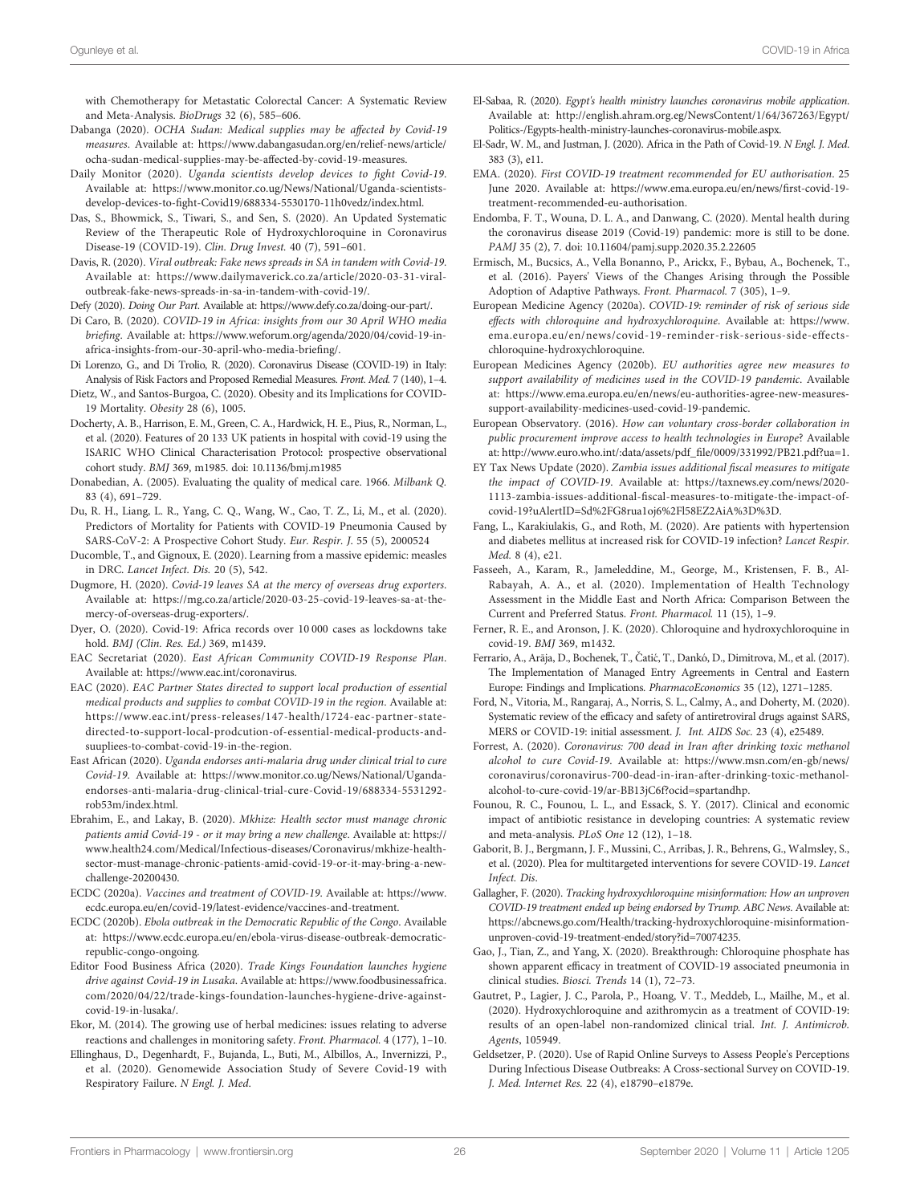<span id="page-25-0"></span>with Chemotherapy for Metastatic Colorectal Cancer: A Systematic Review and Meta-Analysis. BioDrugs 32 (6), 585–606.

- Dabanga (2020). OCHA Sudan: Medical supplies may be affected by Covid-19 measures. Available at: [https://www.dabangasudan.org/en/relief-news/article/](https://www.dabangasudan.org/en/relief-news/article/ocha-sudan-medical-supplies-may-be-affected-by-covid-19-measures) [ocha-sudan-medical-supplies-may-be-affected-by-covid-19-measures](https://www.dabangasudan.org/en/relief-news/article/ocha-sudan-medical-supplies-may-be-affected-by-covid-19-measures).
- Daily Monitor (2020). Uganda scientists develop devices to fight Covid-19. Available at: [https://www.monitor.co.ug/News/National/Uganda-scientists](https://www.monitor.co.ug/News/National/Uganda-scientists-develop-devices-to-fight-Covid19/688334-5530170-11h0vedz/index.html)develop-devices-to-fi[ght-Covid19/688334-5530170-11h0vedz/index.html.](https://www.monitor.co.ug/News/National/Uganda-scientists-develop-devices-to-fight-Covid19/688334-5530170-11h0vedz/index.html)
- Das, S., Bhowmick, S., Tiwari, S., and Sen, S. (2020). An Updated Systematic Review of the Therapeutic Role of Hydroxychloroquine in Coronavirus Disease-19 (COVID-19). Clin. Drug Invest. 40 (7), 591–601.
- Davis, R. (2020). Viral outbreak: Fake news spreads in SA in tandem with Covid-19. Available at: [https://www.dailymaverick.co.za/article/2020-03-31-viral](https://www.dailymaverick.co.za/article/2020-03-31-viral-outbreak-fake-news-spreads-in-sa-in-tandem-with-covid-19/)[outbreak-fake-news-spreads-in-sa-in-tandem-with-covid-19/.](https://www.dailymaverick.co.za/article/2020-03-31-viral-outbreak-fake-news-spreads-in-sa-in-tandem-with-covid-19/)

Defy (2020). Doing Our Part. Available at:<https://www.defy.co.za/doing-our-part/>.

- Di Caro, B. (2020). COVID-19 in Africa: insights from our 30 April WHO media briefing. Available at: [https://www.weforum.org/agenda/2020/04/covid-19-in](https://www.weforum.org/agenda/2020/04/covid-19-in-africa-insights-from-our-30-april-who-media-briefing/)[africa-insights-from-our-30-april-who-media-brie](https://www.weforum.org/agenda/2020/04/covid-19-in-africa-insights-from-our-30-april-who-media-briefing/)fing/.
- Di Lorenzo, G., and Di Trolio, R. (2020). Coronavirus Disease (COVID-19) in Italy: Analysis of Risk Factors and Proposed Remedial Measures. Front. Med. 7 (140), 1–4.
- Dietz, W., and Santos-Burgoa, C. (2020). Obesity and its Implications for COVID-19 Mortality. Obesity 28 (6), 1005.
- Docherty, A. B., Harrison, E. M., Green, C. A., Hardwick, H. E., Pius, R., Norman, L., et al. (2020). Features of 20 133 UK patients in hospital with covid-19 using the ISARIC WHO Clinical Characterisation Protocol: prospective observational cohort study. BMJ 369, m1985. doi: [10.1136/bmj.m1985](https://doi.org/10.1136/bmj.m1985)
- Donabedian, A. (2005). Evaluating the quality of medical care. 1966. Milbank Q. 83 (4), 691–729.
- Du, R. H., Liang, L. R., Yang, C. Q., Wang, W., Cao, T. Z., Li, M., et al. (2020). Predictors of Mortality for Patients with COVID-19 Pneumonia Caused by SARS-CoV-2: A Prospective Cohort Study. Eur. Respir. J. 55 (5), 2000524
- Ducomble, T., and Gignoux, E. (2020). Learning from a massive epidemic: measles in DRC. Lancet Infect. Dis. 20 (5), 542.
- Dugmore, H. (2020). Covid-19 leaves SA at the mercy of overseas drug exporters. Available at: [https://mg.co.za/article/2020-03-25-covid-19-leaves-sa-at-the](https://mg.co.za/article/2020-03-25-covid-19-leaves-sa-at-the-mercy-of-overseas-drug-exporters/)[mercy-of-overseas-drug-exporters/.](https://mg.co.za/article/2020-03-25-covid-19-leaves-sa-at-the-mercy-of-overseas-drug-exporters/)
- Dyer, O. (2020). Covid-19: Africa records over 10 000 cases as lockdowns take hold. BMJ (Clin. Res. Ed.) 369, m1439.
- EAC Secretariat (2020). East African Community COVID-19 Response Plan. Available at: [https://www.eac.int/coronavirus.](https://www.eac.int/coronavirus)
- EAC (2020). EAC Partner States directed to support local production of essential medical products and supplies to combat COVID-19 in the region. Available at: [https://www.eac.int/press-releases/147-health/1724-eac-partner-state](https://www.eac.int/press-releases/147-health/1724-eac-partner-state-directed-to-support-local-prodcution-of-essential-medical-products-and-suupliees-to-combat-covid-19-in-the-region)[directed-to-support-local-prodcution-of-essential-medical-products-and](https://www.eac.int/press-releases/147-health/1724-eac-partner-state-directed-to-support-local-prodcution-of-essential-medical-products-and-suupliees-to-combat-covid-19-in-the-region)[suupliees-to-combat-covid-19-in-the-region](https://www.eac.int/press-releases/147-health/1724-eac-partner-state-directed-to-support-local-prodcution-of-essential-medical-products-and-suupliees-to-combat-covid-19-in-the-region).
- East African (2020). Uganda endorses anti-malaria drug under clinical trial to cure Covid-19. Available at: [https://www.monitor.co.ug/News/National/Uganda](https://www.monitor.co.ug/News/National/Uganda-endorses-anti-malaria-drug-clinical-trial-cure-Covid-19/688334-5531292-rob53m/index.html)[endorses-anti-malaria-drug-clinical-trial-cure-Covid-19/688334-5531292](https://www.monitor.co.ug/News/National/Uganda-endorses-anti-malaria-drug-clinical-trial-cure-Covid-19/688334-5531292-rob53m/index.html) [rob53m/index.html.](https://www.monitor.co.ug/News/National/Uganda-endorses-anti-malaria-drug-clinical-trial-cure-Covid-19/688334-5531292-rob53m/index.html)
- Ebrahim, E., and Lakay, B. (2020). Mkhize: Health sector must manage chronic patients amid Covid-19 - or it may bring a new challenge. Available at: [https://](https://www.health24.com/Medical/Infectious-diseases/Coronavirus/mkhize-health-sector-must-manage-chronic-patients-amid-covid-19-or-it-may-bring-a-new-challenge-20200430) [www.health24.com/Medical/Infectious-diseases/Coronavirus/mkhize-health](https://www.health24.com/Medical/Infectious-diseases/Coronavirus/mkhize-health-sector-must-manage-chronic-patients-amid-covid-19-or-it-may-bring-a-new-challenge-20200430)[sector-must-manage-chronic-patients-amid-covid-19-or-it-may-bring-a-new](https://www.health24.com/Medical/Infectious-diseases/Coronavirus/mkhize-health-sector-must-manage-chronic-patients-amid-covid-19-or-it-may-bring-a-new-challenge-20200430)[challenge-20200430.](https://www.health24.com/Medical/Infectious-diseases/Coronavirus/mkhize-health-sector-must-manage-chronic-patients-amid-covid-19-or-it-may-bring-a-new-challenge-20200430)
- ECDC (2020a). Vaccines and treatment of COVID-19. Available at: [https://www.](https://www.ecdc.europa.eu/en/covid-19/latest-evidence/vaccines-and-treatment) [ecdc.europa.eu/en/covid-19/latest-evidence/vaccines-and-treatment.](https://www.ecdc.europa.eu/en/covid-19/latest-evidence/vaccines-and-treatment)
- ECDC (2020b). Ebola outbreak in the Democratic Republic of the Congo. Available at: [https://www.ecdc.europa.eu/en/ebola-virus-disease-outbreak-democratic](https://www.ecdc.europa.eu/en/ebola-virus-disease-outbreak-democratic-republic-congo-ongoing)[republic-congo-ongoing.](https://www.ecdc.europa.eu/en/ebola-virus-disease-outbreak-democratic-republic-congo-ongoing)
- Editor Food Business Africa (2020). Trade Kings Foundation launches hygiene drive against Covid-19 in Lusaka. Available at: [https://www.foodbusinessafrica.](https://www.foodbusinessafrica.com/2020/04/22/trade-kings-foundation-launches-hygiene-drive-against-covid-19-in-lusaka/) [com/2020/04/22/trade-kings-foundation-launches-hygiene-drive-against](https://www.foodbusinessafrica.com/2020/04/22/trade-kings-foundation-launches-hygiene-drive-against-covid-19-in-lusaka/)[covid-19-in-lusaka/.](https://www.foodbusinessafrica.com/2020/04/22/trade-kings-foundation-launches-hygiene-drive-against-covid-19-in-lusaka/)
- Ekor, M. (2014). The growing use of herbal medicines: issues relating to adverse reactions and challenges in monitoring safety. Front. Pharmacol. 4 (177), 1–10.
- Ellinghaus, D., Degenhardt, F., Bujanda, L., Buti, M., Albillos, A., Invernizzi, P., et al. (2020). Genomewide Association Study of Severe Covid-19 with Respiratory Failure. N Engl. J. Med.
- El-Sabaa, R. (2020). Egypt's health ministry launches coronavirus mobile application. Available at: [http://english.ahram.org.eg/NewsContent/1/64/367263/Egypt/](http://english.ahram.org.eg/NewsContent/1/64/367263/Egypt/Politics-/Egypts-health-ministry-launches-coronavirus-mobile.aspx) [Politics-/Egypts-health-ministry-launches-coronavirus-mobile.aspx](http://english.ahram.org.eg/NewsContent/1/64/367263/Egypt/Politics-/Egypts-health-ministry-launches-coronavirus-mobile.aspx).
- El-Sadr, W. M., and Justman, J. (2020). Africa in the Path of Covid-19. N Engl. J. Med. 383 (3), e11.
- EMA. (2020). First COVID-19 treatment recommended for EU authorisation. 25 June 2020. Available at: [https://www.ema.europa.eu/en/news/](https://www.ema.europa.eu/en/news/first-covid-19-treatment-recommended-eu-authorisation)first-covid-19 [treatment-recommended-eu-authorisation](https://www.ema.europa.eu/en/news/first-covid-19-treatment-recommended-eu-authorisation).
- Endomba, F. T., Wouna, D. L. A., and Danwang, C. (2020). Mental health during the coronavirus disease 2019 (Covid-19) pandemic: more is still to be done. PAMJ 35 (2), 7. doi: [10.11604/pamj.supp.2020.35.2.22605](https://doi.org/10.11604/pamj.supp.2020.35.2.22605)
- Ermisch, M., Bucsics, A., Vella Bonanno, P., Arickx, F., Bybau, A., Bochenek, T., et al. (2016). Payers' Views of the Changes Arising through the Possible Adoption of Adaptive Pathways. Front. Pharmacol. 7 (305), 1–9.
- European Medicine Agency (2020a). COVID-19: reminder of risk of serious side effects with chloroquine and hydroxychloroquine. Available at: [https://www.](https://www.ema.europa.eu/en/news/covid-19-reminder-risk-serious-side-effects-chloroquine-hydroxychloroquine) [ema.europa.eu/en/news/covid-19-reminder-risk-serious-side-effects](https://www.ema.europa.eu/en/news/covid-19-reminder-risk-serious-side-effects-chloroquine-hydroxychloroquine)[chloroquine-hydroxychloroquine.](https://www.ema.europa.eu/en/news/covid-19-reminder-risk-serious-side-effects-chloroquine-hydroxychloroquine)
- European Medicines Agency (2020b). EU authorities agree new measures to support availability of medicines used in the COVID-19 pandemic. Available at: [https://www.ema.europa.eu/en/news/eu-authorities-agree-new-measures](https://www.ema.europa.eu/en/news/eu-authorities-agree-new-measures-support-availability-medicines-used-covid-19-pandemic)[support-availability-medicines-used-covid-19-pandemic.](https://www.ema.europa.eu/en/news/eu-authorities-agree-new-measures-support-availability-medicines-used-covid-19-pandemic)
- European Observatory. (2016). How can voluntary cross-border collaboration in public procurement improve access to health technologies in Europe? Available at: [http://www.euro.who.int/:data/assets/pdf\\_](http://www.euro.who.int/:data/assets/pdf_file/0009/331992/PB21.pdf?ua=1)file/0009/331992/PB21.pdf?ua=1.
- EY Tax News Update (2020). Zambia issues additional fiscal measures to mitigate the impact of COVID-19. Available at: [https://taxnews.ey.com/news/2020-](https://taxnews.ey.com/news/2020-1113-zambia-issues-additional-fiscal-measures-to-mitigate-the-impact-of-covid-19?uAlertID=Sd%2FG8rua1oj6%2Fl58EZ2AiA%3D%3D) 1113-zambia-issues-additional-fi[scal-measures-to-mitigate-the-impact-of](https://taxnews.ey.com/news/2020-1113-zambia-issues-additional-fiscal-measures-to-mitigate-the-impact-of-covid-19?uAlertID=Sd%2FG8rua1oj6%2Fl58EZ2AiA%3D%3D)[covid-19?uAlertID=Sd%2FG8rua1oj6%2Fl58EZ2AiA%3D%3D.](https://taxnews.ey.com/news/2020-1113-zambia-issues-additional-fiscal-measures-to-mitigate-the-impact-of-covid-19?uAlertID=Sd%2FG8rua1oj6%2Fl58EZ2AiA%3D%3D)
- Fang, L., Karakiulakis, G., and Roth, M. (2020). Are patients with hypertension and diabetes mellitus at increased risk for COVID-19 infection? Lancet Respir. Med. 8 (4), e21.
- Fasseeh, A., Karam, R., Jameleddine, M., George, M., Kristensen, F. B., Al-Rabayah, A. A., et al. (2020). Implementation of Health Technology Assessment in the Middle East and North Africa: Comparison Between the Current and Preferred Status. Front. Pharmacol. 11 (15), 1–9.
- Ferner, R. E., and Aronson, J. K. (2020). Chloroquine and hydroxychloroquine in covid-19. BMJ 369, m1432.
- Ferrario, A., Arāja, D., Bochenek, T., Čatić, T., Dankó, D., Dimitrova, M., et al. (2017). The Implementation of Managed Entry Agreements in Central and Eastern Europe: Findings and Implications. PharmacoEconomics 35 (12), 1271–1285.
- Ford, N., Vitoria, M., Rangaraj, A., Norris, S. L., Calmy, A., and Doherty, M. (2020). Systematic review of the efficacy and safety of antiretroviral drugs against SARS, MERS or COVID-19: initial assessment. J. Int. AIDS Soc. 23 (4), e25489.
- Forrest, A. (2020). Coronavirus: 700 dead in Iran after drinking toxic methanol alcohol to cure Covid-19. Available at: [https://www.msn.com/en-gb/news/](https://www.msn.com/en-gb/news/coronavirus/coronavirus-700-dead-in-iran-after-drinking-toxic-methanol-alcohol-to-cure-covid-19/ar-BB13jC6f?ocid=spartandhp) [coronavirus/coronavirus-700-dead-in-iran-after-drinking-toxic-methanol](https://www.msn.com/en-gb/news/coronavirus/coronavirus-700-dead-in-iran-after-drinking-toxic-methanol-alcohol-to-cure-covid-19/ar-BB13jC6f?ocid=spartandhp)[alcohol-to-cure-covid-19/ar-BB13jC6f?ocid=spartandhp](https://www.msn.com/en-gb/news/coronavirus/coronavirus-700-dead-in-iran-after-drinking-toxic-methanol-alcohol-to-cure-covid-19/ar-BB13jC6f?ocid=spartandhp).
- Founou, R. C., Founou, L. L., and Essack, S. Y. (2017). Clinical and economic impact of antibiotic resistance in developing countries: A systematic review and meta-analysis. PLoS One 12 (12), 1–18.
- Gaborit, B. J., Bergmann, J. F., Mussini, C., Arribas, J. R., Behrens, G., Walmsley, S., et al. (2020). Plea for multitargeted interventions for severe COVID-19. Lancet Infect. Dis.
- Gallagher, F. (2020). Tracking hydroxychloroquine misinformation: How an unproven COVID-19 treatment ended up being endorsed by Trump. ABC News. Available at: [https://abcnews.go.com/Health/tracking-hydroxychloroquine-misinformation](https://abcnews.go.com/Health/tracking-hydroxychloroquine-misinformation-unproven-covid-19-treatment-ended/story?id=70074235)[unproven-covid-19-treatment-ended/story?id=70074235.](https://abcnews.go.com/Health/tracking-hydroxychloroquine-misinformation-unproven-covid-19-treatment-ended/story?id=70074235)
- Gao, J., Tian, Z., and Yang, X. (2020). Breakthrough: Chloroquine phosphate has shown apparent efficacy in treatment of COVID-19 associated pneumonia in clinical studies. Biosci. Trends 14 (1), 72–73.
- Gautret, P., Lagier, J. C., Parola, P., Hoang, V. T., Meddeb, L., Mailhe, M., et al. (2020). Hydroxychloroquine and azithromycin as a treatment of COVID-19: results of an open-label non-randomized clinical trial. Int. J. Antimicrob. Agents, 105949.
- Geldsetzer, P. (2020). Use of Rapid Online Surveys to Assess People's Perceptions During Infectious Disease Outbreaks: A Cross-sectional Survey on COVID-19. J. Med. Internet Res. 22 (4), e18790–e1879e.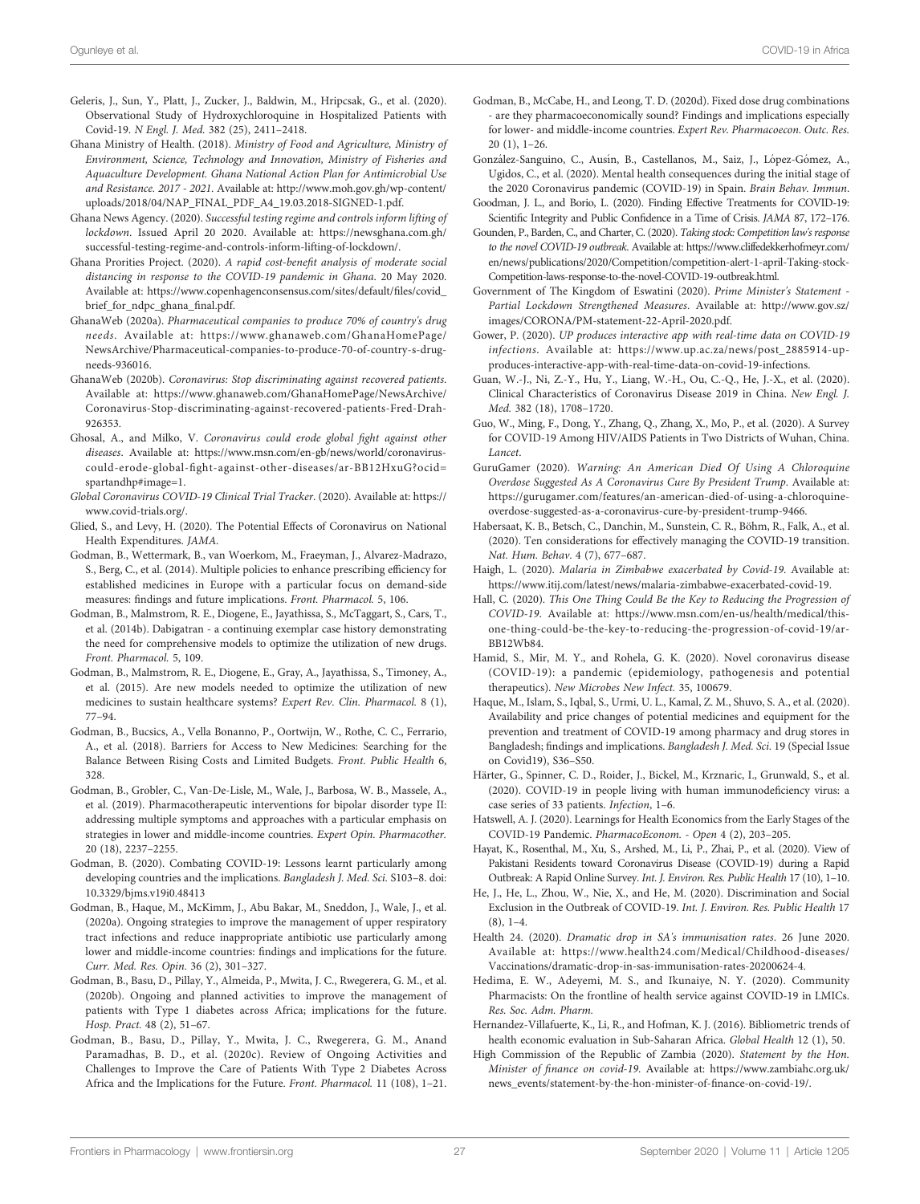- <span id="page-26-0"></span>Geleris, J., Sun, Y., Platt, J., Zucker, J., Baldwin, M., Hripcsak, G., et al. (2020). Observational Study of Hydroxychloroquine in Hospitalized Patients with Covid-19. N Engl. J. Med. 382 (25), 2411–2418.
- Ghana Ministry of Health. (2018). Ministry of Food and Agriculture, Ministry of Environment, Science, Technology and Innovation, Ministry of Fisheries and Aquaculture Development. Ghana National Action Plan for Antimicrobial Use and Resistance. 2017 - 2021. Available at: [http://www.moh.gov.gh/wp-content/](http://www.moh.gov.gh/wp-content/uploads/2018/04/NAP_FINAL_PDF_A4_19.03.2018-SIGNED-1.pdf) [uploads/2018/04/NAP\\_FINAL\\_PDF\\_A4\\_19.03.2018-SIGNED-1.pdf.](http://www.moh.gov.gh/wp-content/uploads/2018/04/NAP_FINAL_PDF_A4_19.03.2018-SIGNED-1.pdf)
- Ghana News Agency. (2020). Successful testing regime and controls inform lifting of lockdown. Issued April 20 2020. Available at: [https://newsghana.com.gh/](https://newsghana.com.gh/successful-testing-regime-and-controls-inform-lifting-of-lockdown/) [successful-testing-regime-and-controls-inform-lifting-of-lockdown/.](https://newsghana.com.gh/successful-testing-regime-and-controls-inform-lifting-of-lockdown/)
- Ghana Prorities Project. (2020). A rapid cost-benefit analysis of moderate social distancing in response to the COVID-19 pandemic in Ghana. 20 May 2020. Available at: [https://www.copenhagenconsensus.com/sites/default/](https://www.copenhagenconsensus.com/sites/default/files/covid_brief_for_ndpc_ghana_final.pdf)files/covid\_ [brief\\_for\\_ndpc\\_ghana\\_](https://www.copenhagenconsensus.com/sites/default/files/covid_brief_for_ndpc_ghana_final.pdf)final.pdf.
- GhanaWeb (2020a). Pharmaceutical companies to produce 70% of country's drug needs. Available at: [https://www.ghanaweb.com/GhanaHomePage/](https://www.ghanaweb.com/GhanaHomePage/NewsArchive/Pharmaceutical-companies-to-produce-70-of-country-s-drug-needs-936016) [NewsArchive/Pharmaceutical-companies-to-produce-70-of-country-s-drug](https://www.ghanaweb.com/GhanaHomePage/NewsArchive/Pharmaceutical-companies-to-produce-70-of-country-s-drug-needs-936016)[needs-936016.](https://www.ghanaweb.com/GhanaHomePage/NewsArchive/Pharmaceutical-companies-to-produce-70-of-country-s-drug-needs-936016)
- GhanaWeb (2020b). Coronavirus: Stop discriminating against recovered patients. Available at: [https://www.ghanaweb.com/GhanaHomePage/NewsArchive/](https://www.ghanaweb.com/GhanaHomePage/NewsArchive/Coronavirus-Stop-discriminating-against-recovered-patients-Fred-Drah-926353) [Coronavirus-Stop-discriminating-against-recovered-patients-Fred-Drah-](https://www.ghanaweb.com/GhanaHomePage/NewsArchive/Coronavirus-Stop-discriminating-against-recovered-patients-Fred-Drah-926353)[926353.](https://www.ghanaweb.com/GhanaHomePage/NewsArchive/Coronavirus-Stop-discriminating-against-recovered-patients-Fred-Drah-926353)
- Ghosal, A., and Milko, V. Coronavirus could erode global fight against other diseases. Available at: [https://www.msn.com/en-gb/news/world/coronavirus](https://www.msn.com/en-gb/news/world/coronavirus-could-erode-global-fight-against-other-diseases/ar-BB12HxuG?ocid=spartandhp#image=1)could-erode-global-fi[ght-against-other-diseases/ar-BB12HxuG?ocid=](https://www.msn.com/en-gb/news/world/coronavirus-could-erode-global-fight-against-other-diseases/ar-BB12HxuG?ocid=spartandhp#image=1) [spartandhp#image=1.](https://www.msn.com/en-gb/news/world/coronavirus-could-erode-global-fight-against-other-diseases/ar-BB12HxuG?ocid=spartandhp#image=1)
- Global Coronavirus COVID-19 Clinical Trial Tracker. (2020). Available at: [https://](https://www.covid-trials.org/) [www.covid-trials.org/.](https://www.covid-trials.org/)
- Glied, S., and Levy, H. (2020). The Potential Effects of Coronavirus on National Health Expenditures. JAMA.
- Godman, B., Wettermark, B., van Woerkom, M., Fraeyman, J., Alvarez-Madrazo, S., Berg, C., et al. (2014). Multiple policies to enhance prescribing efficiency for established medicines in Europe with a particular focus on demand-side measures: findings and future implications. Front. Pharmacol. 5, 106.
- Godman, B., Malmstrom, R. E., Diogene, E., Jayathissa, S., McTaggart, S., Cars, T., et al. (2014b). Dabigatran - a continuing exemplar case history demonstrating the need for comprehensive models to optimize the utilization of new drugs. Front. Pharmacol. 5, 109.
- Godman, B., Malmstrom, R. E., Diogene, E., Gray, A., Jayathissa, S., Timoney, A., et al. (2015). Are new models needed to optimize the utilization of new medicines to sustain healthcare systems? Expert Rev. Clin. Pharmacol. 8 (1), 77–94.
- Godman, B., Bucsics, A., Vella Bonanno, P., Oortwijn, W., Rothe, C. C., Ferrario, A., et al. (2018). Barriers for Access to New Medicines: Searching for the Balance Between Rising Costs and Limited Budgets. Front. Public Health 6, 328.
- Godman, B., Grobler, C., Van-De-Lisle, M., Wale, J., Barbosa, W. B., Massele, A., et al. (2019). Pharmacotherapeutic interventions for bipolar disorder type II: addressing multiple symptoms and approaches with a particular emphasis on strategies in lower and middle-income countries. Expert Opin. Pharmacother. 20 (18), 2237–2255.
- Godman, B. (2020). Combating COVID-19: Lessons learnt particularly among developing countries and the implications. Bangladesh J. Med. Sci. S103–8. doi: [10.3329/bjms.v19i0.48413](https://doi.org/10.3329/bjms.v19i0.48413)
- Godman, B., Haque, M., McKimm, J., Abu Bakar, M., Sneddon, J., Wale, J., et al. (2020a). Ongoing strategies to improve the management of upper respiratory tract infections and reduce inappropriate antibiotic use particularly among lower and middle-income countries: findings and implications for the future. Curr. Med. Res. Opin. 36 (2), 301–327.
- Godman, B., Basu, D., Pillay, Y., Almeida, P., Mwita, J. C., Rwegerera, G. M., et al. (2020b). Ongoing and planned activities to improve the management of patients with Type 1 diabetes across Africa; implications for the future. Hosp. Pract. 48 (2), 51–67.
- Godman, B., Basu, D., Pillay, Y., Mwita, J. C., Rwegerera, G. M., Anand Paramadhas, B. D., et al. (2020c). Review of Ongoing Activities and Challenges to Improve the Care of Patients With Type 2 Diabetes Across Africa and the Implications for the Future. Front. Pharmacol. 11 (108), 1–21.
- Godman, B., McCabe, H., and Leong, T. D. (2020d). Fixed dose drug combinations - are they pharmacoeconomically sound? Findings and implications especially for lower- and middle-income countries. Expert Rev. Pharmacoecon. Outc. Res. 20 (1), 1–26.
- González-Sanguino, C., Ausín, B., Castellanos, M., Saiz, J., López-Gómez, A., Ugidos, C., et al. (2020). Mental health consequences during the initial stage of the 2020 Coronavirus pandemic (COVID-19) in Spain. Brain Behav. Immun.
- Goodman, J. L., and Borio, L. (2020). Finding Effective Treatments for COVID-19: Scientific Integrity and Public Confidence in a Time of Crisis. JAMA 87, 172–176.
- Gounden, P., Barden, C., and Charter, C. (2020). Taking stock: Competition law's response to the novel COVID-19 outbreak. Available at: [https://www.cliffedekkerhofmeyr.com/](https://www.cliffedekkerhofmeyr.com/en/news/publications/2020/Competition/competition-alert-1-april-Taking-stock-Competition-laws-response-to-the-novel-COVID-19-outbreak.html) [en/news/publications/2020/Competition/competition-alert-1-april-Taking-stock-](https://www.cliffedekkerhofmeyr.com/en/news/publications/2020/Competition/competition-alert-1-april-Taking-stock-Competition-laws-response-to-the-novel-COVID-19-outbreak.html)[Competition-laws-response-to-the-novel-COVID-19-outbreak.html.](https://www.cliffedekkerhofmeyr.com/en/news/publications/2020/Competition/competition-alert-1-april-Taking-stock-Competition-laws-response-to-the-novel-COVID-19-outbreak.html)
- Government of The Kingdom of Eswatini (2020). Prime Minister's Statement Partial Lockdown Strengthened Measures. Available at: [http://www.gov.sz/](http://www.gov.sz/images/CORONA/PM-statement-22-April-2020.pdf) [images/CORONA/PM-statement-22-April-2020.pdf](http://www.gov.sz/images/CORONA/PM-statement-22-April-2020.pdf).
- Gower, P. (2020). UP produces interactive app with real-time data on COVID-19 infections. Available at: [https://www.up.ac.za/news/post\\_2885914-up](https://www.up.ac.za/news/post_2885914-up-produces-interactive-app-with-real-time-data-on-covid-19-infections)[produces-interactive-app-with-real-time-data-on-covid-19-infections.](https://www.up.ac.za/news/post_2885914-up-produces-interactive-app-with-real-time-data-on-covid-19-infections)
- Guan, W.-J., Ni, Z.-Y., Hu, Y., Liang, W.-H., Ou, C.-Q., He, J.-X., et al. (2020). Clinical Characteristics of Coronavirus Disease 2019 in China. New Engl. J. Med. 382 (18), 1708–1720.
- Guo, W., Ming, F., Dong, Y., Zhang, Q., Zhang, X., Mo, P., et al. (2020). A Survey for COVID-19 Among HIV/AIDS Patients in Two Districts of Wuhan, China. Lancet.
- GuruGamer (2020). Warning: An American Died Of Using A Chloroquine Overdose Suggested As A Coronavirus Cure By President Trump. Available at: [https://gurugamer.com/features/an-american-died-of-using-a-chloroquine](https://gurugamer.com/features/an-american-died-of-using-a-chloroquine-overdose-suggested-as-a-coronavirus-cure-by-president-trump-9466)[overdose-suggested-as-a-coronavirus-cure-by-president-trump-9466.](https://gurugamer.com/features/an-american-died-of-using-a-chloroquine-overdose-suggested-as-a-coronavirus-cure-by-president-trump-9466)
- Habersaat, K. B., Betsch, C., Danchin, M., Sunstein, C. R., Böhm, R., Falk, A., et al. (2020). Ten considerations for effectively managing the COVID-19 transition. Nat. Hum. Behav. 4 (7), 677–687.
- Haigh, L. (2020). Malaria in Zimbabwe exacerbated by Covid-19. Available at: [https://www.itij.com/latest/news/malaria-zimbabwe-exacerbated-covid-19.](https://www.itij.com/latest/news/malaria-zimbabwe-exacerbated-covid-19)
- Hall, C. (2020). This One Thing Could Be the Key to Reducing the Progression of COVID-19. Available at: [https://www.msn.com/en-us/health/medical/this](https://www.msn.com/en-us/health/medical/this-one-thing-could-be-the-key-to-reducing-the-progression-of-covid-19/ar-BB12Wb84)[one-thing-could-be-the-key-to-reducing-the-progression-of-covid-19/ar-](https://www.msn.com/en-us/health/medical/this-one-thing-could-be-the-key-to-reducing-the-progression-of-covid-19/ar-BB12Wb84)[BB12Wb84](https://www.msn.com/en-us/health/medical/this-one-thing-could-be-the-key-to-reducing-the-progression-of-covid-19/ar-BB12Wb84).
- Hamid, S., Mir, M. Y., and Rohela, G. K. (2020). Novel coronavirus disease (COVID-19): a pandemic (epidemiology, pathogenesis and potential therapeutics). New Microbes New Infect. 35, 100679.
- Haque, M., Islam, S., Iqbal, S., Urmi, U. L., Kamal, Z. M., Shuvo, S. A., et al. (2020). Availability and price changes of potential medicines and equipment for the prevention and treatment of COVID-19 among pharmacy and drug stores in Bangladesh; findings and implications. Bangladesh J. Med. Sci. 19 (Special Issue on Covid19), S36–S50.
- Härter, G., Spinner, C. D., Roider, J., Bickel, M., Krznaric, I., Grunwald, S., et al. (2020). COVID-19 in people living with human immunodeficiency virus: a case series of 33 patients. Infection, 1–6.
- Hatswell, A. J. (2020). Learnings for Health Economics from the Early Stages of the COVID-19 Pandemic. PharmacoEconom. - Open 4 (2), 203–205.
- Hayat, K., Rosenthal, M., Xu, S., Arshed, M., Li, P., Zhai, P., et al. (2020). View of Pakistani Residents toward Coronavirus Disease (COVID-19) during a Rapid Outbreak: A Rapid Online Survey. Int. J. Environ. Res. Public Health 17 (10), 1–10.
- He, J., He, L., Zhou, W., Nie, X., and He, M. (2020). Discrimination and Social Exclusion in the Outbreak of COVID-19. Int. J. Environ. Res. Public Health 17  $(8), 1-4.$
- Health 24. (2020). Dramatic drop in SA's immunisation rates. 26 June 2020. Available at: [https://www.health24.com/Medical/Childhood-diseases/](https://www.health24.com/Medical/Childhood-diseases/Vaccinations/dramatic-drop-in-sas-immunisation-rates-20200624-4) [Vaccinations/dramatic-drop-in-sas-immunisation-rates-20200624-4](https://www.health24.com/Medical/Childhood-diseases/Vaccinations/dramatic-drop-in-sas-immunisation-rates-20200624-4).
- Hedima, E. W., Adeyemi, M. S., and Ikunaiye, N. Y. (2020). Community Pharmacists: On the frontline of health service against COVID-19 in LMICs. Res. Soc. Adm. Pharm.
- Hernandez-Villafuerte, K., Li, R., and Hofman, K. J. (2016). Bibliometric trends of health economic evaluation in Sub-Saharan Africa. Global Health 12 (1), 50.
- High Commission of the Republic of Zambia (2020). Statement by the Hon. Minister of finance on covid-19. Available at: [https://www.zambiahc.org.uk/](https://www.zambiahc.org.uk/news_events/statement-by-the-hon-minister-of-finance-on-covid-19/) [news\\_events/statement-by-the-hon-minister-of-](https://www.zambiahc.org.uk/news_events/statement-by-the-hon-minister-of-finance-on-covid-19/)finance-on-covid-19/.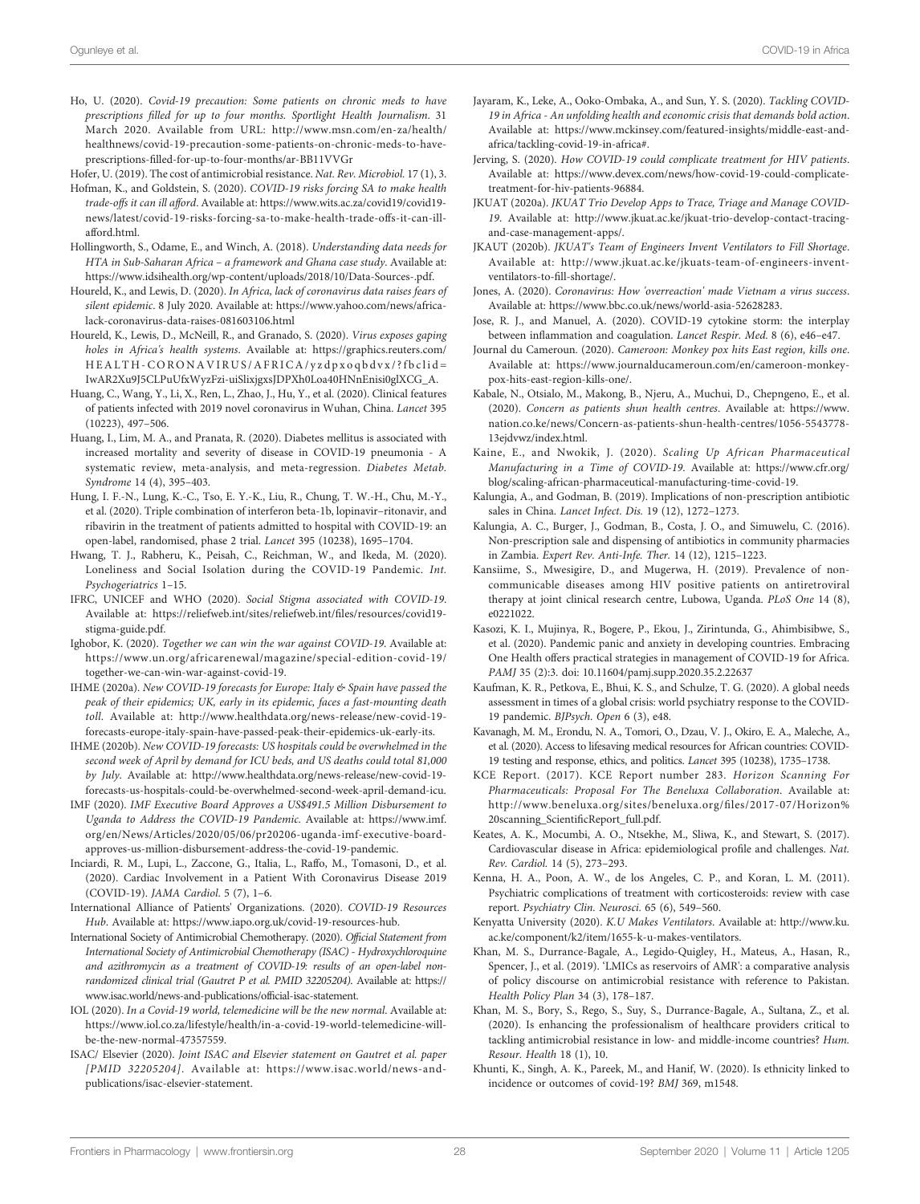- <span id="page-27-0"></span>Ho, U. (2020). Covid-19 precaution: Some patients on chronic meds to have prescriptions filled for up to four months. Sportlight Health Journalism. 31 March 2020. Available from URL: [http://www.msn.com/en-za/health/](http://www.msn.com/en-za/health/healthnews/covid-19-precaution-some-patients-on-chronic-meds-to-have-prescriptions-filled-for-up-to-four-months/ar-BB11VVGr) [healthnews/covid-19-precaution-some-patients-on-chronic-meds-to-have](http://www.msn.com/en-za/health/healthnews/covid-19-precaution-some-patients-on-chronic-meds-to-have-prescriptions-filled-for-up-to-four-months/ar-BB11VVGr)prescriptions-fi[lled-for-up-to-four-months/ar-BB11VVGr](http://www.msn.com/en-za/health/healthnews/covid-19-precaution-some-patients-on-chronic-meds-to-have-prescriptions-filled-for-up-to-four-months/ar-BB11VVGr)
- Hofer, U. (2019). The cost of antimicrobial resistance. Nat. Rev. Microbiol. 17 (1), 3.
- Hofman, K., and Goldstein, S. (2020). COVID-19 risks forcing SA to make health trade-offs it can ill afford. Available at: [https://www.wits.ac.za/covid19/covid19](https://www.wits.ac.za/covid19/covid19-news/latest/covid-19-risks-forcing-sa-to-make-health-trade-offs-it-can-ill-afford.html) [news/latest/covid-19-risks-forcing-sa-to-make-health-trade-offs-it-can-ill](https://www.wits.ac.za/covid19/covid19-news/latest/covid-19-risks-forcing-sa-to-make-health-trade-offs-it-can-ill-afford.html)[afford.html.](https://www.wits.ac.za/covid19/covid19-news/latest/covid-19-risks-forcing-sa-to-make-health-trade-offs-it-can-ill-afford.html)
- Hollingworth, S., Odame, E., and Winch, A. (2018). Understanding data needs for HTA in Sub-Saharan Africa – a framework and Ghana case study. Available at: [https://www.idsihealth.org/wp-content/uploads/2018/10/Data-Sources-.pdf.](https://www.idsihealth.org/wp-content/uploads/2018/10/Data-Sources-.pdf)
- Houreld, K., and Lewis, D. (2020). In Africa, lack of coronavirus data raises fears of silent epidemic. 8 July 2020. Available at: [https://www.yahoo.com/news/africa](https://www.yahoo.com/news/africa-lack-coronavirus-data-raises-081603106.html)[lack-coronavirus-data-raises-081603106.html](https://www.yahoo.com/news/africa-lack-coronavirus-data-raises-081603106.html)
- Houreld, K., Lewis, D., McNeill, R., and Granado, S. (2020). Virus exposes gaping holes in Africa's health systems. Available at: [https://graphics.reuters.com/](https://graphics.reuters.com/HEALTH-CORONAVIRUS/AFRICA/yzdpxoqbdvx/?fbclid=IwAR2Xu9J5CLPuUfxWyzFzi-uiSlixjgxsJDPXh0Loa40HNnEnisi0glXCG_A) [HEALTH-CORONAVIRUS/AFRICA/yzdpxoqbdvx/?fbclid=](https://graphics.reuters.com/HEALTH-CORONAVIRUS/AFRICA/yzdpxoqbdvx/?fbclid=IwAR2Xu9J5CLPuUfxWyzFzi-uiSlixjgxsJDPXh0Loa40HNnEnisi0glXCG_A) [IwAR2Xu9J5CLPuUfxWyzFzi-uiSlixjgxsJDPXh0Loa40HNnEnisi0glXCG\\_A](https://graphics.reuters.com/HEALTH-CORONAVIRUS/AFRICA/yzdpxoqbdvx/?fbclid=IwAR2Xu9J5CLPuUfxWyzFzi-uiSlixjgxsJDPXh0Loa40HNnEnisi0glXCG_A).
- Huang, C., Wang, Y., Li, X., Ren, L., Zhao, J., Hu, Y., et al. (2020). Clinical features of patients infected with 2019 novel coronavirus in Wuhan, China. Lancet 395 (10223), 497–506.
- Huang, I., Lim, M. A., and Pranata, R. (2020). Diabetes mellitus is associated with increased mortality and severity of disease in COVID-19 pneumonia - A systematic review, meta-analysis, and meta-regression. Diabetes Metab. Syndrome 14 (4), 395–403.
- Hung, I. F.-N., Lung, K.-C., Tso, E. Y.-K., Liu, R., Chung, T. W.-H., Chu, M.-Y., et al. (2020). Triple combination of interferon beta-1b, lopinavir–ritonavir, and ribavirin in the treatment of patients admitted to hospital with COVID-19: an open-label, randomised, phase 2 trial. Lancet 395 (10238), 1695–1704.
- Hwang, T. J., Rabheru, K., Peisah, C., Reichman, W., and Ikeda, M. (2020). Loneliness and Social Isolation during the COVID-19 Pandemic. Int. Psychogeriatrics 1–15.
- IFRC, UNICEF and WHO (2020). Social Stigma associated with COVID-19. Available at: [https://reliefweb.int/sites/reliefweb.int/](https://reliefweb.int/sites/reliefweb.int/files/resources/covid19-stigma-guide.pdf)files/resources/covid19 [stigma-guide.pdf.](https://reliefweb.int/sites/reliefweb.int/files/resources/covid19-stigma-guide.pdf)
- Ighobor, K. (2020). Together we can win the war against COVID-19. Available at: [https://www.un.org/africarenewal/magazine/special-edition-covid-19/](https://www.un.org/africarenewal/magazine/special-edition-covid-19/together-we-can-win-war-against-covid-19) [together-we-can-win-war-against-covid-19.](https://www.un.org/africarenewal/magazine/special-edition-covid-19/together-we-can-win-war-against-covid-19)
- IHME (2020a). New COVID-19 forecasts for Europe: Italy & Spain have passed the peak of their epidemics; UK, early in its epidemic, faces a fast-mounting death toll. Available at: [http://www.healthdata.org/news-release/new-covid-19](http://www.healthdata.org/news-release/new-covid-19-forecasts-europe-italy-spain-have-passed-peak-their-epidemics-uk-early-its) [forecasts-europe-italy-spain-have-passed-peak-their-epidemics-uk-early-its.](http://www.healthdata.org/news-release/new-covid-19-forecasts-europe-italy-spain-have-passed-peak-their-epidemics-uk-early-its)
- IHME (2020b). New COVID-19 forecasts: US hospitals could be overwhelmed in the second week of April by demand for ICU beds, and US deaths could total 81,000 by July. Available at: [http://www.healthdata.org/news-release/new-covid-19](http://www.healthdata.org/news-release/new-covid-19-forecasts-us-hospitals-could-be-overwhelmed-second-week-april-demand-icu) [forecasts-us-hospitals-could-be-overwhelmed-second-week-april-demand-icu](http://www.healthdata.org/news-release/new-covid-19-forecasts-us-hospitals-could-be-overwhelmed-second-week-april-demand-icu).
- IMF (2020). IMF Executive Board Approves a US\$491.5 Million Disbursement to Uganda to Address the COVID-19 Pandemic. Available at: [https://www.imf.](https://www.imf.org/en/News/Articles/2020/05/06/pr20206-uganda-imf-executive-board-approves-us-million-disbursement-address-the-covid-19-pandemic) [org/en/News/Articles/2020/05/06/pr20206-uganda-imf-executive-board](https://www.imf.org/en/News/Articles/2020/05/06/pr20206-uganda-imf-executive-board-approves-us-million-disbursement-address-the-covid-19-pandemic)[approves-us-million-disbursement-address-the-covid-19-pandemic.](https://www.imf.org/en/News/Articles/2020/05/06/pr20206-uganda-imf-executive-board-approves-us-million-disbursement-address-the-covid-19-pandemic)
- Inciardi, R. M., Lupi, L., Zaccone, G., Italia, L., Raffo, M., Tomasoni, D., et al. (2020). Cardiac Involvement in a Patient With Coronavirus Disease 2019 (COVID-19). JAMA Cardiol. 5 (7), 1–6.
- International Alliance of Patients' Organizations. (2020). COVID-19 Resources Hub. Available at:<https://www.iapo.org.uk/covid-19-resources-hub>.
- International Society of Antimicrobial Chemotherapy. (2020). Official Statement from International Society of Antimicrobial Chemotherapy (ISAC) - Hydroxychloroquine and azithromycin as a treatment of COVID-19: results of an open-label nonrandomized clinical trial (Gautret P et al. PMID 32205204). Available at: [https://](https://www.isac.world/news-and-publications/official-isac-statement) [www.isac.world/news-and-publications/of](https://www.isac.world/news-and-publications/official-isac-statement)ficial-isac-statement.
- IOL (2020). In a Covid-19 world, telemedicine will be the new normal. Available at: [https://www.iol.co.za/lifestyle/health/in-a-covid-19-world-telemedicine-will](https://www.iol.co.za/lifestyle/health/in-a-covid-19-world-telemedicine-will-be-the-new-normal-47357559)[be-the-new-normal-47357559.](https://www.iol.co.za/lifestyle/health/in-a-covid-19-world-telemedicine-will-be-the-new-normal-47357559)
- ISAC/ Elsevier (2020). Joint ISAC and Elsevier statement on Gautret et al. paper [PMID 32205204]. Available at: [https://www.isac.world/news-and](https://www.isac.world/news-and-publications/isac-elsevier-statement)[publications/isac-elsevier-statement.](https://www.isac.world/news-and-publications/isac-elsevier-statement)
- Jayaram, K., Leke, A., Ooko-Ombaka, A., and Sun, Y. S. (2020). Tackling COVID-19 in Africa - An unfolding health and economic crisis that demands bold action. Available at: [https://www.mckinsey.com/featured-insights/middle-east-and](https://www.mckinsey.com/featured-insights/middle-east-and-africa/tackling-covid-19-in-africa#)[africa/tackling-covid-19-in-africa#.](https://www.mckinsey.com/featured-insights/middle-east-and-africa/tackling-covid-19-in-africa#)
- Jerving, S. (2020). How COVID-19 could complicate treatment for HIV patients. Available at: [https://www.devex.com/news/how-covid-19-could-complicate](https://www.devex.com/news/how-covid-19-could-complicate-treatment-for-hiv-patients-96884)[treatment-for-hiv-patients-96884.](https://www.devex.com/news/how-covid-19-could-complicate-treatment-for-hiv-patients-96884)
- JKUAT (2020a). JKUAT Trio Develop Apps to Trace, Triage and Manage COVID-19. Available at: [http://www.jkuat.ac.ke/jkuat-trio-develop-contact-tracing](http://www.jkuat.ac.ke/jkuat-trio-develop-contact-tracing-and-case-management-apps/)[and-case-management-apps/.](http://www.jkuat.ac.ke/jkuat-trio-develop-contact-tracing-and-case-management-apps/)
- JKAUT (2020b). JKUAT's Team of Engineers Invent Ventilators to Fill Shortage. Available at: [http://www.jkuat.ac.ke/jkuats-team-of-engineers-invent](http://www.jkuat.ac.ke/jkuats-team-of-engineers-invent-ventilators-to-fill-shortage/)[ventilators-to-](http://www.jkuat.ac.ke/jkuats-team-of-engineers-invent-ventilators-to-fill-shortage/)fill-shortage/.
- Jones, A. (2020). Coronavirus: How 'overreaction' made Vietnam a virus success. Available at: [https://www.bbc.co.uk/news/world-asia-52628283.](https://www.bbc.co.uk/news/world-asia-52628283)
- Jose, R. J., and Manuel, A. (2020). COVID-19 cytokine storm: the interplay between inflammation and coagulation. Lancet Respir. Med. 8 (6), e46–e47.
- Journal du Cameroun. (2020). Cameroon: Monkey pox hits East region, kills one. Available at: [https://www.journalducameroun.com/en/cameroon-monkey](https://www.journalducameroun.com/en/cameroon-monkey-pox-hits-east-region-kills-one/)[pox-hits-east-region-kills-one/](https://www.journalducameroun.com/en/cameroon-monkey-pox-hits-east-region-kills-one/).
- Kabale, N., Otsialo, M., Makong, B., Njeru, A., Muchui, D., Chepngeno, E., et al. (2020). Concern as patients shun health centres. Available at: [https://www.](https://www.nation.co.ke/news/Concern-as-patients-shun-health-centres/1056-5543778-13ejdvwz/index.html) [nation.co.ke/news/Concern-as-patients-shun-health-centres/1056-5543778-](https://www.nation.co.ke/news/Concern-as-patients-shun-health-centres/1056-5543778-13ejdvwz/index.html) [13ejdvwz/index.html.](https://www.nation.co.ke/news/Concern-as-patients-shun-health-centres/1056-5543778-13ejdvwz/index.html)
- Kaine, E., and Nwokik, J. (2020). Scaling Up African Pharmaceutical Manufacturing in a Time of COVID-19. Available at: [https://www.cfr.org/](https://www.cfr.org/blog/scaling-african-pharmaceutical-manufacturing-time-covid-19) [blog/scaling-african-pharmaceutical-manufacturing-time-covid-19](https://www.cfr.org/blog/scaling-african-pharmaceutical-manufacturing-time-covid-19).
- Kalungia, A., and Godman, B. (2019). Implications of non-prescription antibiotic sales in China. Lancet Infect. Dis. 19 (12), 1272–1273.
- Kalungia, A. C., Burger, J., Godman, B., Costa, J. O., and Simuwelu, C. (2016). Non-prescription sale and dispensing of antibiotics in community pharmacies in Zambia. Expert Rev. Anti-Infe. Ther. 14 (12), 1215–1223.
- Kansiime, S., Mwesigire, D., and Mugerwa, H. (2019). Prevalence of noncommunicable diseases among HIV positive patients on antiretroviral therapy at joint clinical research centre, Lubowa, Uganda. PLoS One 14 (8), e0221022.
- Kasozi, K. I., Mujinya, R., Bogere, P., Ekou, J., Zirintunda, G., Ahimbisibwe, S., et al. (2020). Pandemic panic and anxiety in developing countries. Embracing One Health offers practical strategies in management of COVID-19 for Africa. PAMJ 35 (2):3. doi: [10.11604/pamj.supp.2020.35.2.22637](https://doi.org/10.11604/pamj.supp.2020.35.2.22637)
- Kaufman, K. R., Petkova, E., Bhui, K. S., and Schulze, T. G. (2020). A global needs assessment in times of a global crisis: world psychiatry response to the COVID-19 pandemic. BJPsych. Open 6 (3), e48.
- Kavanagh, M. M., Erondu, N. A., Tomori, O., Dzau, V. J., Okiro, E. A., Maleche, A., et al. (2020). Access to lifesaving medical resources for African countries: COVID-19 testing and response, ethics, and politics. Lancet 395 (10238), 1735–1738.
- KCE Report. (2017). KCE Report number 283. Horizon Scanning For Pharmaceuticals: Proposal For The Beneluxa Collaboration. Available at: [http://www.beneluxa.org/sites/beneluxa.org/](http://www.beneluxa.org/sites/beneluxa.org/files/2017-07/Horizon%20scanning_ScientificReport_full.pdf)files/2017-07/Horizon% [20scanning\\_Scienti](http://www.beneluxa.org/sites/beneluxa.org/files/2017-07/Horizon%20scanning_ScientificReport_full.pdf)ficReport\_full.pdf.
- Keates, A. K., Mocumbi, A. O., Ntsekhe, M., Sliwa, K., and Stewart, S. (2017). Cardiovascular disease in Africa: epidemiological profile and challenges. Nat. Rev. Cardiol. 14 (5), 273–293.
- Kenna, H. A., Poon, A. W., de los Angeles, C. P., and Koran, L. M. (2011). Psychiatric complications of treatment with corticosteroids: review with case report. Psychiatry Clin. Neurosci. 65 (6), 549–560.
- Kenyatta University (2020). K.U Makes Ventilators. Available at: [http://www.ku.](http://www.ku.ac.ke/component/k2/item/1655-k-u-makes-ventilators) [ac.ke/component/k2/item/1655-k-u-makes-ventilators](http://www.ku.ac.ke/component/k2/item/1655-k-u-makes-ventilators).
- Khan, M. S., Durrance-Bagale, A., Legido-Quigley, H., Mateus, A., Hasan, R., Spencer, J., et al. (2019). 'LMICs as reservoirs of AMR': a comparative analysis of policy discourse on antimicrobial resistance with reference to Pakistan. Health Policy Plan 34 (3), 178–187.
- Khan, M. S., Bory, S., Rego, S., Suy, S., Durrance-Bagale, A., Sultana, Z., et al. (2020). Is enhancing the professionalism of healthcare providers critical to tackling antimicrobial resistance in low- and middle-income countries? Hum. Resour. Health 18 (1), 10.
- Khunti, K., Singh, A. K., Pareek, M., and Hanif, W. (2020). Is ethnicity linked to incidence or outcomes of covid-19? BMJ 369, m1548.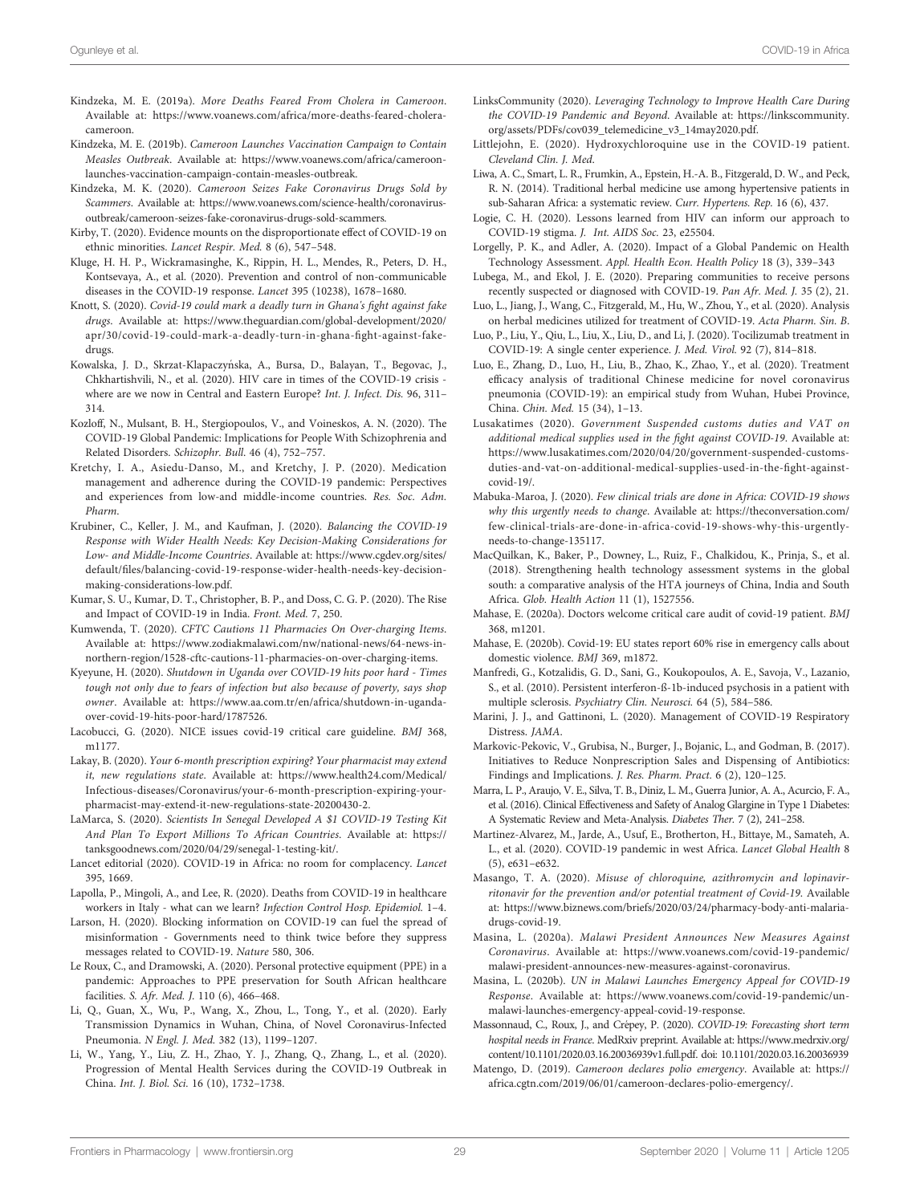- <span id="page-28-0"></span>Kindzeka, M. E. (2019a). More Deaths Feared From Cholera in Cameroon. Available at: [https://www.voanews.com/africa/more-deaths-feared-cholera](https://www.voanews.com/africa/more-deaths-feared-cholera-cameroon)[cameroon](https://www.voanews.com/africa/more-deaths-feared-cholera-cameroon).
- Kindzeka, M. E. (2019b). Cameroon Launches Vaccination Campaign to Contain Measles Outbreak. Available at: [https://www.voanews.com/africa/cameroon](https://www.voanews.com/africa/cameroon-launches-vaccination-campaign-contain-measles-outbreak)[launches-vaccination-campaign-contain-measles-outbreak.](https://www.voanews.com/africa/cameroon-launches-vaccination-campaign-contain-measles-outbreak)
- Kindzeka, M. K. (2020). Cameroon Seizes Fake Coronavirus Drugs Sold by Scammers. Available at: [https://www.voanews.com/science-health/coronavirus](https://www.voanews.com/science-health/coronavirus-outbreak/cameroon-seizes-fake-coronavirus-drugs-sold-scammers)[outbreak/cameroon-seizes-fake-coronavirus-drugs-sold-scammers.](https://www.voanews.com/science-health/coronavirus-outbreak/cameroon-seizes-fake-coronavirus-drugs-sold-scammers)
- Kirby, T. (2020). Evidence mounts on the disproportionate effect of COVID-19 on ethnic minorities. Lancet Respir. Med. 8 (6), 547–548.
- Kluge, H. H. P., Wickramasinghe, K., Rippin, H. L., Mendes, R., Peters, D. H., Kontsevaya, A., et al. (2020). Prevention and control of non-communicable diseases in the COVID-19 response. Lancet 395 (10238), 1678–1680.
- Knott, S. (2020). Covid-19 could mark a deadly turn in Ghana's fight against fake drugs. Available at: [https://www.theguardian.com/global-development/2020/](https://www.theguardian.com/global-development/2020/apr/30/covid-19-could-mark-a-deadly-turn-in-ghana-fight-against-fake-drugs) [apr/30/covid-19-could-mark-a-deadly-turn-in-ghana-](https://www.theguardian.com/global-development/2020/apr/30/covid-19-could-mark-a-deadly-turn-in-ghana-fight-against-fake-drugs)fight-against-fake[drugs](https://www.theguardian.com/global-development/2020/apr/30/covid-19-could-mark-a-deadly-turn-in-ghana-fight-against-fake-drugs).
- Kowalska, J. D., Skrzat-Klapaczyńska, A., Bursa, D., Balayan, T., Begovac, J., Chkhartishvili, N., et al. (2020). HIV care in times of the COVID-19 crisis where are we now in Central and Eastern Europe? Int. J. Infect. Dis. 96, 311-314.
- Kozloff, N., Mulsant, B. H., Stergiopoulos, V., and Voineskos, A. N. (2020). The COVID-19 Global Pandemic: Implications for People With Schizophrenia and Related Disorders. Schizophr. Bull. 46 (4), 752–757.
- Kretchy, I. A., Asiedu-Danso, M., and Kretchy, J. P. (2020). Medication management and adherence during the COVID-19 pandemic: Perspectives and experiences from low-and middle-income countries. Res. Soc. Adm. Pharm.
- Krubiner, C., Keller, J. M., and Kaufman, J. (2020). Balancing the COVID-19 Response with Wider Health Needs: Key Decision-Making Considerations for Low- and Middle-Income Countries. Available at: [https://www.cgdev.org/sites/](https://www.cgdev.org/sites/default/files/balancing-covid-19-response-wider-health-needs-key-decision-making-considerations-low.pdf) default/fi[les/balancing-covid-19-response-wider-health-needs-key-decision](https://www.cgdev.org/sites/default/files/balancing-covid-19-response-wider-health-needs-key-decision-making-considerations-low.pdf)[making-considerations-low.pdf.](https://www.cgdev.org/sites/default/files/balancing-covid-19-response-wider-health-needs-key-decision-making-considerations-low.pdf)
- Kumar, S. U., Kumar, D. T., Christopher, B. P., and Doss, C. G. P. (2020). The Rise and Impact of COVID-19 in India. Front. Med. 7, 250.
- Kumwenda, T. (2020). CFTC Cautions 11 Pharmacies On Over-charging Items. Available at: [https://www.zodiakmalawi.com/nw/national-news/64-news-in](https://www.zodiakmalawi.com/nw/national-news/64-news-in-northern-region/1528-cftc-cautions-11-pharmacies-on-over-charging-items)[northern-region/1528-cftc-cautions-11-pharmacies-on-over-charging-items.](https://www.zodiakmalawi.com/nw/national-news/64-news-in-northern-region/1528-cftc-cautions-11-pharmacies-on-over-charging-items)
- Kyeyune, H. (2020). Shutdown in Uganda over COVID-19 hits poor hard Times tough not only due to fears of infection but also because of poverty, says shop owner. Available at: [https://www.aa.com.tr/en/africa/shutdown-in-uganda](https://www.aa.com.tr/en/africa/shutdown-in-uganda-over-covid-19-hits-poor-hard/1787526)[over-covid-19-hits-poor-hard/1787526.](https://www.aa.com.tr/en/africa/shutdown-in-uganda-over-covid-19-hits-poor-hard/1787526)
- Lacobucci, G. (2020). NICE issues covid-19 critical care guideline. BMJ 368, m1177.
- Lakay, B. (2020). Your 6-month prescription expiring? Your pharmacist may extend it, new regulations state. Available at: [https://www.health24.com/Medical/](https://www.health24.com/Medical/Infectious-diseases/Coronavirus/your-6-month-prescription-expiring-your-pharmacist-may-extend-it-new-regulations-state-20200430-2) [Infectious-diseases/Coronavirus/your-6-month-prescription-expiring-your](https://www.health24.com/Medical/Infectious-diseases/Coronavirus/your-6-month-prescription-expiring-your-pharmacist-may-extend-it-new-regulations-state-20200430-2)[pharmacist-may-extend-it-new-regulations-state-20200430-2](https://www.health24.com/Medical/Infectious-diseases/Coronavirus/your-6-month-prescription-expiring-your-pharmacist-may-extend-it-new-regulations-state-20200430-2).
- LaMarca, S. (2020). Scientists In Senegal Developed A \$1 COVID-19 Testing Kit And Plan To Export Millions To African Countries. Available at: [https://](https://tanksgoodnews.com/2020/04/29/senegal-1-testing-kit/) [tanksgoodnews.com/2020/04/29/senegal-1-testing-kit/.](https://tanksgoodnews.com/2020/04/29/senegal-1-testing-kit/)
- Lancet editorial (2020). COVID-19 in Africa: no room for complacency. Lancet 395, 1669.
- Lapolla, P., Mingoli, A., and Lee, R. (2020). Deaths from COVID-19 in healthcare workers in Italy - what can we learn? Infection Control Hosp. Epidemiol. 1–4.
- Larson, H. (2020). Blocking information on COVID-19 can fuel the spread of misinformation - Governments need to think twice before they suppress messages related to COVID-19. Nature 580, 306.
- Le Roux, C., and Dramowski, A. (2020). Personal protective equipment (PPE) in a pandemic: Approaches to PPE preservation for South African healthcare facilities. S. Afr. Med. J. 110 (6), 466–468.
- Li, Q., Guan, X., Wu, P., Wang, X., Zhou, L., Tong, Y., et al. (2020). Early Transmission Dynamics in Wuhan, China, of Novel Coronavirus-Infected Pneumonia. N Engl. J. Med. 382 (13), 1199–1207.
- Li, W., Yang, Y., Liu, Z. H., Zhao, Y. J., Zhang, Q., Zhang, L., et al. (2020). Progression of Mental Health Services during the COVID-19 Outbreak in China. Int. J. Biol. Sci. 16 (10), 1732–1738.
- LinksCommunity (2020). Leveraging Technology to Improve Health Care During the COVID-19 Pandemic and Beyond. Available at: [https://linkscommunity.](https://linkscommunity.org/assets/PDFs/cov039_telemedicine_v3_14may2020.pdf) [org/assets/PDFs/cov039\\_telemedicine\\_v3\\_14may2020.pdf.](https://linkscommunity.org/assets/PDFs/cov039_telemedicine_v3_14may2020.pdf)
- Littlejohn, E. (2020). Hydroxychloroquine use in the COVID-19 patient. Cleveland Clin. J. Med.
- Liwa, A. C., Smart, L. R., Frumkin, A., Epstein, H.-A. B., Fitzgerald, D. W., and Peck, R. N. (2014). Traditional herbal medicine use among hypertensive patients in sub-Saharan Africa: a systematic review. Curr. Hypertens. Rep. 16 (6), 437.
- Logie, C. H. (2020). Lessons learned from HIV can inform our approach to COVID-19 stigma. J. Int. AIDS Soc. 23, e25504.
- Lorgelly, P. K., and Adler, A. (2020). Impact of a Global Pandemic on Health Technology Assessment. Appl. Health Econ. Health Policy 18 (3), 339–343
- Lubega, M., and Ekol, J. E. (2020). Preparing communities to receive persons recently suspected or diagnosed with COVID-19. Pan Afr. Med. J. 35 (2), 21.
- Luo, L., Jiang, J., Wang, C., Fitzgerald, M., Hu, W., Zhou, Y., et al. (2020). Analysis on herbal medicines utilized for treatment of COVID-19. Acta Pharm. Sin. B.
- Luo, P., Liu, Y., Qiu, L., Liu, X., Liu, D., and Li, J. (2020). Tocilizumab treatment in COVID-19: A single center experience. J. Med. Virol. 92 (7), 814–818.
- Luo, E., Zhang, D., Luo, H., Liu, B., Zhao, K., Zhao, Y., et al. (2020). Treatment efficacy analysis of traditional Chinese medicine for novel coronavirus pneumonia (COVID-19): an empirical study from Wuhan, Hubei Province, China. Chin. Med. 15 (34), 1–13.
- Lusakatimes (2020). Government Suspended customs duties and VAT on additional medical supplies used in the fight against COVID-19. Available at: [https://www.lusakatimes.com/2020/04/20/government-suspended-customs](https://www.lusakatimes.com/2020/04/20/government-suspended-customs-duties-and-vat-on-additional-medical-supplies-used-in-the-fight-against-covid-19/)[duties-and-vat-on-additional-medical-supplies-used-in-the-](https://www.lusakatimes.com/2020/04/20/government-suspended-customs-duties-and-vat-on-additional-medical-supplies-used-in-the-fight-against-covid-19/)fight-against[covid-19/.](https://www.lusakatimes.com/2020/04/20/government-suspended-customs-duties-and-vat-on-additional-medical-supplies-used-in-the-fight-against-covid-19/)
- Mabuka-Maroa, J. (2020). Few clinical trials are done in Africa: COVID-19 shows why this urgently needs to change. Available at: [https://theconversation.com/](https://theconversation.com/few-clinical-trials-are-done-in-africa-covid-19-shows-why-this-urgently-needs-to-change-135117) [few-clinical-trials-are-done-in-africa-covid-19-shows-why-this-urgently](https://theconversation.com/few-clinical-trials-are-done-in-africa-covid-19-shows-why-this-urgently-needs-to-change-135117)[needs-to-change-135117.](https://theconversation.com/few-clinical-trials-are-done-in-africa-covid-19-shows-why-this-urgently-needs-to-change-135117)
- MacQuilkan, K., Baker, P., Downey, L., Ruiz, F., Chalkidou, K., Prinja, S., et al. (2018). Strengthening health technology assessment systems in the global south: a comparative analysis of the HTA journeys of China, India and South Africa. Glob. Health Action 11 (1), 1527556.
- Mahase, E. (2020a). Doctors welcome critical care audit of covid-19 patient. BMJ 368, m1201.
- Mahase, E. (2020b). Covid-19: EU states report 60% rise in emergency calls about domestic violence. BMJ 369, m1872.
- Manfredi, G., Kotzalidis, G. D., Sani, G., Koukopoulos, A. E., Savoja, V., Lazanio, S., et al. (2010). Persistent interferon-ß-1b-induced psychosis in a patient with multiple sclerosis. Psychiatry Clin. Neurosci. 64 (5), 584–586.
- Marini, J. J., and Gattinoni, L. (2020). Management of COVID-19 Respiratory Distress. JAMA.
- Markovic-Pekovic, V., Grubisa, N., Burger, J., Bojanic, L., and Godman, B. (2017). Initiatives to Reduce Nonprescription Sales and Dispensing of Antibiotics: Findings and Implications. J. Res. Pharm. Pract. 6 (2), 120–125.
- Marra, L. P., Araujo, V. E., Silva, T. B., Diniz, L. M., Guerra Junior, A. A., Acurcio, F. A., et al. (2016). Clinical Effectiveness and Safety of Analog Glargine in Type 1 Diabetes: A Systematic Review and Meta-Analysis. Diabetes Ther. 7 (2), 241–258.
- Martinez-Alvarez, M., Jarde, A., Usuf, E., Brotherton, H., Bittaye, M., Samateh, A. L., et al. (2020). COVID-19 pandemic in west Africa. Lancet Global Health 8 (5), e631–e632.
- Masango, T. A. (2020). Misuse of chloroquine, azithromycin and lopinavirritonavir for the prevention and/or potential treatment of Covid-19. Available at: [https://www.biznews.com/briefs/2020/03/24/pharmacy-body-anti-malaria](https://www.biznews.com/briefs/2020/03/24/pharmacy-body-anti-malaria-drugs-covid-19)[drugs-covid-19.](https://www.biznews.com/briefs/2020/03/24/pharmacy-body-anti-malaria-drugs-covid-19)
- Masina, L. (2020a). Malawi President Announces New Measures Against Coronavirus. Available at: [https://www.voanews.com/covid-19-pandemic/](https://www.voanews.com/covid-19-pandemic/malawi-president-announces-new-measures-against-coronavirus) [malawi-president-announces-new-measures-against-coronavirus.](https://www.voanews.com/covid-19-pandemic/malawi-president-announces-new-measures-against-coronavirus)
- Masina, L. (2020b). UN in Malawi Launches Emergency Appeal for COVID-19 Response. Available at: [https://www.voanews.com/covid-19-pandemic/un](https://www.voanews.com/covid-19-pandemic/un-malawi-launches-emergency-appeal-covid-19-response)[malawi-launches-emergency-appeal-covid-19-response.](https://www.voanews.com/covid-19-pandemic/un-malawi-launches-emergency-appeal-covid-19-response)
- Massonnaud, C., Roux, J., and Crépey, P. (2020). COVID-19: Forecasting short term hospital needs in France. MedRxiv preprint. Available at: [https://www.medrxiv.org/](https://www.medrxiv.org/content/10.1101/2020.03.16.20036939v1.full.pdf) [content/10.1101/2020.03.16.20036939v1.full.pdf](https://www.medrxiv.org/content/10.1101/2020.03.16.20036939v1.full.pdf). doi: [10.1101/2020.03.16.20036939](https://doi.org/10.1101/2020.03.16.20036939)
- Matengo, D. (2019). Cameroon declares polio emergency. Available at: [https://](https://africa.cgtn.com/2019/06/01/cameroon-declares-polio-emergency/) [africa.cgtn.com/2019/06/01/cameroon-declares-polio-emergency/.](https://africa.cgtn.com/2019/06/01/cameroon-declares-polio-emergency/)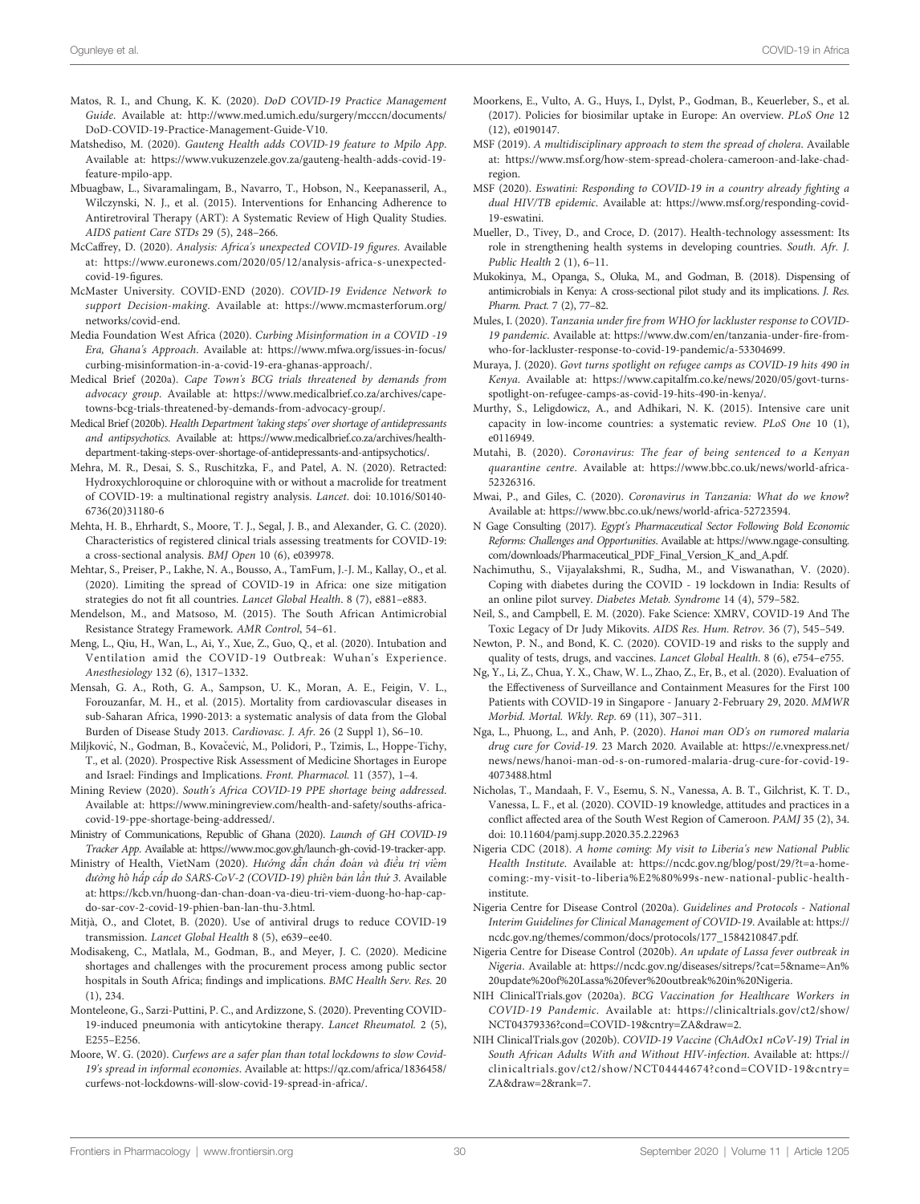- <span id="page-29-0"></span>Matos, R. I., and Chung, K. K. (2020). DoD COVID-19 Practice Management Guide. Available at: [http://www.med.umich.edu/surgery/mcccn/documents/](http://www.med.umich.edu/surgery/mcccn/documents/DoD-COVID-19-Practice-Management-Guide-V10) [DoD-COVID-19-Practice-Management-Guide-V10.](http://www.med.umich.edu/surgery/mcccn/documents/DoD-COVID-19-Practice-Management-Guide-V10)
- Matshediso, M. (2020). Gauteng Health adds COVID-19 feature to Mpilo App. Available at: [https://www.vukuzenzele.gov.za/gauteng-health-adds-covid-19](https://www.vukuzenzele.gov.za/gauteng-health-adds-covid-19-feature-mpilo-app) [feature-mpilo-app.](https://www.vukuzenzele.gov.za/gauteng-health-adds-covid-19-feature-mpilo-app)
- Mbuagbaw, L., Sivaramalingam, B., Navarro, T., Hobson, N., Keepanasseril, A., Wilczynski, N. J., et al. (2015). Interventions for Enhancing Adherence to Antiretroviral Therapy (ART): A Systematic Review of High Quality Studies. AIDS patient Care STDs 29 (5), 248–266.
- McCaffrey, D. (2020). Analysis: Africa's unexpected COVID-19 figures. Available at: [https://www.euronews.com/2020/05/12/analysis-africa-s-unexpected](https://www.euronews.com/2020/05/12/analysis-africa-s-unexpected-covid-19-figures)[covid-19-](https://www.euronews.com/2020/05/12/analysis-africa-s-unexpected-covid-19-figures)figures.
- McMaster University. COVID-END (2020). COVID-19 Evidence Network to support Decision-making. Available at: [https://www.mcmasterforum.org/](https://www.mcmasterforum.org/networks/covid-end) [networks/covid-end](https://www.mcmasterforum.org/networks/covid-end).
- Media Foundation West Africa (2020). Curbing Misinformation in a COVID -19 Era, Ghana's Approach. Available at: [https://www.mfwa.org/issues-in-focus/](https://www.mfwa.org/issues-in-focus/curbing-misinformation-in-a-covid-19-era-ghanas-approach/) [curbing-misinformation-in-a-covid-19-era-ghanas-approach/](https://www.mfwa.org/issues-in-focus/curbing-misinformation-in-a-covid-19-era-ghanas-approach/).
- Medical Brief (2020a). Cape Town's BCG trials threatened by demands from advocacy group. Available at: [https://www.medicalbrief.co.za/archives/cape](https://www.medicalbrief.co.za/archives/cape-towns-bcg-trials-threatened-by-demands-from-advocacy-group/)[towns-bcg-trials-threatened-by-demands-from-advocacy-group/.](https://www.medicalbrief.co.za/archives/cape-towns-bcg-trials-threatened-by-demands-from-advocacy-group/)
- Medical Brief (2020b). Health Department 'taking steps' over shortage of antidepressants and antipsychotics. Available at: [https://www.medicalbrief.co.za/archives/health](https://www.medicalbrief.co.za/archives/health-department-taking-steps-over-shortage-of-antidepressants-and-antipsychotics/)[department-taking-steps-over-shortage-of-antidepressants-and-antipsychotics/](https://www.medicalbrief.co.za/archives/health-department-taking-steps-over-shortage-of-antidepressants-and-antipsychotics/).
- Mehra, M. R., Desai, S. S., Ruschitzka, F., and Patel, A. N. (2020). Retracted: Hydroxychloroquine or chloroquine with or without a macrolide for treatment of COVID-19: a multinational registry analysis. Lancet. doi: [10.1016/S0140-](https://doi.org/10.1016/S0140-6736(20)31180-6) [6736\(20\)31180-6](https://doi.org/10.1016/S0140-6736(20)31180-6)
- Mehta, H. B., Ehrhardt, S., Moore, T. J., Segal, J. B., and Alexander, G. C. (2020). Characteristics of registered clinical trials assessing treatments for COVID-19: a cross-sectional analysis. BMJ Open 10 (6), e039978.
- Mehtar, S., Preiser, P., Lakhe, N. A., Bousso, A., TamFum, J.-J. M., Kallay, O., et al. (2020). Limiting the spread of COVID-19 in Africa: one size mitigation strategies do not fit all countries. Lancet Global Health. 8 (7), e881–e883.
- Mendelson, M., and Matsoso, M. (2015). The South African Antimicrobial Resistance Strategy Framework. AMR Control, 54–61.
- Meng, L., Qiu, H., Wan, L., Ai, Y., Xue, Z., Guo, Q., et al. (2020). Intubation and Ventilation amid the COVID-19 Outbreak: Wuhan's Experience. Anesthesiology 132 (6), 1317–1332.
- Mensah, G. A., Roth, G. A., Sampson, U. K., Moran, A. E., Feigin, V. L., Forouzanfar, M. H., et al. (2015). Mortality from cardiovascular diseases in sub-Saharan Africa, 1990-2013: a systematic analysis of data from the Global Burden of Disease Study 2013. Cardiovasc. J. Afr. 26 (2 Suppl 1), S6–10.
- Miljković, N., Godman, B., Kovačević, M., Polidori, P., Tzimis, L., Hoppe-Tichy, T., et al. (2020). Prospective Risk Assessment of Medicine Shortages in Europe and Israel: Findings and Implications. Front. Pharmacol. 11 (357), 1–4.
- Mining Review (2020). South's Africa COVID-19 PPE shortage being addressed. Available at: [https://www.miningreview.com/health-and-safety/souths-africa](https://www.miningreview.com/health-and-safety/souths-africa-covid-19-ppe-shortage-being-addressed/)[covid-19-ppe-shortage-being-addressed/](https://www.miningreview.com/health-and-safety/souths-africa-covid-19-ppe-shortage-being-addressed/).
- Ministry of Communications, Republic of Ghana (2020). Launch of GH COVID-19 Tracker App. Available at: [https://www.moc.gov.gh/launch-gh-covid-19-tracker-app.](https://www.moc.gov.gh/launch-gh-covid-19-tracker-app)
- Ministry of Health, VietNam (2020). Hướng dẫn chẩn đoán và điều trị viêm đường hô hấp cấp do SARS-CoV-2 (COVID-19) phiên bản lần thứ 3. Available at: [https://kcb.vn/huong-dan-chan-doan-va-dieu-tri-viem-duong-ho-hap-cap](https://kcb.vn/huong-dan-chan-doan-va-dieu-tri-viem-duong-ho-hap-cap-do-sar-cov-2-covid-19-phien-ban-lan-thu-3.html)[do-sar-cov-2-covid-19-phien-ban-lan-thu-3.html.](https://kcb.vn/huong-dan-chan-doan-va-dieu-tri-viem-duong-ho-hap-cap-do-sar-cov-2-covid-19-phien-ban-lan-thu-3.html)
- Mitjà, O., and Clotet, B. (2020). Use of antiviral drugs to reduce COVID-19 transmission. Lancet Global Health 8 (5), e639–ee40.
- Modisakeng, C., Matlala, M., Godman, B., and Meyer, J. C. (2020). Medicine shortages and challenges with the procurement process among public sector hospitals in South Africa; findings and implications. BMC Health Serv. Res. 20 (1), 234.
- Monteleone, G., Sarzi-Puttini, P. C., and Ardizzone, S. (2020). Preventing COVID-19-induced pneumonia with anticytokine therapy. Lancet Rheumatol. 2 (5), E255–E256.
- Moore, W. G. (2020). Curfews are a safer plan than total lockdowns to slow Covid-19's spread in informal economies. Available at: [https://qz.com/africa/1836458/](https://qz.com/africa/1836458/curfews-not-lockdowns-will-slow-covid-19-spread-in-africa/) [curfews-not-lockdowns-will-slow-covid-19-spread-in-africa/](https://qz.com/africa/1836458/curfews-not-lockdowns-will-slow-covid-19-spread-in-africa/).
- Moorkens, E., Vulto, A. G., Huys, I., Dylst, P., Godman, B., Keuerleber, S., et al. (2017). Policies for biosimilar uptake in Europe: An overview. PLoS One 12 (12), e0190147.
- MSF (2019). A multidisciplinary approach to stem the spread of cholera. Available at: [https://www.msf.org/how-stem-spread-cholera-cameroon-and-lake-chad](https://www.msf.org/how-stem-spread-cholera-cameroon-and-lake-chad-region)[region](https://www.msf.org/how-stem-spread-cholera-cameroon-and-lake-chad-region).
- MSF (2020). Eswatini: Responding to COVID-19 in a country already fighting a dual HIV/TB epidemic. Available at: [https://www.msf.org/responding-covid-](https://www.msf.org/responding-covid-19-eswatini)[19-eswatini](https://www.msf.org/responding-covid-19-eswatini).
- Mueller, D., Tivey, D., and Croce, D. (2017). Health-technology assessment: Its role in strengthening health systems in developing countries. South. Afr. J. Public Health 2 (1), 6–11.
- Mukokinya, M., Opanga, S., Oluka, M., and Godman, B. (2018). Dispensing of antimicrobials in Kenya: A cross-sectional pilot study and its implications. J. Res. Pharm. Pract. 7 (2), 77–82.
- Mules, I. (2020). Tanzania under fire from WHO for lackluster response to COVID-19 pandemic. Available at: [https://www.dw.com/en/tanzania-under-](https://www.dw.com/en/tanzania-under-fire-from-who-for-lackluster-response-to-covid-19-pandemic/a-53304699)fire-from[who-for-lackluster-response-to-covid-19-pandemic/a-53304699.](https://www.dw.com/en/tanzania-under-fire-from-who-for-lackluster-response-to-covid-19-pandemic/a-53304699)
- Muraya, J. (2020). Govt turns spotlight on refugee camps as COVID-19 hits 490 in Kenya. Available at: [https://www.capitalfm.co.ke/news/2020/05/govt-turns](https://www.capitalfm.co.ke/news/2020/05/govt-turns-spotlight-on-refugee-camps-as-covid-19-hits-490-in-kenya/)[spotlight-on-refugee-camps-as-covid-19-hits-490-in-kenya/.](https://www.capitalfm.co.ke/news/2020/05/govt-turns-spotlight-on-refugee-camps-as-covid-19-hits-490-in-kenya/)
- Murthy, S., Leligdowicz, A., and Adhikari, N. K. (2015). Intensive care unit capacity in low-income countries: a systematic review. PLoS One 10 (1), e0116949.
- Mutahi, B. (2020). Coronavirus: The fear of being sentenced to a Kenyan quarantine centre. Available at: [https://www.bbc.co.uk/news/world-africa-](https://www.bbc.co.uk/news/world-africa-52326316)[52326316.](https://www.bbc.co.uk/news/world-africa-52326316)
- Mwai, P., and Giles, C. (2020). Coronavirus in Tanzania: What do we know? Available at:<https://www.bbc.co.uk/news/world-africa-52723594>.
- N Gage Consulting (2017). Egypt's Pharmaceutical Sector Following Bold Economic Reforms: Challenges and Opportunities. Available at: [https://www.ngage-consulting.](https://www.ngage-consulting.com/downloads/Pharmaceutical_PDF_Final_Version_K_and_A.pdf) [com/downloads/Pharmaceutical\\_PDF\\_Final\\_Version\\_K\\_and\\_A.pdf.](https://www.ngage-consulting.com/downloads/Pharmaceutical_PDF_Final_Version_K_and_A.pdf)
- Nachimuthu, S., Vijayalakshmi, R., Sudha, M., and Viswanathan, V. (2020). Coping with diabetes during the COVID - 19 lockdown in India: Results of an online pilot survey. Diabetes Metab. Syndrome 14 (4), 579–582.
- Neil, S., and Campbell, E. M. (2020). Fake Science: XMRV, COVID-19 And The Toxic Legacy of Dr Judy Mikovits. AIDS Res. Hum. Retrov. 36 (7), 545–549.
- Newton, P. N., and Bond, K. C. (2020). COVID-19 and risks to the supply and quality of tests, drugs, and vaccines. Lancet Global Health. 8 (6), e754–e755.
- Ng, Y., Li, Z., Chua, Y. X., Chaw, W. L., Zhao, Z., Er, B., et al. (2020). Evaluation of the Effectiveness of Surveillance and Containment Measures for the First 100 Patients with COVID-19 in Singapore - January 2-February 29, 2020. MMWR Morbid. Mortal. Wkly. Rep. 69 (11), 307–311.
- Nga, L., Phuong, L., and Anh, P. (2020). Hanoi man OD's on rumored malaria drug cure for Covid-19. 23 March 2020. Available at: [https://e.vnexpress.net/](https://e.vnexpress.net/news/news/hanoi-man-od-s-on-rumored-malaria-drug-cure-for-covid-19-4073488.html) [news/news/hanoi-man-od-s-on-rumored-malaria-drug-cure-for-covid-19-](https://e.vnexpress.net/news/news/hanoi-man-od-s-on-rumored-malaria-drug-cure-for-covid-19-4073488.html) [4073488.html](https://e.vnexpress.net/news/news/hanoi-man-od-s-on-rumored-malaria-drug-cure-for-covid-19-4073488.html)
- Nicholas, T., Mandaah, F. V., Esemu, S. N., Vanessa, A. B. T., Gilchrist, K. T. D., Vanessa, L. F., et al. (2020). COVID-19 knowledge, attitudes and practices in a conflict affected area of the South West Region of Cameroon. PAMJ 35 (2), 34. doi: [10.11604/pamj.supp.2020.35.2.22963](https://doi.org/10.11604/pamj.supp.2020.35.2.22963)
- Nigeria CDC (2018). A home coming: My visit to Liberia's new National Public Health Institute. Available at: [https://ncdc.gov.ng/blog/post/29/?t=a-home](https://ncdc.gov.ng/blog/post/29/?t=a-home-coming:-my-visit-to-liberia%E2%80%99s-new-national-public-health-institute)[coming:-my-visit-to-liberia%E2%80%99s-new-national-public-health](https://ncdc.gov.ng/blog/post/29/?t=a-home-coming:-my-visit-to-liberia%E2%80%99s-new-national-public-health-institute)[institute.](https://ncdc.gov.ng/blog/post/29/?t=a-home-coming:-my-visit-to-liberia%E2%80%99s-new-national-public-health-institute)
- Nigeria Centre for Disease Control (2020a). Guidelines and Protocols National Interim Guidelines for Clinical Management of COVID-19. Available at: [https://](https://ncdc.gov.ng/themes/common/docs/protocols/177_1584210847.pdf) [ncdc.gov.ng/themes/common/docs/protocols/177\\_1584210847.pdf.](https://ncdc.gov.ng/themes/common/docs/protocols/177_1584210847.pdf)
- Nigeria Centre for Disease Control (2020b). An update of Lassa fever outbreak in Nigeria. Available at: [https://ncdc.gov.ng/diseases/sitreps/?cat=5&name=An%](https://ncdc.gov.ng/diseases/sitreps/?cat=5&name=An%20update%20of%20Lassa%20fever%20outbreak%20in%20Nigeria) [20update%20of%20Lassa%20fever%20outbreak%20in%20Nigeria.](https://ncdc.gov.ng/diseases/sitreps/?cat=5&name=An%20update%20of%20Lassa%20fever%20outbreak%20in%20Nigeria)
- NIH ClinicalTrials.gov (2020a). BCG Vaccination for Healthcare Workers in COVID-19 Pandemic. Available at: [https://clinicaltrials.gov/ct2/show/](https://clinicaltrials.gov/ct2/show/NCT04379336?cond=COVID-19&cntry=ZA&draw=2) [NCT04379336?cond=COVID-19&cntry=ZA&draw=2](https://clinicaltrials.gov/ct2/show/NCT04379336?cond=COVID-19&cntry=ZA&draw=2).
- NIH ClinicalTrials.gov (2020b). COVID-19 Vaccine (ChAdOx1 nCoV-19) Trial in South African Adults With and Without HIV-infection. Available at: [https://](https://clinicaltrials.gov/ct2/show/NCT04444674?cond=COVID-19&cntry=ZA&draw=2&rank=7) [clinicaltrials.gov/ct2/show/NCT04444674?cond=COVID-19&cntry=](https://clinicaltrials.gov/ct2/show/NCT04444674?cond=COVID-19&cntry=ZA&draw=2&rank=7) [ZA&draw=2&rank=7.](https://clinicaltrials.gov/ct2/show/NCT04444674?cond=COVID-19&cntry=ZA&draw=2&rank=7)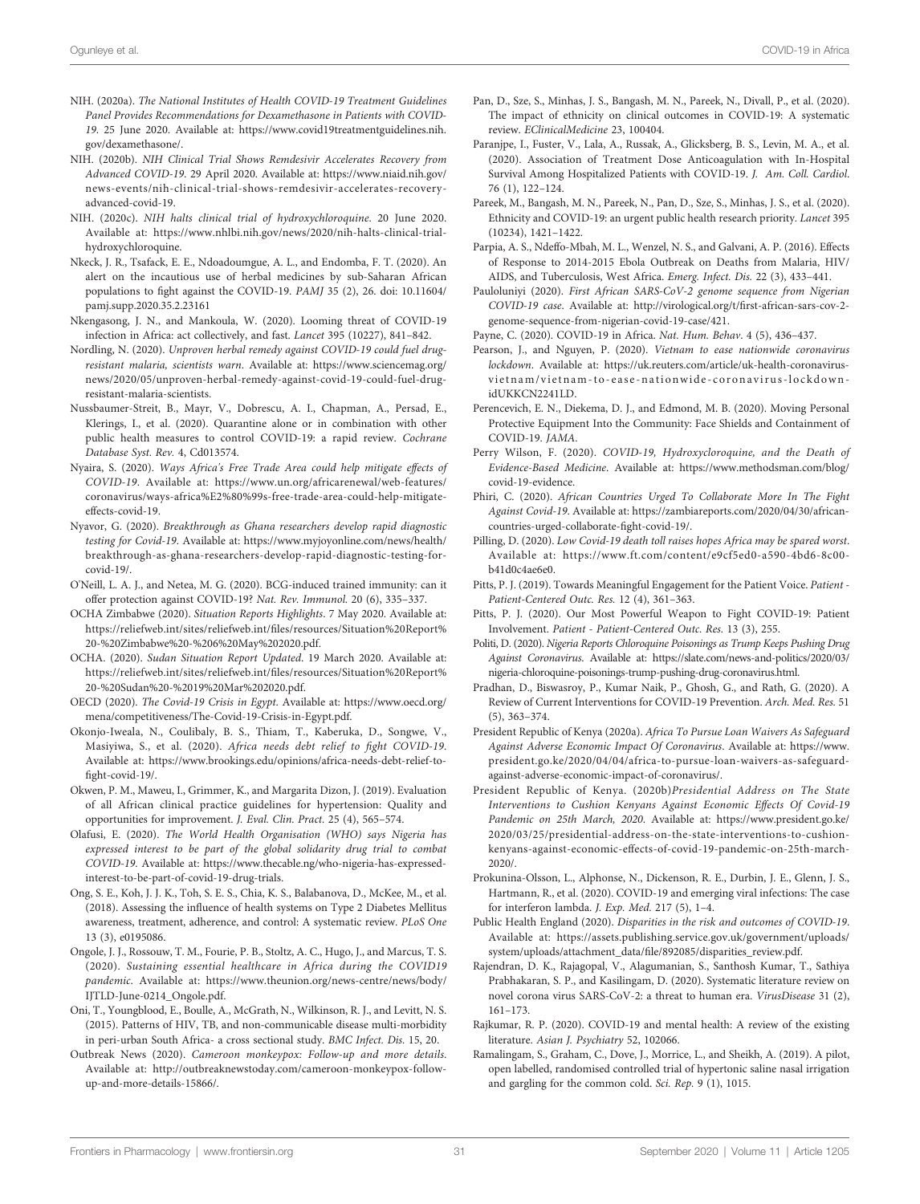- <span id="page-30-0"></span>NIH. (2020a). The National Institutes of Health COVID-19 Treatment Guidelines Panel Provides Recommendations for Dexamethasone in Patients with COVID-19. 25 June 2020. Available at: [https://www.covid19treatmentguidelines.nih.](https://www.covid19treatmentguidelines.nih.gov/dexamethasone/) [gov/dexamethasone/.](https://www.covid19treatmentguidelines.nih.gov/dexamethasone/)
- NIH. (2020b). NIH Clinical Trial Shows Remdesivir Accelerates Recovery from Advanced COVID-19. 29 April 2020. Available at: [https://www.niaid.nih.gov/](https://www.niaid.nih.gov/news-events/nih-clinical-trial-shows-remdesivir-accelerates-recovery-advanced-covid-19) [news-events/nih-clinical-trial-shows-remdesivir-accelerates-recovery](https://www.niaid.nih.gov/news-events/nih-clinical-trial-shows-remdesivir-accelerates-recovery-advanced-covid-19)[advanced-covid-19](https://www.niaid.nih.gov/news-events/nih-clinical-trial-shows-remdesivir-accelerates-recovery-advanced-covid-19).
- NIH. (2020c). NIH halts clinical trial of hydroxychloroquine. 20 June 2020. Available at: [https://www.nhlbi.nih.gov/news/2020/nih-halts-clinical-trial](https://www.nhlbi.nih.gov/news/2020/nih-halts-clinical-trial-hydroxychloroquine)[hydroxychloroquine](https://www.nhlbi.nih.gov/news/2020/nih-halts-clinical-trial-hydroxychloroquine).
- Nkeck, J. R., Tsafack, E. E., Ndoadoumgue, A. L., and Endomba, F. T. (2020). An alert on the incautious use of herbal medicines by sub-Saharan African populations to fight against the COVID-19. PAMJ 35 (2), 26. doi: [10.11604/](https://doi.org/10.11604/pamj.supp.2020.35.2.23161) [pamj.supp.2020.35.2.23161](https://doi.org/10.11604/pamj.supp.2020.35.2.23161)
- Nkengasong, J. N., and Mankoula, W. (2020). Looming threat of COVID-19 infection in Africa: act collectively, and fast. Lancet 395 (10227), 841–842.
- Nordling, N. (2020). Unproven herbal remedy against COVID-19 could fuel drugresistant malaria, scientists warn. Available at: [https://www.sciencemag.org/](https://www.sciencemag.org/news/2020/05/unproven-herbal-remedy-against-covid-19-could-fuel-drug-resistant-malaria-scientists) [news/2020/05/unproven-herbal-remedy-against-covid-19-could-fuel-drug](https://www.sciencemag.org/news/2020/05/unproven-herbal-remedy-against-covid-19-could-fuel-drug-resistant-malaria-scientists)[resistant-malaria-scientists](https://www.sciencemag.org/news/2020/05/unproven-herbal-remedy-against-covid-19-could-fuel-drug-resistant-malaria-scientists).
- Nussbaumer-Streit, B., Mayr, V., Dobrescu, A. I., Chapman, A., Persad, E., Klerings, I., et al. (2020). Quarantine alone or in combination with other public health measures to control COVID-19: a rapid review. Cochrane Database Syst. Rev. 4, Cd013574.
- Nyaira, S. (2020). Ways Africa's Free Trade Area could help mitigate effects of COVID-19. Available at: [https://www.un.org/africarenewal/web-features/](https://www.un.org/africarenewal/web-features/coronavirus/ways-africa%E2%80%99s-free-trade-area-could-help-mitigate-effects-covid-19) [coronavirus/ways-africa%E2%80%99s-free-trade-area-could-help-mitigate](https://www.un.org/africarenewal/web-features/coronavirus/ways-africa%E2%80%99s-free-trade-area-could-help-mitigate-effects-covid-19)[effects-covid-19](https://www.un.org/africarenewal/web-features/coronavirus/ways-africa%E2%80%99s-free-trade-area-could-help-mitigate-effects-covid-19).
- Nyavor, G. (2020). Breakthrough as Ghana researchers develop rapid diagnostic testing for Covid-19. Available at: [https://www.myjoyonline.com/news/health/](https://www.myjoyonline.com/news/health/breakthrough-as-ghana-researchers-develop-rapid-diagnostic-testing-for-covid-19/) [breakthrough-as-ghana-researchers-develop-rapid-diagnostic-testing-for](https://www.myjoyonline.com/news/health/breakthrough-as-ghana-researchers-develop-rapid-diagnostic-testing-for-covid-19/)[covid-19/.](https://www.myjoyonline.com/news/health/breakthrough-as-ghana-researchers-develop-rapid-diagnostic-testing-for-covid-19/)
- O'Neill, L. A. J., and Netea, M. G. (2020). BCG-induced trained immunity: can it offer protection against COVID-19? Nat. Rev. Immunol. 20 (6), 335–337.
- OCHA Zimbabwe (2020). Situation Reports Highlights. 7 May 2020. Available at: [https://reliefweb.int/sites/reliefweb.int/](https://reliefweb.int/sites/reliefweb.int/files/resources/Situation%20Report%20-%20Zimbabwe%20-%206%20May%202020.pdf)files/resources/Situation%20Report% [20-%20Zimbabwe%20-%206%20May%202020.pdf](https://reliefweb.int/sites/reliefweb.int/files/resources/Situation%20Report%20-%20Zimbabwe%20-%206%20May%202020.pdf).
- OCHA. (2020). Sudan Situation Report Updated. 19 March 2020. Available at: [https://reliefweb.int/sites/reliefweb.int/](https://reliefweb.int/sites/reliefweb.int/files/resources/Situation%20Report%20-%20Sudan%20-%2019%20Mar%202020.pdf)files/resources/Situation%20Report% [20-%20Sudan%20-%2019%20Mar%202020.pdf](https://reliefweb.int/sites/reliefweb.int/files/resources/Situation%20Report%20-%20Sudan%20-%2019%20Mar%202020.pdf).
- OECD (2020). The Covid-19 Crisis in Egypt. Available at: [https://www.oecd.org/](https://www.oecd.org/mena/competitiveness/The-Covid-19-Crisis-in-Egypt.pdf) [mena/competitiveness/The-Covid-19-Crisis-in-Egypt.pdf.](https://www.oecd.org/mena/competitiveness/The-Covid-19-Crisis-in-Egypt.pdf)
- Okonjo-Iweala, N., Coulibaly, B. S., Thiam, T., Kaberuka, D., Songwe, V., Masiyiwa, S., et al. (2020). Africa needs debt relief to fight COVID-19. Available at: [https://www.brookings.edu/opinions/africa-needs-debt-relief-to](https://www.brookings.edu/opinions/africa-needs-debt-relief-to-fight-covid-19/)fi[ght-covid-19/](https://www.brookings.edu/opinions/africa-needs-debt-relief-to-fight-covid-19/).
- Okwen, P. M., Maweu, I., Grimmer, K., and Margarita Dizon, J. (2019). Evaluation of all African clinical practice guidelines for hypertension: Quality and opportunities for improvement. J. Eval. Clin. Pract. 25 (4), 565–574.
- Olafusi, E. (2020). The World Health Organisation (WHO) says Nigeria has expressed interest to be part of the global solidarity drug trial to combat COVID-19. Available at: [https://www.thecable.ng/who-nigeria-has-expressed](https://www.thecable.ng/who-nigeria-has-expressed-interest-to-be-part-of-covid-19-drug-trials)[interest-to-be-part-of-covid-19-drug-trials.](https://www.thecable.ng/who-nigeria-has-expressed-interest-to-be-part-of-covid-19-drug-trials)
- Ong, S. E., Koh, J. J. K., Toh, S. E. S., Chia, K. S., Balabanova, D., McKee, M., et al. (2018). Assessing the influence of health systems on Type 2 Diabetes Mellitus awareness, treatment, adherence, and control: A systematic review. PLoS One 13 (3), e0195086.
- Ongole, J. J., Rossouw, T. M., Fourie, P. B., Stoltz, A. C., Hugo, J., and Marcus, T. S. (2020). Sustaining essential healthcare in Africa during the COVID19 pandemic. Available at: [https://www.theunion.org/news-centre/news/body/](https://www.theunion.org/news-centre/news/body/IJTLD-June-0214_Ongole.pdf) [IJTLD-June-0214\\_Ongole.pdf.](https://www.theunion.org/news-centre/news/body/IJTLD-June-0214_Ongole.pdf)
- Oni, T., Youngblood, E., Boulle, A., McGrath, N., Wilkinson, R. J., and Levitt, N. S. (2015). Patterns of HIV, TB, and non-communicable disease multi-morbidity in peri-urban South Africa- a cross sectional study. BMC Infect. Dis. 15, 20.
- Outbreak News (2020). Cameroon monkeypox: Follow-up and more details. Available at: [http://outbreaknewstoday.com/cameroon-monkeypox-follow](http://outbreaknewstoday.com/cameroon-monkeypox-follow-up-and-more-details-15866/)[up-and-more-details-15866/](http://outbreaknewstoday.com/cameroon-monkeypox-follow-up-and-more-details-15866/).
- Pan, D., Sze, S., Minhas, J. S., Bangash, M. N., Pareek, N., Divall, P., et al. (2020). The impact of ethnicity on clinical outcomes in COVID-19: A systematic review. EClinicalMedicine 23, 100404.
- Paranjpe, I., Fuster, V., Lala, A., Russak, A., Glicksberg, B. S., Levin, M. A., et al. (2020). Association of Treatment Dose Anticoagulation with In-Hospital Survival Among Hospitalized Patients with COVID-19. J. Am. Coll. Cardiol. 76 (1), 122–124.
- Pareek, M., Bangash, M. N., Pareek, N., Pan, D., Sze, S., Minhas, J. S., et al. (2020). Ethnicity and COVID-19: an urgent public health research priority. Lancet 395 (10234), 1421–1422.
- Parpia, A. S., Ndeffo-Mbah, M. L., Wenzel, N. S., and Galvani, A. P. (2016). Effects of Response to 2014-2015 Ebola Outbreak on Deaths from Malaria, HIV/ AIDS, and Tuberculosis, West Africa. Emerg. Infect. Dis. 22 (3), 433–441.
- Pauloluniyi (2020). First African SARS-CoV-2 genome sequence from Nigerian COVID-19 case. Available at: [http://virological.org/t/](http://virological.org/t/first-african-sars-cov-2-genome-sequence-from-nigerian-covid-19-case/421)first-african-sars-cov-2 [genome-sequence-from-nigerian-covid-19-case/421.](http://virological.org/t/first-african-sars-cov-2-genome-sequence-from-nigerian-covid-19-case/421)
- Payne, C. (2020). COVID-19 in Africa. Nat. Hum. Behav. 4 (5), 436–437.
- Pearson, J., and Nguyen, P. (2020). Vietnam to ease nationwide coronavirus lockdown. Available at: [https://uk.reuters.com/article/uk-health-coronavirus](https://uk.reuters.com/article/uk-health-coronavirus-vietnam/vietnam-to-ease-nationwide-coronavirus-lockdown-idUKKCN2241LD)vietnam/vietnam-to-ease-nati[onwide-coronavirus-lockdown](https://uk.reuters.com/article/uk-health-coronavirus-vietnam/vietnam-to-ease-nationwide-coronavirus-lockdown-idUKKCN2241LD)[idUKKCN2241LD.](https://uk.reuters.com/article/uk-health-coronavirus-vietnam/vietnam-to-ease-nationwide-coronavirus-lockdown-idUKKCN2241LD)
- Perencevich, E. N., Diekema, D. J., and Edmond, M. B. (2020). Moving Personal Protective Equipment Into the Community: Face Shields and Containment of COVID-19. JAMA.
- Perry Wilson, F. (2020). COVID-19, Hydroxycloroquine, and the Death of Evidence-Based Medicine. Available at: [https://www.methodsman.com/blog/](https://www.methodsman.com/blog/covid-19-evidence) [covid-19-evidence.](https://www.methodsman.com/blog/covid-19-evidence)
- Phiri, C. (2020). African Countries Urged To Collaborate More In The Fight Against Covid-19. Available at: [https://zambiareports.com/2020/04/30/african](https://zambiareports.com/2020/04/30/african-countries-urged-collaborate-fight-covid-19/)[countries-urged-collaborate-](https://zambiareports.com/2020/04/30/african-countries-urged-collaborate-fight-covid-19/)fight-covid-19/.
- Pilling, D. (2020). Low Covid-19 death toll raises hopes Africa may be spared worst. Available at: [https://www.ft.com/content/e9cf5ed0-a590-4bd6-8c00](https://www.ft.com/content/e9cf5ed0-a590-4bd6-8c00-b41d0c4ae6e0) [b41d0c4ae6e0.](https://www.ft.com/content/e9cf5ed0-a590-4bd6-8c00-b41d0c4ae6e0)
- Pitts, P. J. (2019). Towards Meaningful Engagement for the Patient Voice. Patient -Patient-Centered Outc. Res. 12 (4), 361–363.
- Pitts, P. J. (2020). Our Most Powerful Weapon to Fight COVID-19: Patient Involvement. Patient - Patient-Centered Outc. Res. 13 (3), 255.
- Politi, D. (2020). Nigeria Reports Chloroquine Poisonings as Trump Keeps Pushing Drug Against Coronavirus. Available at: [https://slate.com/news-and-politics/2020/03/](https://slate.com/news-and-politics/2020/03/nigeria-chloroquine-poisonings-trump-pushing-drug-coronavirus.html) [nigeria-chloroquine-poisonings-trump-pushing-drug-coronavirus.html](https://slate.com/news-and-politics/2020/03/nigeria-chloroquine-poisonings-trump-pushing-drug-coronavirus.html).
- Pradhan, D., Biswasroy, P., Kumar Naik, P., Ghosh, G., and Rath, G. (2020). A Review of Current Interventions for COVID-19 Prevention. Arch. Med. Res. 51 (5), 363–374.
- President Republic of Kenya (2020a). Africa To Pursue Loan Waivers As Safeguard Against Adverse Economic Impact Of Coronavirus. Available at: [https://www.](https://www.president.go.ke/2020/04/04/africa-to-pursue-loan-waivers-as-safeguard-against-adverse-economic-impact-of-coronavirus/) [president.go.ke/2020/04/04/africa-to-pursue-loan-waivers-as-safeguard](https://www.president.go.ke/2020/04/04/africa-to-pursue-loan-waivers-as-safeguard-against-adverse-economic-impact-of-coronavirus/)[against-adverse-economic-impact-of-coronavirus/](https://www.president.go.ke/2020/04/04/africa-to-pursue-loan-waivers-as-safeguard-against-adverse-economic-impact-of-coronavirus/).
- President Republic of Kenya. (2020b)Presidential Address on The State Interventions to Cushion Kenyans Against Economic Effects Of Covid-19 Pandemic on 25th March, 2020. Available at: [https://www.president.go.ke/](https://www.president.go.ke/2020/03/25/presidential-address-on-the-state-interventions-to-cushion-kenyans-against-economic-effects-of-covid-19-pandemic-on-25th-march-2020/) [2020/03/25/presidential-address-on-the-state-interventions-to-cushion](https://www.president.go.ke/2020/03/25/presidential-address-on-the-state-interventions-to-cushion-kenyans-against-economic-effects-of-covid-19-pandemic-on-25th-march-2020/)[kenyans-against-economic-effects-of-covid-19-pandemic-on-25th-march-](https://www.president.go.ke/2020/03/25/presidential-address-on-the-state-interventions-to-cushion-kenyans-against-economic-effects-of-covid-19-pandemic-on-25th-march-2020/)[2020/.](https://www.president.go.ke/2020/03/25/presidential-address-on-the-state-interventions-to-cushion-kenyans-against-economic-effects-of-covid-19-pandemic-on-25th-march-2020/)
- Prokunina-Olsson, L., Alphonse, N., Dickenson, R. E., Durbin, J. E., Glenn, J. S., Hartmann, R., et al. (2020). COVID-19 and emerging viral infections: The case for interferon lambda. J. Exp. Med. 217 (5), 1–4.
- Public Health England (2020). Disparities in the risk and outcomes of COVID-19. Available at: [https://assets.publishing.service.gov.uk/government/uploads/](https://assets.publishing.service.gov.uk/government/uploads/system/uploads/attachment_data/file/892085/disparities_review.pdf) [system/uploads/attachment\\_data/](https://assets.publishing.service.gov.uk/government/uploads/system/uploads/attachment_data/file/892085/disparities_review.pdf)file/892085/disparities\_review.pdf.
- Rajendran, D. K., Rajagopal, V., Alagumanian, S., Santhosh Kumar, T., Sathiya Prabhakaran, S. P., and Kasilingam, D. (2020). Systematic literature review on novel corona virus SARS-CoV-2: a threat to human era. VirusDisease 31 (2), 161–173.
- Rajkumar, R. P. (2020). COVID-19 and mental health: A review of the existing literature. Asian J. Psychiatry 52, 102066.
- Ramalingam, S., Graham, C., Dove, J., Morrice, L., and Sheikh, A. (2019). A pilot, open labelled, randomised controlled trial of hypertonic saline nasal irrigation and gargling for the common cold. Sci. Rep. 9 (1), 1015.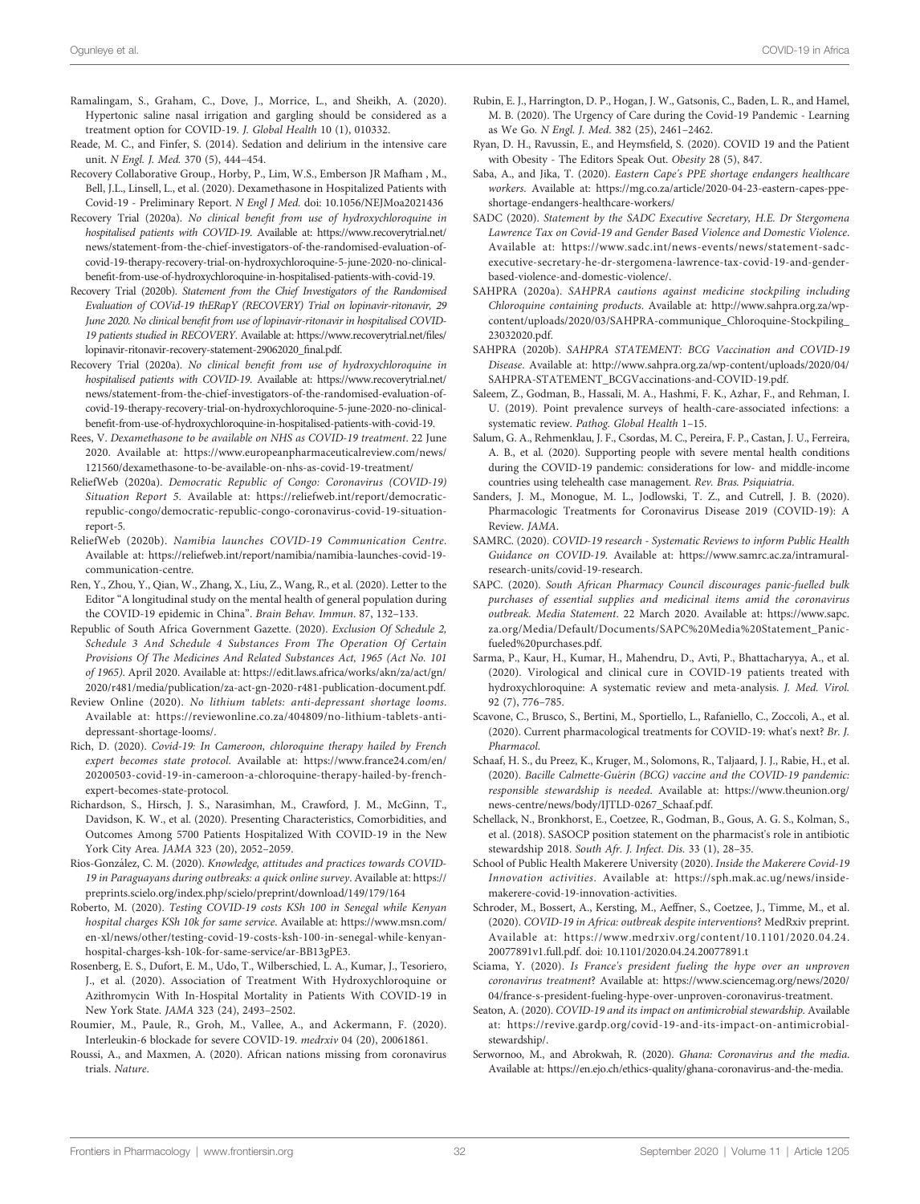- <span id="page-31-0"></span>Ramalingam, S., Graham, C., Dove, J., Morrice, L., and Sheikh, A. (2020). Hypertonic saline nasal irrigation and gargling should be considered as a treatment option for COVID-19. J. Global Health 10 (1), 010332.
- Reade, M. C., and Finfer, S. (2014). Sedation and delirium in the intensive care unit. N Engl. J. Med. 370 (5), 444–454.
- Recovery Collaborative Group., Horby, P., Lim, W.S., Emberson JR Mafham , M., Bell, J.L., Linsell, L., et al. (2020). Dexamethasone in Hospitalized Patients with Covid-19 - Preliminary Report. N Engl J Med. doi: [10.1056/NEJMoa2021436](https://doi.org/10.1056/NEJMoa2021436)
- Recovery Trial (2020a). No clinical benefit from use of hydroxychloroquine in hospitalised patients with COVID-19. Available at: [https://www.recoverytrial.net/](https://www.recoverytrial.net/news/statement-from-the-chief-investigators-of-the-randomised-evaluation-of-covid-19-therapy-recovery-trial-on-hydroxychloroquine-5-june-2020-no-clinical-benefit-from-use-of-hydroxychloroquine-in-hospitalised-patients-with-covid-19) [news/statement-from-the-chief-investigators-of-the-randomised-evaluation-of](https://www.recoverytrial.net/news/statement-from-the-chief-investigators-of-the-randomised-evaluation-of-covid-19-therapy-recovery-trial-on-hydroxychloroquine-5-june-2020-no-clinical-benefit-from-use-of-hydroxychloroquine-in-hospitalised-patients-with-covid-19)[covid-19-therapy-recovery-trial-on-hydroxychloroquine-5-june-2020-no-clinical](https://www.recoverytrial.net/news/statement-from-the-chief-investigators-of-the-randomised-evaluation-of-covid-19-therapy-recovery-trial-on-hydroxychloroquine-5-june-2020-no-clinical-benefit-from-use-of-hydroxychloroquine-in-hospitalised-patients-with-covid-19)benefi[t-from-use-of-hydroxychloroquine-in-hospitalised-patients-with-covid-19.](https://www.recoverytrial.net/news/statement-from-the-chief-investigators-of-the-randomised-evaluation-of-covid-19-therapy-recovery-trial-on-hydroxychloroquine-5-june-2020-no-clinical-benefit-from-use-of-hydroxychloroquine-in-hospitalised-patients-with-covid-19)
- Recovery Trial (2020b). Statement from the Chief Investigators of the Randomised Evaluation of COVid-19 thERapY (RECOVERY) Trial on lopinavir-ritonavir, 29 June 2020. No clinical benefit from use of lopinavir-ritonavir in hospitalised COVID-19 patients studied in RECOVERY. Available at: [https://www.recoverytrial.net/](https://www.recoverytrial.net/files/lopinavir-ritonavir-recovery-statement-29062020_final.pdf)files/ [lopinavir-ritonavir-recovery-statement-29062020\\_](https://www.recoverytrial.net/files/lopinavir-ritonavir-recovery-statement-29062020_final.pdf)final.pdf.
- Recovery Trial (2020a). No clinical benefit from use of hydroxychloroquine in hospitalised patients with COVID-19. Available at: [https://www.recoverytrial.net/](https://www.recoverytrial.net/news/statement-from-the-chief-investigators-of-the-randomised-evaluation-of-covid-19-therapy-recovery-trial-on-hydroxychloroquine-5-june-2020-no-clinical-benefit-from-use-of-hydroxychloroquine-in-hospitalised-patients-with-covid-19) [news/statement-from-the-chief-investigators-of-the-randomised-evaluation-of](https://www.recoverytrial.net/news/statement-from-the-chief-investigators-of-the-randomised-evaluation-of-covid-19-therapy-recovery-trial-on-hydroxychloroquine-5-june-2020-no-clinical-benefit-from-use-of-hydroxychloroquine-in-hospitalised-patients-with-covid-19)[covid-19-therapy-recovery-trial-on-hydroxychloroquine-5-june-2020-no-clinical](https://www.recoverytrial.net/news/statement-from-the-chief-investigators-of-the-randomised-evaluation-of-covid-19-therapy-recovery-trial-on-hydroxychloroquine-5-june-2020-no-clinical-benefit-from-use-of-hydroxychloroquine-in-hospitalised-patients-with-covid-19)benefi[t-from-use-of-hydroxychloroquine-in-hospitalised-patients-with-covid-19.](https://www.recoverytrial.net/news/statement-from-the-chief-investigators-of-the-randomised-evaluation-of-covid-19-therapy-recovery-trial-on-hydroxychloroquine-5-june-2020-no-clinical-benefit-from-use-of-hydroxychloroquine-in-hospitalised-patients-with-covid-19)
- Rees, V. Dexamethasone to be available on NHS as COVID-19 treatment. 22 June 2020. Available at: [https://www.europeanpharmaceuticalreview.com/news/](https://www.europeanpharmaceuticalreview.com/news/121560/dexamethasone-to-be-available-on-nhs-as-covid-19-treatment/) [121560/dexamethasone-to-be-available-on-nhs-as-covid-19-treatment/](https://www.europeanpharmaceuticalreview.com/news/121560/dexamethasone-to-be-available-on-nhs-as-covid-19-treatment/)
- ReliefWeb (2020a). Democratic Republic of Congo: Coronavirus (COVID-19) Situation Report 5. Available at: [https://reliefweb.int/report/democratic](https://reliefweb.int/report/democratic-republic-congo/democratic-republic-congo-coronavirus-covid-19-situation-report-5)[republic-congo/democratic-republic-congo-coronavirus-covid-19-situation](https://reliefweb.int/report/democratic-republic-congo/democratic-republic-congo-coronavirus-covid-19-situation-report-5)[report-5](https://reliefweb.int/report/democratic-republic-congo/democratic-republic-congo-coronavirus-covid-19-situation-report-5).
- ReliefWeb (2020b). Namibia launches COVID-19 Communication Centre. Available at: [https://reliefweb.int/report/namibia/namibia-launches-covid-19](https://reliefweb.int/report/namibia/namibia-launches-covid-19-communication-centre) [communication-centre.](https://reliefweb.int/report/namibia/namibia-launches-covid-19-communication-centre)
- Ren, Y., Zhou, Y., Qian, W., Zhang, X., Liu, Z., Wang, R., et al. (2020). Letter to the Editor "A longitudinal study on the mental health of general population during the COVID-19 epidemic in China". Brain Behav. Immun. 87, 132–133.
- Republic of South Africa Government Gazette. (2020). Exclusion Of Schedule 2, Schedule 3 And Schedule 4 Substances From The Operation Of Certain Provisions Of The Medicines And Related Substances Act, 1965 (Act No. 101 of 1965). April 2020. Available at: [https://edit.laws.africa/works/akn/za/act/gn/](https://edit.laws.africa/works/akn/za/act/gn/2020/r481/media/publication/za-act-gn-2020-r481-publication-document.pdf) [2020/r481/media/publication/za-act-gn-2020-r481-publication-document.pdf.](https://edit.laws.africa/works/akn/za/act/gn/2020/r481/media/publication/za-act-gn-2020-r481-publication-document.pdf)
- Review Online (2020). No lithium tablets: anti-depressant shortage looms. Available at: [https://reviewonline.co.za/404809/no-lithium-tablets-anti](https://reviewonline.co.za/404809/no-lithium-tablets-anti-depressant-shortage-looms/)[depressant-shortage-looms/.](https://reviewonline.co.za/404809/no-lithium-tablets-anti-depressant-shortage-looms/)
- Rich, D. (2020). Covid-19: In Cameroon, chloroquine therapy hailed by French expert becomes state protocol. Available at: [https://www.france24.com/en/](https://www.france24.com/en/20200503-covid-19-in-cameroon-a-chloroquine-therapy-hailed-by-french-expert-becomes-state-protocol) [20200503-covid-19-in-cameroon-a-chloroquine-therapy-hailed-by-french](https://www.france24.com/en/20200503-covid-19-in-cameroon-a-chloroquine-therapy-hailed-by-french-expert-becomes-state-protocol)[expert-becomes-state-protocol.](https://www.france24.com/en/20200503-covid-19-in-cameroon-a-chloroquine-therapy-hailed-by-french-expert-becomes-state-protocol)
- Richardson, S., Hirsch, J. S., Narasimhan, M., Crawford, J. M., McGinn, T., Davidson, K. W., et al. (2020). Presenting Characteristics, Comorbidities, and Outcomes Among 5700 Patients Hospitalized With COVID-19 in the New York City Area. JAMA 323 (20), 2052–2059.
- Rios-González, C. M. (2020). Knowledge, attitudes and practices towards COVID-19 in Paraguayans during outbreaks: a quick online survey. Available at: [https://](https://preprints.scielo.org/index.php/scielo/preprint/download/149/179/164) [preprints.scielo.org/index.php/scielo/preprint/download/149/179/164](https://preprints.scielo.org/index.php/scielo/preprint/download/149/179/164)
- Roberto, M. (2020). Testing COVID-19 costs KSh 100 in Senegal while Kenyan hospital charges KSh 10k for same service. Available at: [https://www.msn.com/](https://www.msn.com/en-xl/news/other/testing-covid-19-costs-ksh-100-in-senegal-while-kenyan-hospital-charges-ksh-10k-for-same-service/ar-BB13gPE3) [en-xl/news/other/testing-covid-19-costs-ksh-100-in-senegal-while-kenyan](https://www.msn.com/en-xl/news/other/testing-covid-19-costs-ksh-100-in-senegal-while-kenyan-hospital-charges-ksh-10k-for-same-service/ar-BB13gPE3)[hospital-charges-ksh-10k-for-same-service/ar-BB13gPE3](https://www.msn.com/en-xl/news/other/testing-covid-19-costs-ksh-100-in-senegal-while-kenyan-hospital-charges-ksh-10k-for-same-service/ar-BB13gPE3).
- Rosenberg, E. S., Dufort, E. M., Udo, T., Wilberschied, L. A., Kumar, J., Tesoriero, J., et al. (2020). Association of Treatment With Hydroxychloroquine or Azithromycin With In-Hospital Mortality in Patients With COVID-19 in New York State. JAMA 323 (24), 2493–2502.
- Roumier, M., Paule, R., Groh, M., Vallee, A., and Ackermann, F. (2020). Interleukin-6 blockade for severe COVID-19. medrxiv 04 (20), 20061861.
- Roussi, A., and Maxmen, A. (2020). African nations missing from coronavirus trials. Nature.
- Rubin, E. J., Harrington, D. P., Hogan, J. W., Gatsonis, C., Baden, L. R., and Hamel, M. B. (2020). The Urgency of Care during the Covid-19 Pandemic - Learning as We Go. N Engl. J. Med. 382 (25), 2461–2462.
- Ryan, D. H., Ravussin, E., and Heymsfield, S. (2020). COVID 19 and the Patient with Obesity - The Editors Speak Out. Obesity 28 (5), 847.
- Saba, A., and Jika, T. (2020). Eastern Cape's PPE shortage endangers healthcare workers. Available at: [https://mg.co.za/article/2020-04-23-eastern-capes-ppe](https://mg.co.za/article/2020-04-23-eastern-capes-ppe-shortage-endangers-healthcare-workers/)[shortage-endangers-healthcare-workers/](https://mg.co.za/article/2020-04-23-eastern-capes-ppe-shortage-endangers-healthcare-workers/)
- SADC (2020). Statement by the SADC Executive Secretary, H.E. Dr Stergomena Lawrence Tax on Covid-19 and Gender Based Violence and Domestic Violence. Available at: [https://www.sadc.int/news-events/news/statement-sadc](https://www.sadc.int/news-events/news/statement-sadc-executive-secretary-he-dr-stergomena-lawrence-tax-covid-19-and-gender-based-violence-and-domestic-violence/)[executive-secretary-he-dr-stergomena-lawrence-tax-covid-19-and-gender](https://www.sadc.int/news-events/news/statement-sadc-executive-secretary-he-dr-stergomena-lawrence-tax-covid-19-and-gender-based-violence-and-domestic-violence/)[based-violence-and-domestic-violence/.](https://www.sadc.int/news-events/news/statement-sadc-executive-secretary-he-dr-stergomena-lawrence-tax-covid-19-and-gender-based-violence-and-domestic-violence/)
- SAHPRA (2020a). SAHPRA cautions against medicine stockpiling including Chloroquine containing products. Available at: [http://www.sahpra.org.za/wp](http://www.sahpra.org.za/wp-content/uploads/2020/03/SAHPRA-communique_Chloroquine-Stockpiling_23032020.pdf)[content/uploads/2020/03/SAHPRA-communique\\_Chloroquine-Stockpiling\\_](http://www.sahpra.org.za/wp-content/uploads/2020/03/SAHPRA-communique_Chloroquine-Stockpiling_23032020.pdf) [23032020.pdf.](http://www.sahpra.org.za/wp-content/uploads/2020/03/SAHPRA-communique_Chloroquine-Stockpiling_23032020.pdf)
- SAHPRA (2020b). SAHPRA STATEMENT: BCG Vaccination and COVID-19 Disease. Available at: [http://www.sahpra.org.za/wp-content/uploads/2020/04/](http://www.sahpra.org.za/wp-content/uploads/2020/04/SAHPRA-STATEMENT_BCGVaccinations-and-COVID-19.pdf) [SAHPRA-STATEMENT\\_BCGVaccinations-and-COVID-19.pdf.](http://www.sahpra.org.za/wp-content/uploads/2020/04/SAHPRA-STATEMENT_BCGVaccinations-and-COVID-19.pdf)
- Saleem, Z., Godman, B., Hassali, M. A., Hashmi, F. K., Azhar, F., and Rehman, I. U. (2019). Point prevalence surveys of health-care-associated infections: a systematic review. Pathog. Global Health 1–15.
- Salum, G. A., Rehmenklau, J. F., Csordas, M. C., Pereira, F. P., Castan, J. U., Ferreira, A. B., et al. (2020). Supporting people with severe mental health conditions during the COVID-19 pandemic: considerations for low- and middle-income countries using telehealth case management. Rev. Bras. Psiquiatria.
- Sanders, J. M., Monogue, M. L., Jodlowski, T. Z., and Cutrell, J. B. (2020). Pharmacologic Treatments for Coronavirus Disease 2019 (COVID-19): A Review. JAMA.
- SAMRC. (2020). COVID-19 research Systematic Reviews to inform Public Health Guidance on COVID-19. Available at: [https://www.samrc.ac.za/intramural](https://www.samrc.ac.za/intramural-research-units/covid-19-research)[research-units/covid-19-research](https://www.samrc.ac.za/intramural-research-units/covid-19-research).
- SAPC. (2020). South African Pharmacy Council discourages panic-fuelled bulk purchases of essential supplies and medicinal items amid the coronavirus outbreak. Media Statement. 22 March 2020. Available at: [https://www.sapc.](https://www.sapc.za.org/Media/Default/Documents/SAPC%20Media%20Statement_Panic-fueled%20purchases.pdf) [za.org/Media/Default/Documents/SAPC%20Media%20Statement\\_Panic](https://www.sapc.za.org/Media/Default/Documents/SAPC%20Media%20Statement_Panic-fueled%20purchases.pdf)[fueled%20purchases.pdf](https://www.sapc.za.org/Media/Default/Documents/SAPC%20Media%20Statement_Panic-fueled%20purchases.pdf).
- Sarma, P., Kaur, H., Kumar, H., Mahendru, D., Avti, P., Bhattacharyya, A., et al. (2020). Virological and clinical cure in COVID-19 patients treated with hydroxychloroquine: A systematic review and meta-analysis. J. Med. Virol. 92 (7), 776–785.
- Scavone, C., Brusco, S., Bertini, M., Sportiello, L., Rafaniello, C., Zoccoli, A., et al. (2020). Current pharmacological treatments for COVID-19: what's next? Br. J. Pharmacol.
- Schaaf, H. S., du Preez, K., Kruger, M., Solomons, R., Taljaard, J. J., Rabie, H., et al. (2020). Bacille Calmette-Guerin (BCG) vaccine and the COVID-19 pandemic: responsible stewardship is needed. Available at: [https://www.theunion.org/](https://www.theunion.org/news-centre/news/body/IJTLD-0267_Schaaf.pdf) [news-centre/news/body/IJTLD-0267\\_Schaaf.pdf.](https://www.theunion.org/news-centre/news/body/IJTLD-0267_Schaaf.pdf)
- Schellack, N., Bronkhorst, E., Coetzee, R., Godman, B., Gous, A. G. S., Kolman, S., et al. (2018). SASOCP position statement on the pharmacist's role in antibiotic stewardship 2018. South Afr. J. Infect. Dis. 33 (1), 28–35.
- School of Public Health Makerere University (2020). Inside the Makerere Covid-19 Innovation activities. Available at: [https://sph.mak.ac.ug/news/inside](https://sph.mak.ac.ug/news/inside-makerere-covid-19-innovation-activities)[makerere-covid-19-innovation-activities.](https://sph.mak.ac.ug/news/inside-makerere-covid-19-innovation-activities)
- Schroder, M., Bossert, A., Kersting, M., Aeffner, S., Coetzee, J., Timme, M., et al. (2020). COVID-19 in Africa: outbreak despite interventions? MedRxiv preprint. Available at: [https://www.medrxiv.org/content/10.1101/2020.04.24.](https://www.medrxiv.org/content/10.1101/2020.04.24.20077891v1.full.pdf) [20077891v1.full.pdf.](https://www.medrxiv.org/content/10.1101/2020.04.24.20077891v1.full.pdf) doi: [10.1101/2020.04.24.20077891.t](https://doi.org/10.1101/2020.04.24.20077891.t)
- Sciama, Y. (2020). Is France's president fueling the hype over an unproven coronavirus treatment? Available at: [https://www.sciencemag.org/news/2020/](https://www.sciencemag.org/news/2020/04/france-s-president-fueling-hype-over-unproven-coronavirus-treatment) [04/france-s-president-fueling-hype-over-unproven-coronavirus-treatment.](https://www.sciencemag.org/news/2020/04/france-s-president-fueling-hype-over-unproven-coronavirus-treatment)
- Seaton, A. (2020). COVID-19 and its impact on antimicrobial stewardship. Available at: [https://revive.gardp.org/covid-19-and-its-impact-on-antimicrobial](https://revive.gardp.org/covid-19-and-its-impact-on-antimicrobial-stewardship/)[stewardship/](https://revive.gardp.org/covid-19-and-its-impact-on-antimicrobial-stewardship/).
- Serwornoo, M., and Abrokwah, R. (2020). Ghana: Coronavirus and the media. Available at:<https://en.ejo.ch/ethics-quality/ghana-coronavirus-and-the-media>.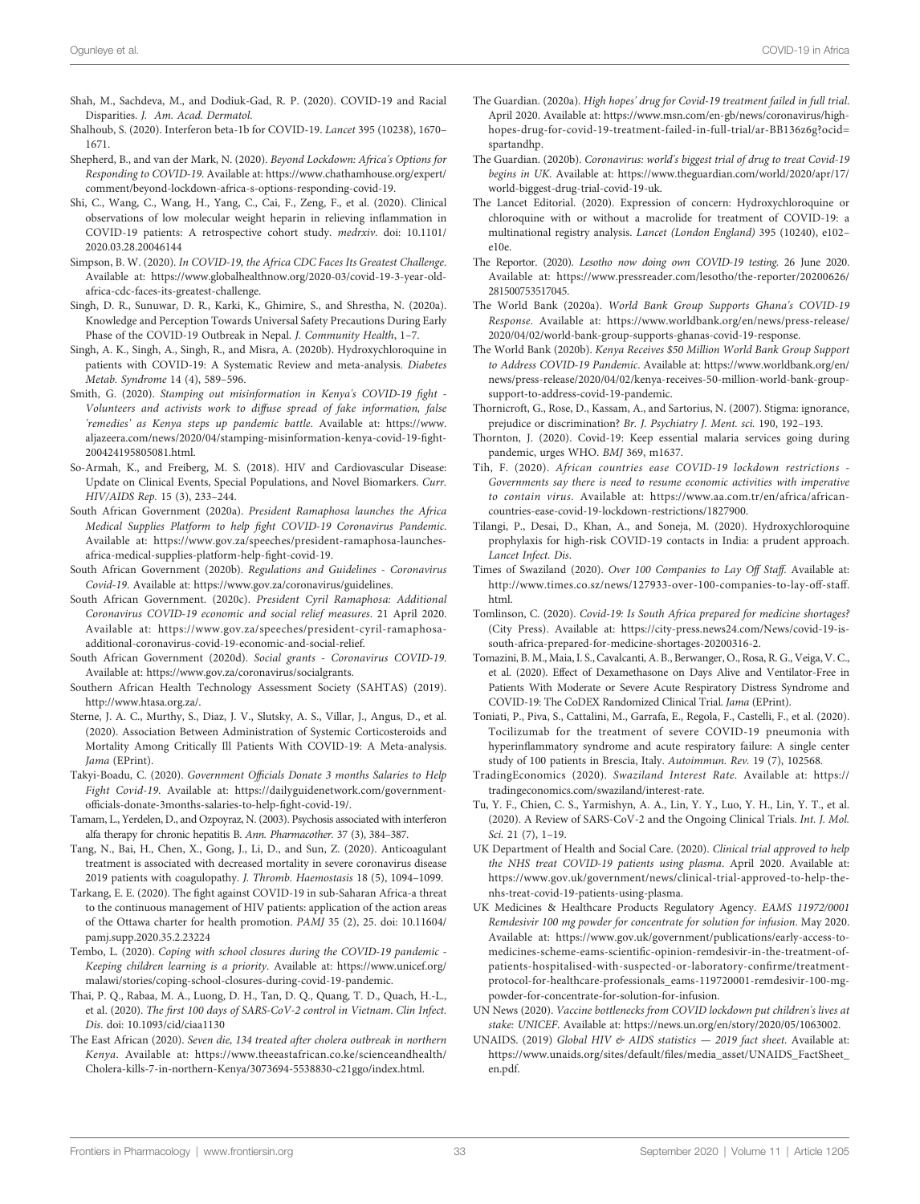- <span id="page-32-0"></span>Shah, M., Sachdeva, M., and Dodiuk-Gad, R. P. (2020). COVID-19 and Racial Disparities. J. Am. Acad. Dermatol.
- Shalhoub, S. (2020). Interferon beta-1b for COVID-19. Lancet 395 (10238), 1670– 1671.
- Shepherd, B., and van der Mark, N. (2020). Beyond Lockdown: Africa's Options for Responding to COVID-19. Available at: [https://www.chathamhouse.org/expert/](https://www.chathamhouse.org/expert/comment/beyond-lockdown-africa-s-options-responding-covid-19) [comment/beyond-lockdown-africa-s-options-responding-covid-19.](https://www.chathamhouse.org/expert/comment/beyond-lockdown-africa-s-options-responding-covid-19)
- Shi, C., Wang, C., Wang, H., Yang, C., Cai, F., Zeng, F., et al. (2020). Clinical observations of low molecular weight heparin in relieving inflammation in COVID-19 patients: A retrospective cohort study. medrxiv. doi: [10.1101/](https://doi.org/10.1101/2020.03.28.20046144) [2020.03.28.20046144](https://doi.org/10.1101/2020.03.28.20046144)
- Simpson, B. W. (2020). In COVID-19, the Africa CDC Faces Its Greatest Challenge. Available at: [https://www.globalhealthnow.org/2020-03/covid-19-3-year-old](https://www.globalhealthnow.org/2020-03/covid-19-3-year-old-africa-cdc-faces-its-greatest-challenge)[africa-cdc-faces-its-greatest-challenge.](https://www.globalhealthnow.org/2020-03/covid-19-3-year-old-africa-cdc-faces-its-greatest-challenge)
- Singh, D. R., Sunuwar, D. R., Karki, K., Ghimire, S., and Shrestha, N. (2020a). Knowledge and Perception Towards Universal Safety Precautions During Early Phase of the COVID-19 Outbreak in Nepal. J. Community Health, 1–7.
- Singh, A. K., Singh, A., Singh, R., and Misra, A. (2020b). Hydroxychloroquine in patients with COVID-19: A Systematic Review and meta-analysis. Diabetes Metab. Syndrome 14 (4), 589–596.
- Smith, G. (2020). Stamping out misinformation in Kenya's COVID-19 fight Volunteers and activists work to diffuse spread of fake information, false 'remedies' as Kenya steps up pandemic battle. Available at: [https://www.](https://www.aljazeera.com/news/2020/04/stamping-misinformation-kenya-covid-19-fight-200424195805081.html) [aljazeera.com/news/2020/04/stamping-misinformation-kenya-covid-19-](https://www.aljazeera.com/news/2020/04/stamping-misinformation-kenya-covid-19-fight-200424195805081.html)fight-[200424195805081.html](https://www.aljazeera.com/news/2020/04/stamping-misinformation-kenya-covid-19-fight-200424195805081.html).
- So-Armah, K., and Freiberg, M. S. (2018). HIV and Cardiovascular Disease: Update on Clinical Events, Special Populations, and Novel Biomarkers. Curr. HIV/AIDS Rep. 15 (3), 233–244.
- South African Government (2020a). President Ramaphosa launches the Africa Medical Supplies Platform to help fight COVID-19 Coronavirus Pandemic. Available at: [https://www.gov.za/speeches/president-ramaphosa-launches](https://www.gov.za/speeches/president-ramaphosa-launches-africa-medical-supplies-platform-help-fight-covid-19)[africa-medical-supplies-platform-help-](https://www.gov.za/speeches/president-ramaphosa-launches-africa-medical-supplies-platform-help-fight-covid-19)fight-covid-19.
- South African Government (2020b). Regulations and Guidelines Coronavirus Covid-19. Available at: [https://www.gov.za/coronavirus/guidelines.](https://www.gov.za/coronavirus/guidelines)
- South African Government. (2020c). President Cyril Ramaphosa: Additional Coronavirus COVID-19 economic and social relief measures. 21 April 2020. Available at: [https://www.gov.za/speeches/president-cyril-ramaphosa](https://www.gov.za/speeches/president-cyril-ramaphosa-additional-coronavirus-covid-19-economic-and-social-relief)[additional-coronavirus-covid-19-economic-and-social-relief.](https://www.gov.za/speeches/president-cyril-ramaphosa-additional-coronavirus-covid-19-economic-and-social-relief)
- South African Government (2020d). Social grants Coronavirus COVID-19. Available at: [https://www.gov.za/coronavirus/socialgrants.](https://www.gov.za/coronavirus/socialgrants)
- Southern African Health Technology Assessment Society (SAHTAS) (2019). [http://www.htasa.org.za/.](http://www.htasa.org.za/)
- Sterne, J. A. C., Murthy, S., Diaz, J. V., Slutsky, A. S., Villar, J., Angus, D., et al. (2020). Association Between Administration of Systemic Corticosteroids and Mortality Among Critically Ill Patients With COVID-19: A Meta-analysis. Jama (EPrint).
- Takyi-Boadu, C. (2020). Government Officials Donate 3 months Salaries to Help Fight Covid-19. Available at: [https://dailyguidenetwork.com/government](https://dailyguidenetwork.com/government-officials-donate-3months-salaries-to-help-fight-covid-19/)offi[cials-donate-3months-salaries-to-help-](https://dailyguidenetwork.com/government-officials-donate-3months-salaries-to-help-fight-covid-19/)fight-covid-19/.
- Tamam, L., Yerdelen, D., and Ozpoyraz, N. (2003). Psychosis associated with interferon alfa therapy for chronic hepatitis B. Ann. Pharmacother. 37 (3), 384–387.
- Tang, N., Bai, H., Chen, X., Gong, J., Li, D., and Sun, Z. (2020). Anticoagulant treatment is associated with decreased mortality in severe coronavirus disease 2019 patients with coagulopathy. J. Thromb. Haemostasis 18 (5), 1094–1099.
- Tarkang, E. E. (2020). The fight against COVID-19 in sub-Saharan Africa-a threat to the continuous management of HIV patients: application of the action areas of the Ottawa charter for health promotion. PAMJ 35 (2), 25. doi: [10.11604/](https://doi.org/10.11604/pamj.supp.2020.35.2.23224) [pamj.supp.2020.35.2.23224](https://doi.org/10.11604/pamj.supp.2020.35.2.23224)
- Tembo, L. (2020). Coping with school closures during the COVID-19 pandemic Keeping children learning is a priority. Available at: [https://www.unicef.org/](https://www.unicef.org/malawi/stories/coping-school-closures-during-covid-19-pandemic) [malawi/stories/coping-school-closures-during-covid-19-pandemic](https://www.unicef.org/malawi/stories/coping-school-closures-during-covid-19-pandemic).
- Thai, P. Q., Rabaa, M. A., Luong, D. H., Tan, D. Q., Quang, T. D., Quach, H.-L., et al. (2020). The first 100 days of SARS-CoV-2 control in Vietnam. Clin Infect. Dis. doi: [10.1093/cid/ciaa1130](https://doi.org/10.1093/cid/ciaa1130)
- The East African (2020). Seven die, 134 treated after cholera outbreak in northern Kenya. Available at: [https://www.theeastafrican.co.ke/scienceandhealth/](https://www.theeastafrican.co.ke/scienceandhealth/Cholera-kills-7-in-northern-Kenya/3073694-5538830-c21ggo/index.html) [Cholera-kills-7-in-northern-Kenya/3073694-5538830-c21ggo/index.html](https://www.theeastafrican.co.ke/scienceandhealth/Cholera-kills-7-in-northern-Kenya/3073694-5538830-c21ggo/index.html).
- The Guardian. (2020a). High hopes' drug for Covid-19 treatment failed in full trial. April 2020. Available at: [https://www.msn.com/en-gb/news/coronavirus/high](https://www.msn.com/en-gb/news/coronavirus/high-hopes-drug-for-covid-19-treatment-failed-in-full-trial/ar-BB136z6g?ocid=spartandhp)[hopes-drug-for-covid-19-treatment-failed-in-full-trial/ar-BB136z6g?ocid=](https://www.msn.com/en-gb/news/coronavirus/high-hopes-drug-for-covid-19-treatment-failed-in-full-trial/ar-BB136z6g?ocid=spartandhp) [spartandhp](https://www.msn.com/en-gb/news/coronavirus/high-hopes-drug-for-covid-19-treatment-failed-in-full-trial/ar-BB136z6g?ocid=spartandhp).
- The Guardian. (2020b). Coronavirus: world's biggest trial of drug to treat Covid-19 begins in UK. Available at: [https://www.theguardian.com/world/2020/apr/17/](https://www.theguardian.com/world/2020/apr/17/world-biggest-drug-trial-covid-19-uk) [world-biggest-drug-trial-covid-19-uk](https://www.theguardian.com/world/2020/apr/17/world-biggest-drug-trial-covid-19-uk).
- The Lancet Editorial. (2020). Expression of concern: Hydroxychloroquine or chloroquine with or without a macrolide for treatment of COVID-19: a multinational registry analysis. Lancet (London England) 395 (10240), e102– e10e.
- The Reportor. (2020). Lesotho now doing own COVID-19 testing. 26 June 2020. Available at: [https://www.pressreader.com/lesotho/the-reporter/20200626/](https://www.pressreader.com/lesotho/the-reporter/20200626/281500753517045) [281500753517045](https://www.pressreader.com/lesotho/the-reporter/20200626/281500753517045).
- The World Bank (2020a). World Bank Group Supports Ghana's COVID-19 Response. Available at: [https://www.worldbank.org/en/news/press-release/](https://www.worldbank.org/en/news/press-release/2020/04/02/world-bank-group-supports-ghanas-covid-19-response) [2020/04/02/world-bank-group-supports-ghanas-covid-19-response.](https://www.worldbank.org/en/news/press-release/2020/04/02/world-bank-group-supports-ghanas-covid-19-response)
- The World Bank (2020b). Kenya Receives \$50 Million World Bank Group Support to Address COVID-19 Pandemic. Available at: [https://www.worldbank.org/en/](https://www.worldbank.org/en/news/press-release/2020/04/02/kenya-receives-50-million-world-bank-group-support-to-address-covid-19-pandemic) [news/press-release/2020/04/02/kenya-receives-50-million-world-bank-group](https://www.worldbank.org/en/news/press-release/2020/04/02/kenya-receives-50-million-world-bank-group-support-to-address-covid-19-pandemic)[support-to-address-covid-19-pandemic.](https://www.worldbank.org/en/news/press-release/2020/04/02/kenya-receives-50-million-world-bank-group-support-to-address-covid-19-pandemic)
- Thornicroft, G., Rose, D., Kassam, A., and Sartorius, N. (2007). Stigma: ignorance, prejudice or discrimination? Br. J. Psychiatry J. Ment. sci. 190, 192–193.
- Thornton, J. (2020). Covid-19: Keep essential malaria services going during pandemic, urges WHO. BMJ 369, m1637.
- Tih, F. (2020). African countries ease COVID-19 lockdown restrictions Governments say there is need to resume economic activities with imperative to contain virus. Available at: [https://www.aa.com.tr/en/africa/african](https://www.aa.com.tr/en/africa/african-countries-ease-covid-19-lockdown-restrictions/1827900)[countries-ease-covid-19-lockdown-restrictions/1827900.](https://www.aa.com.tr/en/africa/african-countries-ease-covid-19-lockdown-restrictions/1827900)
- Tilangi, P., Desai, D., Khan, A., and Soneja, M. (2020). Hydroxychloroquine prophylaxis for high-risk COVID-19 contacts in India: a prudent approach. Lancet Infect. Dis.
- Times of Swaziland (2020). Over 100 Companies to Lay Off Staff. Available at: [http://www.times.co.sz/news/127933-over-100-companies-to-lay-off-staff.](http://www.times.co.sz/news/127933-over-100-companies-to-lay-off-staff.html) [html](http://www.times.co.sz/news/127933-over-100-companies-to-lay-off-staff.html).
- Tomlinson, C. (2020). Covid-19: Is South Africa prepared for medicine shortages? (City Press). Available at: [https://city-press.news24.com/News/covid-19-is](https://city-press.news24.com/News/covid-19-is-south-africa-prepared-for-medicine-shortages-20200316-2)[south-africa-prepared-for-medicine-shortages-20200316-2.](https://city-press.news24.com/News/covid-19-is-south-africa-prepared-for-medicine-shortages-20200316-2)
- Tomazini, B. M., Maia, I. S., Cavalcanti, A. B., Berwanger, O., Rosa, R. G., Veiga, V. C., et al. (2020). Effect of Dexamethasone on Days Alive and Ventilator-Free in Patients With Moderate or Severe Acute Respiratory Distress Syndrome and COVID-19: The CoDEX Randomized Clinical Trial. Jama (EPrint).
- Toniati, P., Piva, S., Cattalini, M., Garrafa, E., Regola, F., Castelli, F., et al. (2020). Tocilizumab for the treatment of severe COVID-19 pneumonia with hyperinflammatory syndrome and acute respiratory failure: A single center study of 100 patients in Brescia, Italy. Autoimmun. Rev. 19 (7), 102568.
- TradingEconomics (2020). Swaziland Interest Rate. Available at: [https://](https://tradingeconomics.com/swaziland/interest-rate) [tradingeconomics.com/swaziland/interest-rate.](https://tradingeconomics.com/swaziland/interest-rate)
- Tu, Y. F., Chien, C. S., Yarmishyn, A. A., Lin, Y. Y., Luo, Y. H., Lin, Y. T., et al. (2020). A Review of SARS-CoV-2 and the Ongoing Clinical Trials. Int. J. Mol. Sci. 21 (7), 1–19.
- UK Department of Health and Social Care. (2020). Clinical trial approved to help the NHS treat COVID-19 patients using plasma. April 2020. Available at: [https://www.gov.uk/government/news/clinical-trial-approved-to-help-the](https://www.gov.uk/government/news/clinical-trial-approved-to-help-the-nhs-treat-covid-19-patients-using-plasma)[nhs-treat-covid-19-patients-using-plasma.](https://www.gov.uk/government/news/clinical-trial-approved-to-help-the-nhs-treat-covid-19-patients-using-plasma)
- UK Medicines & Healthcare Products Regulatory Agency. EAMS 11972/0001 Remdesivir 100 mg powder for concentrate for solution for infusion. May 2020. Available at: [https://www.gov.uk/government/publications/early-access-to](https://www.gov.uk/government/publications/early-access-to-medicines-scheme-eams-scientific-opinion-remdesivir-in-the-treatment-of-patients-hospitalised-with-suspected-or-laboratory-confirme/treatment-protocol-for-healthcare-professionals_eams-119720001-remdesivir-100-mg-powder-for-concentrate-for-solution-for-infusion)medicines-scheme-eams-scientifi[c-opinion-remdesivir-in-the-treatment-of](https://www.gov.uk/government/publications/early-access-to-medicines-scheme-eams-scientific-opinion-remdesivir-in-the-treatment-of-patients-hospitalised-with-suspected-or-laboratory-confirme/treatment-protocol-for-healthcare-professionals_eams-119720001-remdesivir-100-mg-powder-for-concentrate-for-solution-for-infusion)[patients-hospitalised-with-suspected-or-laboratory-con](https://www.gov.uk/government/publications/early-access-to-medicines-scheme-eams-scientific-opinion-remdesivir-in-the-treatment-of-patients-hospitalised-with-suspected-or-laboratory-confirme/treatment-protocol-for-healthcare-professionals_eams-119720001-remdesivir-100-mg-powder-for-concentrate-for-solution-for-infusion)firme/treatment[protocol-for-healthcare-professionals\\_eams-119720001-remdesivir-100-mg](https://www.gov.uk/government/publications/early-access-to-medicines-scheme-eams-scientific-opinion-remdesivir-in-the-treatment-of-patients-hospitalised-with-suspected-or-laboratory-confirme/treatment-protocol-for-healthcare-professionals_eams-119720001-remdesivir-100-mg-powder-for-concentrate-for-solution-for-infusion)[powder-for-concentrate-for-solution-for-infusion](https://www.gov.uk/government/publications/early-access-to-medicines-scheme-eams-scientific-opinion-remdesivir-in-the-treatment-of-patients-hospitalised-with-suspected-or-laboratory-confirme/treatment-protocol-for-healthcare-professionals_eams-119720001-remdesivir-100-mg-powder-for-concentrate-for-solution-for-infusion).
- UN News (2020). Vaccine bottlenecks from COVID lockdown put children's lives at stake: UNICEF. Available at: [https://news.un.org/en/story/2020/05/1063002.](https://news.un.org/en/story/2020/05/1063002)
- UNAIDS. (2019) Global HIV & AIDS statistics 2019 fact sheet. Available at: https://www.unaids.org/sites/default/fi[les/media\\_asset/UNAIDS\\_FactSheet\\_](https://www.unaids.org/sites/default/files/media_asset/UNAIDS_FactSheet_en.pdf) [en.pdf.](https://www.unaids.org/sites/default/files/media_asset/UNAIDS_FactSheet_en.pdf)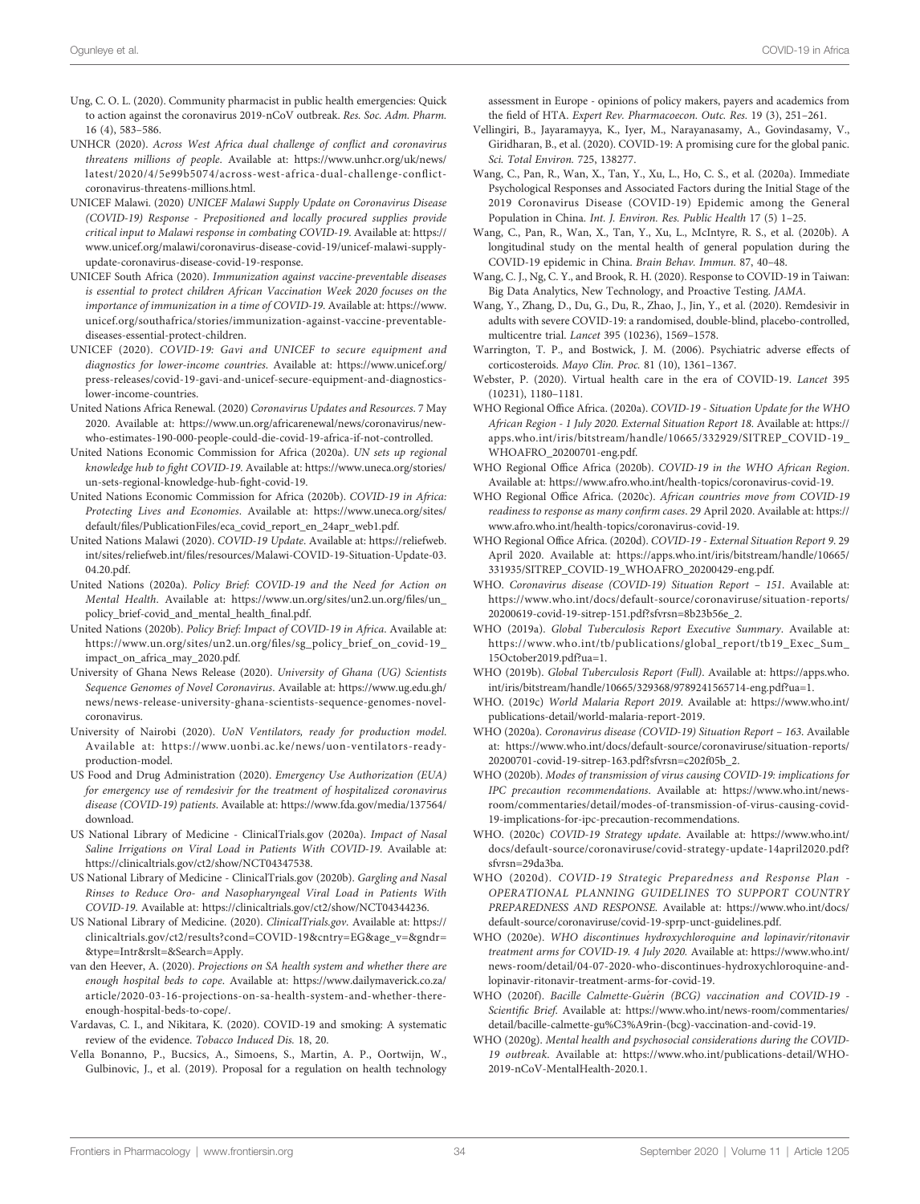- <span id="page-33-0"></span>Ung, C. O. L. (2020). Community pharmacist in public health emergencies: Quick to action against the coronavirus 2019-nCoV outbreak. Res. Soc. Adm. Pharm. 16 (4), 583–586.
- UNHCR (2020). Across West Africa dual challenge of conflict and coronavirus threatens millions of people. Available at: [https://www.unhcr.org/uk/news/](https://www.unhcr.org/uk/news/latest/2020/4/5e99b5074/across-west-africa-dual-challenge-conflict-coronavirus-threatens-millions.html) [latest/2020/4/5e99b5074/across-west-africa-dual-challenge-con](https://www.unhcr.org/uk/news/latest/2020/4/5e99b5074/across-west-africa-dual-challenge-conflict-coronavirus-threatens-millions.html)flict[coronavirus-threatens-millions.html.](https://www.unhcr.org/uk/news/latest/2020/4/5e99b5074/across-west-africa-dual-challenge-conflict-coronavirus-threatens-millions.html)
- UNICEF Malawi. (2020) UNICEF Malawi Supply Update on Coronavirus Disease (COVID-19) Response - Prepositioned and locally procured supplies provide critical input to Malawi response in combating COVID-19. Available at: [https://](https://www.unicef.org/malawi/coronavirus-disease-covid-19/unicef-malawi-supply-update-coronavirus-disease-covid-19-response) [www.unicef.org/malawi/coronavirus-disease-covid-19/unicef-malawi-supply](https://www.unicef.org/malawi/coronavirus-disease-covid-19/unicef-malawi-supply-update-coronavirus-disease-covid-19-response)[update-coronavirus-disease-covid-19-response.](https://www.unicef.org/malawi/coronavirus-disease-covid-19/unicef-malawi-supply-update-coronavirus-disease-covid-19-response)
- UNICEF South Africa (2020). Immunization against vaccine-preventable diseases is essential to protect children African Vaccination Week 2020 focuses on the importance of immunization in a time of COVID-19. Available at: [https://www.](https://www.unicef.org/southafrica/stories/immunization-against-vaccine-preventable-diseases-essential-protect-children) [unicef.org/southafrica/stories/immunization-against-vaccine-preventable](https://www.unicef.org/southafrica/stories/immunization-against-vaccine-preventable-diseases-essential-protect-children)[diseases-essential-protect-children.](https://www.unicef.org/southafrica/stories/immunization-against-vaccine-preventable-diseases-essential-protect-children)
- UNICEF (2020). COVID-19: Gavi and UNICEF to secure equipment and diagnostics for lower-income countries. Available at: [https://www.unicef.org/](https://www.unicef.org/press-releases/covid-19-gavi-and-unicef-secure-equipment-and-diagnostics-lower-income-countries) [press-releases/covid-19-gavi-and-unicef-secure-equipment-and-diagnostics](https://www.unicef.org/press-releases/covid-19-gavi-and-unicef-secure-equipment-and-diagnostics-lower-income-countries)[lower-income-countries.](https://www.unicef.org/press-releases/covid-19-gavi-and-unicef-secure-equipment-and-diagnostics-lower-income-countries)
- United Nations Africa Renewal. (2020) Coronavirus Updates and Resources. 7 May 2020. Available at: [https://www.un.org/africarenewal/news/coronavirus/new](https://www.un.org/africarenewal/news/coronavirus/new-who-estimates-190-000-people-could-die-covid-19-africa-if-not-controlled)[who-estimates-190-000-people-could-die-covid-19-africa-if-not-controlled.](https://www.un.org/africarenewal/news/coronavirus/new-who-estimates-190-000-people-could-die-covid-19-africa-if-not-controlled)
- United Nations Economic Commission for Africa (2020a). UN sets up regional knowledge hub to fight COVID-19. Available at: [https://www.uneca.org/stories/](https://www.uneca.org/stories/un-sets-regional-knowledge-hub-fight-covid-19) [un-sets-regional-knowledge-hub-](https://www.uneca.org/stories/un-sets-regional-knowledge-hub-fight-covid-19)fight-covid-19.
- United Nations Economic Commission for Africa (2020b). COVID-19 in Africa: Protecting Lives and Economies. Available at: [https://www.uneca.org/sites/](https://www.uneca.org/sites/default/files/PublicationFiles/eca_covid_report_en_24apr_web1.pdf) default/fi[les/PublicationFiles/eca\\_covid\\_report\\_en\\_24apr\\_web1.pdf.](https://www.uneca.org/sites/default/files/PublicationFiles/eca_covid_report_en_24apr_web1.pdf)
- United Nations Malawi (2020). COVID-19 Update. Available at: [https://reliefweb.](https://reliefweb.int/sites/reliefweb.int/files/resources/Malawi-COVID-19-Situation-Update-03.04.20.pdf) int/sites/reliefweb.int/fi[les/resources/Malawi-COVID-19-Situation-Update-03.](https://reliefweb.int/sites/reliefweb.int/files/resources/Malawi-COVID-19-Situation-Update-03.04.20.pdf) [04.20.pdf.](https://reliefweb.int/sites/reliefweb.int/files/resources/Malawi-COVID-19-Situation-Update-03.04.20.pdf)
- United Nations (2020a). Policy Brief: COVID-19 and the Need for Action on Mental Health. Available at: [https://www.un.org/sites/un2.un.org/](https://www.un.org/sites/un2.un.org/files/un_policy_brief-covid_and_mental_health_final.pdf)files/un\_ [policy\\_brief-covid\\_and\\_mental\\_health\\_](https://www.un.org/sites/un2.un.org/files/un_policy_brief-covid_and_mental_health_final.pdf)final.pdf.
- United Nations (2020b). Policy Brief: Impact of COVID-19 in Africa. Available at: [https://www.un.org/sites/un2.un.org/](https://www.un.org/sites/un2.un.org/files/sg_policy_brief_on_covid-19_impact_on_africa_may_2020.pdf)files/sg\_policy\_brief\_on\_covid-19\_ [impact\\_on\\_africa\\_may\\_2020.pdf](https://www.un.org/sites/un2.un.org/files/sg_policy_brief_on_covid-19_impact_on_africa_may_2020.pdf).
- University of Ghana News Release (2020). University of Ghana (UG) Scientists Sequence Genomes of Novel Coronavirus. Available at: [https://www.ug.edu.gh/](https://www.ug.edu.gh/news/news-release-university-ghana-scientists-sequence-genomes-novel-coronavirus) [news/news-release-university-ghana-scientists-sequence-genomes-novel](https://www.ug.edu.gh/news/news-release-university-ghana-scientists-sequence-genomes-novel-coronavirus)[coronavirus.](https://www.ug.edu.gh/news/news-release-university-ghana-scientists-sequence-genomes-novel-coronavirus)
- University of Nairobi (2020). UoN Ventilators, ready for production model. Available at: [https://www.uonbi.ac.ke/news/uon-ventilators-ready](https://www.uonbi.ac.ke/news/uon-ventilators-ready-production-model)[production-model](https://www.uonbi.ac.ke/news/uon-ventilators-ready-production-model).
- US Food and Drug Administration (2020). Emergency Use Authorization (EUA) for emergency use of remdesivir for the treatment of hospitalized coronavirus disease (COVID-19) patients. Available at: [https://www.fda.gov/media/137564/](https://www.fda.gov/media/137564/download) [download.](https://www.fda.gov/media/137564/download)
- US National Library of Medicine ClinicalTrials.gov (2020a). Impact of Nasal Saline Irrigations on Viral Load in Patients With COVID-19. Available at: [https://clinicaltrials.gov/ct2/show/NCT04347538.](https://clinicaltrials.gov/ct2/show/NCT04347538)
- US National Library of Medicine ClinicalTrials.gov (2020b). Gargling and Nasal Rinses to Reduce Oro- and Nasopharyngeal Viral Load in Patients With COVID-19. Available at:<https://clinicaltrials.gov/ct2/show/NCT04344236>.
- US National Library of Medicine. (2020). ClinicalTrials.gov. Available at: [https://](https://clinicaltrials.gov/ct2/results?cond=COVID-19&cntry=EG&age_v=&gndr=&type=Intr&rslt=&Search=Apply) [clinicaltrials.gov/ct2/results?cond=COVID-19&cntry=EG&age\\_v=&gndr=](https://clinicaltrials.gov/ct2/results?cond=COVID-19&cntry=EG&age_v=&gndr=&type=Intr&rslt=&Search=Apply) [&type=Intr&rslt=&Search=Apply](https://clinicaltrials.gov/ct2/results?cond=COVID-19&cntry=EG&age_v=&gndr=&type=Intr&rslt=&Search=Apply).
- van den Heever, A. (2020). Projections on SA health system and whether there are enough hospital beds to cope. Available at: [https://www.dailymaverick.co.za/](https://www.dailymaverick.co.za/article/2020-03-16-projections-on-sa-health-system-and-whether-there-enough-hospital-beds-to-cope/) [article/2020-03-16-projections-on-sa-health-system-and-whether-there](https://www.dailymaverick.co.za/article/2020-03-16-projections-on-sa-health-system-and-whether-there-enough-hospital-beds-to-cope/)[enough-hospital-beds-to-cope/.](https://www.dailymaverick.co.za/article/2020-03-16-projections-on-sa-health-system-and-whether-there-enough-hospital-beds-to-cope/)
- Vardavas, C. I., and Nikitara, K. (2020). COVID-19 and smoking: A systematic review of the evidence. Tobacco Induced Dis. 18, 20.
- Vella Bonanno, P., Bucsics, A., Simoens, S., Martin, A. P., Oortwijn, W., Gulbinovic, J., et al. (2019). Proposal for a regulation on health technology

assessment in Europe - opinions of policy makers, payers and academics from the field of HTA. Expert Rev. Pharmacoecon. Outc. Res. 19 (3), 251–261.

- Vellingiri, B., Jayaramayya, K., Iyer, M., Narayanasamy, A., Govindasamy, V., Giridharan, B., et al. (2020). COVID-19: A promising cure for the global panic. Sci. Total Environ. 725, 138277.
- Wang, C., Pan, R., Wan, X., Tan, Y., Xu, L., Ho, C. S., et al. (2020a). Immediate Psychological Responses and Associated Factors during the Initial Stage of the 2019 Coronavirus Disease (COVID-19) Epidemic among the General Population in China. Int. J. Environ. Res. Public Health 17 (5) 1–25.
- Wang, C., Pan, R., Wan, X., Tan, Y., Xu, L., McIntyre, R. S., et al. (2020b). A longitudinal study on the mental health of general population during the COVID-19 epidemic in China. Brain Behav. Immun. 87, 40–48.
- Wang, C. J., Ng, C. Y., and Brook, R. H. (2020). Response to COVID-19 in Taiwan: Big Data Analytics, New Technology, and Proactive Testing. JAMA.
- Wang, Y., Zhang, D., Du, G., Du, R., Zhao, J., Jin, Y., et al. (2020). Remdesivir in adults with severe COVID-19: a randomised, double-blind, placebo-controlled, multicentre trial. Lancet 395 (10236), 1569–1578.
- Warrington, T. P., and Bostwick, J. M. (2006). Psychiatric adverse effects of corticosteroids. Mayo Clin. Proc. 81 (10), 1361–1367.
- Webster, P. (2020). Virtual health care in the era of COVID-19. Lancet 395 (10231), 1180–1181.
- WHO Regional Office Africa. (2020a). COVID-19 Situation Update for the WHO African Region - 1 July 2020. External Situation Report 18. Available at: [https://](https://apps.who.int/iris/bitstream/handle/10665/332929/SITREP_COVID-19_WHOAFRO_20200701-eng.pdf) [apps.who.int/iris/bitstream/handle/10665/332929/SITREP\\_COVID-19\\_](https://apps.who.int/iris/bitstream/handle/10665/332929/SITREP_COVID-19_WHOAFRO_20200701-eng.pdf) [WHOAFRO\\_20200701-eng.pdf](https://apps.who.int/iris/bitstream/handle/10665/332929/SITREP_COVID-19_WHOAFRO_20200701-eng.pdf).
- WHO Regional Office Africa (2020b). COVID-19 in the WHO African Region. Available at:<https://www.afro.who.int/health-topics/coronavirus-covid-19>.
- WHO Regional Office Africa. (2020c). African countries move from COVID-19 readiness to response as many confirm cases. 29 April 2020. Available at: [https://](https://www.afro.who.int/health-topics/coronavirus-covid-19) [www.afro.who.int/health-topics/coronavirus-covid-19](https://www.afro.who.int/health-topics/coronavirus-covid-19).
- WHO Regional Office Africa. (2020d). COVID-19 External Situation Report 9. 29 April 2020. Available at: [https://apps.who.int/iris/bitstream/handle/10665/](https://apps.who.int/iris/bitstream/handle/10665/331935/SITREP_COVID-19_WHOAFRO_20200429-eng.pdf) [331935/SITREP\\_COVID-19\\_WHOAFRO\\_20200429-eng.pdf.](https://apps.who.int/iris/bitstream/handle/10665/331935/SITREP_COVID-19_WHOAFRO_20200429-eng.pdf)
- WHO. Coronavirus disease (COVID-19) Situation Report 151. Available at: [https://www.who.int/docs/default-source/coronaviruse/situation-reports/](https://www.who.int/docs/default-source/coronaviruse/situation-reports/20200619-covid-19-sitrep-151.pdf?sfvrsn=8b23b56e_2) [20200619-covid-19-sitrep-151.pdf?sfvrsn=8b23b56e\\_2.](https://www.who.int/docs/default-source/coronaviruse/situation-reports/20200619-covid-19-sitrep-151.pdf?sfvrsn=8b23b56e_2)
- WHO (2019a). Global Tuberculosis Report Executive Summary. Available at: [https://www.who.int/tb/publications/global\\_report/tb19\\_Exec\\_Sum\\_](https://www.who.int/tb/publications/global_report/tb19_Exec_Sum_15October2019.pdf?ua=1) [15October2019.pdf?ua=1.](https://www.who.int/tb/publications/global_report/tb19_Exec_Sum_15October2019.pdf?ua=1)
- WHO (2019b). Global Tuberculosis Report (Full). Available at: [https://apps.who.](https://apps.who.int/iris/bitstream/handle/10665/329368/9789241565714-eng.pdf?ua=1) [int/iris/bitstream/handle/10665/329368/9789241565714-eng.pdf?ua=1.](https://apps.who.int/iris/bitstream/handle/10665/329368/9789241565714-eng.pdf?ua=1)
- WHO. (2019c) World Malaria Report 2019. Available at: [https://www.who.int/](https://www.who.int/publications-detail/world-malaria-report-2019) [publications-detail/world-malaria-report-2019.](https://www.who.int/publications-detail/world-malaria-report-2019)
- WHO (2020a). Coronavirus disease (COVID-19) Situation Report 163. Available at: [https://www.who.int/docs/default-source/coronaviruse/situation-reports/](https://www.who.int/docs/default-source/coronaviruse/situation-reports/20200701-covid-19-sitrep-163.pdf?sfvrsn=c202f05b_2) [20200701-covid-19-sitrep-163.pdf?sfvrsn=c202f05b\\_2](https://www.who.int/docs/default-source/coronaviruse/situation-reports/20200701-covid-19-sitrep-163.pdf?sfvrsn=c202f05b_2).
- WHO (2020b). Modes of transmission of virus causing COVID-19: implications for IPC precaution recommendations. Available at: [https://www.who.int/news](https://www.who.int/news-room/commentaries/detail/modes-of-transmission-of-virus-causing-covid-19-implications-for-ipc-precaution-recommendations)[room/commentaries/detail/modes-of-transmission-of-virus-causing-covid-](https://www.who.int/news-room/commentaries/detail/modes-of-transmission-of-virus-causing-covid-19-implications-for-ipc-precaution-recommendations)[19-implications-for-ipc-precaution-recommendations](https://www.who.int/news-room/commentaries/detail/modes-of-transmission-of-virus-causing-covid-19-implications-for-ipc-precaution-recommendations).
- WHO. (2020c) COVID-19 Strategy update. Available at: [https://www.who.int/](https://www.who.int/docs/default-source/coronaviruse/covid-strategy-update-14april2020.pdf?sfvrsn=29da3ba) [docs/default-source/coronaviruse/covid-strategy-update-14april2020.pdf?](https://www.who.int/docs/default-source/coronaviruse/covid-strategy-update-14april2020.pdf?sfvrsn=29da3ba) [sfvrsn=29da3ba](https://www.who.int/docs/default-source/coronaviruse/covid-strategy-update-14april2020.pdf?sfvrsn=29da3ba).
- WHO (2020d). COVID-19 Strategic Preparedness and Response Plan OPERATIONAL PLANNING GUIDELINES TO SUPPORT COUNTRY PREPAREDNESS AND RESPONSE. Available at: [https://www.who.int/docs/](https://www.who.int/docs/default-source/coronaviruse/covid-19-sprp-unct-guidelines.pdf) [default-source/coronaviruse/covid-19-sprp-unct-guidelines.pdf.](https://www.who.int/docs/default-source/coronaviruse/covid-19-sprp-unct-guidelines.pdf)
- WHO (2020e). WHO discontinues hydroxychloroquine and lopinavir/ritonavir treatment arms for COVID-19. 4 July 2020. Available at: [https://www.who.int/](https://www.who.int/news-room/detail/04-07-2020-who-discontinues-hydroxychloroquine-and-lopinavir-ritonavir-treatment-arms-for-covid-19) [news-room/detail/04-07-2020-who-discontinues-hydroxychloroquine-and](https://www.who.int/news-room/detail/04-07-2020-who-discontinues-hydroxychloroquine-and-lopinavir-ritonavir-treatment-arms-for-covid-19)[lopinavir-ritonavir-treatment-arms-for-covid-19](https://www.who.int/news-room/detail/04-07-2020-who-discontinues-hydroxychloroquine-and-lopinavir-ritonavir-treatment-arms-for-covid-19).
- WHO (2020f). Bacille Calmette-Guerin (BCG) vaccination and COVID-19 -Scientific Brief. Available at: [https://www.who.int/news-room/commentaries/](https://www.who.int/news-room/commentaries/detail/bacille-calmette-gu%C3%A9rin-(bcg)-vaccination-and-covid-19) [detail/bacille-calmette-gu%C3%A9rin-\(bcg\)-vaccination-and-covid-19.](https://www.who.int/news-room/commentaries/detail/bacille-calmette-gu%C3%A9rin-(bcg)-vaccination-and-covid-19)
- WHO (2020g). Mental health and psychosocial considerations during the COVID-19 outbreak. Available at: [https://www.who.int/publications-detail/WHO-](https://www.who.int/publications-detail/WHO-2019-nCoV-MentalHealth-2020.1)[2019-nCoV-MentalHealth-2020.1.](https://www.who.int/publications-detail/WHO-2019-nCoV-MentalHealth-2020.1)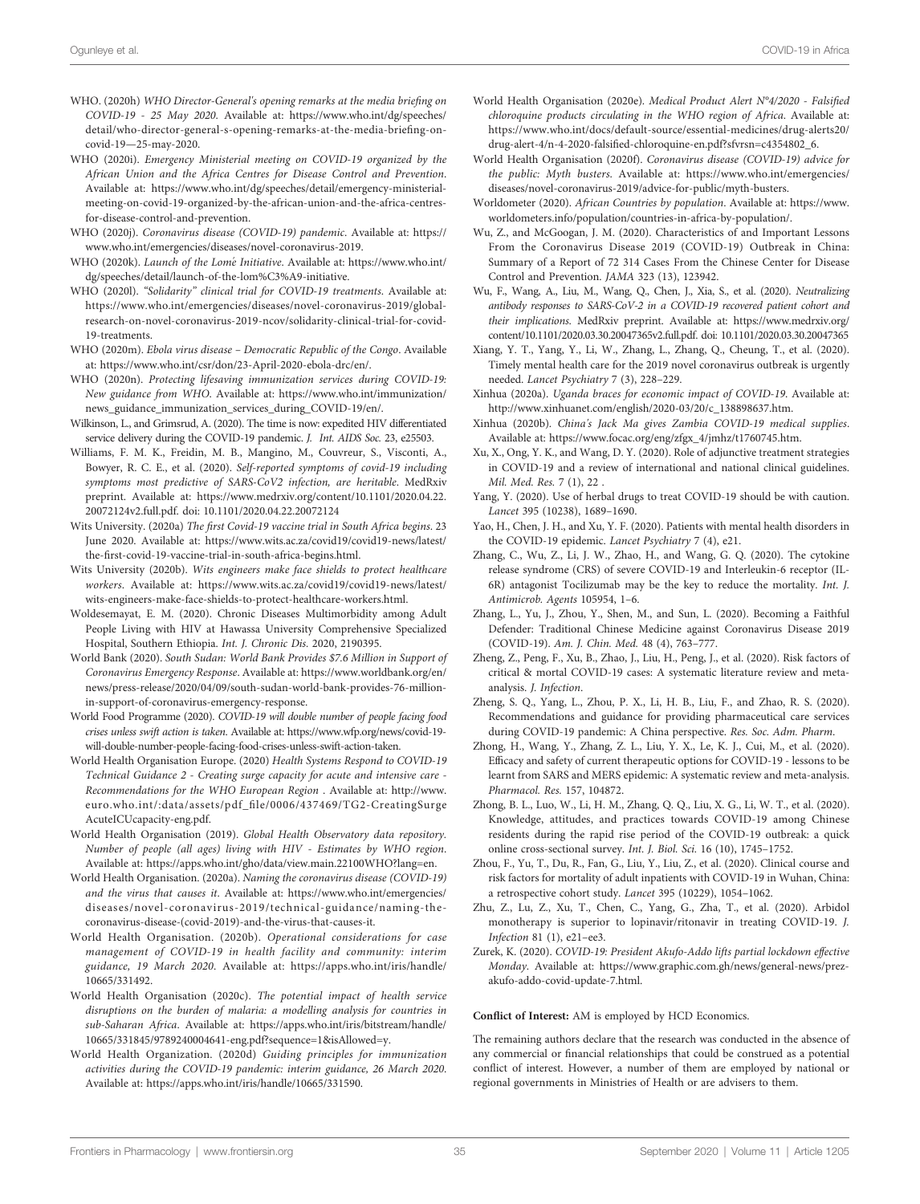- <span id="page-34-0"></span>WHO. (2020h) WHO Director-General's opening remarks at the media briefing on COVID-19 - 25 May 2020. Available at: [https://www.who.int/dg/speeches/](https://www.who.int/dg/speeches/detail/who-director-general-s-opening-remarks-at-the-media-briefing-on-covid-19—25-may-2020) [detail/who-director-general-s-opening-remarks-at-the-media-brie](https://www.who.int/dg/speeches/detail/who-director-general-s-opening-remarks-at-the-media-briefing-on-covid-19—25-may-2020)fing-oncovid-19—[25-may-2020.](https://www.who.int/dg/speeches/detail/who-director-general-s-opening-remarks-at-the-media-briefing-on-covid-19—25-may-2020)
- WHO (2020i). Emergency Ministerial meeting on COVID-19 organized by the African Union and the Africa Centres for Disease Control and Prevention. Available at: [https://www.who.int/dg/speeches/detail/emergency-ministerial](https://www.who.int/dg/speeches/detail/emergency-ministerial-meeting-on-covid-19-organized-by-the-african-union-and-the-africa-centres-for-disease-control-and-prevention)[meeting-on-covid-19-organized-by-the-african-union-and-the-africa-centres](https://www.who.int/dg/speeches/detail/emergency-ministerial-meeting-on-covid-19-organized-by-the-african-union-and-the-africa-centres-for-disease-control-and-prevention)[for-disease-control-and-prevention.](https://www.who.int/dg/speeches/detail/emergency-ministerial-meeting-on-covid-19-organized-by-the-african-union-and-the-africa-centres-for-disease-control-and-prevention)
- WHO (2020j). Coronavirus disease (COVID-19) pandemic. Available at: [https://](https://www.who.int/emergencies/diseases/novel-coronavirus-2019) [www.who.int/emergencies/diseases/novel-coronavirus-2019.](https://www.who.int/emergencies/diseases/novel-coronavirus-2019)
- WHO (2020k). Launch of the Lomé Initiative. Available at: [https://www.who.int/](https://www.who.int/dg/speeches/detail/launch-of-the-lom%C3%A9-initiative) [dg/speeches/detail/launch-of-the-lom%C3%A9-initiative.](https://www.who.int/dg/speeches/detail/launch-of-the-lom%C3%A9-initiative)
- WHO (2020l). "Solidarity" clinical trial for COVID-19 treatments. Available at: [https://www.who.int/emergencies/diseases/novel-coronavirus-2019/global](https://www.who.int/emergencies/diseases/novel-coronavirus-2019/global-research-on-novel-coronavirus-2019-ncov/solidarity-clinical-trial-for-covid-19-treatments)[research-on-novel-coronavirus-2019-ncov/solidarity-clinical-trial-for-covid-](https://www.who.int/emergencies/diseases/novel-coronavirus-2019/global-research-on-novel-coronavirus-2019-ncov/solidarity-clinical-trial-for-covid-19-treatments)[19-treatments](https://www.who.int/emergencies/diseases/novel-coronavirus-2019/global-research-on-novel-coronavirus-2019-ncov/solidarity-clinical-trial-for-covid-19-treatments).
- WHO (2020m). Ebola virus disease Democratic Republic of the Congo. Available at: [https://www.who.int/csr/don/23-April-2020-ebola-drc/en/.](https://www.who.int/csr/don/23-April-2020-ebola-drc/en/)
- WHO (2020n). Protecting lifesaving immunization services during COVID-19: New guidance from WHO. Available at: [https://www.who.int/immunization/](https://www.who.int/immunization/news_guidance_immunization_services_during_COVID-19/en/) [news\\_guidance\\_immunization\\_services\\_during\\_COVID-19/en/.](https://www.who.int/immunization/news_guidance_immunization_services_during_COVID-19/en/)
- Wilkinson, L., and Grimsrud, A. (2020). The time is now: expedited HIV differentiated service delivery during the COVID-19 pandemic. J. Int. AIDS Soc. 23, e25503.
- Williams, F. M. K., Freidin, M. B., Mangino, M., Couvreur, S., Visconti, A., Bowyer, R. C. E., et al. (2020). Self-reported symptoms of covid-19 including symptoms most predictive of SARS-CoV2 infection, are heritable. MedRxiv preprint. Available at: [https://www.medrxiv.org/content/10.1101/2020.04.22.](https://www.medrxiv.org/content/10.1101/2020.04.22.20072124v2.full.pdf) [20072124v2.full.pdf](https://www.medrxiv.org/content/10.1101/2020.04.22.20072124v2.full.pdf). doi: [10.1101/2020.04.22.20072124](https://doi.org/10.1101/2020.04.22.20072124)
- Wits University. (2020a) The first Covid-19 vaccine trial in South Africa begins. 23 June 2020. Available at: [https://www.wits.ac.za/covid19/covid19-news/latest/](https://www.wits.ac.za/covid19/covid19-news/latest/the-first-covid-19-vaccine-trial-in-south-africa-begins.html) the-fi[rst-covid-19-vaccine-trial-in-south-africa-begins.html.](https://www.wits.ac.za/covid19/covid19-news/latest/the-first-covid-19-vaccine-trial-in-south-africa-begins.html)
- Wits University (2020b). Wits engineers make face shields to protect healthcare workers. Available at: [https://www.wits.ac.za/covid19/covid19-news/latest/](https://www.wits.ac.za/covid19/covid19-news/latest/wits-engineers-make-face-shields-to-protect-healthcare-workers.html) [wits-engineers-make-face-shields-to-protect-healthcare-workers.html.](https://www.wits.ac.za/covid19/covid19-news/latest/wits-engineers-make-face-shields-to-protect-healthcare-workers.html)
- Woldesemayat, E. M. (2020). Chronic Diseases Multimorbidity among Adult People Living with HIV at Hawassa University Comprehensive Specialized Hospital, Southern Ethiopia. Int. J. Chronic Dis. 2020, 2190395.
- World Bank (2020). South Sudan: World Bank Provides \$7.6 Million in Support of Coronavirus Emergency Response. Available at: [https://www.worldbank.org/en/](https://www.worldbank.org/en/news/press-release/2020/04/09/south-sudan-world-bank-provides-76-million-in-support-of-coronavirus-emergency-response) [news/press-release/2020/04/09/south-sudan-world-bank-provides-76-million](https://www.worldbank.org/en/news/press-release/2020/04/09/south-sudan-world-bank-provides-76-million-in-support-of-coronavirus-emergency-response)[in-support-of-coronavirus-emergency-response.](https://www.worldbank.org/en/news/press-release/2020/04/09/south-sudan-world-bank-provides-76-million-in-support-of-coronavirus-emergency-response)
- World Food Programme (2020). COVID-19 will double number of people facing food crises unless swift action is taken. Available at: [https://www.wfp.org/news/covid-19](https://www.wfp.org/news/covid-19-will-double-number-people-facing-food-crises-unless-swift-action-taken) [will-double-number-people-facing-food-crises-unless-swift-action-taken.](https://www.wfp.org/news/covid-19-will-double-number-people-facing-food-crises-unless-swift-action-taken)
- World Health Organisation Europe. (2020) Health Systems Respond to COVID-19 Technical Guidance 2 - Creating surge capacity for acute and intensive care - Recommendations for the WHO European Region . Available at: [http://www.](http://www.euro.who.int/:data/assets/pdf_file/0006/437469/TG2-CreatingSurgeAcuteICUcapacity-eng.pdf) euro.who.int/:data/assets/pdf\_fi[le/0006/437469/TG2-CreatingSurge](http://www.euro.who.int/:data/assets/pdf_file/0006/437469/TG2-CreatingSurgeAcuteICUcapacity-eng.pdf) [AcuteICUcapacity-eng.pdf](http://www.euro.who.int/:data/assets/pdf_file/0006/437469/TG2-CreatingSurgeAcuteICUcapacity-eng.pdf).
- World Health Organisation (2019). Global Health Observatory data repository. Number of people (all ages) living with HIV - Estimates by WHO region. Available at:<https://apps.who.int/gho/data/view.main.22100WHO?lang=en>.
- World Health Organisation. (2020a). Naming the coronavirus disease (COVID-19) and the virus that causes it. Available at: [https://www.who.int/emergencies/](https://www.who.int/emergencies/diseases/novel-coronavirus-2019/technical-guidance/naming-the-coronavirus-disease-(covid-2019)-and-the-virus-that-causes-it) [diseases/novel-coronavirus-2019/technical-guidance/naming-the](https://www.who.int/emergencies/diseases/novel-coronavirus-2019/technical-guidance/naming-the-coronavirus-disease-(covid-2019)-and-the-virus-that-causes-it)[coronavirus-disease-\(covid-2019\)-and-the-virus-that-causes-it.](https://www.who.int/emergencies/diseases/novel-coronavirus-2019/technical-guidance/naming-the-coronavirus-disease-(covid-2019)-and-the-virus-that-causes-it)
- World Health Organisation. (2020b). Operational considerations for case management of COVID-19 in health facility and community: interim guidance, 19 March 2020. Available at: [https://apps.who.int/iris/handle/](https://apps.who.int/iris/handle/10665/331492) [10665/331492](https://apps.who.int/iris/handle/10665/331492).
- World Health Organisation (2020c). The potential impact of health service disruptions on the burden of malaria: a modelling analysis for countries in sub-Saharan Africa. Available at: [https://apps.who.int/iris/bitstream/handle/](https://apps.who.int/iris/bitstream/handle/10665/331845/9789240004641-eng.pdf?sequence=1&isAllowed=y) [10665/331845/9789240004641-eng.pdf?sequence=1&isAllowed=y.](https://apps.who.int/iris/bitstream/handle/10665/331845/9789240004641-eng.pdf?sequence=1&isAllowed=y)
- World Health Organization. (2020d) Guiding principles for immunization activities during the COVID-19 pandemic: interim guidance, 26 March 2020. Available at:<https://apps.who.int/iris/handle/10665/331590>.
- World Health Organisation (2020e). Medical Product Alert N°4/2020 Falsified chloroquine products circulating in the WHO region of Africa. Available at: [https://www.who.int/docs/default-source/essential-medicines/drug-alerts20/](https://www.who.int/docs/default-source/essential-medicines/drug-alerts20/drug-alert-4/n-4-2020-falsified-chloroquine-en.pdf?sfvrsn=c4354802_6) drug-alert-4/n-4-2020-falsifi[ed-chloroquine-en.pdf?sfvrsn=c4354802\\_6.](https://www.who.int/docs/default-source/essential-medicines/drug-alerts20/drug-alert-4/n-4-2020-falsified-chloroquine-en.pdf?sfvrsn=c4354802_6)
- World Health Organisation (2020f). Coronavirus disease (COVID-19) advice for the public: Myth busters. Available at: [https://www.who.int/emergencies/](https://www.who.int/emergencies/diseases/novel-coronavirus-2019/advice-for-public/myth-busters) [diseases/novel-coronavirus-2019/advice-for-public/myth-busters](https://www.who.int/emergencies/diseases/novel-coronavirus-2019/advice-for-public/myth-busters).
- Worldometer (2020). African Countries by population. Available at: [https://www.](https://www.worldometers.info/population/countries-in-africa-by-population/) [worldometers.info/population/countries-in-africa-by-population/.](https://www.worldometers.info/population/countries-in-africa-by-population/)
- Wu, Z., and McGoogan, J. M. (2020). Characteristics of and Important Lessons From the Coronavirus Disease 2019 (COVID-19) Outbreak in China: Summary of a Report of 72 314 Cases From the Chinese Center for Disease Control and Prevention. JAMA 323 (13), 123942.
- Wu, F., Wang, A., Liu, M., Wang, Q., Chen, J., Xia, S., et al. (2020). Neutralizing antibody responses to SARS-CoV-2 in a COVID-19 recovered patient cohort and their implications. MedRxiv preprint. Available at: [https://www.medrxiv.org/](https://www.medrxiv.org/content/10.1101/2020.03.30.20047365v2.full.pdf) [content/10.1101/2020.03.30.20047365v2.full.pdf](https://www.medrxiv.org/content/10.1101/2020.03.30.20047365v2.full.pdf). doi: [10.1101/2020.03.30.20047365](https://doi.org/10.1101/2020.03.30.20047365)
- Xiang, Y. T., Yang, Y., Li, W., Zhang, L., Zhang, Q., Cheung, T., et al. (2020). Timely mental health care for the 2019 novel coronavirus outbreak is urgently needed. Lancet Psychiatry 7 (3), 228–229.
- Xinhua (2020a). Uganda braces for economic impact of COVID-19. Available at: [http://www.xinhuanet.com/english/2020-03/20/c\\_138898637.htm.](http://www.xinhuanet.com/english/2020-03/20/c_138898637.htm)
- Xinhua (2020b). China's Jack Ma gives Zambia COVID-19 medical supplies. Available at: [https://www.focac.org/eng/zfgx\\_4/jmhz/t1760745.htm](https://www.focac.org/eng/zfgx_4/jmhz/t1760745.htm).
- Xu, X., Ong, Y. K., and Wang, D. Y. (2020). Role of adjunctive treatment strategies in COVID-19 and a review of international and national clinical guidelines. Mil. Med. Res. 7 (1), 22 .
- Yang, Y. (2020). Use of herbal drugs to treat COVID-19 should be with caution. Lancet 395 (10238), 1689–1690.
- Yao, H., Chen, J. H., and Xu, Y. F. (2020). Patients with mental health disorders in the COVID-19 epidemic. Lancet Psychiatry 7 (4), e21.
- Zhang, C., Wu, Z., Li, J. W., Zhao, H., and Wang, G. Q. (2020). The cytokine release syndrome (CRS) of severe COVID-19 and Interleukin-6 receptor (IL-6R) antagonist Tocilizumab may be the key to reduce the mortality. Int. J. Antimicrob. Agents 105954, 1–6.
- Zhang, L., Yu, J., Zhou, Y., Shen, M., and Sun, L. (2020). Becoming a Faithful Defender: Traditional Chinese Medicine against Coronavirus Disease 2019 (COVID-19). Am. J. Chin. Med. 48 (4), 763–777.
- Zheng, Z., Peng, F., Xu, B., Zhao, J., Liu, H., Peng, J., et al. (2020). Risk factors of critical & mortal COVID-19 cases: A systematic literature review and metaanalysis. J. Infection.
- Zheng, S. Q., Yang, L., Zhou, P. X., Li, H. B., Liu, F., and Zhao, R. S. (2020). Recommendations and guidance for providing pharmaceutical care services during COVID-19 pandemic: A China perspective. Res. Soc. Adm. Pharm.
- Zhong, H., Wang, Y., Zhang, Z. L., Liu, Y. X., Le, K. J., Cui, M., et al. (2020). Efficacy and safety of current therapeutic options for COVID-19 - lessons to be learnt from SARS and MERS epidemic: A systematic review and meta-analysis. Pharmacol. Res. 157, 104872.
- Zhong, B. L., Luo, W., Li, H. M., Zhang, Q. Q., Liu, X. G., Li, W. T., et al. (2020). Knowledge, attitudes, and practices towards COVID-19 among Chinese residents during the rapid rise period of the COVID-19 outbreak: a quick online cross-sectional survey. Int. J. Biol. Sci. 16 (10), 1745–1752.
- Zhou, F., Yu, T., Du, R., Fan, G., Liu, Y., Liu, Z., et al. (2020). Clinical course and risk factors for mortality of adult inpatients with COVID-19 in Wuhan, China: a retrospective cohort study. Lancet 395 (10229), 1054–1062.
- Zhu, Z., Lu, Z., Xu, T., Chen, C., Yang, G., Zha, T., et al. (2020). Arbidol monotherapy is superior to lopinavir/ritonavir in treating COVID-19. J. Infection 81 (1), e21–ee3.
- Zurek, K. (2020). COVID-19: President Akufo-Addo lifts partial lockdown effective Monday. Available at: [https://www.graphic.com.gh/news/general-news/prez](https://www.graphic.com.gh/news/general-news/prez-akufo-addo-covid-update-7.html)[akufo-addo-covid-update-7.html](https://www.graphic.com.gh/news/general-news/prez-akufo-addo-covid-update-7.html).

### Conflict of Interest: AM is employed by HCD Economics.

The remaining authors declare that the research was conducted in the absence of any commercial or financial relationships that could be construed as a potential conflict of interest. However, a number of them are employed by national or regional governments in Ministries of Health or are advisers to them.